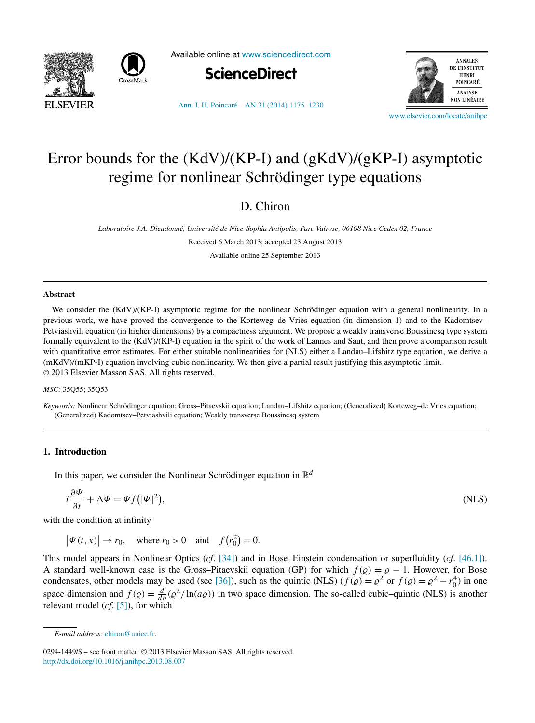



Available online at [www.sciencedirect.com](http://www.sciencedirect.com)



[Ann. I. H. Poincaré – AN 31 \(2014\) 1175–1230](http://dx.doi.org/10.1016/j.anihpc.2013.08.007)



[www.elsevier.com/locate/anihpc](http://www.elsevier.com/locate/anihpc)

# Error bounds for the (KdV)/(KP-I) and (gKdV)/(gKP-I) asymptotic regime for nonlinear Schrödinger type equations

# D. Chiron

*Laboratoire J.A. Dieudonné, Université de Nice-Sophia Antipolis, Parc Valrose, 06108 Nice Cedex 02, France*

Received 6 March 2013; accepted 23 August 2013

Available online 25 September 2013

#### **Abstract**

We consider the (KdV)/(KP-I) asymptotic regime for the nonlinear Schrödinger equation with a general nonlinearity. In a previous work, we have proved the convergence to the Korteweg–de Vries equation (in dimension 1) and to the Kadomtsev– Petviashvili equation (in higher dimensions) by a compactness argument. We propose a weakly transverse Boussinesq type system formally equivalent to the (KdV)/(KP-I) equation in the spirit of the work of Lannes and Saut, and then prove a comparison result with quantitative error estimates. For either suitable nonlinearities for (NLS) either a Landau–Lifshitz type equation, we derive a (mKdV)/(mKP-I) equation involving cubic nonlinearity. We then give a partial result justifying this asymptotic limit. © 2013 Elsevier Masson SAS. All rights reserved.

#### *MSC:* 35Q55; 35Q53

*Keywords:* Nonlinear Schrödinger equation; Gross–Pitaevskii equation; Landau–Lifshitz equation; (Generalized) Korteweg–de Vries equation; (Generalized) Kadomtsev–Petviashvili equation; Weakly transverse Boussinesq system

# **1. Introduction**

In this paper, we consider the Nonlinear Schrödinger equation in  $\mathbb{R}^d$ 

$$
i\frac{\partial \Psi}{\partial t} + \Delta \Psi = \Psi f(|\Psi|^2), \tag{NLS}
$$

with the condition at infinity

 $|\Psi(t, x)| \to r_0$ , where  $r_0 > 0$  and  $f(r_0^2) = 0$ .

This model appears in Nonlinear Optics (*cf*. [\[34\]\)](#page-55-0) and in Bose–Einstein condensation or superfluidity (*cf*. [\[46,1\]\)](#page-55-0). A standard well-known case is the Gross–Pitaevskii equation (GP) for which  $f(\rho) = \rho - 1$ . However, for Bose condensates, other models may be used (see [\[36\]\)](#page-55-0), such as the quintic (NLS) ( $f(\varrho) = \varrho^2$  or  $f(\varrho) = \varrho^2 - r_0^4$ ) in one space dimension and  $f(\varrho) = \frac{d}{d\varrho}(\varrho^2/\ln(a\varrho))$  in two space dimension. The so-called cubic–quintic (NLS) is another relevant model (*cf*. [\[5\]\)](#page-54-0), for which

*E-mail address:* [chiron@unice.fr.](mailto:chiron@unice.fr)

<sup>0294-1449/\$ –</sup> see front matter © 2013 Elsevier Masson SAS. All rights reserved. <http://dx.doi.org/10.1016/j.anihpc.2013.08.007>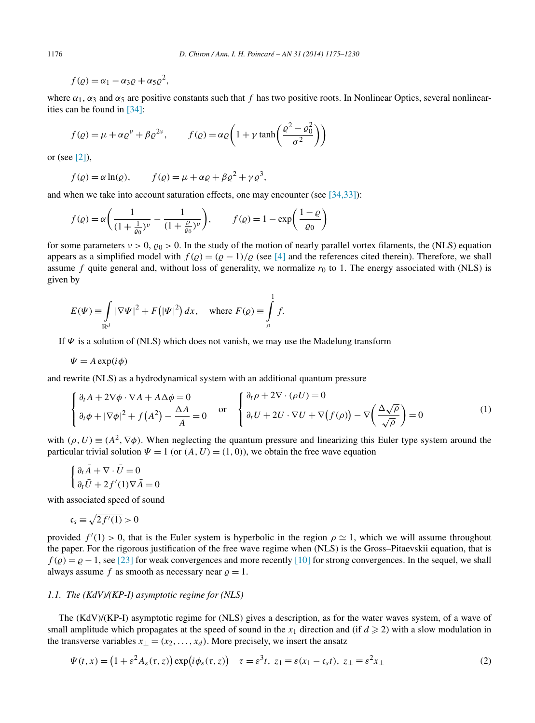$f(\rho) = \alpha_1 - \alpha_3 \rho + \alpha_5 \rho^2$ ,

where  $\alpha_1, \alpha_3$  and  $\alpha_5$  are positive constants such that f has two positive roots. In Nonlinear Optics, several nonlinearities can be found in [\[34\]:](#page-55-0)

$$
f(\varrho) = \mu + \alpha \varrho^{\nu} + \beta \varrho^{2\nu}, \qquad f(\varrho) = \alpha \varrho \left( 1 + \gamma \tanh\left(\frac{\varrho^2 - \varrho_0^2}{\sigma^2}\right) \right)
$$

or (see [\[2\]\)](#page-54-0),

$$
f(\varrho) = \alpha \ln(\varrho), \qquad f(\varrho) = \mu + \alpha \varrho + \beta \varrho^2 + \gamma \varrho^3,
$$

and when we take into account saturation effects, one may encounter (see [\[34,33\]\)](#page-55-0):

$$
f(\varrho) = \alpha \bigg( \frac{1}{(1 + \frac{1}{\varrho_0})^{\nu}} - \frac{1}{(1 + \frac{\varrho}{\varrho_0})^{\nu}} \bigg), \qquad f(\varrho) = 1 - \exp \bigg( \frac{1 - \varrho}{\varrho_0} \bigg)
$$

for some parameters  $v > 0$ ,  $\varrho_0 > 0$ . In the study of the motion of nearly parallel vortex filaments, the (NLS) equation appears as a simplified model with  $f(\rho) = (\rho - 1)/\rho$  (see [\[4\]](#page-54-0) and the references cited therein). Therefore, we shall assume  $f$  quite general and, without loss of generality, we normalize  $r_0$  to 1. The energy associated with (NLS) is given by

$$
E(\Psi) \equiv \int\limits_{\mathbb{R}^d} |\nabla \Psi|^2 + F(|\Psi|^2) dx, \quad \text{where } F(\varrho) \equiv \int\limits_{\varrho}^1 f.
$$

If  $\Psi$  is a solution of (NLS) which does not vanish, we may use the Madelung transform

$$
\Psi = A \exp(i\phi)
$$

and rewrite (NLS) as a hydrodynamical system with an additional quantum pressure

$$
\begin{cases} \n\partial_t A + 2\nabla \phi \cdot \nabla A + A \Delta \phi = 0 \\
\partial_t \phi + |\nabla \phi|^2 + f(A^2) - \frac{\Delta A}{A} = 0\n\end{cases} \n\text{ or } \n\begin{cases} \n\partial_t \rho + 2\nabla \cdot (\rho U) = 0 \\
\partial_t U + 2U \cdot \nabla U + \nabla (f(\rho)) - \nabla \left( \frac{\Delta \sqrt{\rho}}{\sqrt{\rho}} \right) = 0\n\end{cases}
$$
\n(1)

with  $(\rho, U) \equiv (A^2, \nabla \phi)$ . When neglecting the quantum pressure and linearizing this Euler type system around the particular trivial solution  $\Psi = 1$  (or  $(A, U) = (1, 0)$ ), we obtain the free wave equation

$$
\begin{cases} \partial_t \bar{A} + \nabla \cdot \bar{U} = 0 \\ \partial_t \bar{U} + 2f'(1)\nabla \bar{A} = 0 \end{cases}
$$

with associated speed of sound

$$
\mathfrak{c}_s \equiv \sqrt{2f'(1)} > 0
$$

provided  $f'(1) > 0$ , that is the Euler system is hyperbolic in the region  $\rho \simeq 1$ , which we will assume throughout the paper. For the rigorous justification of the free wave regime when (NLS) is the Gross–Pitaevskii equation, that is  $f(\rho) = \rho - 1$ , see [\[23\]](#page-54-0) for weak convergences and more recently [\[10\]](#page-54-0) for strong convergences. In the sequel, we shall always assume *f* as smooth as necessary near  $\rho = 1$ .

#### *1.1. The (KdV)/(KP-I) asymptotic regime for (NLS)*

The (KdV)/(KP-I) asymptotic regime for (NLS) gives a description, as for the water waves system, of a wave of small amplitude which propagates at the speed of sound in the  $x_1$  direction and (if  $d \ge 2$ ) with a slow modulation in the transverse variables  $x_{\perp} = (x_2, \ldots, x_d)$ . More precisely, we insert the ansatz

$$
\Psi(t,x) = \left(1 + \varepsilon^2 A_\varepsilon(\tau,z)\right) \exp\left(i\phi_\varepsilon(\tau,z)\right) \quad \tau = \varepsilon^3 t, \ z_1 \equiv \varepsilon(x_1 - \mathfrak{c}_s t), \ z_\perp \equiv \varepsilon^2 x_\perp \tag{2}
$$

<span id="page-1-0"></span>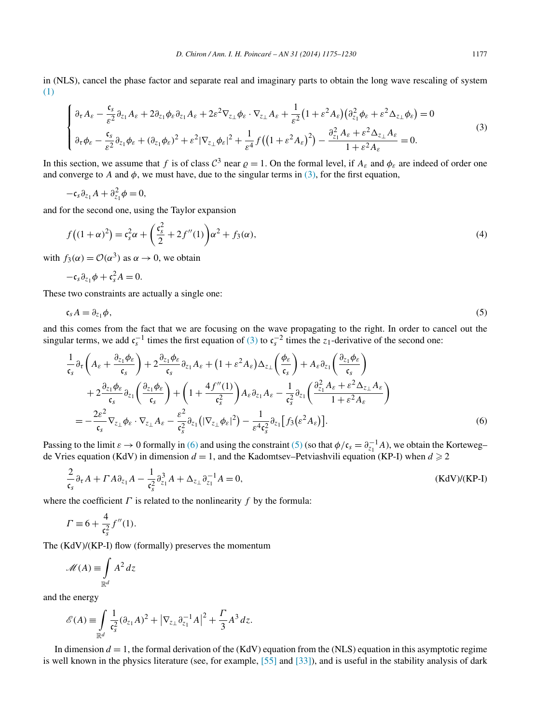<span id="page-2-0"></span>in (NLS), cancel the phase factor and separate real and imaginary parts to obtain the long wave rescaling of system [\(1\)](#page-1-0)

$$
\begin{cases} \n\partial_{\tau} A_{\varepsilon} - \frac{\mathfrak{c}_{s}}{\varepsilon^{2}} \partial_{z_{1}} A_{\varepsilon} + 2 \partial_{z_{1}} \phi_{\varepsilon} \partial_{z_{1}} A_{\varepsilon} + 2 \varepsilon^{2} \nabla_{z_{\perp}} \phi_{\varepsilon} \cdot \nabla_{z_{\perp}} A_{\varepsilon} + \frac{1}{\varepsilon^{2}} (1 + \varepsilon^{2} A_{\varepsilon}) (\partial_{z_{1}}^{2} \phi_{\varepsilon} + \varepsilon^{2} \Delta_{z_{\perp}} \phi_{\varepsilon}) = 0 \\
\partial_{\tau} \phi_{\varepsilon} - \frac{\mathfrak{c}_{s}}{\varepsilon^{2}} \partial_{z_{1}} \phi_{\varepsilon} + (\partial_{z_{1}} \phi_{\varepsilon})^{2} + \varepsilon^{2} |\nabla_{z_{\perp}} \phi_{\varepsilon}|^{2} + \frac{1}{\varepsilon^{4}} f ((1 + \varepsilon^{2} A_{\varepsilon})^{2}) - \frac{\partial_{z_{1}}^{2} A_{\varepsilon} + \varepsilon^{2} \Delta_{z_{\perp}} A_{\varepsilon}}{1 + \varepsilon^{2} A_{\varepsilon}} = 0. \n\end{cases} \tag{3}
$$

In this section, we assume that *f* is of class  $C^3$  near  $\rho = 1$ . On the formal level, if  $A_{\varepsilon}$  and  $\phi_{\varepsilon}$  are indeed of order one and converge to *A* and  $\phi$ , we must have, due to the singular terms in (3), for the first equation,

$$
-\mathfrak{c}_s\partial_{z_1}A+\partial_{z_1}^2\phi=0,
$$

and for the second one, using the Taylor expansion

$$
f((1+\alpha)^2) = \mathfrak{c}_s^2 \alpha + \left(\frac{\mathfrak{c}_s^2}{2} + 2f''(1)\right) \alpha^2 + f_3(\alpha),\tag{4}
$$

with  $f_3(\alpha) = \mathcal{O}(\alpha^3)$  as  $\alpha \to 0$ , we obtain

$$
-\mathfrak{c}_s\partial_{z_1}\phi+\mathfrak{c}_s^2A=0.
$$

These two constraints are actually a single one:

$$
\mathfrak{c}_s A = \partial_{z_1} \phi, \tag{5}
$$

and this comes from the fact that we are focusing on the wave propagating to the right. In order to cancel out the singular terms, we add  $c_s^{-1}$  times the first equation of (3) to  $c_s^{-2}$  times the *z*<sub>1</sub>-derivative of the second one:

$$
\frac{1}{\mathfrak{c}_{s}}\partial_{\tau}\left(A_{\varepsilon} + \frac{\partial_{z_{1}}\phi_{\varepsilon}}{\mathfrak{c}_{s}}\right) + 2\frac{\partial_{z_{1}}\phi_{\varepsilon}}{\mathfrak{c}_{s}}\partial_{z_{1}}A_{\varepsilon} + (1 + \varepsilon^{2}A_{\varepsilon})\Delta_{z_{\perp}}\left(\frac{\phi_{\varepsilon}}{\mathfrak{c}_{s}}\right) + A_{\varepsilon}\partial_{z_{1}}\left(\frac{\partial_{z_{1}}\phi_{\varepsilon}}{\mathfrak{c}_{s}}\right) \n+ 2\frac{\partial_{z_{1}}\phi_{\varepsilon}}{\mathfrak{c}_{s}}\partial_{z_{1}}\left(\frac{\partial_{z_{1}}\phi_{\varepsilon}}{\mathfrak{c}_{s}}\right) + \left(1 + \frac{4f''(1)}{\mathfrak{c}_{s}^{2}}\right)A_{\varepsilon}\partial_{z_{1}}A_{\varepsilon} - \frac{1}{\mathfrak{c}_{s}^{2}}\partial_{z_{1}}\left(\frac{\partial_{z_{1}}^{2}A_{\varepsilon} + \varepsilon^{2}\Delta_{z_{\perp}}A_{\varepsilon}}{1 + \varepsilon^{2}A_{\varepsilon}}\right) \n= -\frac{2\varepsilon^{2}}{\mathfrak{c}_{s}}\nabla_{z_{\perp}}\phi_{\varepsilon} \cdot \nabla_{z_{\perp}}A_{\varepsilon} - \frac{\varepsilon^{2}}{\mathfrak{c}_{s}^{2}}\partial_{z_{1}}\left(|\nabla_{z_{\perp}}\phi_{\varepsilon}|^{2}\right) - \frac{1}{\varepsilon^{4}\mathfrak{c}_{s}^{2}}\partial_{z_{1}}\left[f_{3}(\varepsilon^{2}A_{\varepsilon})\right].
$$
\n(6)

Passing to the limit  $\varepsilon \to 0$  formally in (6) and using the constraint (5) (so that  $\phi/\mathfrak{c}_s = \partial_{z_1}^{-1}A$ ), we obtain the Korteweg– de Vries equation (KdV) in dimension  $d = 1$ , and the Kadomtsev–Petviashvili equation (KP-I) when  $d \ge 2$ 

$$
\frac{2}{\mathfrak{c}_s} \partial_\tau A + \Gamma A \partial_{z_1} A - \frac{1}{\mathfrak{c}_s^2} \partial_{z_1}^3 A + \Delta_{z_\perp} \partial_{z_1}^{-1} A = 0, \tag{KdV/(KP-I)}
$$

where the coefficient  $\Gamma$  is related to the nonlinearity  $f$  by the formula:

$$
\Gamma \equiv 6 + \frac{4}{\mathfrak{c}_s^2} f''(1).
$$

The (KdV)/(KP-I) flow (formally) preserves the momentum

$$
\mathscr{M}(A) \equiv \int\limits_{\mathbb{R}^d} A^2 \, dz
$$

and the energy

$$
\mathscr{E}(A) \equiv \int\limits_{\mathbb{R}^d} \frac{1}{\mathfrak{c}_s^2} (\partial_{z_1} A)^2 + |\nabla_{z_\perp} \partial_{z_1}^{-1} A|^2 + \frac{\Gamma}{3} A^3 dz.
$$

In dimension  $d = 1$ , the formal derivation of the (KdV) equation from the (NLS) equation in this asymptotic regime is well known in the physics literature (see, for example, [\[55\]](#page-55-0) and [\[33\]\)](#page-55-0), and is useful in the stability analysis of dark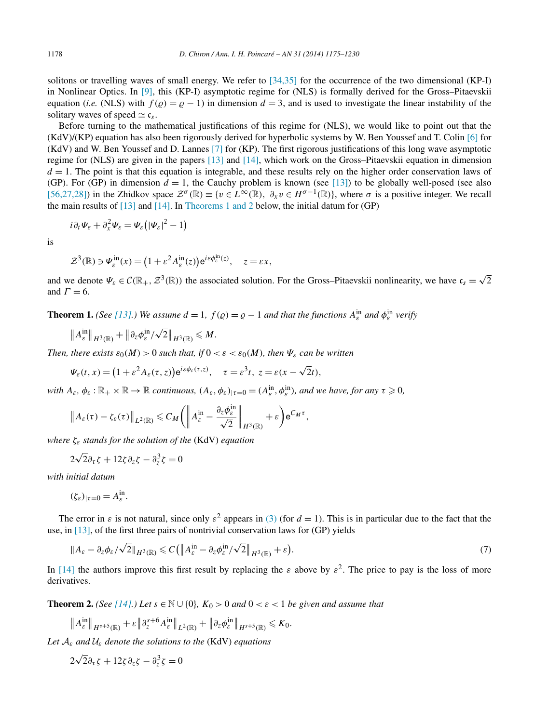<span id="page-3-0"></span>solitons or travelling waves of small energy. We refer to [\[34,35\]](#page-55-0) for the occurrence of the two dimensional (KP-I) in Nonlinear Optics. In [\[9\],](#page-54-0) this (KP-I) asymptotic regime for (NLS) is formally derived for the Gross–Pitaevskii equation (*i.e.* (NLS) with  $f(\rho) = \rho - 1$ ) in dimension  $d = 3$ , and is used to investigate the linear instability of the solitary waves of speed  $\simeq \mathfrak{c}_s$ .

Before turning to the mathematical justifications of this regime for (NLS), we would like to point out that the (KdV)/(KP) equation has also been rigorously derived for hyperbolic systems by W. Ben Youssef and T. Colin [\[6\]](#page-54-0) for (KdV) and W. Ben Youssef and D. Lannes [\[7\]](#page-54-0) for (KP). The first rigorous justifications of this long wave asymptotic regime for (NLS) are given in the papers [\[13\]](#page-54-0) and [\[14\],](#page-54-0) which work on the Gross–Pitaevskii equation in dimension  $d = 1$ . The point is that this equation is integrable, and these results rely on the higher order conservation laws of (GP). For (GP) in dimension  $d = 1$ , the Cauchy problem is known (see [\[13\]\)](#page-54-0) to be globally well-posed (see also [\[56,27,28\]\)](#page-55-0) in the Zhidkov space  $\mathcal{Z}^{\sigma}(\mathbb{R}) \equiv \{v \in L^{\infty}(\mathbb{R}), \ \partial_x v \in H^{\sigma-1}(\mathbb{R})\}$ , where  $\sigma$  is a positive integer. We recall the main results of  $[13]$  and  $[14]$ . In Theorems 1 and 2 below, the initial datum for (GP)

$$
i\partial_t \Psi_{\varepsilon} + \partial_x^2 \Psi_{\varepsilon} = \Psi_{\varepsilon} \big( |\Psi_{\varepsilon}|^2 - 1 \big)
$$

is

$$
\mathcal{Z}^{3}(\mathbb{R}) \ni \Psi_{\varepsilon}^{\text{in}}(x) = \left(1 + \varepsilon^{2} A_{\varepsilon}^{\text{in}}(z)\right) e^{i\varepsilon \phi_{\varepsilon}^{\text{in}}(z)}, \quad z = \varepsilon x,
$$

and we denote  $\Psi_{\varepsilon} \in \mathcal{C}(\mathbb{R}_+, \mathcal{Z}^3(\mathbb{R}))$  the associated solution. For the Gross–Pitaevskii nonlinearity, we have  $\mathfrak{c}_s = \sqrt{2}$ and  $\Gamma = 6$ .

**Theorem 1.** *(See* [\[13\].](#page-54-0)) We assume  $d = 1$ ,  $f(q) = q - 1$  and that the functions  $A_{\varepsilon}^{\text{in}}$  and  $\phi_{\varepsilon}^{\text{in}}$  verify

$$
\|A_{\varepsilon}^{\rm in}\|_{H^3(\mathbb{R})}+\|\partial_z\phi_{\varepsilon}^{\rm in}/\sqrt{2}\|_{H^3(\mathbb{R})}\leqslant M.
$$

*Then, there exists*  $\varepsilon_0(M) > 0$  *such that, if*  $0 < \varepsilon < \varepsilon_0(M)$ *, then*  $\Psi_{\varepsilon}$  *can be written* 

$$
\Psi_{\varepsilon}(t,x) = (1 + \varepsilon^2 A_{\varepsilon}(\tau,z)) e^{i\varepsilon \phi_{\varepsilon}(\tau,z)}, \quad \tau = \varepsilon^3 t, \ z = \varepsilon(x - \sqrt{2}t),
$$

*with*  $A_{\varepsilon}$ ,  $\phi_{\varepsilon}$  :  $\mathbb{R}_+ \times \mathbb{R} \to \mathbb{R}$  *continuous,*  $(A_{\varepsilon}, \phi_{\varepsilon})_{|\tau=0} = (A_{\varepsilon}^{\text{in}}, \phi_{\varepsilon}^{\text{in}})$ *, and we have, for any*  $\tau \geqslant 0$ *,* 

$$
\left\|A_{\varepsilon}(\tau)-\zeta_{\varepsilon}(\tau)\right\|_{L^{2}(\mathbb{R})}\leqslant C_{M}\bigg(\left\|A_{\varepsilon}^{\text{in}}-\frac{\partial_{z}\phi_{\varepsilon}^{\text{in}}}{\sqrt{2}}\right\|_{H^{3}(\mathbb{R})}+\varepsilon\bigg)\mathrm{e}^{C_{M}\tau},
$$

*where ζε stands for the solution of the* (KdV) *equation*

$$
2\sqrt{2}\partial_{\tau}\zeta + 12\zeta\partial_{z}\zeta - \partial_{z}^{3}\zeta = 0
$$

*with initial datum*

$$
(\zeta_{\varepsilon})_{|\tau=0}=A_{\varepsilon}^{\mathrm{in}}.
$$

The error in  $\varepsilon$  is not natural, since only  $\varepsilon^2$  appears in [\(3\)](#page-2-0) (for  $d = 1$ ). This is in particular due to the fact that the use, in [\[13\],](#page-54-0) of the first three pairs of nontrivial conservation laws for (GP) yields

$$
||A_{\varepsilon}-\partial_{z}\phi_{\varepsilon}/\sqrt{2}||_{H^{3}(\mathbb{R})}\leqslant C\left(\left\|A_{\varepsilon}^{\text{in}}-\partial_{z}\phi_{\varepsilon}^{\text{in}}/\sqrt{2}\right\|_{H^{3}(\mathbb{R})}+\varepsilon\right).
$$
\n(7)

In [\[14\]](#page-54-0) the authors improve this first result by replacing the  $\varepsilon$  above by  $\varepsilon^2$ . The price to pay is the loss of more derivatives.

**Theorem 2.** *(See* [\[14\].](#page-54-0)*) Let*  $s \in \mathbb{N} \cup \{0\}$ *,*  $K_0 > 0$  *and*  $0 < \varepsilon < 1$  *be given and assume that* 

$$
\|A_{\varepsilon}^{\text{in}}\|_{H^{s+5}(\mathbb{R})}+\varepsilon\|\partial_z^{s+6}A_{\varepsilon}^{\text{in}}\|_{L^2(\mathbb{R})}+\|\partial_z\phi_{\varepsilon}^{\text{in}}\|_{H^{s+5}(\mathbb{R})}\leq K_0.
$$

*Let* A*<sup>ε</sup> and* U*<sup>ε</sup> denote the solutions to the* (KdV) *equations*

$$
2\sqrt{2}\partial_{\tau}\zeta + 12\zeta\partial_{z}\zeta - \partial_{z}^{3}\zeta = 0
$$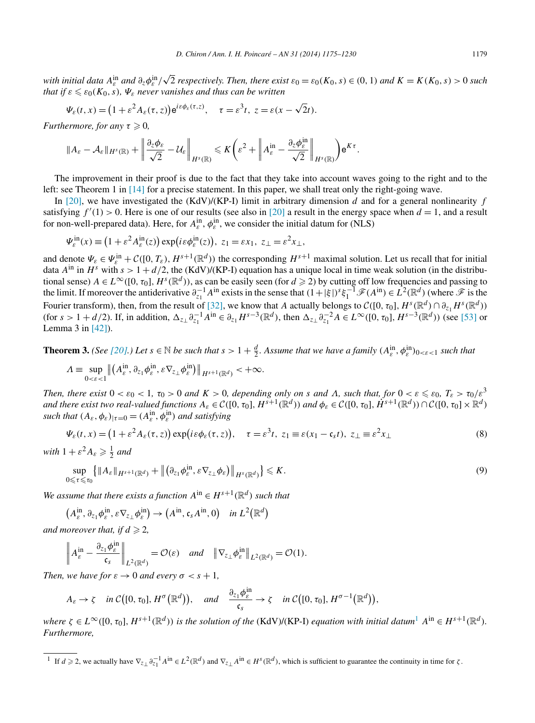<span id="page-4-0"></span>with initial data  $A_{\varepsilon}^{\text{in}}$  and  $\partial_z\phi_{\varepsilon}^{\text{in}}/\sqrt{2}$  respectively. Then, there exist  $\varepsilon_0=\varepsilon_0(K_0,s)\in(0,1)$  and  $K=K(K_0,s)>0$  such *that if*  $\varepsilon \leq \varepsilon_0(K_0, s)$ *,*  $\Psi_{\varepsilon}$  *never vanishes and thus can be written* 

$$
\Psi_{\varepsilon}(t,x)=(1+\varepsilon^2 A_{\varepsilon}(\tau,z))e^{i\varepsilon\phi_{\varepsilon}(\tau,z)},\quad \tau=\varepsilon^3 t,\ z=\varepsilon(x-\sqrt{2}t).
$$

*Furthermore, for any*  $\tau \geqslant 0$ ,

$$
\|A_{\varepsilon}-\mathcal{A}_{\varepsilon}\|_{H^{s}(\mathbb{R})}+\left\|\frac{\partial_{z}\phi_{\varepsilon}}{\sqrt{2}}-\mathcal{U}_{\varepsilon}\right\|_{H^{s}(\mathbb{R})}\leqslant K\bigg(\varepsilon^{2}+\left\|A_{\varepsilon}^{\text{in}}-\frac{\partial_{z}\phi_{\varepsilon}^{\text{in}}}{\sqrt{2}}\right\|_{H^{s}(\mathbb{R})}\bigg)\mathrm{e}^{K\tau}.
$$

The improvement in their proof is due to the fact that they take into account waves going to the right and to the left: see Theorem 1 in [\[14\]](#page-54-0) for a precise statement. In this paper, we shall treat only the right-going wave.

In [\[20\],](#page-54-0) we have investigated the (KdV)/(KP-I) limit in arbitrary dimension *d* and for a general nonlinearity *f* satisfying  $f'(1) > 0$ . Here is one of our results (see also in [\[20\]](#page-54-0) a result in the energy space when  $d = 1$ , and a result for non-well-prepared data). Here, for  $A_{\varepsilon}^{\text{in}}$ ,  $\phi_{\varepsilon}^{\text{in}}$ , we consider the initial datum for (NLS)

$$
\Psi_{\varepsilon}^{\text{in}}(x) \equiv (1 + \varepsilon^2 A_{\varepsilon}^{\text{in}}(z)) \exp(i\varepsilon \phi_{\varepsilon}^{\text{in}}(z)), \ z_1 = \varepsilon x_1, \ z_{\perp} = \varepsilon^2 x_{\perp},
$$

and denote  $\Psi_{\varepsilon} \in \Psi_{\varepsilon}^{\text{in}} + \mathcal{C}([0, T_{\varepsilon}), H^{s+1}(\mathbb{R}^d))$  the corresponding  $H^{s+1}$  maximal solution. Let us recall that for initial data  $A^{in}$  in  $H^s$  with  $s > 1 + d/2$ , the (KdV)/(KP-I) equation has a unique local in time weak solution (in the distributional sense)  $A \in L^{\infty}([0, \tau_0], H^s(\mathbb{R}^d))$ , as can be easily seen (for  $d \ge 2$ ) by cutting off low frequencies and passing to the limit. If moreover the antiderivative  $\partial_{z_1}^{-1} A^{in}$  exists in the sense that  $(1+|\xi|)^s \xi_1^{-1} \mathscr{F}(A^{in}) \in L^2(\mathbb{R}^d)$  (where  $\mathscr{F}$  is the Fourier transform), then, from the result of [\[32\],](#page-55-0) we know that *A* actually belongs to  $\mathcal{C}([0, \tau_0], H^s(\mathbb{R}^d) \cap \partial_{z_1} H^s(\mathbb{R}^d))$ (for  $s > 1 + d/2$ ). If, in addition,  $\Delta_{z} \partial_{z_1}^{-1} A^{in} \in \partial_{z_1} H^{s-3}(\mathbb{R}^d)$ , then  $\Delta_{z} \partial_{z_1}^{-2} A \in L^{\infty}([0, \tau_0], H^{s-3}(\mathbb{R}^d))$  (see [\[53\]](#page-55-0) or Lemma 3 in [\[42\]\)](#page-55-0).

**Theorem 3.** (See [\[20\].](#page-54-0)) Let  $s \in \mathbb{N}$  be such that  $s > 1 + \frac{d}{2}$ . Assume that we have a family  $(A_{\varepsilon}^{\text{in}}, \phi_{\varepsilon}^{\text{in}})_{0 < \varepsilon < 1}$  such that

$$
\Lambda \equiv \sup_{0<\varepsilon<1} \left\| \left( A^{in}_{\varepsilon}, \partial_{z_1} \phi^{in}_{\varepsilon}, \varepsilon \nabla_{z_\perp} \phi^{in}_{\varepsilon} \right) \right\|_{H^{s+1}(\mathbb{R}^d)} < +\infty.
$$

Then, there exist  $0<\varepsilon_0<1$ ,  $\tau_0>0$  and  $K>0$ , depending only on s and  $\Lambda$ , such that, for  $0<\varepsilon\leqslant\varepsilon_0$ ,  $T_\varepsilon>\tau_0/\varepsilon^3$ and there exist two real-valued functions  $A_{\varepsilon} \in C([0, \tau_0], H^{s+1}(\mathbb{R}^d))$  and  $\phi_{\varepsilon} \in C([0, \tau_0], H^{s+1}(\mathbb{R}^d)) \cap C([0, \tau_0] \times \mathbb{R}^d)$ *such that*  $(A_{\varepsilon}, \phi_{\varepsilon})_{|\tau=0} = (A_{\varepsilon}^{\text{in}}, \phi_{\varepsilon}^{\text{in}})$  *and satisfying* 

$$
\Psi_{\varepsilon}(t,x) = \left(1 + \varepsilon^2 A_{\varepsilon}(\tau,z)\right) \exp\left(i\varepsilon \phi_{\varepsilon}(\tau,z)\right), \quad \tau = \varepsilon^3 t, \ z_1 \equiv \varepsilon(x_1 - \mathfrak{c}_s t), \ z_{\perp} \equiv \varepsilon^2 x_{\perp}
$$
 (8)

*with*  $1 + \varepsilon^2 A_\varepsilon \geqslant \frac{1}{2}$  *and* 

$$
\sup_{0\leq \tau\leq \tau_0} \left\{ \|A_{\varepsilon}\|_{H^{s+1}(\mathbb{R}^d)} + \|(\partial_{z_1}\phi_{\varepsilon}^{\text{in}}, \varepsilon \nabla_{z_\perp}\phi_{\varepsilon})\|_{H^s(\mathbb{R}^d)} \right\} \leqslant K. \tag{9}
$$

*We assume that there exists a function*  $A^{in} \in H^{s+1}(\mathbb{R}^d)$  *such that* 

$$
(A_{\varepsilon}^{\text{in}}, \partial_{z_1}\phi_{\varepsilon}^{\text{in}}, \varepsilon\nabla_{z_\perp}\phi_{\varepsilon}^{\text{in}}) \to (A^{\text{in}}, \mathfrak{c}_s A^{\text{in}}, 0) \quad \text{in } L^2(\mathbb{R}^d)
$$

and moreover that, if  $d \geqslant 2$ ,

$$
\left\|A_{\varepsilon}^{\text{in}} - \frac{\partial_{z_1} \phi_{\varepsilon}^{\text{in}}}{\mathfrak{c}_s}\right\|_{L^2(\mathbb{R}^d)} = \mathcal{O}(\varepsilon) \quad \text{and} \quad \left\|\nabla_{z_\perp} \phi_{\varepsilon}^{\text{in}}\right\|_{L^2(\mathbb{R}^d)} = \mathcal{O}(1).
$$

*Then, we have for*  $\varepsilon \to 0$  *and every*  $\sigma < s + 1$ *,* 

$$
A_{\varepsilon} \to \zeta \quad \text{in } C([0, \tau_0], H^{\sigma}(\mathbb{R}^d)), \quad \text{and} \quad \frac{\partial_{z_1} \phi_{\varepsilon}^{\text{in}}}{\mathfrak{c}_s} \to \zeta \quad \text{in } C([0, \tau_0], H^{\sigma-1}(\mathbb{R}^d)),
$$

where  $\zeta \in L^{\infty}([0, \tau_0], H^{s+1}(\mathbb{R}^d))$  is the solution of the (KdV)/(KP-I) equation with initial datum<sup>1</sup>  $A^{in} \in H^{s+1}(\mathbb{R}^d)$ . *Furthermore,*

<sup>&</sup>lt;sup>1</sup> If  $d \ge 2$ , we actually have  $\nabla_{z} \partial_{z_1}^{1} A^{in} \in L^2(\mathbb{R}^d)$  and  $\nabla_{z} A^{in} \in H^s(\mathbb{R}^d)$ , which is sufficient to guarantee the continuity in time for  $\zeta$ .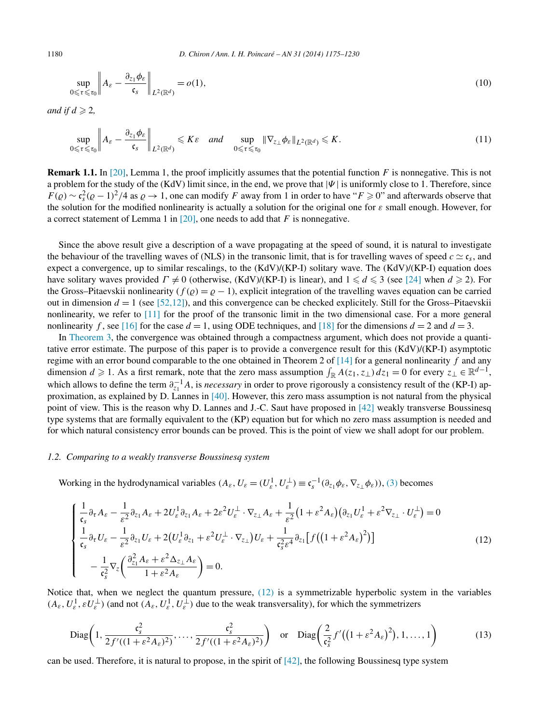$$
\sup_{0 \le \tau \le \tau_0} \left\| A_{\varepsilon} - \frac{\partial_{z_1} \phi_{\varepsilon}}{\mathfrak{c}_s} \right\|_{L^2(\mathbb{R}^d)} = o(1),\tag{10}
$$

*and if*  $d \geqslant 2$ ,

$$
\sup_{0\leqslant\tau\leqslant\tau_0}\bigg\|A_{\varepsilon}-\frac{\partial_{z_1}\phi_{\varepsilon}}{\mathfrak{c}_s}\bigg\|_{L^2(\mathbb{R}^d)}\leqslant K\varepsilon\quad\text{and}\quad\sup_{0\leqslant\tau\leqslant\tau_0}\|\nabla_{z_\perp}\phi_{\varepsilon}\|_{L^2(\mathbb{R}^d)}\leqslant K.\tag{11}
$$

**Remark 1.1.** In [\[20\],](#page-54-0) Lemma 1, the proof implicitly assumes that the potential function *F* is nonnegative. This is not a problem for the study of the (KdV) limit since, in the end, we prove that  $|\Psi|$  is uniformly close to 1. Therefore, since  $F(\varrho) \sim \mathfrak{c}_s^2(\varrho - 1)^2/4$  as  $\varrho \to 1$ , one can modify *F* away from 1 in order to have " $F \ge 0$ " and afterwards observe that the solution for the modified nonlinearity is actually a solution for the original one for *ε* small enough. However, for a correct statement of Lemma 1 in [\[20\],](#page-54-0) one needs to add that *F* is nonnegative.

Since the above result give a description of a wave propagating at the speed of sound, it is natural to investigate the behaviour of the travelling waves of (NLS) in the transonic limit, that is for travelling waves of speed  $c \simeq c_s$ , and expect a convergence, up to similar rescalings, to the (KdV)/(KP-I) solitary wave. The (KdV)/(KP-I) equation does have solitary waves provided  $\Gamma \neq 0$  (otherwise, (KdV)/(KP-I) is linear), and  $1 \leq d \leq 3$  (see [\[24\]](#page-54-0) when  $d \geq 2$ ). For the Gross–Pitaevskii nonlinearity ( $f(\rho) = \rho - 1$ ), explicit integration of the travelling waves equation can be carried out in dimension  $d = 1$  (see [\[52,12\]\)](#page-55-0), and this convergence can be checked explicitely. Still for the Gross–Pitaevskii nonlinearity, we refer to [\[11\]](#page-54-0) for the proof of the transonic limit in the two dimensional case. For a more general nonlinearity *f*, see [\[16\]](#page-54-0) for the case  $d = 1$ , using ODE techniques, and [\[18\]](#page-54-0) for the dimensions  $d = 2$  and  $d = 3$ .

In [Theorem](#page-4-0) 3, the convergence was obtained through a compactness argument, which does not provide a quantitative error estimate. The purpose of this paper is to provide a convergence result for this (KdV)/(KP-I) asymptotic regime with an error bound comparable to the one obtained in Theorem 2 of [\[14\]](#page-54-0) for a general nonlinearity *f* and any dimension  $d \ge 1$ . As a first remark, note that the zero mass assumption  $\int_{\mathbb{R}} A(z_1, z_1) dz_1 = 0$  for every  $z_{\perp} \in \mathbb{R}^{d-1}$ , which allows to define the term  $\partial_{z_1}^{-1}A$ , is *necessary* in order to prove rigorously a consistency result of the (KP-I) approximation, as explained by D. Lannes in [\[40\].](#page-55-0) However, this zero mass assumption is not natural from the physical point of view. This is the reason why D. Lannes and J.-C. Saut have proposed in [\[42\]](#page-55-0) weakly transverse Boussinesq type systems that are formally equivalent to the (KP) equation but for which no zero mass assumption is needed and for which natural consistency error bounds can be proved. This is the point of view we shall adopt for our problem.

#### *1.2. Comparing to a weakly transverse Boussinesq system*

Working in the hydrodynamical variables  $(A_{\varepsilon}, U_{\varepsilon} = (U_{\varepsilon}^1, U_{\varepsilon}^{\perp}) \equiv \mathfrak{c}_s^{-1}(\partial_{z_1}\phi_{\varepsilon}, \nabla_{z_{\perp}}\phi_{\varepsilon}))$ , [\(3\)](#page-2-0) becomes

$$
\begin{cases}\n\frac{1}{\mathfrak{c}_{s}}\partial_{\tau}A_{\varepsilon} - \frac{1}{\varepsilon^{2}}\partial_{z_{1}}A_{\varepsilon} + 2U_{\varepsilon}^{1}\partial_{z_{1}}A_{\varepsilon} + 2\varepsilon^{2}U_{\varepsilon}^{\perp} \cdot \nabla_{z_{\perp}}A_{\varepsilon} + \frac{1}{\varepsilon^{2}}\Big(1 + \varepsilon^{2}A_{\varepsilon}\Big)\Big(\partial_{z_{1}}U_{\varepsilon}^{1} + \varepsilon^{2}\nabla_{z_{\perp}}\cdot U_{\varepsilon}^{\perp}\Big) = 0 \\
\frac{1}{\mathfrak{c}_{s}}\partial_{\tau}U_{\varepsilon} - \frac{1}{\varepsilon^{2}}\partial_{z_{1}}U_{\varepsilon} + 2\Big(U_{\varepsilon}^{1}\partial_{z_{1}} + \varepsilon^{2}U_{\varepsilon}^{\perp} \cdot \nabla_{z_{\perp}}\Big)U_{\varepsilon} + \frac{1}{\mathfrak{c}_{s}^{2}\varepsilon^{4}}\partial_{z_{1}}\Big[f\Big(\Big(1 + \varepsilon^{2}A_{\varepsilon}\Big)^{2}\Big)\Big] \\
-\frac{1}{\mathfrak{c}_{s}^{2}}\nabla_{z}\Big(\frac{\partial_{z_{1}}^{2}A_{\varepsilon} + \varepsilon^{2}\Delta_{z_{\perp}}A_{\varepsilon}}{1 + \varepsilon^{2}A_{\varepsilon}}\Big) = 0.\n\end{cases} \tag{12}
$$

Notice that, when we neglect the quantum pressure, (12) is a symmetrizable hyperbolic system in the variables  $(A_\varepsilon, U_\varepsilon^1, \varepsilon U_\varepsilon^\perp)$  (and not  $(A_\varepsilon, U_\varepsilon^1, U_\varepsilon^\perp)$  due to the weak transversality), for which the symmetrizers

$$
\text{Diag}\left(1,\frac{\mathfrak{c}_s^2}{2f'((1+\varepsilon^2 A_\varepsilon)^2)},\ldots,\frac{\mathfrak{c}_s^2}{2f'((1+\varepsilon^2 A_\varepsilon)^2)}\right) \quad \text{or} \quad \text{Diag}\left(\frac{2}{\mathfrak{c}_s^2}f'((1+\varepsilon^2 A_\varepsilon)^2),1,\ldots,1\right) \tag{13}
$$

can be used. Therefore, it is natural to propose, in the spirit of  $[42]$ , the following Boussinesq type system

<span id="page-5-0"></span>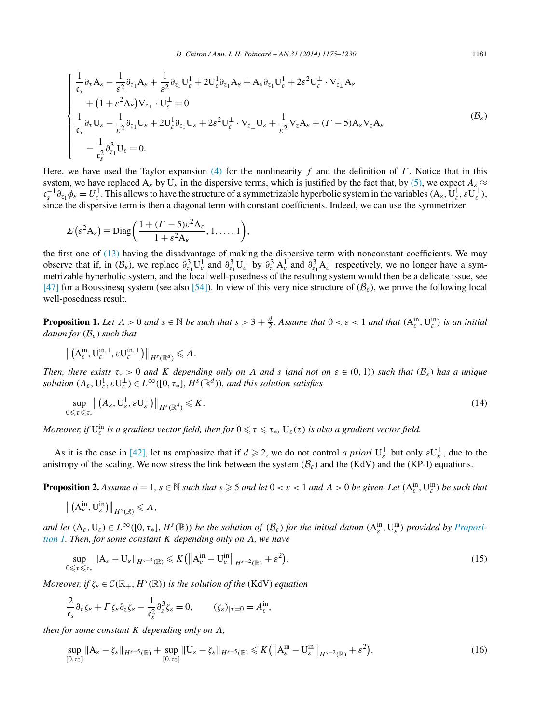<span id="page-6-0"></span>
$$
\begin{cases}\n\frac{1}{\mathfrak{c}_{s}}\partial_{\tau}A_{\varepsilon} - \frac{1}{\varepsilon^{2}}\partial_{z_{1}}A_{\varepsilon} + \frac{1}{\varepsilon^{2}}\partial_{z_{1}}U_{\varepsilon}^{1} + 2U_{\varepsilon}^{1}\partial_{z_{1}}A_{\varepsilon} + A_{\varepsilon}\partial_{z_{1}}U_{\varepsilon}^{1} + 2\varepsilon^{2}U_{\varepsilon}^{1} \cdot \nabla_{z_{\perp}}A_{\varepsilon} \\
+ (1 + \varepsilon^{2}A_{\varepsilon})\nabla_{z_{\perp}} \cdot U_{\varepsilon}^{1} = 0 \\
\frac{1}{\mathfrak{c}_{s}}\partial_{\tau}U_{\varepsilon} - \frac{1}{\varepsilon^{2}}\partial_{z_{1}}U_{\varepsilon} + 2U_{\varepsilon}^{1}\partial_{z_{1}}U_{\varepsilon} + 2\varepsilon^{2}U_{\varepsilon}^{1} \cdot \nabla_{z_{\perp}}U_{\varepsilon} + \frac{1}{\varepsilon^{2}}\nabla_{z}A_{\varepsilon} + (I - 5)A_{\varepsilon}\nabla_{z}A_{\varepsilon} \\
- \frac{1}{\mathfrak{c}_{s}^{2}}\partial_{z_{1}}^{3}U_{\varepsilon} = 0.\n\end{cases} (B_{\varepsilon})
$$

Here, we have used the Taylor expansion [\(4\)](#page-2-0) for the nonlinearity *f* and the definition of *Γ* . Notice that in this system, we have replaced  $A_\varepsilon$  by  $U_\varepsilon$  in the dispersive terms, which is justified by the fact that, by [\(5\),](#page-2-0) we expect  $A_\varepsilon \approx$  $\mathfrak{e}^{-1}_s \partial_{z_1} \phi_{\varepsilon} = U_{\varepsilon}^1$ . This allows to have the structure of a symmetrizable hyperbolic system in the variables  $(A_{\varepsilon}, U_{\varepsilon}^1, \varepsilon U_{\varepsilon}^{\perp}),$ since the dispersive term is then a diagonal term with constant coefficients. Indeed, we can use the symmetrizer

$$
\Sigma\left(\varepsilon^2 A_\varepsilon\right) \equiv \text{Diag}\bigg(\frac{1+(\Gamma-5)\varepsilon^2 A_\varepsilon}{1+\varepsilon^2 A_\varepsilon}, 1, \ldots, 1\bigg),\,
$$

the first one of [\(13\)](#page-5-0) having the disadvantage of making the dispersive term with nonconstant coefficients. We may observe that if, in  $(B_{\varepsilon})$ , we replace  $\partial_{z_1}^3 \mathbf{U}_{\varepsilon}^1$  and  $\partial_{z_1}^3 \mathbf{U}_{\varepsilon}^{\perp}$  by  $\partial_{z_1}^3 \mathbf{A}_{\varepsilon}^1$  and  $\partial_{z_1}^3 \mathbf{A}_{\varepsilon}^{\perp}$  respectively, we no longer have a symmetrizable hyperbolic system, and the local well-posedness of the resulting system would then be a delicate issue, see [\[47\]](#page-55-0) for a Boussinesq system (see also [\[54\]\)](#page-55-0). In view of this very nice structure of  $(\mathcal{B}_{\varepsilon})$ , we prove the following local well-posedness result.

**Proposition 1.** Let  $\Lambda > 0$  and  $s \in \mathbb{N}$  be such that  $s > 3 + \frac{d}{2}$ . Assume that  $0 < \varepsilon < 1$  and that  $(A_{\varepsilon}^{\text{in}}, U_{\varepsilon}^{\text{in}})$  is an initial *datum for* (B*ε*) *such that*

$$
\left\|\left(A_{\varepsilon}^{\text{in}},\mathbf{U}_{\varepsilon}^{\text{in},1},\varepsilon\mathbf{U}_{\varepsilon}^{\text{in},\perp}\right)\right\|_{H^{s}(\mathbb{R}^{d})}\leqslant\Lambda.
$$

Then, there exists  $\tau_* > 0$  and K depending only on  $\Lambda$  and s (and not on  $\varepsilon \in (0,1)$ ) such that  $(\mathcal{B}_{\varepsilon})$  has a unique *solution*  $(A_\varepsilon, U_\varepsilon^1, \varepsilon U_\varepsilon^\perp) \in L^\infty([0, \tau_*], H^s(\mathbb{R}^d))$ *, and this solution satisfies* 

$$
\sup_{0 \leq \tau \leq \tau_*} \left\| \left( A_\varepsilon, \mathbf{U}_\varepsilon^1, \varepsilon \mathbf{U}_\varepsilon^\perp \right) \right\|_{H^s(\mathbb{R}^d)} \leqslant K. \tag{14}
$$

*Moreover, if*  $U_\varepsilon^{\text{in}}$  *is a gradient vector field, then for*  $0\leqslant\tau\leqslant\tau_*$ ,  $U_\varepsilon(\tau)$  *is also a gradient vector field.* 

As it is the case in [\[42\],](#page-55-0) let us emphasize that if  $d \ge 2$ , we do not control *a priori*  $U_{\varepsilon}^{\perp}$  but only  $\varepsilon U_{\varepsilon}^{\perp}$ , due to the anistropy of the scaling. We now stress the link between the system  $(B_{\varepsilon})$  and the (KdV) and the (KP-I) equations.

**Proposition 2.** Assume  $d = 1$ ,  $s \in \mathbb{N}$  such that  $s \geq 5$  and let  $0 < \varepsilon < 1$  and  $\Lambda > 0$  be given. Let  $(A_{\varepsilon}^{\text{in}}, U_{\varepsilon}^{\text{in}})$  be such that

$$
\left\|\left(A_{\varepsilon}^{\text{in}},\mathbf{U}_{\varepsilon}^{\text{in}}\right)\right\|_{H^{s}(\mathbb{R})}\leqslant\Lambda,
$$

 $\overline{0}$ 

and let  $(A_{\varepsilon},U_{\varepsilon}) \in L^{\infty}([0,\tau_*],H^s(\mathbb{R}))$  be the solution of  $(\mathcal{B}_{\varepsilon})$  for the initial datum  $(A_{\varepsilon}^{in},U_{\varepsilon}^{in})$  provided by Proposi*tion 1. Then, for some constant K depending only on Λ, we have*

$$
\sup_{\leq \tau \leq \tau_*} \|A_{\varepsilon} - U_{\varepsilon}\|_{H^{s-2}(\mathbb{R})} \leqslant K \left( \|A_{\varepsilon}^{\text{in}} - U_{\varepsilon}^{\text{in}}\|_{H^{s-2}(\mathbb{R})} + \varepsilon^2 \right). \tag{15}
$$

*Moreover, if*  $\zeta_{\varepsilon} \in \mathcal{C}(\mathbb{R}_+, H^s(\mathbb{R}))$  *is the solution of the* (KdV) *equation* 

$$
\frac{2}{\mathfrak{c}_s} \partial_\tau \zeta_\varepsilon + \Gamma \zeta_\varepsilon \partial_z \zeta_\varepsilon - \frac{1}{\mathfrak{c}_s^2} \partial_z^3 \zeta_\varepsilon = 0, \qquad (\zeta_\varepsilon)_{|\tau=0} = A_\varepsilon^{\text{in}},
$$

*then for some constant K depending only on Λ,*

$$
\sup_{[0,\tau_0]} \|A_{\varepsilon} - \zeta_{\varepsilon}\|_{H^{s-5}(\mathbb{R})} + \sup_{[0,\tau_0]} \|U_{\varepsilon} - \zeta_{\varepsilon}\|_{H^{s-5}(\mathbb{R})} \leqslant K \left( \|A_{\varepsilon}^{\text{in}} - U_{\varepsilon}^{\text{in}}\|_{H^{s-2}(\mathbb{R})} + \varepsilon^2 \right). \tag{16}
$$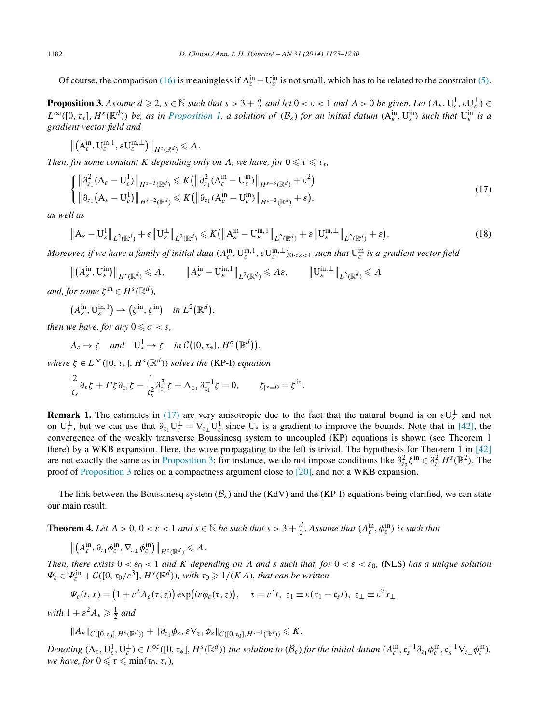<span id="page-7-0"></span>Of course, the comparison [\(16\)](#page-6-0) is meaningless if  $A_{\varepsilon}^{in} - U_{\varepsilon}^{in}$  is not small, which has to be related to the constraint [\(5\).](#page-2-0)

**Proposition 3.** Assume  $d \ge 2$ ,  $s \in \mathbb{N}$  such that  $s > 3 + \frac{d}{2}$  and let  $0 < \varepsilon < 1$  and  $\Lambda > 0$  be given. Let  $(A_{\varepsilon}, U_{\varepsilon}^1, \varepsilon U_{\varepsilon}^{\perp}) \in$  $L^{\infty}([0,\tau_*],H^s(\mathbb{R}^d))$  be, as in [Proposition 1,](#page-6-0) a solution of  $(\mathcal{B}_{\varepsilon})$  for an initial datum  $(A_{\varepsilon}^{\text{in}},U_{\varepsilon}^{\text{in}})$  such that  $U_{\varepsilon}^{\text{in}}$  is a *gradient vector field and*

$$
\left\|\left(A_{\varepsilon}^{\text{in}},\mathbf{U}_{\varepsilon}^{\text{in},1},\varepsilon\mathbf{U}_{\varepsilon}^{\text{in},\perp}\right)\right\|_{H^{s}(\mathbb{R}^{d})}\leqslant\Lambda.
$$

*Then, for some constant K depending only on Λ, we have, for*  $0 \le \tau \le \tau_*$ *,* 

$$
\begin{cases} \left\| \partial_{z_1}^2 (\mathbf{A}_{\varepsilon} - \mathbf{U}_{\varepsilon}^1) \right\|_{H^{s-3}(\mathbb{R}^d)} \leqslant K \left( \left\| \partial_{z_1}^2 (\mathbf{A}_{\varepsilon}^{\text{in}} - \mathbf{U}_{\varepsilon}^{\text{in}}) \right\|_{H^{s-3}(\mathbb{R}^d)} + \varepsilon^2 \right) \\ \left\| \partial_{z_1} (\mathbf{A}_{\varepsilon} - \mathbf{U}_{\varepsilon}^1) \right\|_{H^{s-2}(\mathbb{R}^d)} \leqslant K \left( \left\| \partial_{z_1} (\mathbf{A}_{\varepsilon}^{\text{in}} - \mathbf{U}_{\varepsilon}^{\text{in}}) \right\|_{H^{s-2}(\mathbb{R}^d)} + \varepsilon \right), \end{cases} \tag{17}
$$

*as well as*

$$
\left\|\mathbf{A}_{\varepsilon}-\mathbf{U}_{\varepsilon}^{1}\right\|_{L^{2}(\mathbb{R}^{d})}+\varepsilon\left\|\mathbf{U}_{\varepsilon}^{\perp}\right\|_{L^{2}(\mathbb{R}^{d})}\leqslant K\left(\left\|\mathbf{A}_{\varepsilon}^{\text{in}}-\mathbf{U}_{\varepsilon}^{\text{in},1}\right\|_{L^{2}(\mathbb{R}^{d})}+\varepsilon\left\|\mathbf{U}_{\varepsilon}^{\text{in},\perp}\right\|_{L^{2}(\mathbb{R}^{d})}+\varepsilon\right).
$$
\n(18)

*Moreover, if we have a family of initial data*  $(A_\varepsilon^{\text{in}}, U_\varepsilon^{\text{in},1}, \varepsilon U_\varepsilon^{\text{in},\perp})_{0<\varepsilon<1}$  such that  $U_\varepsilon^{\text{in}}$  *is a gradient vector field* 

$$
\left\| \left(A_{\varepsilon}^{\text{in}}, U_{\varepsilon}^{\text{in}}\right) \right\|_{H^{s}(\mathbb{R}^{d})} \leqslant \Lambda, \qquad \left\| A_{\varepsilon}^{\text{in}} - U_{\varepsilon}^{\text{in},1} \right\|_{L^{2}(\mathbb{R}^{d})} \leqslant \Lambda \varepsilon, \qquad \left\| U_{\varepsilon}^{\text{in},\perp} \right\|_{L^{2}(\mathbb{R}^{d})} \leqslant \Lambda
$$

*and, for some*  $\zeta^{\text{in}} \in H^s(\mathbb{R}^d)$ *,* 

$$
(A_{\varepsilon}^{\text{in}}, \mathbf{U}_{\varepsilon}^{\text{in},1}) \to (\zeta^{\text{in}}, \zeta^{\text{in}}) \quad \text{in } L^2(\mathbb{R}^d),
$$

*then we have, for any*  $0 \leq \sigma < s$ *,* 

$$
A_{\varepsilon} \to \zeta \quad \text{and} \quad U_{\varepsilon}^1 \to \zeta \quad \text{in } C([0, \tau_*], H^{\sigma}(\mathbb{R}^d)),
$$

*where*  $\zeta \in L^{\infty}([0, \tau_*], H^s(\mathbb{R}^d))$  *solves the* (KP-I) *equation* 

$$
\frac{2}{\mathfrak{c}_s} \partial_\tau \zeta + \Gamma \zeta \partial_{z_1} \zeta - \frac{1}{\mathfrak{c}_s^2} \partial_{z_1}^3 \zeta + \Delta_{z_\perp} \partial_{z_1}^{-1} \zeta = 0, \qquad \zeta_{|\tau=0} = \zeta^{\text{in}}.
$$

**Remark 1.** The estimates in (17) are very anisotropic due to the fact that the natural bound is on  $\epsilon U_{\epsilon}^{\perp}$  and not on  $U_{\varepsilon}^{\perp}$ , but we can use that  $\partial_{z_1} U_{\varepsilon}^{\perp} = \nabla_{z_\perp} U_{\varepsilon}^1$  since  $U_{\varepsilon}$  is a gradient to improve the bounds. Note that in [\[42\],](#page-55-0) the convergence of the weakly transverse Boussinesq system to uncoupled (KP) equations is shown (see Theorem 1 there) by a WKB expansion. Here, the wave propagating to the left is trivial. The hypothesis for Theorem 1 in [\[42\]](#page-55-0) are not exactly the same as in Proposition 3: for instance, we do not impose conditions like  $\partial_{z_2}^2 \zeta^{\text{in}} \in \partial_{z_1}^2 H^s(\mathbb{R}^2)$ . The proof of Proposition 3 relies on a compactness argument close to [\[20\],](#page-54-0) and not a WKB expansion.

The link between the Boussinesq system (B*ε*) and the (KdV) and the (KP-I) equations being clarified, we can state our main result.

**Theorem 4.** Let  $\Lambda > 0$ ,  $0 < \varepsilon < 1$  and  $s \in \mathbb{N}$  be such that  $s > 3 + \frac{d}{2}$ . Assume that  $(A_{\varepsilon}^{\text{in}}, \phi_{\varepsilon}^{\text{in}})$  is such that

$$
\left\|\left(A_{\varepsilon}^{\text{in}},\partial_{z_1}\phi_{\varepsilon}^{\text{in}},\nabla_{z_\perp}\phi_{\varepsilon}^{\text{in}}\right)\right\|_{H^s(\mathbb{R}^d)}\leqslant\Lambda.
$$

*Then, there exists*  $0 < \varepsilon_0 < 1$  *and K depending on Λ and s such that, for*  $0 < \varepsilon < \varepsilon_0$ , (NLS) *has a unique solution*  $\Psi_{\varepsilon} \in \Psi_{\varepsilon}^{\text{in}} + \mathcal{C}([0, \tau_0/\varepsilon^3], H^s(\mathbb{R}^d))$ *, with*  $\tau_0 \geqslant 1/(K\Lambda)$ *, that can be written* 

$$
\Psi_{\varepsilon}(t,x) = \left(1 + \varepsilon^2 A_{\varepsilon}(\tau,z)\right) \exp\left(i\varepsilon \phi_{\varepsilon}(\tau,z)\right), \quad \tau = \varepsilon^3 t, \ z_1 \equiv \varepsilon (x_1 - \mathfrak{c}_s t), \ z_{\perp} \equiv \varepsilon^2 x_{\perp}
$$

*with*  $1 + \varepsilon^2 A_{\varepsilon} \geqslant \frac{1}{2}$  *and* 

$$
||A_{\varepsilon}||_{\mathcal{C}([0,\tau_0],H^s(\mathbb{R}^d))}+||\partial_{z_1}\phi_{\varepsilon},\varepsilon\nabla_{z_\perp}\phi_{\varepsilon}||_{\mathcal{C}([0,\tau_0],H^{s-1}(\mathbb{R}^d))}\leqslant K.
$$

Denoting  $(A_{\varepsilon},U_{\varepsilon}^1,U_{\varepsilon}^{\perp}) \in L^{\infty}([0,\tau_*],H^s(\mathbb{R}^d))$  the solution to  $(\mathcal{B}_{\varepsilon})$  for the initial datum  $(A_{\varepsilon}^{in},\mathfrak{c}_s^{-1}\partial_{z_1}\phi_{\varepsilon}^{in},\mathfrak{c}_s^{-1}\nabla_{z_{\perp}}\phi_{\varepsilon}^{in})$ , *we have, for*  $0 \le \tau \le \min(\tau_0, \tau_*)$ *,*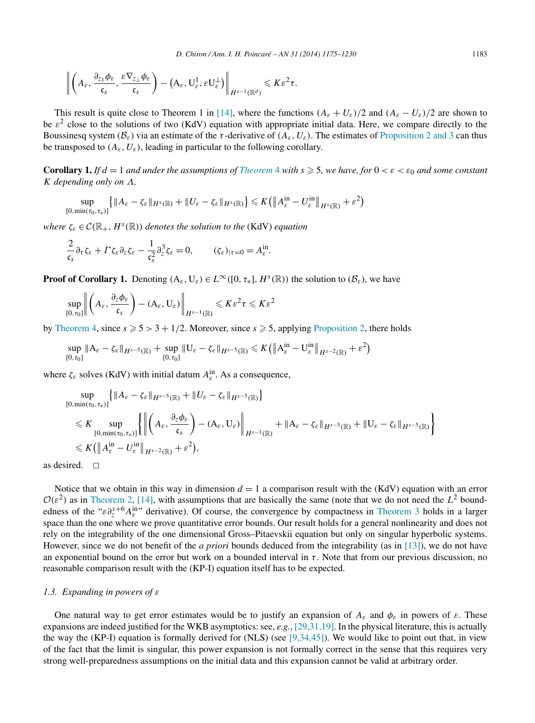<span id="page-8-0"></span>
$$
\left\|\left(A_{\varepsilon}, \frac{\partial_{z_1}\phi_{\varepsilon}}{\mathfrak{c}_s}, \frac{\varepsilon\nabla_{z_\perp}\phi_{\varepsilon}}{\mathfrak{c}_s}\right) - \left(A_{\varepsilon}, \mathbf{U}_{\varepsilon}^1, \varepsilon\mathbf{U}_{\varepsilon}^{\perp}\right)\right\|_{H^{s-1}(\mathbb{R}^d)} \leqslant K\varepsilon^2\tau.
$$

This result is quite close to Theorem 1 in [\[14\],](#page-54-0) where the functions  $(A_\varepsilon + U_\varepsilon)/2$  and  $(A_\varepsilon - U_\varepsilon)/2$  are shown to be  $\varepsilon^2$  close to the solutions of two (KdV) equation with appropriate initial data. Here, we compare directly to the Boussinesq system  $(B_{\varepsilon})$  via an estimate of the *τ*-derivative of  $(A_{\varepsilon}, U_{\varepsilon})$ . The estimates of [Proposition 2 and 3](#page-6-0) can thus be transposed to  $(A_{\varepsilon}, U_{\varepsilon})$ , leading in particular to the following corollary.

**Corollary 1.** *If*  $d = 1$  *and under the assumptions of [Theorem](#page-7-0)* 4 *with*  $s \ge 5$ *, we have, for*  $0 < \varepsilon < \varepsilon_0$  *and some constant K depending only on Λ,*

$$
\sup_{[0,\min(\tau_0,\tau_*)]} \left\{ \|A_{\varepsilon} - \zeta_{\varepsilon}\|_{H^s(\mathbb{R})} + \|U_{\varepsilon} - \zeta_{\varepsilon}\|_{H^s(\mathbb{R})} \right\} \leqslant K \left( \left\| A_{\varepsilon}^{\text{in}} - U_{\varepsilon}^{\text{in}} \right\|_{H^s(\mathbb{R})} + \varepsilon^2 \right)
$$

*where*  $\zeta_{\varepsilon} \in \mathcal{C}(\mathbb{R}_+, H^s(\mathbb{R}))$  *denotes the solution to the* (KdV) *equation* 

$$
\frac{2}{\mathfrak{c}_s} \partial_\tau \zeta_\varepsilon + \Gamma \zeta_\varepsilon \partial_z \zeta_\varepsilon - \frac{1}{\mathfrak{c}_s^2} \partial_z^3 \zeta_\varepsilon = 0, \qquad (\zeta_\varepsilon)_{|\tau=0} = A_\varepsilon^{\text{in}}.
$$

**Proof of Corollary 1.** Denoting  $(A_{\varepsilon},U_{\varepsilon}) \in L^{\infty}([0,\tau_*], H^s(\mathbb{R}))$  the solution to  $(B_{\varepsilon})$ , we have

$$
\sup_{[0,\tau_0]}\left\|\left(A_{\varepsilon},\frac{\partial_{z}\phi_{\varepsilon}}{\mathfrak{c}_{s}}\right)-\left(A_{\varepsilon},\mathsf{U}_{\varepsilon}\right)\right\|_{H^{s-1}(\mathbb{R})}\leqslant K\varepsilon^2\tau\leqslant K\varepsilon^2
$$

by [Theorem 4,](#page-7-0) since  $s \ge 5 > 3 + 1/2$ . Moreover, since  $s \ge 5$ , applying [Proposition 2,](#page-6-0) there holds

$$
\sup_{[0,\tau_0]}\|A_{\varepsilon}-\zeta_{\varepsilon}\|_{H^{s-5}(\mathbb{R})}+\sup_{[0,\tau_0]}\|U_{\varepsilon}-\zeta_{\varepsilon}\|_{H^{s-5}(\mathbb{R})}\leqslant K\big(\big\|A_{\varepsilon}^{\text{in}}-U_{\varepsilon}^{\text{in}}\big\|_{H^{s-2}(\mathbb{R})}+\varepsilon^2\big)
$$

where  $\zeta_{\varepsilon}$  solves (KdV) with initial datum  $A_{\varepsilon}^{\text{in}}$ . As a consequence,

$$
\sup_{[0,\min(\tau_0,\tau_*)]} \{ \| A_{\varepsilon} - \zeta_{\varepsilon} \|_{H^{s-5}(\mathbb{R})} + \| U_{\varepsilon} - \zeta_{\varepsilon} \|_{H^{s-5}(\mathbb{R})} \}
$$
\n
$$
\leq K \sup_{[0,\min(\tau_0,\tau_*)]} \{ \left\| \left( A_{\varepsilon}, \frac{\partial_{z} \phi_{\varepsilon}}{\mathfrak{c}_{s}} \right) - (A_{\varepsilon}, U_{\varepsilon}) \right\|_{H^{s-1}(\mathbb{R})} + \| A_{\varepsilon} - \zeta_{\varepsilon} \|_{H^{s-5}(\mathbb{R})} + \| U_{\varepsilon} - \zeta_{\varepsilon} \|_{H^{s-5}(\mathbb{R})} \}
$$
\n
$$
\leq K \left( \| A_{\varepsilon}^{\text{in}} - U_{\varepsilon}^{\text{in}} \|_{H^{s-2}(\mathbb{R})} + \varepsilon^{2} \right),
$$

as desired.  $\Box$ 

Notice that we obtain in this way in dimension  $d = 1$  a comparison result with the (KdV) equation with an error  $\mathcal{O}(\varepsilon^2)$  as in [Theorem 2,](#page-3-0) [\[14\],](#page-54-0) with assumptions that are basically the same (note that we do not need the  $L^2$  boundedness of the " $\epsilon \partial_z^{s+6} A_{\epsilon}^{\text{in}}$ " derivative). Of course, the convergence by compactness in [Theorem 3](#page-4-0) holds in a larger space than the one where we prove quantitative error bounds. Our result holds for a general nonlinearity and does not rely on the integrability of the one dimensional Gross–Pitaevskii equation but only on singular hyperbolic systems. However, since we do not benefit of the *a priori* bounds deduced from the integrability (as in [\[13\]\)](#page-54-0), we do not have an exponential bound on the error but work on a bounded interval in  $\tau$ . Note that from our previous discussion, no reasonable comparison result with the (KP-I) equation itself has to be expected.

#### *1.3. Expanding in powers of ε*

One natural way to get error estimates would be to justify an expansion of  $A_{\varepsilon}$  and  $\phi_{\varepsilon}$  in powers of  $\varepsilon$ . These expansions are indeed justified for the WKB asymptotics: see, *e.g.*, [\[29,31,19\].](#page-55-0) In the physical literature, this is actually the way the (KP-I) equation is formally derived for (NLS) (see  $[9,34,45]$ ). We would like to point out that, in view of the fact that the limit is singular, this power expansion is not formally correct in the sense that this requires very strong well-preparedness assumptions on the initial data and this expansion cannot be valid at arbitrary order.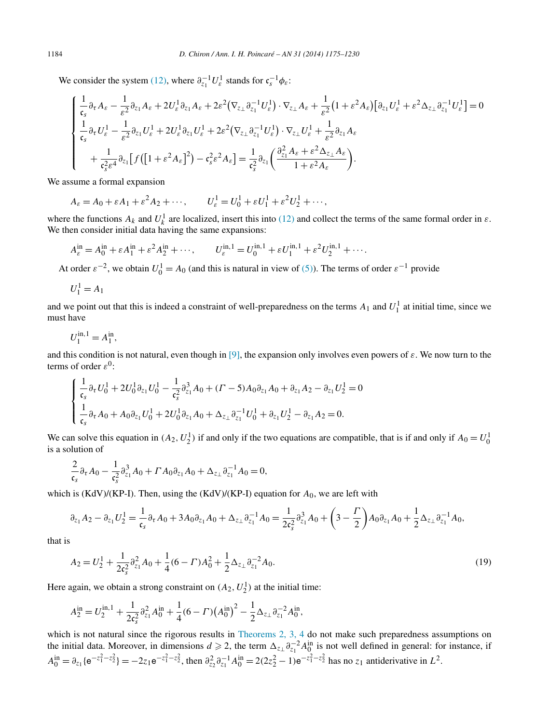<span id="page-9-0"></span>We consider the system [\(12\),](#page-5-0) where  $\partial_{z_1}^{-1} U_{\varepsilon}^1$  stands for  $c_s^{-1} \phi_{\varepsilon}$ :

$$
\begin{cases} \frac{1}{\mathfrak{c}_{s}}\partial_{\tau}A_{\varepsilon}-\frac{1}{\varepsilon^{2}}\partial_{z_{1}}A_{\varepsilon}+2U_{\varepsilon}^{1}\partial_{z_{1}}A_{\varepsilon}+2\varepsilon^{2}\left(\nabla_{z_{\perp}}\partial_{z_{1}}^{-1}U_{\varepsilon}^{1}\right)\cdot\nabla_{z_{\perp}}A_{\varepsilon}+\frac{1}{\varepsilon^{2}}\left(1+\varepsilon^{2}A_{\varepsilon}\right)\left[\partial_{z_{1}}U_{\varepsilon}^{1}+\varepsilon^{2}\Delta_{z_{\perp}}\partial_{z_{1}}^{-1}U_{\varepsilon}^{1}\right]=0\\ \frac{1}{\mathfrak{c}_{s}}\partial_{\tau}U_{\varepsilon}^{1}-\frac{1}{\varepsilon^{2}}\partial_{z_{1}}U_{\varepsilon}^{1}+2U_{\varepsilon}^{1}\partial_{z_{1}}U_{\varepsilon}^{1}+2\varepsilon^{2}\left(\nabla_{z_{\perp}}\partial_{z_{1}}^{-1}U_{\varepsilon}^{1}\right)\cdot\nabla_{z_{\perp}}U_{\varepsilon}^{1}+\frac{1}{\varepsilon^{2}}\partial_{z_{1}}A_{\varepsilon}\\ +\frac{1}{\mathfrak{c}_{s}^{2}\varepsilon^{4}}\partial_{z_{1}}\left[f\left(\left[1+\varepsilon^{2}A_{\varepsilon}\right]^{2}\right)-\mathfrak{c}_{s}^{2}\varepsilon^{2}A_{\varepsilon}\right]=\frac{1}{\mathfrak{c}_{s}^{2}}\partial_{z_{1}}\left(\frac{\partial_{z_{1}}^{2}A_{\varepsilon}+\varepsilon^{2}\Delta_{z_{\perp}}A_{\varepsilon}}{1+\varepsilon^{2}A_{\varepsilon}}\right).\end{cases}
$$

We assume a formal expansion

$$
A_{\varepsilon} = A_0 + \varepsilon A_1 + \varepsilon^2 A_2 + \cdots, \qquad U_{\varepsilon}^1 = U_0^1 + \varepsilon U_1^1 + \varepsilon^2 U_2^1 + \cdots,
$$

where the functions  $A_k$  and  $U_k^1$  are localized, insert this into [\(12\)](#page-5-0) and collect the terms of the same formal order in  $\varepsilon$ . We then consider initial data having the same expansions:

$$
A_{\varepsilon}^{\text{in}} = A_0^{\text{in}} + {\varepsilon} A_1^{\text{in}} + {\varepsilon}^2 A_2^{\text{in}} + \cdots, \qquad U_{\varepsilon}^{\text{in},1} = U_0^{\text{in},1} + {\varepsilon} U_1^{\text{in},1} + {\varepsilon}^2 U_2^{\text{in},1} + \cdots.
$$

At order  $\varepsilon^{-2}$ , we obtain  $U_0^1 = A_0$  (and this is natural in view of [\(5\)\)](#page-2-0). The terms of order  $\varepsilon^{-1}$  provide

$$
U_1^1 = A_1
$$

and we point out that this is indeed a constraint of well-preparedness on the terms  $A_1$  and  $U_1^1$  at initial time, since we must have

$$
U_1^{\text{in},1} = A_1^{\text{in}},
$$

and this condition is not natural, even though in [\[9\],](#page-54-0) the expansion only involves even powers of *ε*. We now turn to the terms of order  $\varepsilon^0$ :

$$
\begin{cases} \frac{1}{\mathfrak{c}_s} \partial_{\tau} U_0^1 + 2U_0^1 \partial_{z_1} U_0^1 - \frac{1}{\mathfrak{c}_s^2} \partial_{z_1}^3 A_0 + (\Gamma - 5) A_0 \partial_{z_1} A_0 + \partial_{z_1} A_2 - \partial_{z_1} U_2^1 = 0 \\ \frac{1}{\mathfrak{c}_s} \partial_{\tau} A_0 + A_0 \partial_{z_1} U_0^1 + 2U_0^1 \partial_{z_1} A_0 + \Delta_{z_{\perp}} \partial_{z_1}^{-1} U_0^1 + \partial_{z_1} U_2^1 - \partial_{z_1} A_2 = 0. \end{cases}
$$

We can solve this equation in  $(A_2, U_2^1)$  if and only if the two equations are compatible, that is if and only if  $A_0 = U_0^1$ is a solution of

$$
\frac{2}{\mathfrak{c}_s} \partial_{\tau} A_0 - \frac{1}{\mathfrak{c}_s^2} \partial_{z_1}^3 A_0 + \Gamma A_0 \partial_{z_1} A_0 + \Delta_{z_{\perp}} \partial_{z_1}^{-1} A_0 = 0,
$$

which is (KdV)/(KP-I). Then, using the (KdV)/(KP-I) equation for *A*0, we are left with

$$
\partial_{z_1}A_2 - \partial_{z_1}U_2^1 = \frac{1}{\mathfrak{c}_s} \partial_{\tau} A_0 + 3A_0 \partial_{z_1} A_0 + \Delta_{z_{\perp}} \partial_{z_1}^{-1} A_0 = \frac{1}{2\mathfrak{c}_s^2} \partial_{z_1}^3 A_0 + \left(3 - \frac{\Gamma}{2}\right) A_0 \partial_{z_1} A_0 + \frac{1}{2} \Delta_{z_{\perp}} \partial_{z_1}^{-1} A_0,
$$

that is

$$
A_2 = U_2^1 + \frac{1}{2\epsilon_s^2} \partial_{z_1}^2 A_0 + \frac{1}{4} (6 - \Gamma) A_0^2 + \frac{1}{2} \Delta_{z_{\perp}} \partial_{z_1}^{-2} A_0.
$$
\n(19)

Here again, we obtain a strong constraint on  $(A_2, U_2^1)$  at the initial time:

$$
A_2^{\text{in}} = U_2^{\text{in},1} + \frac{1}{2c_s^2} \partial_{z_1}^2 A_0^{\text{in}} + \frac{1}{4} (6 - \Gamma) (A_0^{\text{in}})^2 - \frac{1}{2} \Delta_{z_{\perp}} \partial_{z_1}^{-2} A_0^{\text{in}},
$$

which is not natural since the rigorous results in [Theorems 2, 3, 4](#page-3-0) do not make such preparedness assumptions on the initial data. Moreover, in dimensions  $d \ge 2$ , the term  $\Delta_{z_1} \partial_{z_1}^{-2} A_0^{\text{in}}$  is not well defined in general: for instance, if  $A_0^{\text{in}} = \partial_{z_1} \{ e^{-z_1^2 - z_2^2} \} = -2z_1 e^{-z_1^2 - z_2^2}$ , then  $\partial_{z_2}^2 \partial_{z_1}^{-1} A_0^{\text{in}} = 2(2z_2^2 - 1) e^{-z_1^2 - z_2^2}$  has no  $z_1$  antiderivative in  $L^2$ .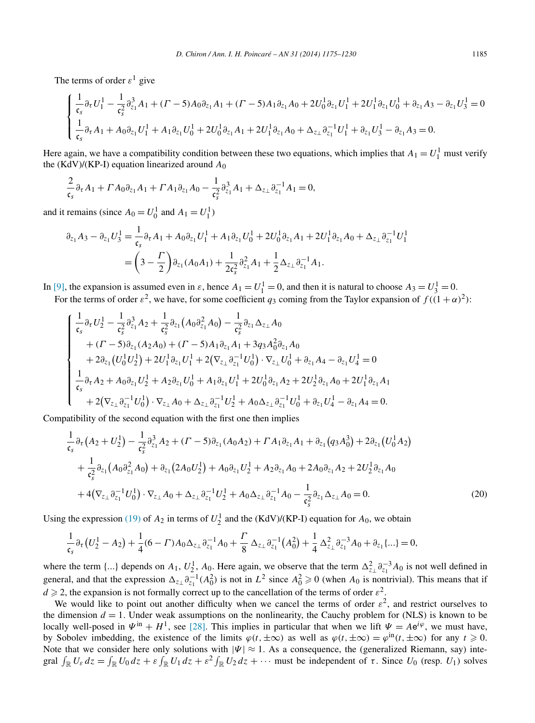<span id="page-10-0"></span>The terms of order  $\varepsilon^1$  give

$$
\begin{cases} \frac{1}{\mathfrak{c}_s} \partial_{\tau} U_1^1 - \frac{1}{\mathfrak{c}_s^2} \partial_{z_1}^3 A_1 + (\Gamma - 5) A_0 \partial_{z_1} A_1 + (\Gamma - 5) A_1 \partial_{z_1} A_0 + 2U_0^1 \partial_{z_1} U_1^1 + 2U_1^1 \partial_{z_1} U_0^1 + \partial_{z_1} A_3 - \partial_{z_1} U_3^1 = 0\\ \frac{1}{\mathfrak{c}_s} \partial_{\tau} A_1 + A_0 \partial_{z_1} U_1^1 + A_1 \partial_{z_1} U_0^1 + 2U_0^1 \partial_{z_1} A_1 + 2U_1^1 \partial_{z_1} A_0 + \Delta_{z_\perp} \partial_{z_1}^{-1} U_1^1 + \partial_{z_1} U_3^1 - \partial_{z_1} A_3 = 0. \end{cases}
$$

Here again, we have a compatibility condition between these two equations, which implies that  $A_1 = U_1^1$  must verify the (KdV)/(KP-I) equation linearized around *A*<sup>0</sup>

$$
\frac{2}{\mathfrak{c}_s} \partial_\tau A_1 + \Gamma A_0 \partial_{z_1} A_1 + \Gamma A_1 \partial_{z_1} A_0 - \frac{1}{\mathfrak{c}_s^2} \partial_{z_1}^3 A_1 + \Delta_{z_{\perp}} \partial_{z_1}^{-1} A_1 = 0,
$$

and it remains (since  $A_0 = U_0^1$  and  $A_1 = U_1^1$ )

$$
\partial_{z_1} A_3 - \partial_{z_1} U_3^1 = \frac{1}{\mathfrak{c}_s} \partial_{\tau} A_1 + A_0 \partial_{z_1} U_1^1 + A_1 \partial_{z_1} U_0^1 + 2U_0^1 \partial_{z_1} A_1 + 2U_1^1 \partial_{z_1} A_0 + \Delta_{z_\perp} \partial_{z_1}^{-1} U_1^1
$$

$$
= \left(3 - \frac{\Gamma}{2}\right) \partial_{z_1} (A_0 A_1) + \frac{1}{2 \mathfrak{c}_s^2} \partial_{z_1}^2 A_1 + \frac{1}{2} \Delta_{z_\perp} \partial_{z_1}^{-1} A_1.
$$

In [\[9\],](#page-54-0) the expansion is assumed even in  $\varepsilon$ , hence  $A_1 = U_1^1 = 0$ , and then it is natural to choose  $A_3 = U_3^1 = 0$ .

For the terms of order  $\varepsilon^2$ , we have, for some coefficient  $q_3$  coming from the Taylor expansion of  $f((1+\alpha)^2)$ :

$$
\begin{cases}\n\frac{1}{\mathfrak{c}_{s}}\partial_{\tau}U_{2}^{1} - \frac{1}{\mathfrak{c}_{s}^{2}}\partial_{z_{1}}^{3}A_{2} + \frac{1}{\mathfrak{c}_{s}^{2}}\partial_{z_{1}}(A_{0}\partial_{z_{1}}^{2}A_{0}) - \frac{1}{\mathfrak{c}_{s}^{2}}\partial_{z_{1}}\Delta_{z_{\perp}}A_{0} \\
+ (I - 5)\partial_{z_{1}}(A_{2}A_{0}) + (I - 5)A_{1}\partial_{z_{1}}A_{1} + 3q_{3}A_{0}^{2}\partial_{z_{1}}A_{0} \\
+ 2\partial_{z_{1}}(U_{0}^{1}U_{2}^{1}) + 2U_{1}^{1}\partial_{z_{1}}U_{1}^{1} + 2(\nabla_{z_{\perp}}\partial_{z_{1}}^{-1}U_{0}^{1}) \cdot \nabla_{z_{\perp}}U_{0}^{1} + \partial_{z_{1}}A_{4} - \partial_{z_{1}}U_{4}^{1} = 0 \\
\frac{1}{\mathfrak{c}_{s}}\partial_{\tau}A_{2} + A_{0}\partial_{z_{1}}U_{2}^{1} + A_{2}\partial_{z_{1}}U_{0}^{1} + A_{1}\partial_{z_{1}}U_{1}^{1} + 2U_{0}^{1}\partial_{z_{1}}A_{2} + 2U_{2}^{1}\partial_{z_{1}}A_{0} + 2U_{1}^{1}\partial_{z_{1}}A_{1} \\
+ 2(\nabla_{z_{\perp}}\partial_{z_{1}}^{-1}U_{0}^{1}) \cdot \nabla_{z_{\perp}}A_{0} + \Delta_{z_{\perp}}\partial_{z_{1}}^{-1}U_{2}^{1} + A_{0}\Delta_{z_{\perp}}\partial_{z_{1}}^{-1}U_{0}^{1} + \partial_{z_{1}}U_{4}^{1} - \partial_{z_{1}}A_{4} = 0.\n\end{cases}
$$

Compatibility of the second equation with the first one then implies

$$
\frac{1}{\mathfrak{c}_{s}}\partial_{\tau}\left(A_{2}+U_{2}^{1}\right)-\frac{1}{\mathfrak{c}_{s}^{2}}\partial_{z_{1}}^{3}A_{2}+(\Gamma-5)\partial_{z_{1}}(A_{0}A_{2})+\Gamma A_{1}\partial_{z_{1}}A_{1}+\partial_{z_{1}}(q_{3}A_{0}^{3})+2\partial_{z_{1}}\left(U_{0}^{1}A_{2}\right) +\frac{1}{\mathfrak{c}_{s}^{2}}\partial_{z_{1}}\left(A_{0}\partial_{z_{1}}^{2}A_{0}\right)+\partial_{z_{1}}\left(2A_{0}U_{2}^{1}\right)+A_{0}\partial_{z_{1}}U_{2}^{1}+A_{2}\partial_{z_{1}}A_{0}+2A_{0}\partial_{z_{1}}A_{2}+2U_{2}^{1}\partial_{z_{1}}A_{0} +\left.4\left(\nabla_{z_{\perp}}\partial_{z_{1}}^{-1}U_{0}^{1}\right)\cdot\nabla_{z_{\perp}}A_{0}+\Delta_{z_{\perp}}\partial_{z_{1}}^{-1}U_{2}^{1}+A_{0}\Delta_{z_{\perp}}\partial_{z_{1}}^{-1}A_{0}-\frac{1}{\mathfrak{c}_{s}^{2}}\partial_{z_{1}}\Delta_{z_{\perp}}A_{0}=0.
$$
\n(20)

Using the expression [\(19\)](#page-9-0) of  $A_2$  in terms of  $U_2^1$  and the (KdV)/(KP-I) equation for  $A_0$ , we obtain

$$
\frac{1}{\mathfrak{c}_s} \partial_{\tau} (U_2^1 - A_2) + \frac{1}{4} (6 - \Gamma) A_0 \Delta_{z_{\perp}} \partial_{z_1}^{-1} A_0 + \frac{\Gamma}{8} \Delta_{z_{\perp}} \partial_{z_1}^{-1} (A_0^2) + \frac{1}{4} \Delta_{z_{\perp}}^2 \partial_{z_1}^{-3} A_0 + \partial_{z_1} \{ \ldots \} = 0,
$$

where the term {...} depends on  $A_1$ ,  $U_2^1$ ,  $A_0$ . Here again, we observe that the term  $\Delta_{z_1}^2 \partial_{z_1}^{-3} A_0$  is not well defined in general, and that the expression  $\Delta_{z_1} \partial_{z_1}^{-1} (A_0^2)$  is not in  $L^2$  since  $A_0^2 \ge 0$  (when  $A_0$  is nontrivial). This means that if  $d \geqslant 2$ , the expansion is not formally correct up to the cancellation of the terms of order  $\varepsilon^2$ .

We would like to point out another difficulty when we cancel the terms of order  $\varepsilon^2$ , and restrict ourselves to the dimension  $d = 1$ . Under weak assumptions on the nonlinearity, the Cauchy problem for (NLS) is known to be locally well-posed in  $\Psi^{\text{in}} + H^1$ , see [\[28\].](#page-55-0) This implies in particular that when we lift  $\Psi = Ae^{i\varphi}$ , we must have, by Sobolev imbedding, the existence of the limits  $\varphi(t, \pm \infty)$  as well as  $\varphi(t, \pm \infty) = \varphi^{\text{in}}(t, \pm \infty)$  for any  $t \ge 0$ . Note that we consider here only solutions with  $|\Psi| \approx 1$ . As a consequence, the (generalized Riemann, say) integral  $\int_{\mathbb{R}} U_{\varepsilon} dz = \int_{\mathbb{R}} U_0 dz + \varepsilon \int_{\mathbb{R}} U_1 dz + \varepsilon^2 \int_{\mathbb{R}} U_2 dz + \cdots$  must be independent of  $\tau$ . Since  $U_0$  (resp.  $U_1$ ) solves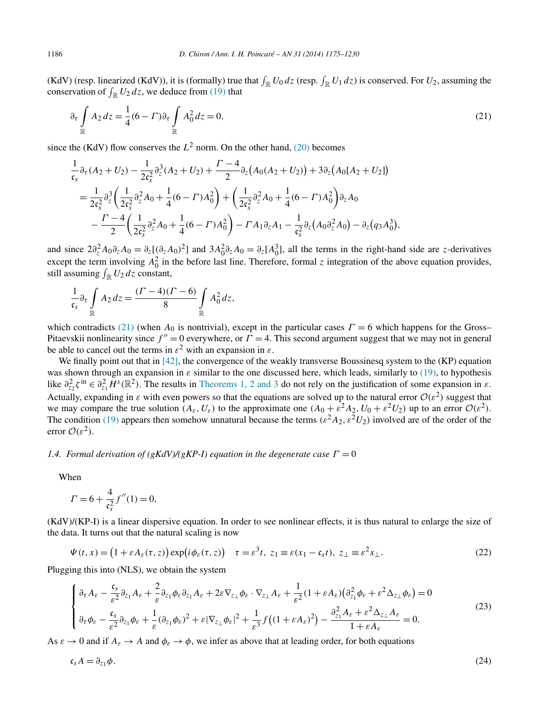<span id="page-11-0"></span>(KdV) (resp. linearized (KdV)), it is (formally) true that  $\int_{\mathbb{R}} U_0 dz$  (resp.  $\int_{\mathbb{R}} U_1 dz$ ) is conserved. For  $U_2$ , assuming the conservation of  $\int_{\mathbb{R}} U_2 dz$ , we deduce from [\(19\)](#page-9-0) that

$$
\partial_{\tau} \int_{\mathbb{R}} A_2 dz = \frac{1}{4} (6 - \Gamma) \partial_{\tau} \int_{\mathbb{R}} A_0^2 dz = 0,
$$
\n(21)

since the (KdV) flow conserves the  $L^2$  norm. On the other hand, [\(20\)](#page-10-0) becomes

$$
\frac{1}{\mathfrak{c}_{s}}\partial_{\tau}(A_{2}+U_{2}) - \frac{1}{2\mathfrak{c}_{s}^{2}}\partial_{z}^{3}(A_{2}+U_{2}) + \frac{\Gamma-4}{2}\partial_{z}(A_{0}(A_{2}+U_{2})) + 3\partial_{z}(A_{0}[A_{2}+U_{2}])
$$
\n
$$
= \frac{1}{2\mathfrak{c}_{s}^{2}}\partial_{z}^{3}\left(\frac{1}{2\mathfrak{c}_{s}^{2}}\partial_{z}^{2}A_{0} + \frac{1}{4}(6-\Gamma)A_{0}^{2}\right) + \left(\frac{1}{2\mathfrak{c}_{s}^{2}}\partial_{z}^{2}A_{0} + \frac{1}{4}(6-\Gamma)A_{0}^{2}\right)\partial_{z}A_{0}
$$
\n
$$
- \frac{\Gamma-4}{2}\left(\frac{1}{2\mathfrak{c}_{s}^{2}}\partial_{z}^{2}A_{0} + \frac{1}{4}(6-\Gamma)A_{0}^{2}\right) - \Gamma A_{1}\partial_{z}A_{1} - \frac{1}{\mathfrak{c}_{s}^{2}}\partial_{z}(A_{0}\partial_{z}^{2}A_{0}) - \partial_{z}(q_{3}A_{0}^{3}),
$$

and since  $2\partial_z^2 A_0 \partial_z A_0 = \partial_z [(\partial_z A_0)^2]$  and  $3A_0^2 \partial_z A_0 = \partial_z [A_0^3]$ , all the terms in the right-hand side are *z*-derivatives except the term involving  $A_0^2$  in the before last line. Therefore, formal *z* integration of the above equation provides, still assuming  $\int_{\mathbb{R}} U_2 dz$  constant,

$$
\frac{1}{\mathfrak{c}_s} \partial_{\tau} \int_{\mathbb{R}} A_2 dz = \frac{(\Gamma - 4)(\Gamma - 6)}{8} \int_{\mathbb{R}} A_0^2 dz,
$$

which contradicts (21) (when  $A_0$  is nontrivial), except in the particular cases  $\Gamma = 6$  which happens for the Gross– Pitaevskii nonlinearity since  $f'' = 0$  everywhere, or  $\Gamma = 4$ . This second argument suggest that we may not in general be able to cancel out the terms in  $\varepsilon^2$  with an expansion in  $\varepsilon$ .

We finally point out that in [\[42\],](#page-55-0) the convergence of the weakly transverse Boussinesq system to the (KP) equation was shown through an expansion in  $\varepsilon$  similar to the one discussed here, which leads, similarly to [\(19\),](#page-9-0) to hypothesis like  $\partial_{z_2}^2 \zeta^{\text{in}} \in \partial_{z_1}^2 H^s(\mathbb{R}^2)$ . The results in [Theorems 1, 2 and 3](#page-3-0) do not rely on the justification of some expansion in  $\varepsilon$ . Actually, expanding in  $\varepsilon$  with even powers so that the equations are solved up to the natural error  $O(\varepsilon^2)$  suggest that we may compare the true solution  $(A_{\varepsilon},U_{\varepsilon})$  to the approximate one  $(A_0 + \varepsilon^2 A_2, U_0 + \varepsilon^2 U_2)$  up to an error  $\mathcal{O}(\varepsilon^2)$ . The condition [\(19\)](#page-9-0) appears then somehow unnatural because the terms  $(\varepsilon^2 A_2, \varepsilon^2 U_2)$  involved are of the order of the error  $\mathcal{O}(\varepsilon^2)$ .

# *1.4. Formal derivation of (gKdV)/(gKP-I) equation in the degenerate case*  $\Gamma = 0$

When

$$
\Gamma = 6 + \frac{4}{\mathfrak{c}_s^2} f''(1) = 0,
$$

(KdV)/(KP-I) is a linear dispersive equation. In order to see nonlinear effects, it is thus natural to enlarge the size of the data. It turns out that the natural scaling is now

$$
\Psi(t,x) = (1 + \varepsilon A_{\varepsilon}(\tau,z)) \exp(i\phi_{\varepsilon}(\tau,z)) \quad \tau = \varepsilon^3 t, \ z_1 \equiv \varepsilon(x_1 - \mathfrak{c}_s t), \ z_{\perp} \equiv \varepsilon^2 x_{\perp}.
$$

Plugging this into (NLS), we obtain the system

$$
\begin{cases} \n\partial_{\tau} A_{\varepsilon} - \frac{\mathfrak{c}_{s}}{\varepsilon^{2}} \partial_{z_{1}} A_{\varepsilon} + \frac{2}{\varepsilon} \partial_{z_{1}} \phi_{\varepsilon} \partial_{z_{1}} A_{\varepsilon} + 2\varepsilon \nabla_{z_{\perp}} \phi_{\varepsilon} \cdot \nabla_{z_{\perp}} A_{\varepsilon} + \frac{1}{\varepsilon^{2}} (1 + \varepsilon A_{\varepsilon}) \big( \partial_{z_{1}}^{2} \phi_{\varepsilon} + \varepsilon^{2} \Delta_{z_{\perp}} \phi_{\varepsilon} \big) = 0 \\
\partial_{\tau} \phi_{\varepsilon} - \frac{\mathfrak{c}_{s}}{\varepsilon^{2}} \partial_{z_{1}} \phi_{\varepsilon} + \frac{1}{\varepsilon} (\partial_{z_{1}} \phi_{\varepsilon})^{2} + \varepsilon |\nabla_{z_{\perp}} \phi_{\varepsilon}|^{2} + \frac{1}{\varepsilon^{3}} f \big( (1 + \varepsilon A_{\varepsilon})^{2} \big) - \frac{\partial_{z_{1}}^{2} A_{\varepsilon} + \varepsilon^{2} \Delta_{z_{\perp}} A_{\varepsilon}}{1 + \varepsilon A_{\varepsilon}} = 0. \n\end{cases} \tag{23}
$$

As  $\varepsilon \to 0$  and if  $A_{\varepsilon} \to A$  and  $\phi_{\varepsilon} \to \phi$ , we infer as above that at leading order, for both equations

$$
\mathfrak{c}_s A = \partial_{z_1} \phi. \tag{24}
$$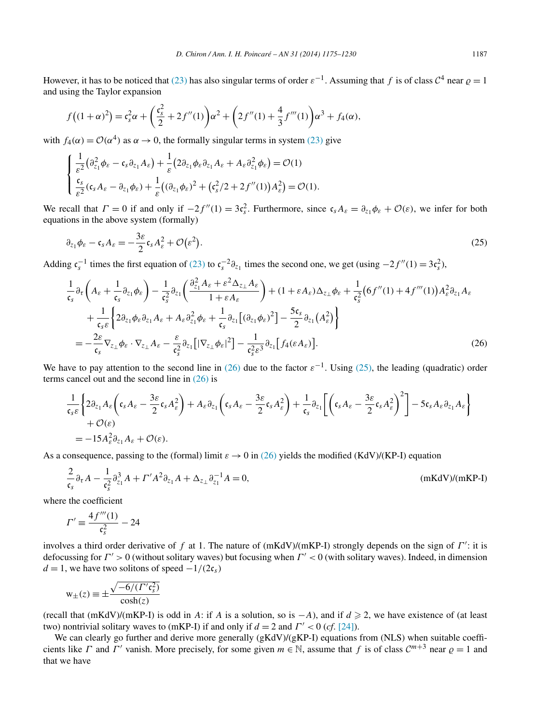<span id="page-12-0"></span>However, it has to be noticed that [\(23\)](#page-11-0) has also singular terms of order  $\varepsilon^{-1}$ . Assuming that *f* is of class  $C^4$  near  $\rho = 1$ and using the Taylor expansion

$$
f((1+\alpha)^2) = c_s^2 \alpha + \left(\frac{c_s^2}{2} + 2f''(1)\right) \alpha^2 + \left(2f''(1) + \frac{4}{3}f'''(1)\right) \alpha^3 + f_4(\alpha),
$$

with  $f_4(\alpha) = \mathcal{O}(\alpha^4)$  as  $\alpha \to 0$ , the formally singular terms in system [\(23\)](#page-11-0) give

$$
\begin{cases} \frac{1}{\varepsilon^2} \big( \partial_{z_1}^2 \phi_\varepsilon - \mathfrak{c}_s \partial_{z_1} A_\varepsilon \big) + \frac{1}{\varepsilon} \big( 2 \partial_{z_1} \phi_\varepsilon \partial_{z_1} A_\varepsilon + A_\varepsilon \partial_{z_1}^2 \phi_\varepsilon \big) = \mathcal{O}(1) \\ \frac{\mathfrak{c}_s}{\varepsilon^2} (\mathfrak{c}_s A_\varepsilon - \partial_{z_1} \phi_\varepsilon) + \frac{1}{\varepsilon} \big( (\partial_{z_1} \phi_\varepsilon)^2 + \big( \mathfrak{c}_s^2 / 2 + 2 f''(1) \big) A_\varepsilon^2 \big) = \mathcal{O}(1). \end{cases}
$$

We recall that  $\Gamma = 0$  if and only if  $-2f''(1) = 3c_s^2$ . Furthermore, since  $c_s A_\varepsilon = \partial_{z_1} \phi_\varepsilon + \mathcal{O}(\varepsilon)$ , we infer for both equations in the above system (formally)

$$
\partial_{z_1} \phi_{\varepsilon} - \mathfrak{c}_s A_{\varepsilon} = -\frac{3\varepsilon}{2} \mathfrak{c}_s A_{\varepsilon}^2 + \mathcal{O}(\varepsilon^2). \tag{25}
$$

Adding  $c_s^{-1}$  times the first equation of [\(23\)](#page-11-0) to  $c_s^{-2}\partial_{z_1}$  times the second one, we get (using  $-2f''(1) = 3c_s^2$ ),

$$
\frac{1}{\mathfrak{c}_{s}}\partial_{\tau}\left(A_{\varepsilon}+\frac{1}{\mathfrak{c}_{s}}\partial_{z_{1}}\phi_{\varepsilon}\right)-\frac{1}{\mathfrak{c}_{s}^{2}}\partial_{z_{1}}\left(\frac{\partial_{z_{1}}^{2}A_{\varepsilon}+\varepsilon^{2}\Delta_{z_{\perp}}A_{\varepsilon}}{1+\varepsilon A_{\varepsilon}}\right)+(1+\varepsilon A_{\varepsilon})\Delta_{z_{\perp}}\phi_{\varepsilon}+\frac{1}{\mathfrak{c}_{s}^{2}}\left(6f''(1)+4f'''(1)\right)A_{\varepsilon}^{2}\partial_{z_{1}}A_{\varepsilon}+\frac{1}{\mathfrak{c}_{s}\varepsilon}\left\{2\partial_{z_{1}}\phi_{\varepsilon}\partial_{z_{1}}A_{\varepsilon}+A_{\varepsilon}\partial_{z_{1}}^{2}\phi_{\varepsilon}+\frac{1}{\mathfrak{c}_{s}}\partial_{z_{1}}\left[(\partial_{z_{1}}\phi_{\varepsilon})^{2}\right]-\frac{5\mathfrak{c}_{s}}{2}\partial_{z_{1}}\left(A_{\varepsilon}^{2}\right)\right\}
$$
\n
$$
=-\frac{2\varepsilon}{\mathfrak{c}_{s}}\nabla_{z_{\perp}}\phi_{\varepsilon}\cdot\nabla_{z_{\perp}}A_{\varepsilon}-\frac{\varepsilon}{\mathfrak{c}_{s}^{2}}\partial_{z_{1}}\left[\left|\nabla_{z_{\perp}}\phi_{\varepsilon}\right|^{2}\right]-\frac{1}{\mathfrak{c}_{s}^{2}\varepsilon^{3}}\partial_{z_{1}}\left[f_{4}(\varepsilon A_{\varepsilon})\right].
$$
\n(26)

We have to pay attention to the second line in (26) due to the factor  $\varepsilon^{-1}$ . Using (25), the leading (quadratic) order terms cancel out and the second line in (26) is

$$
\frac{1}{\mathfrak{c}_s \varepsilon} \left\{ 2 \partial_{z_1} A_\varepsilon \left( \mathfrak{c}_s A_\varepsilon - \frac{3\varepsilon}{2} \mathfrak{c}_s A_\varepsilon^2 \right) + A_\varepsilon \partial_{z_1} \left( \mathfrak{c}_s A_\varepsilon - \frac{3\varepsilon}{2} \mathfrak{c}_s A_\varepsilon^2 \right) + \frac{1}{\mathfrak{c}_s} \partial_{z_1} \left[ \left( \mathfrak{c}_s A_\varepsilon - \frac{3\varepsilon}{2} \mathfrak{c}_s A_\varepsilon^2 \right)^2 \right] - 5 \mathfrak{c}_s A_\varepsilon \partial_{z_1} A_\varepsilon \right\} \n+ \mathcal{O}(\varepsilon) \n= -15 A_\varepsilon^2 \partial_{z_1} A_\varepsilon + \mathcal{O}(\varepsilon).
$$

As a consequence, passing to the (formal) limit  $\varepsilon \to 0$  in (26) yields the modified (KdV)/(KP-I) equation

$$
\frac{2}{\mathfrak{c}_s} \partial_\tau A - \frac{1}{\mathfrak{c}_s^2} \partial_{z_1}^3 A + \Gamma' A^2 \partial_{z_1} A + \Delta_{z} \partial_{z_1}^{-1} A = 0,
$$
\n(mKdV)/(mKP-I)

where the coefficient

$$
\Gamma' \equiv \frac{4 f'''(1)}{\mathfrak{c}_s^2} - 24
$$

involves a third order derivative of *f* at 1. The nature of (mKdV)/(mKP-I) strongly depends on the sign of *Γ* : it is defocussing for *Γ >* 0 (without solitary waves) but focusing when *Γ <* 0 (with solitary waves). Indeed, in dimension  $d = 1$ , we have two solitons of speed  $-1/(2c_s)$ 

$$
w_{\pm}(z) \equiv \pm \frac{\sqrt{-6/(T' \mathfrak{c}_s^2)}}{\cosh(z)}
$$

(recall that (mKdV)/(mKP-I) is odd in *A*: if *A* is a solution, so is  $-A$ ), and if  $d \ge 2$ , we have existence of (at least two) nontrivial solitary waves to (mKP-I) if and only if  $d = 2$  and  $\Gamma' < 0$  (*cf*. [\[24\]\)](#page-54-0).

We can clearly go further and derive more generally (gKdV)/(gKP-I) equations from (NLS) when suitable coefficients like *Γ* and *Γ'* vanish. More precisely, for some given  $m \in \mathbb{N}$ , assume that *f* is of class  $C^{m+3}$  near  $\rho = 1$  and that we have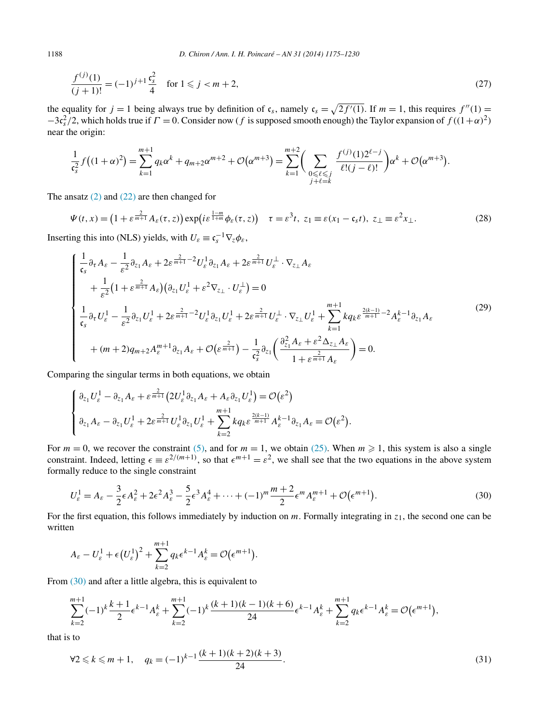$$
\frac{f^{(j)}(1)}{(j+1)!} = (-1)^{j+1} \frac{c_s^2}{4} \quad \text{for } 1 \le j < m+2,
$$
\n(27)

the equality for  $j = 1$  being always true by definition of  $c_s$ , namely  $c_s = \sqrt{2f'(1)}$ . If  $m = 1$ , this requires  $f''(1) =$  $-3c_s^2/2$ , which holds true if  $\Gamma = 0$ . Consider now (*f* is supposed smooth enough) the Taylor expansion of  $f((1+\alpha)^2)$ near the origin:

$$
\frac{1}{c_s^2} f((1+\alpha)^2) = \sum_{k=1}^{m+1} q_k \alpha^k + q_{m+2} \alpha^{m+2} + \mathcal{O}(\alpha^{m+3}) = \sum_{k=1}^{m+2} \Big( \sum_{\substack{0 \leq \ell \leq j \\ j+\ell=k}} \frac{f^{(j)}(1) 2^{\ell-j}}{\ell!(j-\ell)!} \Big) \alpha^k + \mathcal{O}(\alpha^{m+3}).
$$

The ansatz  $(2)$  and  $(22)$  are then changed for

$$
\Psi(t,x) = \left(1 + \varepsilon^{\frac{2}{m+1}} A_{\varepsilon}(\tau,z)\right) \exp\left(i\varepsilon^{\frac{1-m}{1+m}} \phi_{\varepsilon}(\tau,z)\right) \quad \tau = \varepsilon^3 t, \ z_1 \equiv \varepsilon(x_1 - \mathfrak{c}_s t), \ z_{\perp} \equiv \varepsilon^2 x_{\perp}.
$$

Inserting this into (NLS) yields, with  $U_{\varepsilon} \equiv \mathfrak{c}_s^{-1} \nabla_z \phi_{\varepsilon}$ ,

$$
\begin{cases}\n\frac{1}{\mathfrak{c}_{s}}\partial_{\tau} A_{\varepsilon} - \frac{1}{\varepsilon^{2}}\partial_{z_{1}} A_{\varepsilon} + 2\varepsilon^{\frac{2}{m+1}-2}U_{\varepsilon}^{1}\partial_{z_{1}} A_{\varepsilon} + 2\varepsilon^{\frac{2}{m+1}}U_{\varepsilon}^{\perp} \cdot \nabla_{z_{\perp}} A_{\varepsilon} \\
+ \frac{1}{\varepsilon^{2}}\Big(1 + \varepsilon^{\frac{2}{m+1}}A_{\varepsilon}\Big)\Big(\partial_{z_{1}}U_{\varepsilon}^{1} + \varepsilon^{2}\nabla_{z_{\perp}} \cdot U_{\varepsilon}^{\perp}\Big) = 0 \\
\frac{1}{\mathfrak{c}_{s}}\partial_{\tau}U_{\varepsilon}^{1} - \frac{1}{\varepsilon^{2}}\partial_{z_{1}}U_{\varepsilon}^{1} + 2\varepsilon^{\frac{2}{m+1}-2}U_{\varepsilon}^{1}\partial_{z_{1}}U_{\varepsilon}^{1} + 2\varepsilon^{\frac{2}{m+1}}U_{\varepsilon}^{\perp} \cdot \nabla_{z_{\perp}}U_{\varepsilon}^{1} + \sum_{k=1}^{m+1} k q_{k}\varepsilon^{\frac{2(k-1)}{m+1}-2}A_{\varepsilon}^{k-1}\partial_{z_{1}}A_{\varepsilon} \\
+ (m+2)q_{m+2}A_{\varepsilon}^{m+1}\partial_{z_{1}}A_{\varepsilon} + \mathcal{O}\Big(\varepsilon^{\frac{2}{m+1}}\Big) - \frac{1}{\mathfrak{c}_{s}^{2}}\partial_{z_{1}}\Big(\frac{\partial_{z_{1}}^{2} A_{\varepsilon} + \varepsilon^{2} \Delta_{z_{\perp}}A_{\varepsilon}}{1 + \varepsilon^{\frac{2}{m+1}}A_{\varepsilon}}\Big) = 0.\n\end{cases} \tag{29}
$$

Comparing the singular terms in both equations, we obtain

$$
\begin{cases} \n\partial_{z_1} U_{\varepsilon}^1 - \partial_{z_1} A_{\varepsilon} + \varepsilon^{\frac{2}{m+1}} \big( 2U_{\varepsilon}^1 \partial_{z_1} A_{\varepsilon} + A_{\varepsilon} \partial_{z_1} U_{\varepsilon}^1 \big) = \mathcal{O}(\varepsilon^2) \\
\partial_{z_1} A_{\varepsilon} - \partial_{z_1} U_{\varepsilon}^1 + 2\varepsilon^{\frac{2}{m+1}} U_{\varepsilon}^1 \partial_{z_1} U_{\varepsilon}^1 + \sum_{k=2}^{m+1} k q_k \varepsilon^{\frac{2(k-1)}{m+1}} A_{\varepsilon}^{k-1} \partial_{z_1} A_{\varepsilon} = \mathcal{O}(\varepsilon^2). \n\end{cases}
$$

For  $m = 0$ , we recover the constraint [\(5\),](#page-2-0) and for  $m = 1$ , we obtain [\(25\).](#page-12-0) When  $m \ge 1$ , this system is also a single constraint. Indeed, letting  $\epsilon = \varepsilon^{2/(m+1)}$ , so that  $\epsilon^{m+1} = \varepsilon^2$ , we shall see that the two equations in the above system formally reduce to the single constraint

$$
U_{\varepsilon}^{1} = A_{\varepsilon} - \frac{3}{2} \epsilon A_{\varepsilon}^{2} + 2\epsilon^{2} A_{\varepsilon}^{3} - \frac{5}{2} \epsilon^{3} A_{\varepsilon}^{4} + \dots + (-1)^{m} \frac{m+2}{2} \epsilon^{m} A_{\varepsilon}^{m+1} + \mathcal{O}(\epsilon^{m+1}).
$$
\n(30)

For the first equation, this follows immediately by induction on *m*. Formally integrating in *z*1, the second one can be written

$$
A_{\varepsilon}-U_{\varepsilon}^{1}+\epsilon(U_{\varepsilon}^{1})^{2}+\sum_{k=2}^{m+1}q_{k}\epsilon^{k-1}A_{\varepsilon}^{k}=\mathcal{O}(\epsilon^{m+1}).
$$

From  $(30)$  and after a little algebra, this is equivalent to

$$
\sum_{k=2}^{m+1}(-1)^k\frac{k+1}{2}\epsilon^{k-1}A_{\varepsilon}^k+\sum_{k=2}^{m+1}(-1)^k\frac{(k+1)(k-1)(k+6)}{24}\epsilon^{k-1}A_{\varepsilon}^k+\sum_{k=2}^{m+1}q_k\epsilon^{k-1}A_{\varepsilon}^k=\mathcal{O}\big(\epsilon^{m+1}\big),
$$

that is to

$$
\forall 2 \leq k \leq m+1, \quad q_k = (-1)^{k-1} \frac{(k+1)(k+2)(k+3)}{24}.
$$
\n(31)

<span id="page-13-0"></span>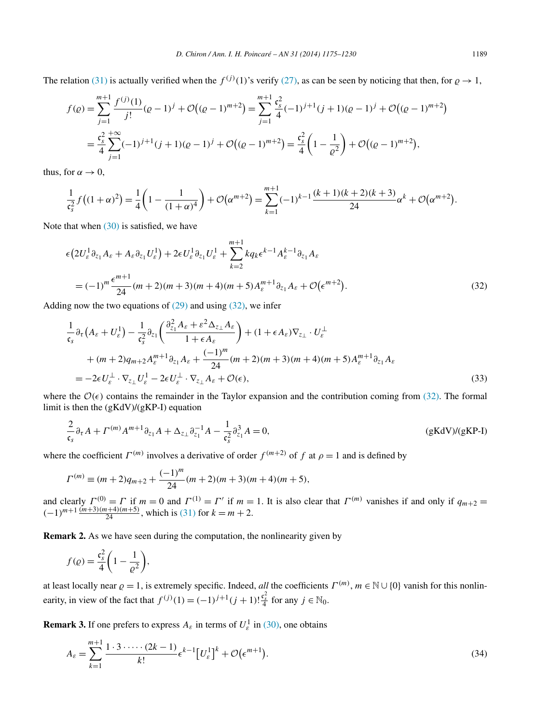<span id="page-14-0"></span>The relation [\(31\)](#page-13-0) is actually verified when the  $f^{(j)}(1)$ 's verify [\(27\),](#page-13-0) as can be seen by noticing that then, for  $\rho \to 1$ ,

$$
f(\varrho) = \sum_{j=1}^{m+1} \frac{f^{(j)}(1)}{j!} (\varrho - 1)^j + \mathcal{O}\big((\varrho - 1)^{m+2}\big) = \sum_{j=1}^{m+1} \frac{c_s^2}{4} (-1)^{j+1} (j+1)(\varrho - 1)^j + \mathcal{O}\big((\varrho - 1)^{m+2}\big)
$$
  
=  $\frac{c_s^2}{4} \sum_{j=1}^{+\infty} (-1)^{j+1} (j+1)(\varrho - 1)^j + \mathcal{O}\big((\varrho - 1)^{m+2}\big) = \frac{c_s^2}{4} \bigg(1 - \frac{1}{\varrho^2}\bigg) + \mathcal{O}\big((\varrho - 1)^{m+2}\big),$ 

thus, for  $\alpha \rightarrow 0$ ,

$$
\frac{1}{c_s^2}f((1+\alpha)^2) = \frac{1}{4}\left(1-\frac{1}{(1+\alpha)^4}\right) + \mathcal{O}(\alpha^{m+2}) = \sum_{k=1}^{m+1}(-1)^{k-1}\frac{(k+1)(k+2)(k+3)}{24}\alpha^k + \mathcal{O}(\alpha^{m+2}).
$$

Note that when  $(30)$  is satisfied, we have

$$
\epsilon \left( 2U_{\varepsilon}^{1} \partial_{z_{1}} A_{\varepsilon} + A_{\varepsilon} \partial_{z_{1}} U_{\varepsilon}^{1} \right) + 2\epsilon U_{\varepsilon}^{1} \partial_{z_{1}} U_{\varepsilon}^{1} + \sum_{k=2}^{m+1} k q_{k} \epsilon^{k-1} A_{\varepsilon}^{k-1} \partial_{z_{1}} A_{\varepsilon}
$$
  
=  $(-1)^{m} \frac{\epsilon^{m+1}}{24} (m+2)(m+3)(m+4)(m+5) A_{\varepsilon}^{m+1} \partial_{z_{1}} A_{\varepsilon} + \mathcal{O}(\epsilon^{m+2}).$  (32)

Adding now the two equations of  $(29)$  and using  $(32)$ , we infer

$$
\frac{1}{\mathfrak{c}_{s}}\partial_{\tau}\left(A_{\varepsilon}+U_{\varepsilon}^{1}\right)-\frac{1}{\mathfrak{c}_{s}^{2}}\partial_{z_{1}}\left(\frac{\partial_{z_{1}}^{2}A_{\varepsilon}+\varepsilon^{2}\Delta_{z_{\perp}}A_{\varepsilon}}{1+\epsilon A_{\varepsilon}}\right)+(1+\epsilon A_{\varepsilon})\nabla_{z_{\perp}}\cdot U_{\varepsilon}^{\perp} \n+(m+2)q_{m+2}A_{\varepsilon}^{m+1}\partial_{z_{1}}A_{\varepsilon}+\frac{(-1)^{m}}{24}(m+2)(m+3)(m+4)(m+5)A_{\varepsilon}^{m+1}\partial_{z_{1}}A_{\varepsilon} \n=-2\epsilon U_{\varepsilon}^{\perp}\cdot\nabla_{z_{\perp}}U_{\varepsilon}^{1}-2\epsilon U_{\varepsilon}^{\perp}\cdot\nabla_{z_{\perp}}A_{\varepsilon}+\mathcal{O}(\epsilon),
$$
\n(33)

where the  $\mathcal{O}(\epsilon)$  contains the remainder in the Taylor expansion and the contribution coming from (32). The formal limit is then the (gKdV)/(gKP-I) equation

$$
\frac{2}{\mathfrak{c}_s} \partial_\tau A + \Gamma^{(m)} A^{m+1} \partial_{z_1} A + \Delta_{z_\perp} \partial_{z_1}^{-1} A - \frac{1}{\mathfrak{c}_s^2} \partial_{z_1}^3 A = 0,
$$
 (gKdV)/(gKP-I)

where the coefficient  $\Gamma^{(m)}$  involves a derivative of order  $f^{(m+2)}$  of  $f$  at  $\rho = 1$  and is defined by

$$
\Gamma^{(m)} \equiv (m+2)q_{m+2} + \frac{(-1)^m}{24}(m+2)(m+3)(m+4)(m+5),
$$

and clearly  $\Gamma^{(0)} = \Gamma$  if  $m = 0$  and  $\Gamma^{(1)} = \Gamma'$  if  $m = 1$ . It is also clear that  $\Gamma^{(m)}$  vanishes if and only if  $q_{m+2} =$  $(-1)^{m+1} \frac{(m+3)(m+4)(m+5)}{24}$ , which is [\(31\)](#page-13-0) for  $k = m + 2$ .

**Remark 2.** As we have seen during the computation, the nonlinearity given by

$$
f(\varrho) = \frac{\mathfrak{c}_s^2}{4} \left( 1 - \frac{1}{\varrho^2} \right),
$$

at least locally near  $\rho = 1$ , is extremely specific. Indeed, *all* the coefficients  $\Gamma^{(m)}$ ,  $m \in \mathbb{N} \cup \{0\}$  vanish for this nonlinearity, in view of the fact that  $f^{(j)}(1) = (-1)^{j+1} (j+1)! \frac{c_s^2}{4}$  for any  $j \in \mathbb{N}_0$ .

**Remark 3.** If one prefers to express  $A_{\varepsilon}$  in terms of  $U_{\varepsilon}^1$  in [\(30\),](#page-13-0) one obtains

$$
A_{\varepsilon} = \sum_{k=1}^{m+1} \frac{1 \cdot 3 \cdot \dots \cdot (2k-1)}{k!} \epsilon^{k-1} \left[ U_{\varepsilon}^1 \right]^k + \mathcal{O}(\epsilon^{m+1}).
$$
\n(34)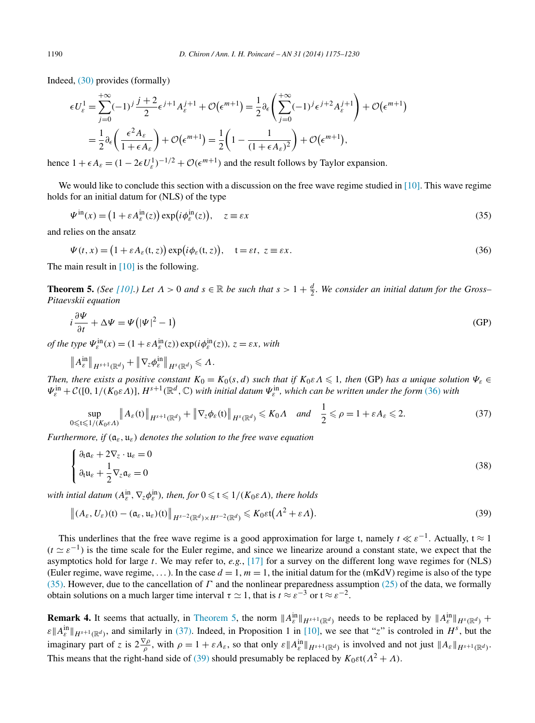<span id="page-15-0"></span>Indeed, [\(30\)](#page-13-0) provides (formally)

$$
\epsilon U_{\varepsilon}^{1} = \sum_{j=0}^{+\infty} (-1)^{j} \frac{j+2}{2} \epsilon^{j+1} A_{\varepsilon}^{j+1} + \mathcal{O}(\epsilon^{m+1}) = \frac{1}{2} \partial_{\varepsilon} \left( \sum_{j=0}^{+\infty} (-1)^{j} \epsilon^{j+2} A_{\varepsilon}^{j+1} \right) + \mathcal{O}(\epsilon^{m+1})
$$

$$
= \frac{1}{2} \partial_{\varepsilon} \left( \frac{\epsilon^{2} A_{\varepsilon}}{1 + \epsilon A_{\varepsilon}} \right) + \mathcal{O}(\epsilon^{m+1}) = \frac{1}{2} \left( 1 - \frac{1}{(1 + \epsilon A_{\varepsilon})^{2}} \right) + \mathcal{O}(\epsilon^{m+1}),
$$

hence  $1 + \epsilon A_{\varepsilon} = (1 - 2\epsilon U_{\varepsilon}^1)^{-1/2} + \mathcal{O}(\epsilon^{m+1})$  and the result follows by Taylor expansion.

We would like to conclude this section with a discussion on the free wave regime studied in [\[10\].](#page-54-0) This wave regime holds for an initial datum for (NLS) of the type

$$
\Psi^{\text{in}}(x) = \left(1 + \varepsilon A_{\varepsilon}^{\text{in}}(z)\right) \exp\left(i\phi_{\varepsilon}^{\text{in}}(z)\right), \quad z \equiv \varepsilon x \tag{35}
$$

and relies on the ansatz

$$
\Psi(t,x) = (1 + \varepsilon A_{\varepsilon}(t,z)) \exp(i\phi_{\varepsilon}(t,z)), \quad t = \varepsilon t, \ z \equiv \varepsilon x.
$$
\n(36)

The main result in  $[10]$  is the following.

**Theorem 5.** *(See* [\[10\].](#page-54-0)) Let  $\Lambda > 0$  and  $s \in \mathbb{R}$  be such that  $s > 1 + \frac{d}{2}$ . We consider an initial datum for the Gross– *Pitaevskii equation*

$$
i\frac{\partial \Psi}{\partial t} + \Delta \Psi = \Psi \left( |\Psi|^2 - 1 \right) \tag{GP}
$$

*of the type*  $\Psi_{\varepsilon}^{\text{in}}(x) = (1 + \varepsilon A_{\varepsilon}^{\text{in}}(z)) \exp(i\phi_{\varepsilon}^{\text{in}}(z))$ ,  $z = \varepsilon x$ , with

$$
\|A_{\varepsilon}^{\text{in}}\|_{H^{s+1}(\mathbb{R}^d)} + \|\nabla_{z}\phi_{\varepsilon}^{\text{in}}\|_{H^{s}(\mathbb{R}^d)} \leqslant \Lambda.
$$

*Then, there exists a positive constant*  $K_0 = K_0(s, d)$  *such that if*  $K_0 \in \Lambda \leq 1$ *, then* (GP) *has a unique solution*  $\Psi_{\varepsilon}$   $\in$  $\Psi_{\varepsilon}^{\text{in}} + \mathcal{C}([0,1/(K_0\varepsilon\Lambda)], H^{s+1}(\mathbb{R}^d, \mathbb{C})$  with initial datum  $\Psi_{\varepsilon}^{\text{in}}$ , which can be written under the form (36) with

$$
\sup_{0 \leqslant t \leqslant 1/(K_0 \varepsilon A)} \|A_{\varepsilon}(t)\|_{H^{s+1}(\mathbb{R}^d)} + \|\nabla_z \phi_{\varepsilon}(t)\|_{H^s(\mathbb{R}^d)} \leqslant K_0 A \quad \text{and} \quad \frac{1}{2} \leqslant \rho = 1 + \varepsilon A_{\varepsilon} \leqslant 2. \tag{37}
$$

*Furthermore, if (*a*ε,* u*ε) denotes the solution to the free wave equation*

$$
\begin{cases} \partial_t \mathfrak{a}_{\varepsilon} + 2\nabla_z \cdot \mathfrak{u}_{\varepsilon} = 0 \\ \partial_t \mathfrak{u}_{\varepsilon} + \frac{1}{2} \nabla_z \mathfrak{a}_{\varepsilon} = 0 \end{cases}
$$
 (38)

*with intial datum*  $(A_{\varepsilon}^{\text{in}}, \nabla_z \phi_{\varepsilon}^{\text{in}})$ *, then, for*  $0 \leqslant t \leqslant 1/(K_0 \varepsilon \Lambda)$ *, there holds* 

$$
\left\|(A_{\varepsilon},U_{\varepsilon})(t)-(\mathfrak{a}_{\varepsilon},\mathfrak{u}_{\varepsilon})(t)\right\|_{H^{s-2}(\mathbb{R}^d)\times H^{s-2}(\mathbb{R}^d)}\leqslant K_0\varepsilon t(\Lambda^2+\varepsilon\Lambda).
$$
\n(39)

This underlines that the free wave regime is a good approximation for large t, namely  $t \ll \varepsilon^{-1}$ . Actually,  $t \approx 1$  $(t \simeq \varepsilon^{-1})$  is the time scale for the Euler regime, and since we linearize around a constant state, we expect that the asymptotics hold for large *t*. We may refer to, *e.g.*, [\[17\]](#page-54-0) for a survey on the different long wave regimes for (NLS) (Euler regime, wave regime, ...). In the case  $d = 1$ ,  $m = 1$ , the initial datum for the (mKdV) regime is also of the type (35). However, due to the cancellation of *Γ* and the nonlinear preparedness assumption [\(25\)](#page-12-0) of the data, we formally obtain solutions on a much larger time interval  $\tau \simeq 1$ , that is  $t \approx \varepsilon^{-3}$  or  $t \approx \varepsilon^{-2}$ .

**Remark 4.** It seems that actually, in Theorem 5, the norm  $||A_{\varepsilon}^{\text{in}}||_{H^{s+1}(\mathbb{R}^d)}$  needs to be replaced by  $||A_{\varepsilon}^{\text{in}}||_{H^s(\mathbb{R}^d)}$  +  $\mathcal{E} \|\mathcal{A}_\varepsilon^{\text{in}}\|_{H^{s+1}(\mathbb{R}^d)}$ , and similarly in (37). Indeed, in Proposition 1 in [\[10\],](#page-54-0) we see that "*z*" is controled in  $H^s$ , but the imaginary part of z is  $2\frac{\nabla \rho}{\rho}$ , with  $\rho = 1 + \varepsilon A_{\varepsilon}$ , so that only  $\varepsilon ||A_{\varepsilon}^{in}||_{H^{s+1}(\mathbb{R}^d)}$  is involved and not just  $||A_{\varepsilon}||_{H^{s+1}(\mathbb{R}^d)}$ . This means that the right-hand side of (39) should presumably be replaced by  $K_0 \varepsilon t (A^2 + A)$ .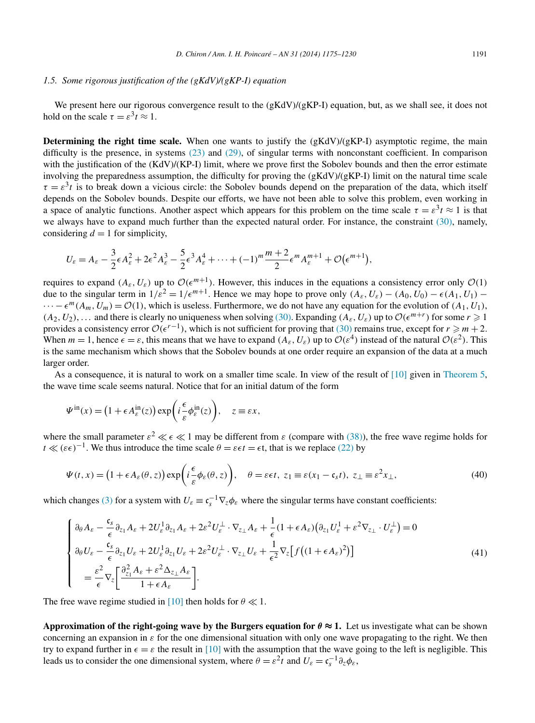# <span id="page-16-0"></span>*1.5. Some rigorous justification of the (gKdV)/(gKP-I) equation*

We present here our rigorous convergence result to the  $(gKdV)/(gKP-I)$  equation, but, as we shall see, it does not hold on the scale  $\tau = \epsilon^3 t \approx 1$ .

**Determining the right time scale.** When one wants to justify the  $(gKdV)/(gKP-I)$  asymptotic regime, the main difficulty is the presence, in systems [\(23\)](#page-11-0) and [\(29\),](#page-13-0) of singular terms with nonconstant coefficient. In comparison with the justification of the (KdV)/(KP-I) limit, where we prove first the Sobolev bounds and then the error estimate involving the preparedness assumption, the difficulty for proving the  $(gKdV)/(gKP-I)$  limit on the natural time scale  $\tau = \varepsilon^3 t$  is to break down a vicious circle: the Sobolev bounds depend on the preparation of the data, which itself depends on the Sobolev bounds. Despite our efforts, we have not been able to solve this problem, even working in a space of analytic functions. Another aspect which appears for this problem on the time scale  $\tau = \varepsilon^3 t \approx 1$  is that we always have to expand much further than the expected natural order. For instance, the constraint [\(30\),](#page-13-0) namely, considering  $d = 1$  for simplicity,

$$
U_{\varepsilon}=A_{\varepsilon}-\frac{3}{2}\epsilon A_{\varepsilon}^{2}+2\epsilon^{2} A_{\varepsilon}^{3}-\frac{5}{2}\epsilon^{3} A_{\varepsilon}^{4}+\cdots+(-1)^{m}\frac{m+2}{2}\epsilon^{m} A_{\varepsilon}^{m+1}+\mathcal{O}(\epsilon^{m+1}),
$$

requires to expand  $(A_{\varepsilon}, U_{\varepsilon})$  up to  $\mathcal{O}(\varepsilon^{m+1})$ . However, this induces in the equations a consistency error only  $\mathcal{O}(1)$ due to the singular term in  $1/\varepsilon^2 = 1/\varepsilon^{m+1}$ . Hence we may hope to prove only  $(A_\varepsilon, U_\varepsilon) - (A_0, U_0) - \varepsilon (A_1, U_1)$  –  $\cdots - \epsilon^m(A_m, U_m) = \mathcal{O}(1)$ , which is useless. Furthermore, we do not have any equation for the evolution of  $(A_1, U_1)$ ,  $(A_2, U_2)$ , ... and there is clearly no uniqueness when solving [\(30\).](#page-13-0) Expanding  $(A_\varepsilon, U_\varepsilon)$  up to  $\mathcal{O}(\epsilon^{m+r})$  for some  $r \geq 1$ provides a consistency error  $\mathcal{O}(\epsilon^{r-1})$ , which is not sufficient for proving that [\(30\)](#page-13-0) remains true, except for  $r \ge m+2$ . When  $m = 1$ , hence  $\epsilon = \epsilon$ , this means that we have to expand  $(A_{\epsilon}, U_{\epsilon})$  up to  $\mathcal{O}(\epsilon^4)$  instead of the natural  $\mathcal{O}(\epsilon^2)$ . This is the same mechanism which shows that the Sobolev bounds at one order require an expansion of the data at a much larger order.

As a consequence, it is natural to work on a smaller time scale. In view of the result of  $[10]$  given in [Theorem 5,](#page-15-0) the wave time scale seems natural. Notice that for an initial datum of the form

$$
\Psi^{\rm in}(x) = \left(1 + \epsilon A_{\varepsilon}^{\rm in}(z)\right) \exp\left(i\frac{\epsilon}{\varepsilon} \phi_{\varepsilon}^{\rm in}(z)\right), \quad z \equiv \varepsilon x,
$$

where the small parameter  $\varepsilon^2 \ll \varepsilon \ll 1$  may be different from  $\varepsilon$  (compare with [\(38\)\)](#page-15-0), the free wave regime holds for  $t \ll (\varepsilon \epsilon)^{-1}$ . We thus introduce the time scale  $\theta = \varepsilon \epsilon t = \epsilon t$ , that is we replace [\(22\)](#page-11-0) by

$$
\Psi(t,x) = \left(1 + \epsilon A_{\varepsilon}(\theta, z)\right) \exp\left(i\frac{\epsilon}{\varepsilon}\phi_{\varepsilon}(\theta, z)\right), \quad \theta = \varepsilon \epsilon t, \ z_1 \equiv \varepsilon (x_1 - \mathfrak{c}_s t), \ z_{\perp} \equiv \varepsilon^2 x_{\perp}, \tag{40}
$$

which changes [\(3\)](#page-2-0) for a system with  $U_{\varepsilon} \equiv \mathfrak{c}_s^{-1} \nabla_z \phi_{\varepsilon}$  where the singular terms have constant coefficients:

$$
\begin{cases}\n\partial_{\theta} A_{\varepsilon} - \frac{\mathfrak{c}_{s}}{\epsilon} \partial_{z_{1}} A_{\varepsilon} + 2U_{\varepsilon}^{1} \partial_{z_{1}} A_{\varepsilon} + 2\varepsilon^{2} U_{\varepsilon}^{1} \cdot \nabla_{z_{\perp}} A_{\varepsilon} + \frac{1}{\epsilon} (1 + \epsilon A_{\varepsilon}) (\partial_{z_{1}} U_{\varepsilon}^{1} + \varepsilon^{2} \nabla_{z_{\perp}} \cdot U_{\varepsilon}^{1}) = 0 \\
\partial_{\theta} U_{\varepsilon} - \frac{\mathfrak{c}_{s}}{\epsilon} \partial_{z_{1}} U_{\varepsilon} + 2U_{\varepsilon}^{1} \partial_{z_{1}} U_{\varepsilon} + 2\varepsilon^{2} U_{\varepsilon}^{1} \cdot \nabla_{z_{\perp}} U_{\varepsilon} + \frac{1}{\epsilon^{2}} \nabla_{z} \Big[ f \big( (1 + \epsilon A_{\varepsilon})^{2} \big) \Big] \\
= \frac{\varepsilon^{2}}{\epsilon} \nabla_{z} \Big[ \frac{\partial_{z_{1}}^{2} A_{\varepsilon} + \varepsilon^{2} \Delta_{z_{\perp}} A_{\varepsilon}}{1 + \epsilon A_{\varepsilon}} \Big].\n\end{cases} \tag{41}
$$

The free wave regime studied in [\[10\]](#page-54-0) then holds for  $\theta \ll 1$ .

**Approximation of the right-going wave by the Burgers equation for**  $\theta \approx 1$ **. Let us investigate what can be shown** concerning an expansion in  $\varepsilon$  for the one dimensional situation with only one wave propagating to the right. We then try to expand further in  $\epsilon = \epsilon$  the result in [\[10\]](#page-54-0) with the assumption that the wave going to the left is negligible. This leads us to consider the one dimensional system, where  $\theta = \varepsilon^2 t$  and  $U_{\varepsilon} = \mathfrak{c}_s^{-1} \partial_z \phi_{\varepsilon}$ ,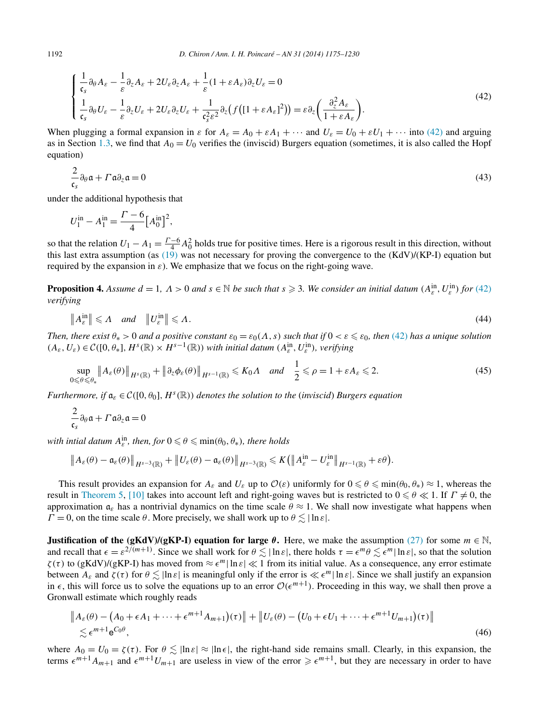<span id="page-17-0"></span>
$$
\begin{cases} \frac{1}{\mathfrak{c}_s} \partial_{\theta} A_{\varepsilon} - \frac{1}{\varepsilon} \partial_z A_{\varepsilon} + 2U_{\varepsilon} \partial_z A_{\varepsilon} + \frac{1}{\varepsilon} (1 + \varepsilon A_{\varepsilon}) \partial_z U_{\varepsilon} = 0 \\ \frac{1}{\mathfrak{c}_s} \partial_{\theta} U_{\varepsilon} - \frac{1}{\varepsilon} \partial_z U_{\varepsilon} + 2U_{\varepsilon} \partial_z U_{\varepsilon} + \frac{1}{\mathfrak{c}_s^2 \varepsilon^2} \partial_z (f \left( [1 + \varepsilon A_{\varepsilon}]^2 \right)) = \varepsilon \partial_z \left( \frac{\partial_z^2 A_{\varepsilon}}{1 + \varepsilon A_{\varepsilon}} \right). \end{cases} \tag{42}
$$

When plugging a formal expansion in  $\varepsilon$  for  $A_{\varepsilon} = A_0 + \varepsilon A_1 + \cdots$  and  $U_{\varepsilon} = U_0 + \varepsilon U_1 + \cdots$  into (42) and arguing as in Section [1.3,](#page-8-0) we find that  $A_0 = U_0$  verifies the (inviscid) Burgers equation (sometimes, it is also called the Hopf equation)

$$
\frac{2}{\mathfrak{c}_s} \partial_\theta \mathfrak{a} + \Gamma \mathfrak{a} \partial_z \mathfrak{a} = 0 \tag{43}
$$

under the additional hypothesis that

$$
U_1^{\text{in}} - A_1^{\text{in}} = \frac{\Gamma - 6}{4} [A_0^{\text{in}}]^2,
$$

so that the relation  $U_1 - A_1 = \frac{\Gamma - 6}{4} A_0^2$  holds true for positive times. Here is a rigorous result in this direction, without this last extra assumption (as  $(19)$  was not necessary for proving the convergence to the  $(KdV)/(KP-I)$  equation but required by the expansion in *ε*). We emphasize that we focus on the right-going wave.

**Proposition 4.** Assume  $d = 1$ ,  $\Lambda > 0$  and  $s \in \mathbb{N}$  be such that  $s \geq 3$ . We consider an initial datum  $(A_{\varepsilon}^{\text{in}}, U_{\varepsilon}^{\text{in}})$  for (42) *verifying*

$$
\|A_{\varepsilon}^{\text{in}}\| \leqslant \Lambda \quad \text{and} \quad \|U_{\varepsilon}^{\text{in}}\| \leqslant \Lambda. \tag{44}
$$

*Then, there exist*  $\theta_* > 0$  *and a positive constant*  $\varepsilon_0 = \varepsilon_0(\Lambda, s)$  *such that if*  $0 < \varepsilon \leq \varepsilon_0$ *, then* (42) *has a unique solution*  $(A_{\varepsilon}, U_{\varepsilon}) \in \mathcal{C}([0, \theta_*], H^s(\mathbb{R}) \times H^{s-1}(\mathbb{R}))$  *with initial datum*  $(A_{\varepsilon}^{\text{in}}, U_{\varepsilon}^{\text{in}})$ *, verifying* 

$$
\sup_{0\leq\theta\leq\theta_*}\|A_{\varepsilon}(\theta)\|_{H^s(\mathbb{R})}+\|\partial_z\phi_{\varepsilon}(\theta)\|_{H^{s-1}(\mathbb{R})}\leq K_0\Lambda \quad \text{and} \quad \frac{1}{2}\leqslant\rho=1+\varepsilon A_{\varepsilon}\leqslant 2. \tag{45}
$$

*Furthermore, if*  $a_{\varepsilon} \in C([0, \theta_0], H^s(\mathbb{R}))$  *denotes the solution to the (inviscid) Burgers equation* 

$$
\frac{2}{\mathfrak{c}_s} \partial_\theta \mathfrak{a} + \Gamma \mathfrak{a} \partial_z \mathfrak{a} = 0
$$

*with intial datum*  $A_{\varepsilon}^{\text{in}}$ *, then, for*  $0 \le \theta \le \min(\theta_0, \theta_*)$ *, there holds* 

$$
\left\|A_{\varepsilon}(\theta)-\mathfrak{a}_{\varepsilon}(\theta)\right\|_{H^{s-3}(\mathbb{R})}+\left\|U_{\varepsilon}(\theta)-\mathfrak{a}_{\varepsilon}(\theta)\right\|_{H^{s-3}(\mathbb{R})}\leqslant K\left(\left\|A_{\varepsilon}^{\text{in}}-U_{\varepsilon}^{\text{in}}\right\|_{H^{s-1}(\mathbb{R})}+\varepsilon\theta\right).
$$

This result provides an expansion for  $A_{\varepsilon}$  and  $U_{\varepsilon}$  up to  $\mathcal{O}(\varepsilon)$  uniformly for  $0 \le \theta \le \min(\theta_0, \theta_*) \approx 1$ , whereas the result in [Theorem 5,](#page-15-0) [\[10\]](#page-54-0) takes into account left and right-going waves but is restricted to  $0 \le \theta \ll 1$ . If  $\Gamma \ne 0$ , the approximation  $a_{\varepsilon}$  has a nontrivial dynamics on the time scale  $\theta \approx 1$ . We shall now investigate what happens when  $\Gamma = 0$ , on the time scale  $\theta$ . More precisely, we shall work up to  $\theta \lesssim |\ln \epsilon|$ .

**Justification of the (gKdV)/(gKP-I) equation for large**  $\theta$ **.** Here, we make the assumption [\(27\)](#page-13-0) for some  $m \in \mathbb{N}$ , and recall that  $\epsilon = \varepsilon^{2/(m+1)}$ . Since we shall work for  $\theta \lesssim |\ln \varepsilon|$ , there holds  $\tau = \epsilon^m \theta \lesssim \epsilon^m |\ln \varepsilon|$ , so that the solution  $\zeta(\tau)$  to (gKdV)/(gKP-I) has moved from  $\approx \epsilon^m |\ln \epsilon| \ll 1$  from its initial value. As a consequence, any error estimate between  $A_{\varepsilon}$  and  $\zeta(\tau)$  for  $\theta \leq |\ln \varepsilon|$  is meaningful only if the error is  $\ll \varepsilon^{m}|\ln \varepsilon|$ . Since we shall justify an expansion in  $\epsilon$ , this will force us to solve the equations up to an error  $O(\epsilon^{m+1})$ . Proceeding in this way, we shall then prove a Gronwall estimate which roughly reads

$$
\|A_{\varepsilon}(\theta) - (A_0 + \epsilon A_1 + \dots + \epsilon^{m+1} A_{m+1})(\tau)\| + \|U_{\varepsilon}(\theta) - (U_0 + \epsilon U_1 + \dots + \epsilon^{m+1} U_{m+1})(\tau)\|
$$
  
\$\lesssim \epsilon^{m+1} e^{C\_0 \theta}, \qquad (46)\$

where  $A_0 = U_0 = \zeta(\tau)$ . For  $\theta \lesssim |\ln \epsilon| \approx |\ln \epsilon|$ , the right-hand side remains small. Clearly, in this expansion, the terms  $\epsilon^{m+1}A_{m+1}$  and  $\epsilon^{m+1}U_{m+1}$  are useless in view of the error  $\geq \epsilon^{m+1}$ , but they are necessary in order to have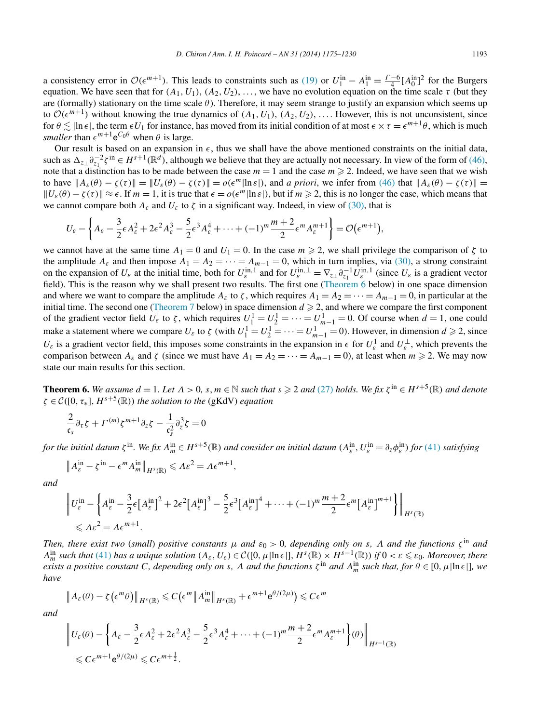<span id="page-18-0"></span>a consistency error in  $\mathcal{O}(\epsilon^{m+1})$ . This leads to constraints such as [\(19\)](#page-9-0) or  $U_1^{\text{in}} - A_1^{\text{in}} = \frac{\Gamma - 6}{4} [A_0^{\text{in}}]^2$  for the Burgers equation. We have seen that for  $(A_1, U_1)$ ,  $(A_2, U_2)$ , ..., we have no evolution equation on the time scale  $\tau$  (but they are (formally) stationary on the time scale  $\theta$ ). Therefore, it may seem strange to justify an expansion which seems up to  $\mathcal{O}(\epsilon^{m+1})$  without knowing the true dynamics of  $(A_1, U_1)$ ,  $(A_2, U_2)$ , .... However, this is not unconsistent, since for  $\theta \leq |\ln \epsilon|$ , the term  $\epsilon U_1$  for instance, has moved from its initial condition of at most  $\epsilon \times \tau = \epsilon^{m+1}\theta$ , which is much *smaller* than  $\epsilon^{m+1}e^{C_0\theta}$  when  $\theta$  is large.

Our result is based on an expansion in  $\epsilon$ , thus we shall have the above mentioned constraints on the initial data, such as  $\Delta_{z_1} \partial_{z_1}^{-2} \zeta^{\text{in}} \in H^{s+1}(\mathbb{R}^d)$ , although we believe that they are actually not necessary. In view of the form of [\(46\),](#page-17-0) note that a distinction has to be made between the case  $m = 1$  and the case  $m \ge 2$ . Indeed, we have seen that we wish to have  $||A_{\varepsilon}(\theta) - \zeta(\tau)|| = ||U_{\varepsilon}(\theta) - \zeta(\tau)|| = o(\epsilon^m |\ln \varepsilon|)$ , and *a priori*, we infer from [\(46\)](#page-17-0) that  $||A_{\varepsilon}(\theta) - \zeta(\tau)|| =$  $||U_{\varepsilon}(\theta) - \zeta(\tau)|| \approx \epsilon$ . If  $m = 1$ , it is true that  $\epsilon = o(\epsilon^m |\ln \varepsilon|)$ , but if  $m \ge 2$ , this is no longer the case, which means that we cannot compare both  $A_{\varepsilon}$  and  $U_{\varepsilon}$  to  $\zeta$  in a significant way. Indeed, in view of [\(30\),](#page-13-0) that is

$$
U_{\varepsilon}-\left\{A_{\varepsilon}-\frac{3}{2}\epsilon A_{\varepsilon}^{2}+2\epsilon^{2} A_{\varepsilon}^{3}-\frac{5}{2}\epsilon^{3} A_{\varepsilon}^{4}+\cdots+(-1)^{m}\frac{m+2}{2}\epsilon^{m} A_{\varepsilon}^{m+1}\right\}=\mathcal{O}\big(\epsilon^{m+1}\big),
$$

we cannot have at the same time  $A_1 = 0$  and  $U_1 = 0$ . In the case  $m \ge 2$ , we shall privilege the comparison of  $\zeta$  to the amplitude  $A_{\varepsilon}$  and then impose  $A_1 = A_2 = \cdots = A_{m-1} = 0$ , which in turn implies, via [\(30\),](#page-13-0) a strong constraint on the expansion of  $U_{\varepsilon}$  at the initial time, both for  $U_{\varepsilon}^{\text{in},1}$  and for  $U_{\varepsilon}^{\text{in},\perp} = \nabla_{z_{\perp}} \partial_{z_1}^{-1} U_{\varepsilon}^{\text{in},1}$  (since  $U_{\varepsilon}$  is a gradient vector field). This is the reason why we shall present two results. The first one (Theorem 6 below) in one space dimension and where we want to compare the amplitude  $A_{\varepsilon}$  to  $\zeta$ , which requires  $A_1 = A_2 = \cdots = A_{m-1} = 0$ , in particular at the initial time. The second one [\(Theorem 7](#page-19-0) below) in space dimension  $d \geq 2$ , and where we compare the first component of the gradient vector field  $U_{\varepsilon}$  to  $\zeta$ , which requires  $U_1^1 = U_2^1 = \cdots = U_{m-1}^1 = 0$ . Of course when  $d = 1$ , one could make a statement where we compare  $U_{\varepsilon}$  to  $\zeta$  (with  $U_1^1 = U_2^1 = \cdots = U_{m-1}^1 = 0$ ). However, in dimension  $d \ge 2$ , since  $U_{\varepsilon}$  is a gradient vector field, this imposes some constraints in the expansion in  $\epsilon$  for  $U_{\varepsilon}^1$  and  $U_{\varepsilon}^{\perp}$ , which prevents the comparison between  $A_{\varepsilon}$  and  $\zeta$  (since we must have  $A_1 = A_2 = \cdots = A_{m-1} = 0$ ), at least when  $m \ge 2$ . We may now state our main results for this section.

**Theorem 6.** We assume  $d = 1$ . Let  $\Lambda > 0$ , s,  $m \in \mathbb{N}$  such that  $s \geq 2$  and [\(27\)](#page-13-0) holds. We fix  $\zeta^{in} \in H^{s+5}(\mathbb{R})$  and denote *<sup>ζ</sup>* <sup>∈</sup> <sup>C</sup>*(*[0*,τ*∗]*,Hs*+5*(*R*)) the solution to the* (gKdV) *equation*

$$
\frac{2}{\mathfrak{c}_s} \partial_\tau \zeta + \Gamma^{(m)} \zeta^{m+1} \partial_z \zeta - \frac{1}{\mathfrak{c}_s^2} \partial_z^3 \zeta = 0
$$

for the initial datum  $\zeta$ <sup>in</sup>. We fix  $A_m^{\text{in}} \in H^{s+5}(\mathbb{R})$  and consider an initial datum  $(A_\varepsilon^{\text{in}}, U_\varepsilon^{\text{in}} = \partial_z \phi_\varepsilon^{\text{in}})$  for [\(41\)](#page-16-0) satisfying

$$
\left\|A_{\varepsilon}^{\text{in}} - \zeta^{\text{in}} - \epsilon^m A_m^{\text{in}}\right\|_{H^s(\mathbb{R})} \leqslant \Lambda \varepsilon^2 = \Lambda \epsilon^{m+1},
$$

*and*

$$
\left\| U_{\varepsilon}^{\text{in}} - \left\{ A_{\varepsilon}^{\text{in}} - \frac{3}{2} \epsilon \left[ A_{\varepsilon}^{\text{in}} \right]^{2} + 2 \epsilon^{2} \left[ A_{\varepsilon}^{\text{in}} \right]^{3} - \frac{5}{2} \epsilon^{3} \left[ A_{\varepsilon}^{\text{in}} \right]^{4} + \dots + (-1)^{m} \frac{m+2}{2} \epsilon^{m} \left[ A_{\varepsilon}^{\text{in}} \right]^{m+1} \right\} \right\|_{H^{s}(\mathbb{R})}
$$
  
\$\leqslant \Lambda \varepsilon^{2} = \Lambda \varepsilon^{m+1}\$.

*Then, there exist two (small) positive constants*  $\mu$  *and*  $\varepsilon_0 > 0$ , *depending only on s, Λ and the functions*  $\zeta$ <sup>in</sup> *and*  $A_m^{\text{in}}$  such that [\(41\)](#page-16-0) has a unique solution  $(A_\varepsilon, U_\varepsilon) \in \mathcal{C}([0, \mu|\ln \varepsilon|], H^s(\mathbb{R}) \times H^{s-1}(\mathbb{R}))$  if  $0 < \varepsilon \leqslant \varepsilon_0$ . Moreover, there *exists a positive constant C*, depending only on *s*,  $\Lambda$  *and the functions*  $\zeta^{\text{in}}$  *and*  $A_m^{\text{in}}$  *such that, for*  $\theta \in [0, \mu]$  *In*  $\epsilon$  *I*, *we have*

$$
\left\|A_{\varepsilon}(\theta)-\zeta\left(\epsilon^{m}\theta\right)\right\|_{H^{s}(\mathbb{R})}\leqslant C\left(\epsilon^{m}\left\|A_{m}^{\text{in}}\right\|_{H^{s}(\mathbb{R})}+\epsilon^{m+1}\mathsf{e}^{\theta/(2\mu)}\right)\leqslant C\epsilon^{m}
$$

*and*

$$
\left\| U_{\varepsilon}(\theta) - \left\{ A_{\varepsilon} - \frac{3}{2} \epsilon A_{\varepsilon}^2 + 2 \epsilon^2 A_{\varepsilon}^3 - \frac{5}{2} \epsilon^3 A_{\varepsilon}^4 + \dots + (-1)^m \frac{m+2}{2} \epsilon^m A_{\varepsilon}^{m+1} \right\}(\theta) \right\|_{H^{s-1}(\mathbb{R})}
$$
  
\$\leq C \epsilon^{m+1} e^{\theta/(2\mu)} \leq C \epsilon^{m+\frac{1}{2}}.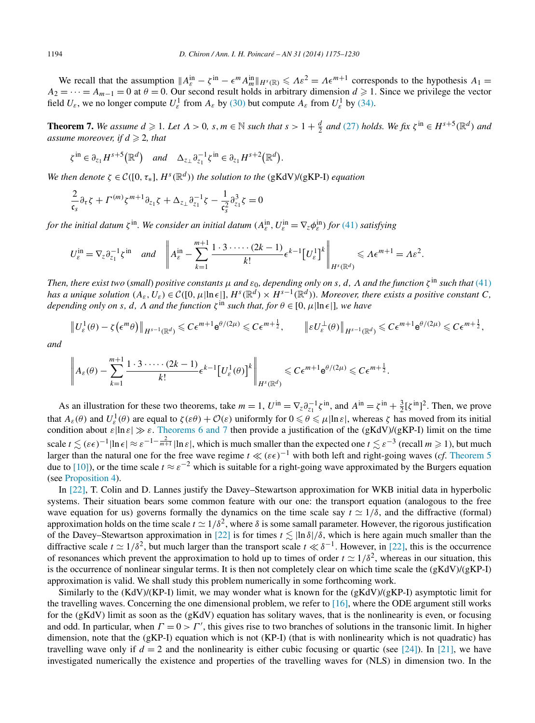<span id="page-19-0"></span>We recall that the assumption  $||A_{\varepsilon}^{in} - \zeta^{in} - \epsilon^{m} A_{m}^{in}||_{H^{s}(\mathbb{R})} \leq \Lambda \varepsilon^{2} = \Lambda \epsilon^{m+1}$  corresponds to the hypothesis  $A_{1} =$  $A_2 = \cdots = A_{m-1} = 0$  at  $\theta = 0$ . Our second result holds in arbitrary dimension  $d \ge 1$ . Since we privilege the vector field  $U_{\varepsilon}$ , we no longer compute  $U_{\varepsilon}^1$  from  $A_{\varepsilon}$  by [\(30\)](#page-13-0) but compute  $A_{\varepsilon}$  from  $U_{\varepsilon}^1$  by [\(34\).](#page-14-0)

**Theorem 7.** We assume  $d \ge 1$ . Let  $\Lambda > 0$ , s,  $m \in \mathbb{N}$  such that  $s > 1 + \frac{d}{2}$  and [\(27\)](#page-13-0) holds. We fix  $\zeta^{in} \in H^{s+5}(\mathbb{R}^d)$  and assume moreover, if  $d \geqslant 2$ , that

$$
\zeta^{\text{in}} \in \partial_{z_1} H^{s+5}(\mathbb{R}^d) \quad \text{and} \quad \Delta_{z_\perp} \partial_{z_1}^{-1} \zeta^{\text{in}} \in \partial_{z_1} H^{s+2}(\mathbb{R}^d).
$$

*We then denote*  $\zeta \in C([0, \tau_*], H^s(\mathbb{R}^d))$  *the solution to the* (gKdV)/(gKP-I) *equation* 

$$
\frac{2}{\mathfrak{c}_s} \partial_\tau \zeta + \Gamma^{(m)} \zeta^{m+1} \partial_{z_1} \zeta + \Delta_{z_\perp} \partial_{z_1}^{-1} \zeta - \frac{1}{\mathfrak{c}_s^2} \partial_{z_1}^3 \zeta = 0
$$

*for the initial datum*  $\zeta^{in}$ *. We consider an initial datum*  $(A_{\varepsilon}^{in}, U_{\varepsilon}^{in} = \nabla_{z} \phi_{\varepsilon}^{in}$ *for* [\(41\)](#page-16-0) *satisfying* 

$$
U_{\varepsilon}^{\text{in}} = \nabla_z \partial_{z_1}^{-1} \zeta^{\text{in}} \quad \text{and} \quad \left\| A_{\varepsilon}^{\text{in}} - \sum_{k=1}^{m+1} \frac{1 \cdot 3 \cdot \dots \cdot (2k-1)}{k!} \varepsilon^{k-1} \left[ U_{\varepsilon}^1 \right]^k \right\|_{H^s(\mathbb{R}^d)} \leqslant \Lambda \varepsilon^{m+1} = \Lambda \varepsilon^2.
$$

Then, there exist two (small) positive constants  $\mu$  and  $\varepsilon_0$ , depending only on s, d,  $\Lambda$  and the function  $\zeta^{\text{in}}$  such that [\(41\)](#page-16-0) *has a unique solution*  $(A_{\varepsilon}, U_{\varepsilon}) \in C([0, \mu] \ln \varepsilon], H^s(\mathbb{R}^d) \times H^{s-1}(\mathbb{R}^d)$ *). Moreover, there exists a positive constant C, depending only on s, d,*  $\Lambda$  *and the function*  $\zeta^{\text{in}}$  *such that, for*  $\theta \in [0, \mu]$ ln  $\epsilon$ ]*, we have* 

$$
\left\|U_{\varepsilon}^{1}(\theta)-\zeta\left(\epsilon^{m}\theta\right)\right\|_{H^{s-1}(\mathbb{R}^{d})}\leqslant C\epsilon^{m+1}e^{\theta/(2\mu)}\leqslant C\epsilon^{m+\frac{1}{2}},\qquad\left\|\varepsilon U_{\varepsilon}^{\perp}(\theta)\right\|_{H^{s-1}(\mathbb{R}^{d})}\leqslant C\epsilon^{m+1}e^{\theta/(2\mu)}\leqslant C\epsilon^{m+\frac{1}{2}},
$$

*and*

$$
\left\|A_{\varepsilon}(\theta)-\sum_{k=1}^{m+1}\frac{1\cdot 3\cdot \dots \cdot (2k-1)}{k!}\varepsilon^{k-1}\left[U_{\varepsilon}^{1}(\theta)\right]^{k}\right\|_{H^{s}(\mathbb{R}^{d})}\leqslant C\varepsilon^{m+1}e^{\theta/(2\mu)}\leqslant C\varepsilon^{m+\frac{1}{2}}.
$$

As an illustration for these two theorems, take  $m = 1$ ,  $U^{\text{in}} = \nabla_z \partial_{z_1}^{-1} \zeta^{\text{in}}$ , and  $A^{\text{in}} = \zeta^{\text{in}} + \frac{3}{2} [\zeta^{\text{in}}]^2$ . Then, we prove that  $A_{\varepsilon}(\theta)$  and  $U_{\varepsilon}^1(\theta)$  are equal to  $\zeta(\varepsilon\theta) + \mathcal{O}(\varepsilon)$  uniformly for  $0 \le \theta \le \mu |\ln \varepsilon|$ , whereas  $\zeta$  has moved from its initial condition about  $\varepsilon|\ln \varepsilon| \gg \varepsilon$ . [Theorems 6 and 7](#page-18-0) then provide a justification of the (gKdV)/(gKP-I) limit on the time scale  $t \lesssim (\varepsilon \epsilon)^{-1} |\ln \epsilon| \approx \varepsilon^{-1-\frac{2}{m+1}} |\ln \varepsilon|$ , which is much smaller than the expected one  $t \lesssim \varepsilon^{-3}$  (recall  $m \ge 1$ ), but much larger than the natural one for the free wave regime  $t \ll (\varepsilon \epsilon)^{-1}$  with both left and right-going waves (*cf*. [Theorem 5](#page-15-0) due to [\[10\]\)](#page-54-0), or the time scale  $t \approx \varepsilon^{-2}$  which is suitable for a right-going wave approximated by the Burgers equation (see [Proposition 4\)](#page-17-0).

In [\[22\],](#page-54-0) T. Colin and D. Lannes justify the Davey–Stewartson approximation for WKB initial data in hyperbolic systems. Their situation bears some common feature with our one: the transport equation (analogous to the free wave equation for us) governs formally the dynamics on the time scale say  $t \approx 1/\delta$ , and the diffractive (formal) approximation holds on the time scale  $t \approx 1/\delta^2$ , where  $\delta$  is some samall parameter. However, the rigorous justification of the Davey–Stewartson approximation in [\[22\]](#page-54-0) is for times  $t \lesssim \ln \delta/\delta$ , which is here again much smaller than the diffractive scale  $t \approx 1/\delta^2$ , but much larger than the transport scale  $t \ll \delta^{-1}$ . However, in [\[22\],](#page-54-0) this is the occurrence of resonances which prevent the approximation to hold up to times of order  $t \approx 1/\delta^2$ , whereas in our situation, this is the occurrence of nonlinear singular terms. It is then not completely clear on which time scale the  $(gKdV)/(gKP-I)$ approximation is valid. We shall study this problem numerically in some forthcoming work.

Similarly to the  $(KdV)/(KP-I)$  limit, we may wonder what is known for the  $(gKdV)/(gKP-I)$  asymptotic limit for the travelling waves. Concerning the one dimensional problem, we refer to [\[16\],](#page-54-0) where the ODE argument still works for the (gKdV) limit as soon as the (gKdV) equation has solitary waves, that is the nonlinearity is even, or focusing and odd. In particular, when  $\Gamma = 0 > \Gamma'$ , this gives rise to two branches of solutions in the transonic limit. In higher dimension, note that the (gKP-I) equation which is not (KP-I) (that is with nonlinearity which is not quadratic) has travelling wave only if  $d = 2$  and the nonlinearity is either cubic focusing or quartic (see [\[24\]\)](#page-54-0). In [\[21\],](#page-54-0) we have investigated numerically the existence and properties of the travelling waves for (NLS) in dimension two. In the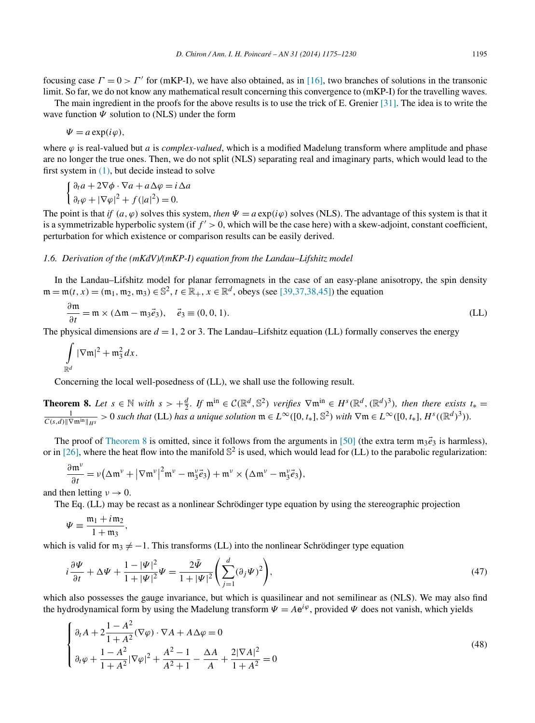<span id="page-20-0"></span>focusing case  $\Gamma = 0 > \Gamma'$  for (mKP-I), we have also obtained, as in [\[16\],](#page-54-0) two branches of solutions in the transonic limit. So far, we do not know any mathematical result concerning this convergence to (mKP-I) for the travelling waves.

The main ingredient in the proofs for the above results is to use the trick of E. Grenier [\[31\].](#page-55-0) The idea is to write the wave function *Ψ* solution to (NLS) under the form

$$
\Psi = a \exp(i\varphi),
$$

where  $\varphi$  is real-valued but *a* is *complex-valued*, which is a modified Madelung transform where amplitude and phase are no longer the true ones. Then, we do not split (NLS) separating real and imaginary parts, which would lead to the first system in [\(1\),](#page-1-0) but decide instead to solve

$$
\begin{cases} \frac{\partial_t a}{\partial t} + 2\nabla \phi \cdot \nabla a + a\Delta \phi = i\Delta a \\ \frac{\partial_t \phi}{\partial t} + |\nabla \phi|^2 + f(|a|^2) = 0. \end{cases}
$$

The point is that *if*  $(a, \varphi)$  solves this system, *then*  $\Psi = a \exp(i\varphi)$  solves (NLS). The advantage of this system is that it is a symmetrizable hyperbolic system (if  $f' > 0$ , which will be the case here) with a skew-adjoint, constant coefficient, perturbation for which existence or comparison results can be easily derived.

#### *1.6. Derivation of the (mKdV)/(mKP-I) equation from the Landau–Lifshitz model*

In the Landau–Lifshitz model for planar ferromagnets in the case of an easy-plane anisotropy, the spin density  $m = m(t, x) = (m_1, m_2, m_3) \in \mathbb{S}^2$ ,  $t \in \mathbb{R}_+$ ,  $x \in \mathbb{R}^d$ , obeys (see [\[39,37,38,45\]\)](#page-55-0) the equation

$$
\frac{\partial \mathfrak{m}}{\partial t} = \mathfrak{m} \times (\Delta \mathfrak{m} - \mathfrak{m}_3 \vec{e}_3), \quad \vec{e}_3 \equiv (0, 0, 1). \tag{LL}
$$

The physical dimensions are  $d = 1$ , 2 or 3. The Landau–Lifshitz equation (LL) formally conserves the energy

$$
\int\limits_{\mathbb{R}^d} |\nabla \mathfrak{m}|^2 + \mathfrak{m}_3^2 dx.
$$

Concerning the local well-posedness of (LL), we shall use the following result.

**Theorem 8.** Let  $s \in \mathbb{N}$  with  $s > +\frac{d}{2}$ . If  $\mathfrak{m}^{\text{in}} \in \mathcal{C}(\mathbb{R}^d, \mathbb{S}^2)$  verifies  $\nabla \mathfrak{m}^{\text{in}} \in H^s(\mathbb{R}^d, (\mathbb{R}^d)^3)$ , then there exists  $t_* = \frac{1}{\sqrt{2}} \sum_{n=1}^{\infty} \sum_{k=1}^{\infty} \sum_{j=1}^{\infty} \sum_{j=1$  $\frac{1}{C(s,d)\|\nabla \mathfrak{m}^{\text{in}}\|_{H^s}}>0$  such that (LL) has a unique solution  $\mathfrak{m} \in L^{\infty}([0,t_*],\mathbb{S}^2)$  with  $\nabla \mathfrak{m} \in L^{\infty}([0,t_*],H^s((\mathbb{R}^d)^3)).$ 

The proof of Theorem 8 is omitted, since it follows from the arguments in [\[50\]](#page-55-0) (the extra term  $m_3\vec{e}_3$  is harmless), or in [\[26\],](#page-54-0) where the heat flow into the manifold  $\mathbb{S}^2$  is used, which would lead for (LL) to the parabolic regularization:

$$
\frac{\partial \mathfrak{m}^{\nu}}{\partial t} = \nu \big( \Delta \mathfrak{m}^{\nu} + |\nabla \mathfrak{m}^{\nu}|^2 \mathfrak{m}^{\nu} - \mathfrak{m}_3^{\nu} \vec{e}_3 \big) + \mathfrak{m}^{\nu} \times (\Delta \mathfrak{m}^{\nu} - \mathfrak{m}_3^{\nu} \vec{e}_3),
$$

and then letting  $v \to 0$ .

The Eq. (LL) may be recast as a nonlinear Schrödinger type equation by using the stereographic projection

$$
\Psi \equiv \frac{\mathfrak{m}_1 + i \mathfrak{m}_2}{1 + \mathfrak{m}_3},
$$

which is valid for  $m_3 \neq -1$ . This transforms (LL) into the nonlinear Schrödinger type equation

$$
i\frac{\partial \Psi}{\partial t} + \Delta \Psi + \frac{1 - |\Psi|^2}{1 + |\Psi|^2} \Psi = \frac{2\bar{\Psi}}{1 + |\Psi|^2} \left( \sum_{j=1}^d (\partial_j \Psi)^2 \right),\tag{47}
$$

which also possesses the gauge invariance, but which is quasilinear and not semilinear as (NLS). We may also find the hydrodynamical form by using the Madelung transform  $\Psi = Ae^{i\varphi}$ , provided  $\Psi$  does not vanish, which yields

$$
\begin{cases} \n\partial_t A + 2 \frac{1 - A^2}{1 + A^2} (\nabla \varphi) \cdot \nabla A + A \Delta \varphi = 0 \\
\partial_t \varphi + \frac{1 - A^2}{1 + A^2} |\nabla \varphi|^2 + \frac{A^2 - 1}{A^2 + 1} - \frac{\Delta A}{A} + \frac{2 |\nabla A|^2}{1 + A^2} = 0\n\end{cases}
$$
\n(48)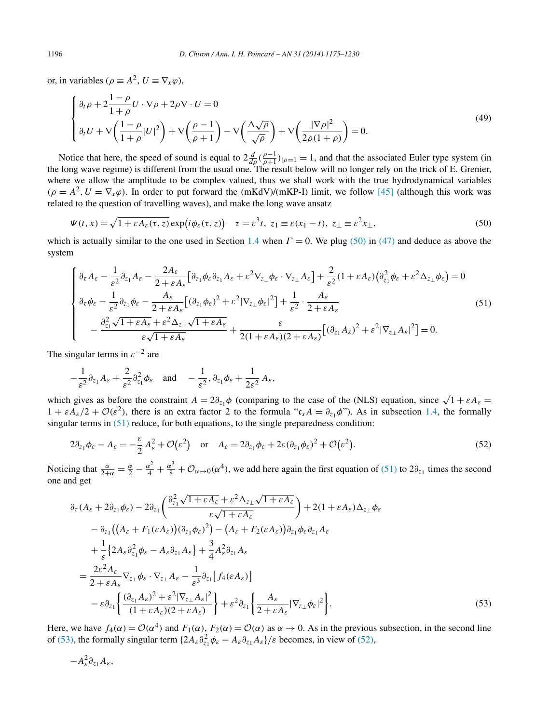<span id="page-21-0"></span>or, in variables ( $\rho \equiv A^2$ ,  $U \equiv \nabla_x \varphi$ ),

$$
\begin{cases} \n\partial_t \rho + 2 \frac{1 - \rho}{1 + \rho} U \cdot \nabla \rho + 2 \rho \nabla \cdot U = 0 \\
\partial_t U + \nabla \left( \frac{1 - \rho}{1 + \rho} |U|^2 \right) + \nabla \left( \frac{\rho - 1}{\rho + 1} \right) - \nabla \left( \frac{\Delta \sqrt{\rho}}{\sqrt{\rho}} \right) + \nabla \left( \frac{|\nabla \rho|^2}{2 \rho (1 + \rho)} \right) = 0.\n\end{cases} \tag{49}
$$

Notice that here, the speed of sound is equal to  $2\frac{d}{d\rho}(\frac{\rho-1}{\rho+1})_{|\rho=1}=1$ , and that the associated Euler type system (in the long wave regime) is different from the usual one. The result below will no longer rely on the trick of E. Grenier, where we allow the amplitude to be complex-valued, thus we shall work with the true hydrodynamical variables  $(\rho = A^2, U = \nabla_x \varphi)$ . In order to put forward the (mKdV)/(mKP-I) limit, we follow [\[45\]](#page-55-0) (although this work was related to the question of travelling waves), and make the long wave ansatz

$$
\Psi(t,x) = \sqrt{1 + \varepsilon A_{\varepsilon}(\tau,z)} \exp\left(i\phi_{\varepsilon}(\tau,z)\right) \quad \tau = \varepsilon^3 t, \ z_1 \equiv \varepsilon(x_1 - t), \ z_\perp \equiv \varepsilon^2 x_\perp,\tag{50}
$$

which is actually similar to the one used in Section [1.4](#page-11-0) when  $\Gamma = 0$ . We plug (50) in [\(47\)](#page-20-0) and deduce as above the system

$$
\begin{cases}\n\partial_{\tau} A_{\varepsilon} - \frac{1}{\varepsilon^{2}} \partial_{z_{1}} A_{\varepsilon} - \frac{2A_{\varepsilon}}{2 + \varepsilon A_{\varepsilon}} \left[ \partial_{z_{1}} \phi_{\varepsilon} \partial_{z_{1}} A_{\varepsilon} + \varepsilon^{2} \nabla_{z_{\perp}} \phi_{\varepsilon} \cdot \nabla_{z_{\perp}} A_{\varepsilon} \right] + \frac{2}{\varepsilon^{2}} (1 + \varepsilon A_{\varepsilon}) \left( \partial_{z_{1}}^{2} \phi_{\varepsilon} + \varepsilon^{2} \Delta_{z_{\perp}} \phi_{\varepsilon} \right) = 0 \\
\partial_{\tau} \phi_{\varepsilon} - \frac{1}{\varepsilon^{2}} \partial_{z_{1}} \phi_{\varepsilon} - \frac{A_{\varepsilon}}{2 + \varepsilon A_{\varepsilon}} \left[ (\partial_{z_{1}} \phi_{\varepsilon})^{2} + \varepsilon^{2} |\nabla_{z_{\perp}} \phi_{\varepsilon}|^{2} \right] + \frac{1}{\varepsilon^{2}} \cdot \frac{A_{\varepsilon}}{2 + \varepsilon A_{\varepsilon}} \\
-\frac{\partial_{z_{1}}^{2} \sqrt{1 + \varepsilon A_{\varepsilon} + \varepsilon^{2} \Delta_{z_{\perp}} \sqrt{1 + \varepsilon A_{\varepsilon}}}{\varepsilon \sqrt{1 + \varepsilon A_{\varepsilon}}} + \frac{\varepsilon}{2(1 + \varepsilon A_{\varepsilon})(2 + \varepsilon A_{\varepsilon})} \left[ (\partial_{z_{1}} A_{\varepsilon})^{2} + \varepsilon^{2} |\nabla_{z_{\perp}} A_{\varepsilon}|^{2} \right] = 0.\n\end{cases} \tag{51}
$$

The singular terms in  $\varepsilon^{-2}$  are

$$
-\frac{1}{\varepsilon^2}\partial_{z_1}A_{\varepsilon}+\frac{2}{\varepsilon^2}\partial_{z_1}^2\phi_{\varepsilon}\quad\text{and}\quad-\frac{1}{\varepsilon^2},\partial_{z_1}\phi_{\varepsilon}+\frac{1}{2\varepsilon^2}A_{\varepsilon},
$$

which gives as before the constraint  $A = 2\partial_{z_1}\phi$  (comparing to the case of the (NLS) equation, since  $\sqrt{1 + \varepsilon A_{\varepsilon}} =$  $1 + \varepsilon A_{\varepsilon}/2 + \mathcal{O}(\varepsilon^2)$ , there is an extra factor 2 to the formula " $c_s A = \partial_{z_1} \phi$ "). As in subsection [1.4,](#page-11-0) the formally singular terms in  $(51)$  reduce, for both equations, to the single preparedness condition:

$$
2\partial_{z_1}\phi_{\varepsilon} - A_{\varepsilon} = -\frac{\varepsilon}{2}A_{\varepsilon}^2 + \mathcal{O}(\varepsilon^2) \quad \text{or} \quad A_{\varepsilon} = 2\partial_{z_1}\phi_{\varepsilon} + 2\varepsilon(\partial_{z_1}\phi_{\varepsilon})^2 + \mathcal{O}(\varepsilon^2). \tag{52}
$$

Noticing that  $\frac{\alpha}{2+\alpha} = \frac{\alpha}{2} - \frac{\alpha^2}{4} + \frac{\alpha^3}{8} + \mathcal{O}_{\alpha \to 0}(\alpha^4)$ , we add here again the first equation of (51) to  $2\partial_{z_1}$  times the second one and get

$$
\partial_{\tau}(A_{\varepsilon} + 2\partial_{z_{1}}\phi_{\varepsilon}) - 2\partial_{z_{1}}\left(\frac{\partial_{z_{1}}^{2}\sqrt{1+\varepsilon A_{\varepsilon}} + \varepsilon^{2}\Delta_{z_{\perp}}\sqrt{1+\varepsilon A_{\varepsilon}}}{\varepsilon\sqrt{1+\varepsilon A_{\varepsilon}}}\right) + 2(1+\varepsilon A_{\varepsilon})\Delta_{z_{\perp}}\phi_{\varepsilon} \n- \partial_{z_{1}}\left((A_{\varepsilon} + F_{1}(\varepsilon A_{\varepsilon}))(\partial_{z_{1}}\phi_{\varepsilon})^{2}\right) - (A_{\varepsilon} + F_{2}(\varepsilon A_{\varepsilon}))\partial_{z_{1}}\phi_{\varepsilon}\partial_{z_{1}}A_{\varepsilon} \n+ \frac{1}{\varepsilon}\left\{2A_{\varepsilon}\partial_{z_{1}}^{2}\phi_{\varepsilon} - A_{\varepsilon}\partial_{z_{1}}A_{\varepsilon}\right\} + \frac{3}{4}A_{\varepsilon}^{2}\partial_{z_{1}}A_{\varepsilon} \n= \frac{2\varepsilon^{2}A_{\varepsilon}}{2+\varepsilon A_{\varepsilon}}\nabla_{z_{\perp}}\phi_{\varepsilon} \cdot \nabla_{z_{\perp}}A_{\varepsilon} - \frac{1}{\varepsilon^{3}}\partial_{z_{1}}\left[f_{4}(\varepsilon A_{\varepsilon})\right] \n- \varepsilon\partial_{z_{1}}\left\{\frac{(\partial_{z_{1}}A_{\varepsilon})^{2} + \varepsilon^{2}|\nabla_{z_{\perp}}A_{\varepsilon}|^{2}}{(1+\varepsilon A_{\varepsilon})(2+\varepsilon A_{\varepsilon})}\right\} + \varepsilon^{2}\partial_{z_{1}}\left\{\frac{A_{\varepsilon}}{2+\varepsilon A_{\varepsilon}}|\nabla_{z_{\perp}}\phi_{\varepsilon}|^{2}\right\}.
$$
\n(53)

Here, we have  $f_4(\alpha) = \mathcal{O}(\alpha^4)$  and  $F_1(\alpha)$ ,  $F_2(\alpha) = \mathcal{O}(\alpha)$  as  $\alpha \to 0$ . As in the previous subsection, in the second line of (53), the formally singular term  $\{2A_{\varepsilon} \partial_{z_1}^2 \phi_{\varepsilon} - A_{\varepsilon} \partial_{z_1} A_{\varepsilon}\}/\varepsilon$  becomes, in view of (52),

$$
-A_{\varepsilon}^2\partial_{z_1}A_{\varepsilon},
$$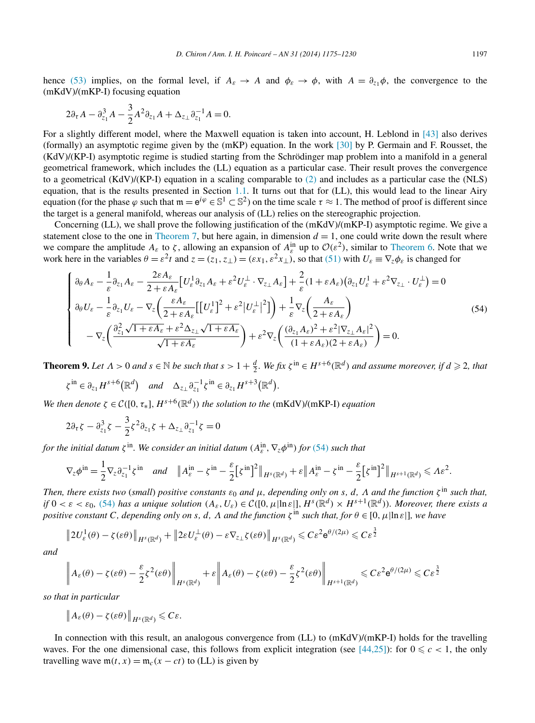<span id="page-22-0"></span>hence [\(53\)](#page-21-0) implies, on the formal level, if  $A_{\varepsilon} \to A$  and  $\phi_{\varepsilon} \to \phi$ , with  $A = \partial_{z_1} \phi$ , the convergence to the (mKdV)/(mKP-I) focusing equation

$$
2\partial_{\tau}A - \partial_{z_1}^3A - \frac{3}{2}A^2\partial_{z_1}A + \Delta_{z_{\perp}}\partial_{z_1}^{-1}A = 0.
$$

For a slightly different model, where the Maxwell equation is taken into account, H. Leblond in [\[43\]](#page-55-0) also derives (formally) an asymptotic regime given by the (mKP) equation. In the work [\[30\]](#page-55-0) by P. Germain and F. Rousset, the (KdV)/(KP-I) asymptotic regime is studied starting from the Schrödinger map problem into a manifold in a general geometrical framework, which includes the (LL) equation as a particular case. Their result proves the convergence to a geometrical (KdV)/(KP-I) equation in a scaling comparable to [\(2\)](#page-1-0) and includes as a particular case the (NLS) equation, that is the results presented in Section [1.1.](#page-1-0) It turns out that for (LL), this would lead to the linear Airy equation (for the phase  $\varphi$  such that  $m = e^{i\varphi} \in \mathbb{S}^1 \subset \mathbb{S}^2$ ) on the time scale  $\tau \approx 1$ . The method of proof is different since the target is a general manifold, whereas our analysis of (LL) relies on the stereographic projection.

Concerning (LL), we shall prove the following justification of the (mKdV)/(mKP-I) asymptotic regime. We give a statement close to the one in [Theorem 7,](#page-19-0) but here again, in dimension  $d = 1$ , one could write down the result where we compare the amplitude  $A_{\varepsilon}$  to  $\zeta$ , allowing an expansion of  $A_{\varepsilon}^{in}$  up to  $\mathcal{O}(\varepsilon^2)$ , similar to [Theorem 6.](#page-18-0) Note that we work here in the variables  $\theta = \varepsilon^2 t$  and  $z = (z_1, z_1) = (\varepsilon x_1, \varepsilon^2 x_1)$ , so that [\(51\)](#page-21-0) with  $U_{\varepsilon} \equiv \nabla_z \phi_{\varepsilon}$  is changed for

$$
\begin{cases}\n\partial_{\theta} A_{\varepsilon} - \frac{1}{\varepsilon} \partial_{z_1} A_{\varepsilon} - \frac{2\varepsilon A_{\varepsilon}}{2 + \varepsilon A_{\varepsilon}} \left[ U_{\varepsilon}^1 \partial_{z_1} A_{\varepsilon} + \varepsilon^2 U_{\varepsilon}^{\perp} \cdot \nabla_{z_{\perp}} A_{\varepsilon} \right] + \frac{2}{\varepsilon} (1 + \varepsilon A_{\varepsilon}) \left( \partial_{z_1} U_{\varepsilon}^1 + \varepsilon^2 \nabla_{z_{\perp}} \cdot U_{\varepsilon}^{\perp} \right) = 0 \\
\partial_{\theta} U_{\varepsilon} - \frac{1}{\varepsilon} \partial_{z_1} U_{\varepsilon} - \nabla_{z} \left( \frac{\varepsilon A_{\varepsilon}}{2 + \varepsilon A_{\varepsilon}} \left[ \left[ U_{\varepsilon}^1 \right]^2 + \varepsilon^2 \left| U_{\varepsilon}^{\perp} \right|^2 \right] \right) + \frac{1}{\varepsilon} \nabla_{z} \left( \frac{A_{\varepsilon}}{2 + \varepsilon A_{\varepsilon}} \right) \\
-\nabla_{z} \left( \frac{\partial_{z_1}^2 \sqrt{1 + \varepsilon A_{\varepsilon}} + \varepsilon^2 \Delta_{z_{\perp}} \sqrt{1 + \varepsilon A_{\varepsilon}}}{\sqrt{1 + \varepsilon A_{\varepsilon}}} \right) + \varepsilon^2 \nabla_{z} \left( \frac{(\partial_{z_1} A_{\varepsilon})^2 + \varepsilon^2 |\nabla_{z_{\perp}} A_{\varepsilon}|^2}{(1 + \varepsilon A_{\varepsilon})(2 + \varepsilon A_{\varepsilon})} \right) = 0.\n\end{cases} \tag{54}
$$

**Theorem 9.** Let  $\Lambda > 0$  and  $s \in \mathbb{N}$  be such that  $s > 1 + \frac{d}{2}$ . We fix  $\zeta^{\text{in}} \in H^{s+6}(\mathbb{R}^d)$  and assume moreover, if  $d \ge 2$ , that

$$
\zeta^{\text{in}} \in \partial_{z_1} H^{s+6}(\mathbb{R}^d) \quad \text{and} \quad \Delta_{z_\perp} \partial_{z_1}^{-1} \zeta^{\text{in}} \in \partial_{z_1} H^{s+3}(\mathbb{R}^d).
$$

*We then denote*  $\zeta \in C([0, \tau_*], H^{s+6}(\mathbb{R}^d))$  *the solution to the* (mKdV)/(mKP-I) *equation* 

$$
2\partial_{\tau}\zeta - \partial_{z_1}^3\zeta - \frac{3}{2}\zeta^2\partial_{z_1}\zeta + \Delta_{z_{\perp}}\partial_{z_1}^{-1}\zeta = 0
$$

*for the initial datum*  $\zeta$ <sup>in</sup>. We consider an initial datum  $(A_{\varepsilon}^{\text{in}}, \nabla_{z}\phi^{\text{in}})$  *for* (54) such that

$$
\nabla_z \phi^{\text{in}} = \frac{1}{2} \nabla_z \partial_{z_1}^{-1} \zeta^{\text{in}} \quad \text{and} \quad \|A_{\varepsilon}^{\text{in}} - \zeta^{\text{in}} - \frac{\varepsilon}{2} \big[ \zeta^{\text{in}} \big]^2 \|_{H^s(\mathbb{R}^d)} + \varepsilon \|A_{\varepsilon}^{\text{in}} - \zeta^{\text{in}} - \frac{\varepsilon}{2} \big[ \zeta^{\text{in}} \big]^2 \|_{H^{s+1}(\mathbb{R}^d)} \leqslant A \varepsilon^2.
$$

*Then, there exists two (small) positive constants*  $\varepsilon_0$  *and*  $\mu$ , depending only on *s*, *d*,  $\Lambda$  *and the function*  $\zeta$ <sup>in</sup> *such that,* if  $0 < \varepsilon < \varepsilon_0$ , (54) has a unique solution  $(A_\varepsilon, U_\varepsilon) \in \mathcal{C}([0, \mu|\ln \varepsilon|], H^s(\mathbb{R}^d) \times H^{s+1}(\mathbb{R}^d))$ . Moreover, there exists a *positive constant C, depending only on s, d, A and the function*  $\zeta^{\text{in}}$  *such that, for*  $\theta \in [0, \mu]$  *n e*]*, we have* 

$$
||2U_{\varepsilon}^1(\theta) - \zeta(\varepsilon\theta)||_{H^s(\mathbb{R}^d)} + ||2\varepsilon U_{\varepsilon}^{\perp}(\theta) - \varepsilon \nabla_{z_{\perp}} \zeta(\varepsilon\theta)||_{H^s(\mathbb{R}^d)} \leqslant C\varepsilon^2 e^{\theta/(2\mu)} \leqslant C\varepsilon^{\frac{3}{2}}
$$

*and*

$$
\left\| A_{\varepsilon}(\theta) - \zeta(\varepsilon \theta) - \frac{\varepsilon}{2} \zeta^2(\varepsilon \theta) \right\|_{H^s(\mathbb{R}^d)} + \varepsilon \left\| A_{\varepsilon}(\theta) - \zeta(\varepsilon \theta) - \frac{\varepsilon}{2} \zeta^2(\varepsilon \theta) \right\|_{H^{s+1}(\mathbb{R}^d)} \leqslant C \varepsilon^2 e^{\theta/(2\mu)} \leqslant C \varepsilon^{\frac{3}{2}}
$$

*so that in particular*

$$
\left\|A_{\varepsilon}(\theta)-\zeta(\varepsilon\theta)\right\|_{H^{s}(\mathbb{R}^{d})}\leqslant C\varepsilon.
$$

In connection with this result, an analogous convergence from (LL) to (mKdV)/(mKP-I) holds for the travelling waves. For the one dimensional case, this follows from explicit integration (see [\[44,25\]\)](#page-55-0): for  $0 \leq c < 1$ , the only travelling wave  $m(t, x) = m_c(x - ct)$  to (LL) is given by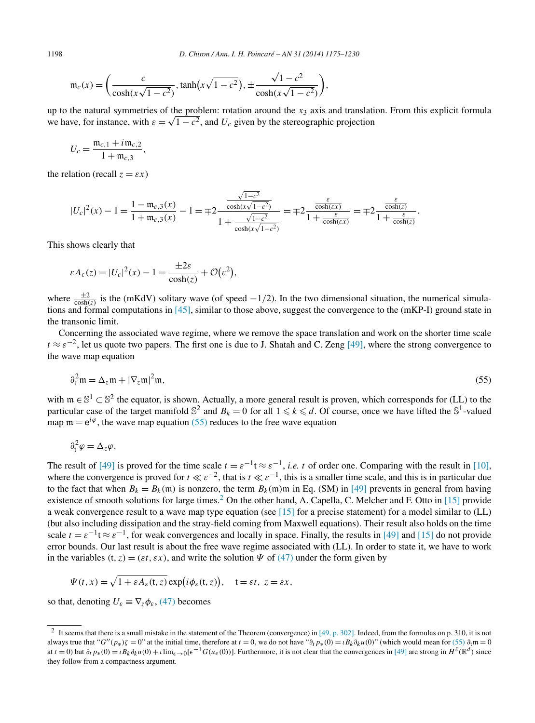$$
\mathfrak{m}_c(x) = \left(\frac{c}{\cosh(x\sqrt{1-c^2})}, \tanh(x\sqrt{1-c^2}), \pm \frac{\sqrt{1-c^2}}{\cosh(x\sqrt{1-c^2})}\right),\,
$$

up to the natural symmetries of the problem: rotation around the *x*<sub>3</sub> axis and translation. From this explicit formula up to the natural symmetries of the problem: rotation around the  $x_3$  axis and translation we have, for instance, with  $\varepsilon = \sqrt{1 - c^2}$ , and  $U_c$  given by the stereographic projection

$$
U_c = \frac{\mathfrak{m}_{c,1} + i \mathfrak{m}_{c,2}}{1 + \mathfrak{m}_{c,3}},
$$

the relation (recall  $z = \varepsilon x$ )

$$
|U_c|^2(x) - 1 = \frac{1 - \mathfrak{m}_{c,3}(x)}{1 + \mathfrak{m}_{c,3}(x)} - 1 = \mp 2 \frac{\frac{\sqrt{1 - c^2}}{\cosh(x\sqrt{1 - c^2})}}{1 + \frac{\sqrt{1 - c^2}}{\cosh(x\sqrt{1 - c^2})}} = \mp 2 \frac{\frac{\varepsilon}{\cosh(\varepsilon x)}}{1 + \frac{\varepsilon}{\cosh(\varepsilon x)}} = \mp 2 \frac{\frac{\varepsilon}{\cosh(z)}}{1 + \frac{\varepsilon}{\cosh(z)}}.
$$

This shows clearly that

$$
\varepsilon A_{\varepsilon}(z) = |U_c|^2(x) - 1 = \frac{\pm 2\varepsilon}{\cosh(z)} + \mathcal{O}(\varepsilon^2),
$$

where  $\frac{\pm 2}{\cosh(z)}$  is the (mKdV) solitary wave (of speed  $-1/2$ ). In the two dimensional situation, the numerical simulations and formal computations in [\[45\],](#page-55-0) similar to those above, suggest the convergence to the (mKP-I) ground state in the transonic limit.

Concerning the associated wave regime, where we remove the space translation and work on the shorter time scale  $t \approx \varepsilon^{-2}$ , let us quote two papers. The first one is due to J. Shatah and C. Zeng [\[49\],](#page-55-0) where the strong convergence to the wave map equation

$$
\partial_t^2 \mathfrak{m} = \Delta_z \mathfrak{m} + |\nabla_z \mathfrak{m}|^2 \mathfrak{m},\tag{55}
$$

with  $m \in \mathbb{S}^1 \subset \mathbb{S}^2$  the equator, is shown. Actually, a more general result is proven, which corresponds for (LL) to the particular case of the target manifold  $\mathbb{S}^2$  and  $B_k = 0$  for all  $1 \le k \le d$ . Of course, once we have lifted the  $\mathbb{S}^1$ -valued map  $m = e^{i\varphi}$ , the wave map equation (55) reduces to the free wave equation

$$
\partial_t^2 \varphi = \Delta_z \varphi.
$$

The result of [\[49\]](#page-55-0) is proved for the time scale  $t = \varepsilon^{-1} t \approx \varepsilon^{-1}$ , *i.e. t* of order one. Comparing with the result in [\[10\],](#page-54-0) where the convergence is proved for  $t \ll \varepsilon^{-2}$ , that is  $t \ll \varepsilon^{-1}$ , this is a smaller time scale, and this is in particular due to the fact that when  $B_k = B_k(m)$  is nonzero, the term  $B_k(m)m$  in Eq. (SM) in [\[49\]](#page-55-0) prevents in general from having existence of smooth solutions for large times.<sup>2</sup> On the other hand, A. Capella, C. Melcher and F. Otto in [\[15\]](#page-54-0) provide a weak convergence result to a wave map type equation (see [\[15\]](#page-54-0) for a precise statement) for a model similar to (LL) (but also including dissipation and the stray-field coming from Maxwell equations). Their result also holds on the time scale  $t = \varepsilon^{-1} t \approx \varepsilon^{-1}$ , for weak convergences and locally in space. Finally, the results in [\[49\]](#page-55-0) and [\[15\]](#page-54-0) do not provide error bounds. Our last result is about the free wave regime associated with (LL). In order to state it, we have to work in the variables  $(t, z) = (\varepsilon t, \varepsilon x)$ , and write the solution  $\Psi$  of [\(47\)](#page-20-0) under the form given by

$$
\Psi(t,x) = \sqrt{1 + \varepsilon A_{\varepsilon}(t,z)} \exp(i\phi_{\varepsilon}(t,z)), \quad t = \varepsilon t, \ z = \varepsilon x,
$$

so that, denoting  $U_{\varepsilon} \equiv \nabla_z \phi_{\varepsilon}$ , [\(47\)](#page-20-0) becomes

<sup>&</sup>lt;sup>2</sup> It seems that there is a small mistake in the statement of the Theorem (convergence) in [\[49, p. 302\].](#page-55-0) Indeed, from the formulas on p. 310, it is not always true that "*G*<sup>''</sup>(*p*\*<sub>*)ζ*</sub> = 0" at the initial time, therefore at *t* = 0, we do not have " $\partial_t p_*(0) = \iota B_k \partial_k u(0)$ " (which would mean for (55)  $\partial_t m = 0$ at  $t = 0$ ) but  $\partial_t p_*(0) = i B_k \partial_k u(0) + i \lim_{\epsilon \to 0} [\epsilon^{-1} G(u_\epsilon(0))]$ . Furthermore, it is not clear that the convergences in [\[49\]](#page-55-0) are strong in  $H^{\ell}(\mathbb{R}^d)$  since they follow from a compactness argument.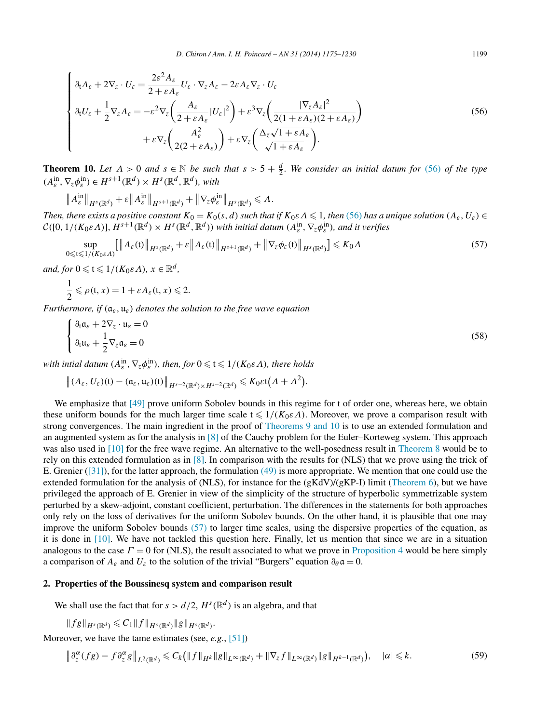<span id="page-24-0"></span>
$$
\begin{cases}\n\partial_t A_{\varepsilon} + 2\nabla_z \cdot U_{\varepsilon} = \frac{2\varepsilon^2 A_{\varepsilon}}{2 + \varepsilon A_{\varepsilon}} U_{\varepsilon} \cdot \nabla_z A_{\varepsilon} - 2\varepsilon A_{\varepsilon} \nabla_z \cdot U_{\varepsilon} \\
\partial_t U_{\varepsilon} + \frac{1}{2} \nabla_z A_{\varepsilon} = -\varepsilon^2 \nabla_z \left( \frac{A_{\varepsilon}}{2 + \varepsilon A_{\varepsilon}} |U_{\varepsilon}|^2 \right) + \varepsilon^3 \nabla_z \left( \frac{|\nabla_z A_{\varepsilon}|^2}{2(1 + \varepsilon A_{\varepsilon})(2 + \varepsilon A_{\varepsilon})} \right) \\
+ \varepsilon \nabla_z \left( \frac{A_{\varepsilon}^2}{2(2 + \varepsilon A_{\varepsilon})} \right) + \varepsilon \nabla_z \left( \frac{\Delta_z \sqrt{1 + \varepsilon A_{\varepsilon}}}{\sqrt{1 + \varepsilon A_{\varepsilon}}} \right).\n\end{cases} \tag{56}
$$

**Theorem 10.** Let  $\Lambda > 0$  and  $s \in \mathbb{N}$  be such that  $s > 5 + \frac{d}{2}$ . We consider an initial datum for (56) of the type  $(A_{\varepsilon}^{\text{in}}, \nabla_{z} \phi_{\varepsilon}^{\text{in}}) \in H^{s+1}(\mathbb{R}^{d}) \times H^{s}(\mathbb{R}^{d}, \mathbb{R}^{d})$ *, with* 

$$
\|A_{\varepsilon}^{\text{in}}\|_{H^{s}(\mathbb{R}^d)} + \varepsilon\|A_{\varepsilon}^{\text{in}}\|_{H^{s+1}(\mathbb{R}^d)} + \|\nabla_{z}\phi_{\varepsilon}^{\text{in}}\|_{H^{s}(\mathbb{R}^d)} \leq \Lambda.
$$

*Then, there exists a positive constant*  $K_0 = K_0(s, d)$  *such that if*  $K_0 \in \Lambda \leq 1$ *, then* (56) *has a unique solution*  $(A_\varepsilon, U_\varepsilon) \in$  $\mathcal{C}([0,1/(K_0\varepsilon\varLambda)],H^{s+1}(\mathbb{R}^d)\times H^s(\mathbb{R}^d,\mathbb{R}^d))$  with initial datum  $(A_{\varepsilon}^{\text{in}},\nabla_{z}\phi_{\varepsilon}^{\text{in}})$ , and it verifies

$$
\sup_{0 \leqslant t \leqslant 1/(K_0 \varepsilon A)} \left[ \left\| A_{\varepsilon}(t) \right\|_{H^s(\mathbb{R}^d)} + \varepsilon \left\| A_{\varepsilon}(t) \right\|_{H^{s+1}(\mathbb{R}^d)} + \left\| \nabla_z \phi_{\varepsilon}(t) \right\|_{H^s(\mathbb{R}^d)} \right] \leqslant K_0 A \tag{57}
$$

*and, for*  $0 \le t \le 1/(K_0 \varepsilon A)$ *,*  $x \in \mathbb{R}^d$ *,* 

$$
\frac{1}{2} \leqslant \rho(t, x) = 1 + \varepsilon A_{\varepsilon}(t, x) \leqslant 2.
$$

*Furthermore, if (*a*ε,* u*ε) denotes the solution to the free wave equation*

$$
\begin{cases} \partial_t \mathfrak{a}_{\varepsilon} + 2\nabla_z \cdot \mathfrak{u}_{\varepsilon} = 0 \\ \partial_t \mathfrak{u}_{\varepsilon} + \frac{1}{2} \nabla_z \mathfrak{a}_{\varepsilon} = 0 \end{cases}
$$
 (58)

*with intial datum*  $(A_{\varepsilon}^{\text{in}}, \nabla_{z} \phi_{\varepsilon}^{\text{in}})$ *, then, for*  $0 \leqslant t \leqslant 1/(K_{0} \varepsilon \Lambda)$ *, there holds* 

$$
\left\|(A_{\varepsilon},U_{\varepsilon})(t)-(\mathfrak{a}_{\varepsilon},\mathfrak{u}_{\varepsilon})(t)\right\|_{H^{s-2}(\mathbb{R}^d)\times H^{s-2}(\mathbb{R}^d)}\leqslant K_0\varepsilon t(\Lambda+\Lambda^2).
$$

We emphasize that [\[49\]](#page-55-0) prove uniform Sobolev bounds in this regime for t of order one, whereas here, we obtain these uniform bounds for the much larger time scale  $t \leq 1/(K_0 \varepsilon \Lambda)$ . Moreover, we prove a comparison result with strong convergences. The main ingredient in the proof of [Theorems 9 and 10](#page-22-0) is to use an extended formulation and an augmented system as for the analysis in [\[8\]](#page-54-0) of the Cauchy problem for the Euler–Korteweg system. This approach was also used in [\[10\]](#page-54-0) for the free wave regime. An alternative to the well-posedness result in [Theorem 8](#page-20-0) would be to rely on this extended formulation as in [\[8\].](#page-54-0) In comparison with the results for (NLS) that we prove using the trick of E. Grenier ( $[31]$ ), for the latter approach, the formulation  $(49)$  is more appropriate. We mention that one could use the extended formulation for the analysis of (NLS), for instance for the  $(gKdV)/(gKP-I)$  limit [\(Theorem 6\)](#page-18-0), but we have privileged the approach of E. Grenier in view of the simplicity of the structure of hyperbolic symmetrizable system perturbed by a skew-adjoint, constant coefficient, perturbation. The differences in the statements for both approaches only rely on the loss of derivatives for the uniform Sobolev bounds. On the other hand, it is plausible that one may improve the uniform Sobolev bounds (57) to larger time scales, using the dispersive properties of the equation, as it is done in [\[10\].](#page-54-0) We have not tackled this question here. Finally, let us mention that since we are in a situation analogous to the case  $\Gamma = 0$  for (NLS), the result associated to what we prove in [Proposition 4](#page-17-0) would be here simply a comparison of  $A_{\varepsilon}$  and  $U_{\varepsilon}$  to the solution of the trivial "Burgers" equation  $\partial_{\theta} \mathfrak{a} = 0$ .

# **2. Properties of the Boussinesq system and comparison result**

We shall use the fact that for  $s > d/2$ ,  $H<sup>s</sup>(\mathbb{R}<sup>d</sup>)$  is an algebra, and that

$$
||fg||_{H^s(\mathbb{R}^d)} \leqslant C_1 ||f||_{H^s(\mathbb{R}^d)} ||g||_{H^s(\mathbb{R}^d)}.
$$

Moreover, we have the tame estimates (see, *e.g.*, [\[51\]\)](#page-55-0)

$$
\left\|\partial_z^{\alpha}(fg) - f\partial_z^{\alpha}g\right\|_{L^2(\mathbb{R}^d)} \leq C_k \left(\|f\|_{H^k} \|g\|_{L^{\infty}(\mathbb{R}^d)} + \|\nabla_z f\|_{L^{\infty}(\mathbb{R}^d)} \|g\|_{H^{k-1}(\mathbb{R}^d)}\right), \quad |\alpha| \leq k. \tag{59}
$$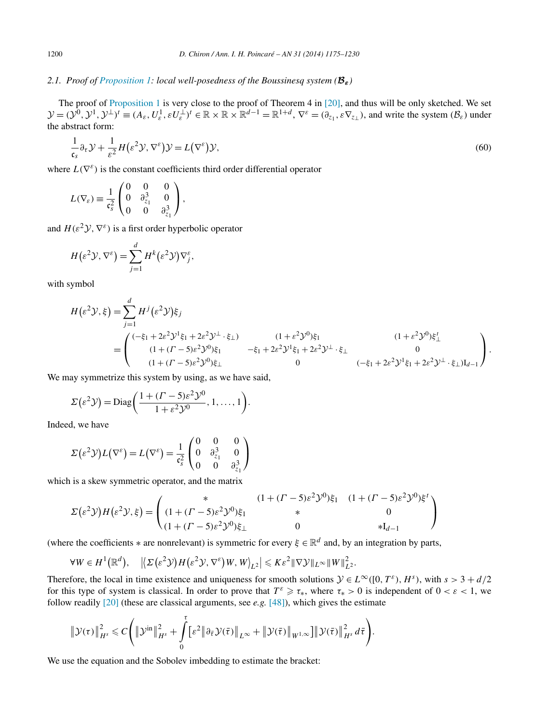# <span id="page-25-0"></span>*2.1. Proof of [Proposition 1:](#page-6-0) local well-posedness of the Boussinesq system (Bε)*

The proof of [Proposition 1](#page-6-0) is very close to the proof of Theorem 4 in [\[20\],](#page-54-0) and thus will be only sketched. We set  $\mathcal{Y} = (\mathcal{Y}^0, \mathcal{Y}^1, \mathcal{Y}^\perp)^t \equiv (A_\varepsilon, U_\varepsilon^1, \varepsilon U_\varepsilon^\perp)^t \in \mathbb{R} \times \mathbb{R} \times \mathbb{R}^{d-1} = \mathbb{R}^{1+d}, \nabla^\varepsilon = (\partial_{z_1}, \varepsilon \nabla_{z_1}),$  and write the system  $(\mathcal{B}_\varepsilon)$  under the abstract form:

$$
\frac{1}{\mathfrak{c}_s} \partial_\tau \mathcal{Y} + \frac{1}{\varepsilon^2} H(\varepsilon^2 \mathcal{Y}, \nabla^\varepsilon) \mathcal{Y} = L(\nabla^\varepsilon) \mathcal{Y},\tag{60}
$$

where  $L(\nabla^{\varepsilon})$  is the constant coefficients third order differential operator

$$
L(\nabla_{\varepsilon}) \equiv \frac{1}{\mathfrak{c}_{s}^{2}} \begin{pmatrix} 0 & 0 & 0 \\ 0 & \partial_{z_{1}}^{3} & 0 \\ 0 & 0 & \partial_{z_{1}}^{3} \end{pmatrix},
$$

and  $H(\varepsilon^2 \mathcal{Y}, \nabla^{\varepsilon})$  is a first order hyperbolic operator

$$
H(\varepsilon^2 \mathcal{Y}, \nabla^{\varepsilon}) = \sum_{j=1}^d H^k(\varepsilon^2 \mathcal{Y}) \nabla_j^{\varepsilon},
$$

with symbol

$$
H(\varepsilon^{2}\mathcal{Y},\xi) = \sum_{j=1}^{d} H^{j}(\varepsilon^{2}\mathcal{Y})\xi_{j}
$$
  
= 
$$
\begin{pmatrix} (-\xi_{1} + 2\varepsilon^{2}\mathcal{Y}^{1}\xi_{1} + 2\varepsilon^{2}\mathcal{Y}^{1} \cdot \xi_{\perp}) & (1 + \varepsilon^{2}\mathcal{Y}^{0})\xi_{1} & (1 + \varepsilon^{2}\mathcal{Y}^{0})\xi_{\perp} \\ (1 + (P - 5)\varepsilon^{2}\mathcal{Y}^{0})\xi_{1} & -\xi_{1} + 2\varepsilon^{2}\mathcal{Y}^{1}\xi_{1} + 2\varepsilon^{2}\mathcal{Y}^{1} \cdot \xi_{\perp} & 0 \\ (1 + (P - 5)\varepsilon^{2}\mathcal{Y}^{0})\xi_{\perp} & 0 & (-\xi_{1} + 2\varepsilon^{2}\mathcal{Y}^{1}\xi_{1} + 2\varepsilon^{2}\mathcal{Y}^{1} \cdot \xi_{\perp})I_{d-1} \end{pmatrix}.
$$

We may symmetrize this system by using, as we have said,

$$
\Sigma(\varepsilon^2 \mathcal{Y}) = \text{Diag}\bigg(\frac{1 + (T - 5)\varepsilon^2 \mathcal{Y}^0}{1 + \varepsilon^2 \mathcal{Y}^0}, 1, \dots, 1\bigg).
$$

Indeed, we have

$$
\Sigma(\varepsilon^2 \mathcal{Y})L(\nabla^{\varepsilon}) = L(\nabla^{\varepsilon}) = \frac{1}{c_s^2} \begin{pmatrix} 0 & 0 & 0 \\ 0 & \partial_{z_1}^3 & 0 \\ 0 & 0 & \partial_{z_1}^3 \end{pmatrix}
$$

which is a skew symmetric operator, and the matrix

$$
\Sigma(\varepsilon^2 \mathcal{Y})H(\varepsilon^2 \mathcal{Y}, \xi) = \begin{pmatrix} * & (1 + (\Gamma - 5)\varepsilon^2 \mathcal{Y}^0)\xi_1 & (1 + (\Gamma - 5)\varepsilon^2 \mathcal{Y}^0)\xi^t \\ (1 + (\Gamma - 5)\varepsilon^2 \mathcal{Y}^0)\xi_1 & * & 0 \\ (1 + (\Gamma - 5)\varepsilon^2 \mathcal{Y}^0)\xi_{\perp} & 0 & *I_{d-1} \end{pmatrix}
$$

(where the coefficients  $*$  are nonrelevant) is symmetric for every  $\xi \in \mathbb{R}^d$  and, by an integration by parts,

$$
\forall W \in H^{1}(\mathbb{R}^{d}), \quad \left| \left\langle \Sigma \left( \varepsilon^{2} \mathcal{Y} \right) H \left( \varepsilon^{2} \mathcal{Y}, \nabla^{\varepsilon} \right) W, W \right\rangle_{L^{2}} \right| \leqslant K \varepsilon^{2} \|\nabla \mathcal{Y} \|_{L^{\infty}} \|W\|_{L^{2}}^{2}.
$$

Therefore, the local in time existence and uniqueness for smooth solutions  $\mathcal{Y} \in L^{\infty}([0, T^{\varepsilon}), H^s)$ , with  $s > 3 + d/2$ for this type of system is classical. In order to prove that  $T^{\varepsilon} \geq \tau_*$ , where  $\tau_* > 0$  is independent of  $0 < \varepsilon < 1$ , we follow readily [\[20\]](#page-54-0) (these are classical arguments, see *e.g.* [\[48\]\)](#page-55-0), which gives the estimate

$$
\|\mathcal{Y}(\tau)\|_{H^s}^2 \leq C \Bigg( \|\mathcal{Y}^{\text{in}}\|_{H^s}^2 + \int\limits_0^{\tau} \big[ \varepsilon^2 \|\partial_{\bar{\tau}} \mathcal{Y}(\bar{\tau})\|_{L^\infty} + \|\mathcal{Y}(\bar{\tau})\|_{W^{1,\infty}} \big] \|\mathcal{Y}(\bar{\tau})\|_{H^s}^2 d\bar{\tau} \Bigg).
$$

We use the equation and the Sobolev imbedding to estimate the bracket: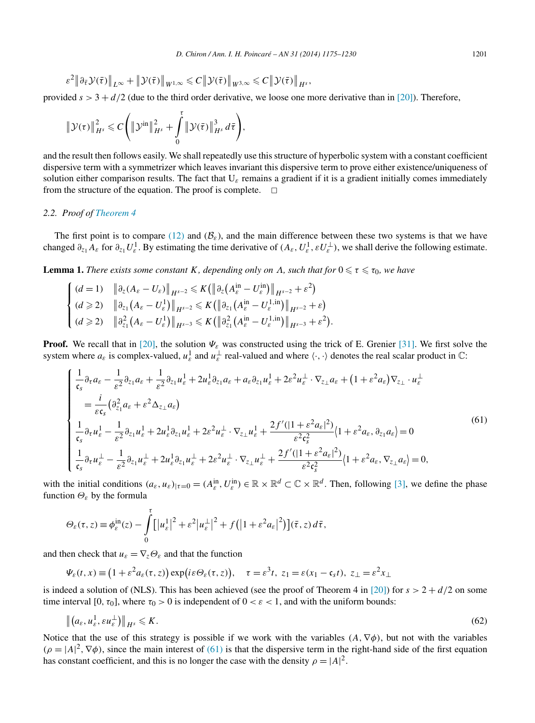<span id="page-26-0"></span>
$$
\varepsilon^2 \|\partial_{\bar{\tau}} \mathcal{Y}(\bar{\tau})\|_{L^\infty} + \|\mathcal{Y}(\bar{\tau})\|_{W^{1,\infty}} \leq C \|\mathcal{Y}(\bar{\tau})\|_{W^{3,\infty}} \leq C \|\mathcal{Y}(\bar{\tau})\|_{H^s},
$$

provided  $s > 3 + d/2$  (due to the third order derivative, we loose one more derivative than in [\[20\]\)](#page-54-0). Therefore,

$$
\|\mathcal{Y}(\tau)\|_{H^s}^2 \leq C\Bigg(\|\mathcal{Y}^{\text{in}}\|_{H^s}^2 + \int\limits_0^\tau \|\mathcal{Y}(\bar{\tau})\|_{H^s}^3\,d\bar{\tau}\Bigg),
$$

and the result then follows easily. We shall repeatedly use this structure of hyperbolic system with a constant coefficient dispersive term with a symmetrizer which leaves invariant this dispersive term to prove either existence/uniqueness of solution either comparison results. The fact that U*<sup>ε</sup>* remains a gradient if it is a gradient initially comes immediately from the structure of the equation. The proof is complete.  $\Box$ 

# *2.2. Proof of [Theorem 4](#page-7-0)*

The first point is to compare [\(12\)](#page-5-0) and ( $\mathcal{B}_{\varepsilon}$ ), and the main difference between these two systems is that we have changed  $\partial_{z_1} A_\varepsilon$  for  $\partial_{z_1} U_\varepsilon^1$ . By estimating the time derivative of  $(A_\varepsilon, U_\varepsilon^1, \varepsilon U_\varepsilon^\perp)$ , we shall derive the following estimate.

**Lemma 1.** *There exists some constant K, depending only on Λ, such that for*  $0 \le \tau \le \tau_0$ *, we have* 

$$
\begin{cases}\n(d = 1) & \left\| \partial_z (A_{\varepsilon} - U_{\varepsilon}) \right\|_{H^{s-2}} \leq K \left( \left\| \partial_z \left( A^{\text{in}}_{\varepsilon} - U^{\text{in}}_{\varepsilon} \right) \right\|_{H^{s-2}} + \varepsilon^2 \right) \\
(d \geq 2) & \left\| \partial_{z_1} (A_{\varepsilon} - U_{\varepsilon}^1) \right\|_{H^{s-2}} \leq K \left( \left\| \partial_{z_1} (A^{\text{in}}_{\varepsilon} - U_{\varepsilon}^{1, \text{in}}) \right\|_{H^{s-2}} + \varepsilon \right) \\
(d \geq 2) & \left\| \partial_{z_1}^2 (A_{\varepsilon} - U_{\varepsilon}^1) \right\|_{H^{s-3}} \leq K \left( \left\| \partial_{z_1}^2 (A^{\text{in}}_{\varepsilon} - U_{\varepsilon}^{1, \text{in}}) \right\|_{H^{s-3}} + \varepsilon^2 \right).\n\end{cases}
$$

**Proof.** We recall that in [\[20\],](#page-54-0) the solution  $\Psi_{\varepsilon}$  was constructed using the trick of E. Grenier [\[31\].](#page-55-0) We first solve the system where  $a_{\varepsilon}$  is complex-valued,  $u_{\varepsilon}^1$  and  $u_{\varepsilon}^{\perp}$  real-valued and where  $\langle \cdot, \cdot \rangle$  denotes the real scalar product in  $\mathbb{C}$ :

$$
\begin{cases}\n\frac{1}{\mathfrak{c}_{s}}\partial_{\tau}a_{\varepsilon} - \frac{1}{\varepsilon^{2}}\partial_{z_{1}}a_{\varepsilon} + \frac{1}{\varepsilon^{2}}\partial_{z_{1}}u_{\varepsilon}^{1} + 2u_{\varepsilon}^{1}\partial_{z_{1}}a_{\varepsilon} + a_{\varepsilon}\partial_{z_{1}}u_{\varepsilon}^{1} + 2\varepsilon^{2}u_{\varepsilon}^{1} \cdot \nabla_{z_{\perp}}a_{\varepsilon} + (1 + \varepsilon^{2}a_{\varepsilon})\nabla_{z_{\perp}} \cdot u_{\varepsilon}^{\perp} \\
= \frac{i}{\varepsilon\mathfrak{c}_{s}}(\partial_{z_{1}}^{2}a_{\varepsilon} + \varepsilon^{2}\Delta_{z_{\perp}}a_{\varepsilon}) \\
\frac{1}{\mathfrak{c}_{s}}\partial_{\tau}u_{\varepsilon}^{1} - \frac{1}{\varepsilon^{2}}\partial_{z_{1}}u_{\varepsilon}^{1} + 2u_{\varepsilon}^{1}\partial_{z_{1}}u_{\varepsilon}^{1} + 2\varepsilon^{2}u_{\varepsilon}^{1} \cdot \nabla_{z_{\perp}}u_{\varepsilon}^{1} + \frac{2f'(11 + \varepsilon^{2}a_{\varepsilon})^{2}}{\varepsilon^{2}\mathfrak{c}_{s}^{2}}(1 + \varepsilon^{2}a_{\varepsilon}, \partial_{z_{1}}a_{\varepsilon}) = 0 \\
\frac{1}{\mathfrak{c}_{s}}\partial_{\tau}u_{\varepsilon}^{1} - \frac{1}{\varepsilon^{2}}\partial_{z_{1}}u_{\varepsilon}^{1} + 2u_{\varepsilon}^{1}\partial_{z_{1}}u_{\varepsilon}^{1} + 2\varepsilon^{2}u_{\varepsilon}^{1} \cdot \nabla_{z_{\perp}}u_{\varepsilon}^{1} + \frac{2f'(11 + \varepsilon^{2}a_{\varepsilon})^{2}}{\varepsilon^{2}\mathfrak{c}_{s}^{2}}(1 + \varepsilon^{2}a_{\varepsilon}, \nabla_{z_{\perp}}a_{\varepsilon}) = 0, \n\end{cases} \tag{61}
$$

with the initial conditions  $(a_{\varepsilon}, u_{\varepsilon})_{|\tau=0} = (A_{\varepsilon}^{\text{in}}, U_{\varepsilon}^{\text{in}}) \in \mathbb{R} \times \mathbb{R}^d \subset \mathbb{C} \times \mathbb{R}^d$ . Then, following [\[3\],](#page-54-0) we define the phase function *Θε* by the formula

$$
\Theta_{\varepsilon}(\tau,z) \equiv \phi_{\varepsilon}^{\rm in}(z) - \int_{0}^{\tau} \left[ \left| u_{\varepsilon}^{1} \right|^{2} + \varepsilon^{2} \left| u_{\varepsilon}^{\perp} \right|^{2} + f \left( \left| 1 + \varepsilon^{2} a_{\varepsilon} \right|^{2} \right) \right] (\bar{\tau},z) d\bar{\tau},
$$

and then check that  $u_{\varepsilon} = \nabla_{z} \Theta_{\varepsilon}$  and that the function

$$
\Psi_{\varepsilon}(t,x) \equiv (1+\varepsilon^2 a_{\varepsilon}(\tau,z)) \exp(i\varepsilon \Theta_{\varepsilon}(\tau,z)), \quad \tau = \varepsilon^3 t, \ z_1 = \varepsilon (x_1 - \mathfrak{c}_s t), \ z_{\perp} = \varepsilon^2 x_{\perp}
$$

is indeed a solution of (NLS). This has been achieved (see the proof of Theorem 4 in [\[20\]\)](#page-54-0) for  $s > 2 + d/2$  on some time interval  $[0, \tau_0]$ , where  $\tau_0 > 0$  is independent of  $0 < \varepsilon < 1$ , and with the uniform bounds:

$$
\left\| \left( a_{\varepsilon}, u_{\varepsilon}^1, \varepsilon u_{\varepsilon}^{\perp} \right) \right\|_{H^s} \leqslant K. \tag{62}
$$

Notice that the use of this strategy is possible if we work with the variables  $(A, \nabla \phi)$ , but not with the variables  $(\rho = |A|^2, \nabla \phi)$ , since the main interest of (61) is that the dispersive term in the right-hand side of the first equation has constant coefficient, and this is no longer the case with the density  $\rho = |A|^2$ .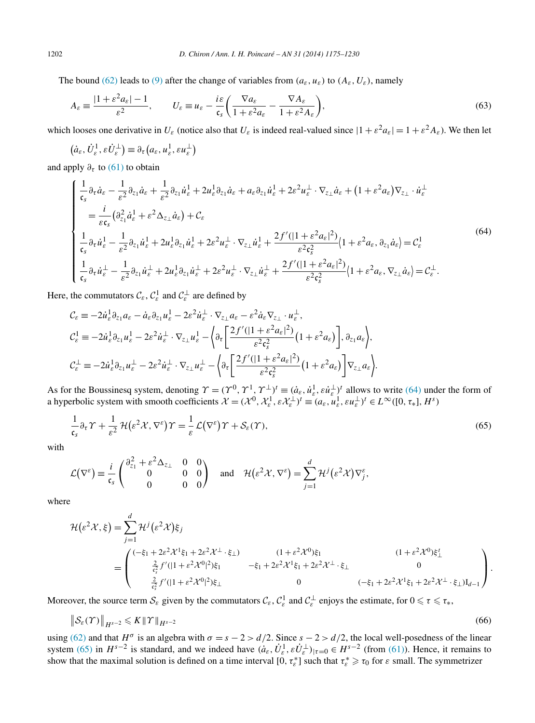<span id="page-27-0"></span>The bound [\(62\)](#page-26-0) leads to [\(9\)](#page-4-0) after the change of variables from  $(a_{\varepsilon}, u_{\varepsilon})$  to  $(A_{\varepsilon}, U_{\varepsilon})$ , namely

$$
A_{\varepsilon} \equiv \frac{|1 + \varepsilon^2 a_{\varepsilon}| - 1}{\varepsilon^2}, \qquad U_{\varepsilon} \equiv u_{\varepsilon} - \frac{i\varepsilon}{\mathfrak{c}_s} \left( \frac{\nabla a_{\varepsilon}}{1 + \varepsilon^2 a_{\varepsilon}} - \frac{\nabla A_{\varepsilon}}{1 + \varepsilon^2 A_{\varepsilon}} \right),\tag{63}
$$

which looses one derivative in  $U_{\varepsilon}$  (notice also that  $U_{\varepsilon}$  is indeed real-valued since  $|1 + \varepsilon^2 a_{\varepsilon}| = 1 + \varepsilon^2 A_{\varepsilon}$ ). We then let

$$
(\dot{a}_{\varepsilon}, \dot{U}_{\varepsilon}^1, \varepsilon \dot{U}_{\varepsilon}^{\perp}) \equiv \partial_{\tau} (a_{\varepsilon}, u_{\varepsilon}^1, \varepsilon u_{\varepsilon}^{\perp})
$$

and apply  $\partial_{\tau}$  to [\(61\)](#page-26-0) to obtain

$$
\begin{cases}\n\frac{1}{\mathfrak{c}_{s}}\partial_{\tau}\dot{a}_{\varepsilon} - \frac{1}{\varepsilon^{2}}\partial_{z_{1}}\dot{a}_{\varepsilon} + \frac{1}{\varepsilon^{2}}\partial_{z_{1}}\dot{u}_{\varepsilon}^{1} + 2u_{\varepsilon}^{1}\partial_{z_{1}}\dot{a}_{\varepsilon} + a_{\varepsilon}\partial_{z_{1}}\dot{u}_{\varepsilon}^{1} + 2\varepsilon^{2}u_{\varepsilon}^{1} \cdot \nabla_{z_{\perp}}\dot{a}_{\varepsilon} + (1 + \varepsilon^{2}a_{\varepsilon})\nabla_{z_{\perp}} \cdot \dot{u}_{\varepsilon}^{1} \\
= \frac{i}{\varepsilon\mathfrak{c}_{s}}(\partial_{z_{1}}^{2}\dot{a}_{\varepsilon}^{1} + \varepsilon^{2}\Delta_{z_{\perp}}\dot{a}_{\varepsilon}) + C_{\varepsilon} \\
\frac{1}{\mathfrak{c}_{s}}\partial_{\tau}\dot{u}_{\varepsilon}^{1} - \frac{1}{\varepsilon^{2}}\partial_{z_{1}}\dot{u}_{\varepsilon}^{1} + 2u_{\varepsilon}^{1}\partial_{z_{1}}\dot{u}_{\varepsilon}^{1} + 2\varepsilon^{2}u_{\varepsilon}^{1} \cdot \nabla_{z_{\perp}}\dot{u}_{\varepsilon}^{1} + \frac{2f'(1 + \varepsilon^{2}a_{\varepsilon})^{2}}{\varepsilon^{2}\mathfrak{c}_{s}^{2}}(1 + \varepsilon^{2}a_{\varepsilon}, \partial_{z_{1}}\dot{a}_{\varepsilon}) = C_{\varepsilon}^{1} \\
\frac{1}{\mathfrak{c}_{s}}\partial_{\tau}\dot{u}_{\varepsilon}^{1} - \frac{1}{\varepsilon^{2}}\partial_{z_{1}}\dot{u}_{\varepsilon}^{1} + 2u_{\varepsilon}^{1}\partial_{z_{1}}\dot{u}_{\varepsilon}^{1} + 2\varepsilon^{2}u_{\varepsilon}^{1} \cdot \nabla_{z_{\perp}}\dot{u}_{\varepsilon}^{1} + \frac{2f'(1 + \varepsilon^{2}a_{\varepsilon})^{2}}{\varepsilon^{2}\mathfrak{c}_{s}^{2}}(1 + \varepsilon^{2}a_{\varepsilon}, \nabla_{z_{\per
$$

Here, the commutators  $\mathcal{C}_{\varepsilon}$ ,  $\mathcal{C}_{\varepsilon}^1$  and  $\mathcal{C}_{\varepsilon}^{\perp}$  are defined by

$$
\mathcal{C}_{\varepsilon} \equiv -2\dot{u}_{\varepsilon}^{1} \partial_{z_{1}} a_{\varepsilon} - \dot{a}_{\varepsilon} \partial_{z_{1}} u_{\varepsilon}^{1} - 2\varepsilon^{2} \dot{u}_{\varepsilon}^{1} \cdot \nabla_{z_{\perp}} a_{\varepsilon} - \varepsilon^{2} \dot{a}_{\varepsilon} \nabla_{z_{\perp}} \cdot u_{\varepsilon}^{1},
$$
\n
$$
\mathcal{C}_{\varepsilon}^{1} \equiv -2\dot{u}_{\varepsilon}^{1} \partial_{z_{1}} u_{\varepsilon}^{1} - 2\varepsilon^{2} \dot{u}_{\varepsilon}^{1} \cdot \nabla_{z_{\perp}} u_{\varepsilon}^{1} - \left\{ \partial_{\tau} \left[ \frac{2f'(1 + \varepsilon^{2} a_{\varepsilon})^{2}}{\varepsilon^{2} \zeta^{2}} \left( 1 + \varepsilon^{2} a_{\varepsilon} \right) \right], \partial_{z_{1}} a_{\varepsilon} \right\},
$$
\n
$$
\mathcal{C}_{\varepsilon}^{\perp} \equiv -2\dot{u}_{\varepsilon}^{1} \partial_{z_{1}} u_{\varepsilon}^{1} - 2\varepsilon^{2} \dot{u}_{\varepsilon}^{1} \cdot \nabla_{z_{\perp}} u_{\varepsilon}^{1} - \left\{ \partial_{\tau} \left[ \frac{2f'(1 + \varepsilon^{2} a_{\varepsilon})^{2}}{\varepsilon^{2} \zeta^{2}} \left( 1 + \varepsilon^{2} a_{\varepsilon} \right) \right] \nabla_{z_{\perp}} a_{\varepsilon} \right\}.
$$

As for the Boussinesq system, denoting  $\gamma = (\gamma^0, \gamma^1, \gamma^{\perp})^t \equiv (\dot{a}_{\varepsilon}, \dot{u}_{\varepsilon}^1, \varepsilon \dot{u}_{\varepsilon}^{\perp})^t$  allows to write (64) under the form of a hyperbolic system with smooth coefficients  $\mathcal{X} = (\mathcal{X}^0, \mathcal{X}^1_\varepsilon, \varepsilon \mathcal{X}^\perp_\varepsilon)^t \equiv (a_\varepsilon, u_\varepsilon^1, \varepsilon u_\varepsilon^\perp)^t \in L^\infty([0, \tau_*], H^s)$ 

$$
\frac{1}{\epsilon_s} \partial_\tau \Upsilon + \frac{1}{\epsilon^2} \mathcal{H}(\epsilon^2 \mathcal{X}, \nabla^\varepsilon) \Upsilon = \frac{1}{\epsilon} \mathcal{L}(\nabla^\varepsilon) \Upsilon + \mathcal{S}_\varepsilon(\Upsilon), \tag{65}
$$

with

$$
\mathcal{L}(\nabla^{\varepsilon}) \equiv \frac{i}{\mathfrak{c}_{s}} \begin{pmatrix} \frac{\partial_{z_{1}}^{2} + \varepsilon^{2} \Delta_{z_{\perp}} & 0 & 0 \\ 0 & 0 & 0 \end{pmatrix} \quad \text{and} \quad \mathcal{H}(\varepsilon^{2} \mathcal{X}, \nabla^{\varepsilon}) = \sum_{j=1}^{d} \mathcal{H}^{j}(\varepsilon^{2} \mathcal{X}) \nabla_{j}^{\varepsilon},
$$

where

$$
\mathcal{H}(\varepsilon^{2}\mathcal{X},\xi) = \sum_{j=1}^{d} \mathcal{H}^{j}(\varepsilon^{2}\mathcal{X})\xi_{j} \n= \begin{pmatrix}\n(-\xi_{1} + 2\varepsilon^{2}\mathcal{X}^{1}\xi_{1} + 2\varepsilon^{2}\mathcal{X}^{1} \cdot \xi_{\perp}) & (1 + \varepsilon^{2}\mathcal{X}^{0})\xi_{1} & (1 + \varepsilon^{2}\mathcal{X}^{0})\xi_{\perp} \\
\frac{2}{\varepsilon_{s}^{2}} f'(1 + \varepsilon^{2}\mathcal{X}^{0})^{2}\xi_{1} & -\xi_{1} + 2\varepsilon^{2}\mathcal{X}^{1}\xi_{1} + 2\varepsilon^{2}\mathcal{X}^{1} \cdot \xi_{\perp} & 0 \\
0 & (-\xi_{1} + 2\varepsilon^{2}\mathcal{X}^{1}\xi_{1} + 2\varepsilon^{2}\mathcal{X}^{1} \cdot \xi_{\perp})I_{d-1}\n\end{pmatrix}.
$$

Moreover, the source term  $S_{\varepsilon}$  given by the commutators  $C_{\varepsilon}$ ,  $C_{\varepsilon}^1$  and  $C_{\varepsilon}^{\perp}$  enjoys the estimate, for  $0 \le \tau \le \tau_*$ ,

$$
\|\mathcal{S}_{\varepsilon}(\Upsilon)\|_{H^{s-2}} \leqslant K \|\Upsilon\|_{H^{s-2}} \tag{66}
$$

using [\(62\)](#page-26-0) and that  $H^{\sigma}$  is an algebra with  $\sigma = s - 2 > d/2$ . Since  $s - 2 > d/2$ , the local well-posedness of the linear system (65) in  $H^{s-2}$  is standard, and we indeed have  $(a_{\varepsilon}, \dot{U}_{\varepsilon}^1, \varepsilon \dot{U}_{\varepsilon}^{\perp})|_{\tau=0} \in H^{s-2}$  (from [\(61\)\)](#page-26-0). Hence, it remains to show that the maximal solution is defined on a time interval  $[0, \tau_{\varepsilon}^*]$  such that  $\tau_{\varepsilon}^* \geq \tau_0$  for  $\varepsilon$  small. The symmetrizer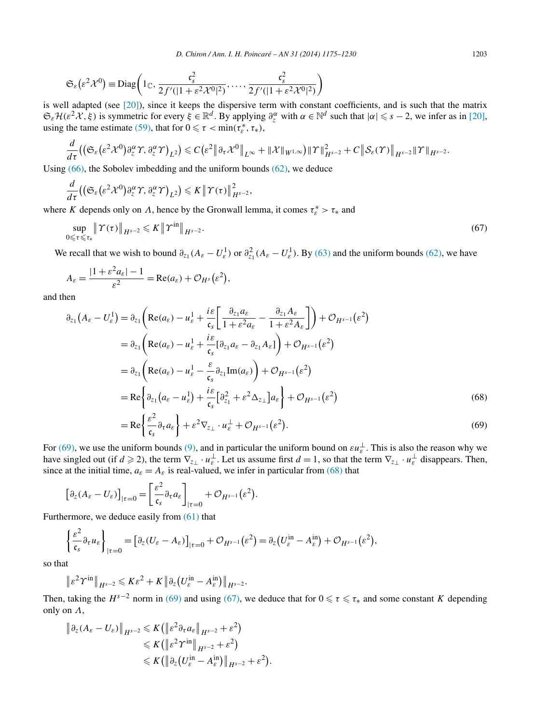<span id="page-28-0"></span>
$$
\mathfrak{S}_{\varepsilon}(\varepsilon^2 \mathcal{X}^0) \equiv \text{Diag}\bigg(1_{\mathbb{C}}, \frac{\mathfrak{c}_s^2}{2f'(|1 + \varepsilon^2 \mathcal{X}^0|^2)}, \dots, \frac{\mathfrak{c}_s^2}{2f'(|1 + \varepsilon^2 \mathcal{X}^0|^2)}\bigg)
$$

is well adapted (see [\[20\]\)](#page-54-0), since it keeps the dispersive term with constant coefficients, and is such that the matrix  $\mathfrak{S}_{\varepsilon}H(\varepsilon^2 X, \xi)$  is symmetric for every  $\xi \in \mathbb{R}^d$ . By applying  $\partial_{\zeta}^{\alpha}$  with  $\alpha \in \mathbb{N}^d$  such that  $|\alpha| \leq s - 2$ , we infer as in [\[20\],](#page-54-0) using the tame estimate [\(59\),](#page-24-0) that for  $0 \le \tau < \min(\tau_{\varepsilon}^*, \tau_*)$ ,

$$
\frac{d}{d\tau}\big(\big(\mathfrak{S}_\varepsilon\big(\varepsilon^2\mathcal{X}^0\big)\partial^\alpha_\zeta\varUpsilon,\partial^\alpha_\zeta\varUpsilon\big)_{L^2}\big)\leqslant C\big(\varepsilon^2\big\|\partial_\tau\mathcal{X}^0\big\|_{L^\infty}+\|\mathcal{X}\|_{W^{1,\infty}}\big)\|\varUpsilon\|_{H^{s-2}}^2+C\big\|\mathcal{S}_\varepsilon(\varUpsilon)\big\|_{H^{s-2}}\|\varUpsilon\|_{H^{s-2}}.
$$

Using [\(66\),](#page-27-0) the Sobolev imbedding and the uniform bounds [\(62\),](#page-26-0) we deduce

$$
\frac{d}{d\tau}\big(\big(\mathfrak{S}_{\varepsilon}\big(\varepsilon^2\mathcal{X}^0\big)\partial_{z}^{\alpha}\varUpsilon,\partial_{z}^{\alpha}\varUpsilon\big)_{L^2}\big)\leqslant K\big\|\varUpsilon(\tau)\big\|_{H^{s-2}}^2,
$$

where *K* depends only on *Λ*, hence by the Gronwall lemma, it comes  $\tau_{\varepsilon}^* > \tau_*$  and

$$
\sup_{0 \leq \tau \leq \tau_*} \left\| \Upsilon(\tau) \right\|_{H^{s-2}} \leqslant K \left\| \Upsilon^{\text{in}} \right\|_{H^{s-2}}.
$$
\n
$$
(67)
$$

We recall that we wish to bound  $\partial_{z_1}(A_{\varepsilon}-U_{\varepsilon}^1)$  or  $\partial_{z_1}^2(A_{\varepsilon}-U_{\varepsilon}^1)$ . By [\(63\)](#page-27-0) and the uniform bounds [\(62\),](#page-26-0) we have

$$
A_{\varepsilon} = \frac{|1 + \varepsilon^2 a_{\varepsilon}| - 1}{\varepsilon^2} = \text{Re}(a_{\varepsilon}) + \mathcal{O}_{H^s}(\varepsilon^2),
$$

and then

$$
\partial_{z_1} (A_{\varepsilon} - U_{\varepsilon}^1) = \partial_{z_1} \left( \operatorname{Re}(a_{\varepsilon}) - u_{\varepsilon}^1 + \frac{i\varepsilon}{\mathfrak{c}_s} \left[ \frac{\partial_{z_1} a_{\varepsilon}}{1 + \varepsilon^2 a_{\varepsilon}} - \frac{\partial_{z_1} A_{\varepsilon}}{1 + \varepsilon^2 A_{\varepsilon}} \right] \right) + \mathcal{O}_{H^{s-1}}(\varepsilon^2)
$$
  
\n
$$
= \partial_{z_1} \left( \operatorname{Re}(a_{\varepsilon}) - u_{\varepsilon}^1 + \frac{i\varepsilon}{\mathfrak{c}_s} [\partial_{z_1} a_{\varepsilon} - \partial_{z_1} A_{\varepsilon}] \right) + \mathcal{O}_{H^{s-1}}(\varepsilon^2)
$$
  
\n
$$
= \partial_{z_1} \left( \operatorname{Re}(a_{\varepsilon}) - u_{\varepsilon}^1 - \frac{\varepsilon}{\mathfrak{c}_s} \partial_{z_1} \operatorname{Im}(a_{\varepsilon}) \right) + \mathcal{O}_{H^{s-1}}(\varepsilon^2)
$$
  
\n
$$
= \operatorname{Re} \left\{ \partial_{z_1} (a_{\varepsilon} - u_{\varepsilon}^1) + \frac{i\varepsilon}{\mathfrak{c}_s} [\partial_{z_1}^2 + \varepsilon^2 \Delta_{z_{\perp}}] a_{\varepsilon} \right\} + \mathcal{O}_{H^{s-1}}(\varepsilon^2)
$$
  
\n
$$
= \operatorname{Re} \left\{ \frac{\varepsilon^2}{\mathfrak{c}_s} \partial_{\tau} a_{\varepsilon} \right\} + \varepsilon^2 \nabla_{z_{\perp}} \cdot u_{\varepsilon}^{\perp} + \mathcal{O}_{H^{s-1}}(\varepsilon^2).
$$
  
\n(69)

For (69), we use the uniform bounds (9), and in particular the uniform bound on 
$$
\varepsilon u_{\varepsilon}^{\perp}
$$
. This is also the reason why we

have singled out (if  $d \ge 2$ ), the term  $\nabla_{z_\perp} \cdot u_{\varepsilon}^{\perp}$ . Let us assume first  $d = 1$ , so that the term  $\nabla_{z_\perp} \cdot u_{\varepsilon}^{\perp}$  disappears. Then, since at the initial time,  $a_{\varepsilon} = A_{\varepsilon}$  is real-valued, we infer in particular from (68) that

$$
\left[\partial_z(A_{\varepsilon}-U_{\varepsilon})\right]_{|z=0}=\left[\frac{\varepsilon^2}{\mathfrak{c}_s}\partial_\tau a_{\varepsilon}\right]_{|z=0}+\mathcal{O}_{H^{s-1}}(\varepsilon^2).
$$

Furthermore, we deduce easily from [\(61\)](#page-26-0) that

$$
\left\{\frac{\varepsilon^2}{\mathfrak{c}_s} \partial_\tau u_\varepsilon\right\}_{|\tau=0} = \left[\partial_z(U_\varepsilon - A_\varepsilon)\right]_{|\tau=0} + \mathcal{O}_{H^{s-1}}(\varepsilon^2) = \partial_z\left(U_\varepsilon^{\text{in}} - A_\varepsilon^{\text{in}}\right) + \mathcal{O}_{H^{s-1}}(\varepsilon^2),
$$

so that

$$
\|\varepsilon^2\Upsilon^{\text{in}}\|_{H^{s-2}}\leqslant K\varepsilon^2+K\|\partial_z(U_{\varepsilon}^{\text{in}}-A_{\varepsilon}^{\text{in}})\|_{H^{s-2}}.
$$

Then, taking the  $H^{s-2}$  norm in (69) and using (67), we deduce that for  $0 \le \tau \le \tau_*$  and some constant *K* depending only on *Λ*,

$$
\|\partial_z(A_{\varepsilon}-U_{\varepsilon})\|_{H^{s-2}} \leqslant K\left(\left\|\varepsilon^2 \partial_{\tau} a_{\varepsilon}\right\|_{H^{s-2}} + \varepsilon^2\right) \leqslant K\left(\left\|\varepsilon^2 \varUpsilon^{\text{in}}\right\|_{H^{s-2}} + \varepsilon^2\right) \leqslant K\left(\left\|\partial_z \left(U_{\varepsilon}^{\text{in}} - A_{\varepsilon}^{\text{in}}\right)\right\|_{H^{s-2}} + \varepsilon^2\right).
$$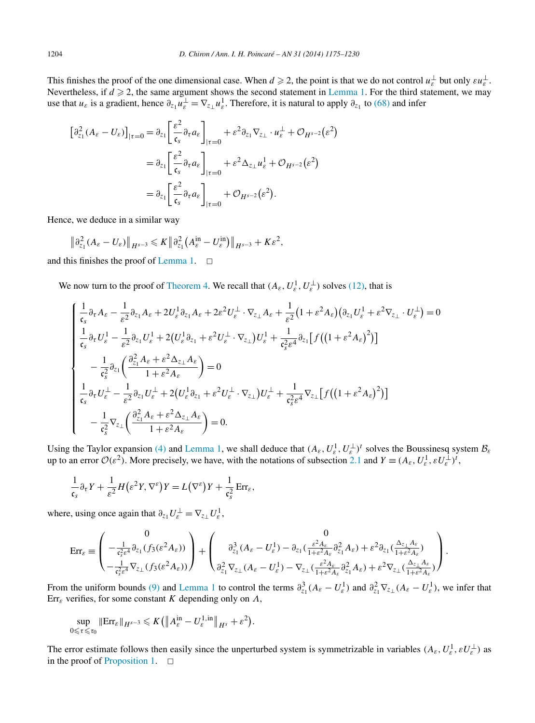This finishes the proof of the one dimensional case. When  $d \ge 2$ , the point is that we do not control  $u_{\varepsilon}^{\perp}$  but only  $\varepsilon u_{\varepsilon}^{\perp}$ . Nevertheless, if  $d \geq 2$ , the same argument shows the second statement in [Lemma 1.](#page-26-0) For the third statement, we may use that  $u_{\varepsilon}$  is a gradient, hence  $\partial_{z_1}u_{\varepsilon}^{\perp} = \nabla_{z_\perp}u_{\varepsilon}^1$ . Therefore, it is natural to apply  $\partial_{z_1}$  to [\(68\)](#page-28-0) and infer

$$
\begin{split} \left[\partial_{z_1}^2 (A_{\varepsilon} - U_{\varepsilon})\right]_{|\tau=0} &= \partial_{z_1} \left[\frac{\varepsilon^2}{\mathfrak{c}_s} \partial_{\tau} a_{\varepsilon}\right]_{|\tau=0} + \varepsilon^2 \partial_{z_1} \nabla_{z_\perp} \cdot u_{\varepsilon}^\perp + \mathcal{O}_{H^{s-2}}(\varepsilon^2) \\ &= \partial_{z_1} \left[\frac{\varepsilon^2}{\mathfrak{c}_s} \partial_{\tau} a_{\varepsilon}\right]_{|\tau=0} + \varepsilon^2 \Delta_{z_\perp} u_{\varepsilon}^\perp + \mathcal{O}_{H^{s-2}}(\varepsilon^2) \\ &= \partial_{z_1} \left[\frac{\varepsilon^2}{\mathfrak{c}_s} \partial_{\tau} a_{\varepsilon}\right]_{|\tau=0} + \mathcal{O}_{H^{s-2}}(\varepsilon^2). \end{split}
$$

Hence, we deduce in a similar way

$$
\left\|\partial_{z_1}^2(A_{\varepsilon}-U_{\varepsilon})\right\|_{H^{s-3}}\leqslant K\left\|\partial_{z_1}^2(A_{\varepsilon}^{\text{in}}-U_{\varepsilon}^{\text{in}})\right\|_{H^{s-3}}+K\varepsilon^2,
$$

and this finishes the proof of [Lemma 1.](#page-26-0)  $\Box$ 

We now turn to the proof of [Theorem](#page-7-0) 4. We recall that  $(A_{\varepsilon}, U_{\varepsilon}^1, U_{\varepsilon}^{\perp})$  solves [\(12\),](#page-5-0) that is

$$
\begin{cases}\n\frac{1}{\mathfrak{c}_{s}}\partial_{\tau}A_{\varepsilon}-\frac{1}{\varepsilon^{2}}\partial_{z_{1}}A_{\varepsilon}+2U_{\varepsilon}^{1}\partial_{z_{1}}A_{\varepsilon}+2\varepsilon^{2}U_{\varepsilon}^{\perp}\cdot\nabla_{z_{\perp}}A_{\varepsilon}+\frac{1}{\varepsilon^{2}}\big(1+\varepsilon^{2}A_{\varepsilon}\big)\big(\partial_{z_{1}}U_{\varepsilon}^{1}+\varepsilon^{2}\nabla_{z_{\perp}}\cdot U_{\varepsilon}^{\perp}\big)=0\\ \n\frac{1}{\mathfrak{c}_{s}}\partial_{\tau}U_{\varepsilon}^{1}-\frac{1}{\varepsilon^{2}}\partial_{z_{1}}U_{\varepsilon}^{1}+2\big(U_{\varepsilon}^{1}\partial_{z_{1}}+\varepsilon^{2}U_{\varepsilon}^{\perp}\cdot\nabla_{z_{\perp}}\big)U_{\varepsilon}^{1}+\frac{1}{\mathfrak{c}_{s}^{2}\varepsilon^{4}}\partial_{z_{1}}\big[f\big(\big(1+\varepsilon^{2}A_{\varepsilon}\big)^{2}\big)\big]\\ \n-\frac{1}{\mathfrak{c}_{s}^{2}}\partial_{z_{1}}\bigg(\frac{\partial_{z_{1}}^{2}A_{\varepsilon}+\varepsilon^{2}\Delta_{z_{\perp}}A_{\varepsilon}}{1+\varepsilon^{2}A_{\varepsilon}}\bigg)=0\\ \n\frac{1}{\mathfrak{c}_{s}}\partial_{\tau}U_{\varepsilon}^{\perp}-\frac{1}{\varepsilon^{2}}\partial_{z_{1}}U_{\varepsilon}^{\perp}+2\big(U_{\varepsilon}^{1}\partial_{z_{1}}+\varepsilon^{2}U_{\varepsilon}^{\perp}\cdot\nabla_{z_{\perp}}\big)U_{\varepsilon}^{\perp}+\frac{1}{\mathfrak{c}_{s}^{2}\varepsilon^{4}}\nabla_{z_{\perp}}\big[f\big(\big(1+\varepsilon^{2}A_{\varepsilon}\big)^{2}\big)\big]\\ \n-\frac{1}{\mathfrak{c}_{s}^{2}}\nabla_{z_{\perp}}\bigg(\frac{\partial_{z_{1}}^{2}A_{\varepsilon}+\varepsilon^{2}\Delta_{z_{\perp}}A_{\varepsilon}}{1+\
$$

Using the Taylor expansion [\(4\)](#page-2-0) and [Lemma 1,](#page-26-0) we shall deduce that  $(A_{\varepsilon}, U_{\varepsilon}^1, U_{\varepsilon}^{\perp})^t$  solves the Boussinesq system  $\mathcal{B}_{\varepsilon}$ up to an error  $\mathcal{O}(\varepsilon^2)$ . More precisely, we have, with the notations of subsection [2.1](#page-25-0) and  $Y \equiv (A_{\varepsilon}, U_{\varepsilon}^1, \varepsilon U_{\varepsilon}^1)^t$ ,

$$
\frac{1}{\mathfrak{c}_s} \partial_\tau Y + \frac{1}{\varepsilon^2} H\big(\varepsilon^2 Y, \nabla^\varepsilon\big)Y = L\big(\nabla^\varepsilon\big)Y + \frac{1}{\mathfrak{c}_s^2} \operatorname{Err}_\varepsilon,
$$

where, using once again that  $\partial_{z_1} U_{\varepsilon}^{\perp} = \nabla_{z_{\perp}} U_{\varepsilon}^1$ ,

$$
\operatorname{Err}_{\varepsilon} \equiv \begin{pmatrix} 0 & 0 \\ -\frac{1}{\mathfrak{c}_{s}^{2}\varepsilon^{4}} \partial_{z_{1}}(f_{3}(\varepsilon^{2}A_{\varepsilon})) \\\\ -\frac{1}{\mathfrak{c}_{s}^{2}\varepsilon^{4}} \nabla_{z_{\perp}}(f_{3}(\varepsilon^{2}A_{\varepsilon})) \end{pmatrix} + \begin{pmatrix} 0 & 0 \\ \partial_{z_{1}}^{3}(A_{\varepsilon} - U_{\varepsilon}^{1}) - \partial_{z_{1}}(\frac{\varepsilon^{2}A_{\varepsilon}}{1 + \varepsilon^{2}A_{\varepsilon}} \partial_{z_{1}}^{2}A_{\varepsilon}) + \varepsilon^{2} \partial_{z_{1}}(\frac{\Delta_{z_{\perp}} A_{\varepsilon}}{1 + \varepsilon^{2}A_{\varepsilon}}) \\ \partial_{z_{1}}^{2} \nabla_{z_{\perp}}(A_{\varepsilon} - U_{\varepsilon}^{1}) - \nabla_{z_{\perp}}(\frac{\varepsilon^{2}A_{\varepsilon}}{1 + \varepsilon^{2}A_{\varepsilon}} \partial_{z_{1}}^{2}A_{\varepsilon}) + \varepsilon^{2} \nabla_{z_{\perp}}(\frac{\Delta_{z_{\perp}} A_{\varepsilon}}{1 + \varepsilon^{2}A_{\varepsilon}}) \end{pmatrix}.
$$

From the uniform bounds [\(9\)](#page-4-0) and [Lemma 1](#page-26-0) to control the terms  $\partial_{z_1}^3 (A_{\varepsilon} - U_{\varepsilon}^1)$  and  $\partial_{z_1}^2 \nabla_{z_1} (A_{\varepsilon} - U_{\varepsilon}^1)$ , we infer that Err*<sup>ε</sup>* verifies, for some constant *K* depending only on *Λ*,

$$
\sup_{0\leq \tau\leqslant \tau_0} \|\mathrm{Err}_{\varepsilon}\|_{H^{s-3}} \leqslant K\big(\big\|A_{\varepsilon}^{\mathrm{in}} - U_{\varepsilon}^{1,\mathrm{in}}\big\|_{H^s} + \varepsilon^2\big).
$$

The error estimate follows then easily since the unperturbed system is symmetrizable in variables  $(A_\varepsilon, U_\varepsilon^1, \varepsilon U_\varepsilon^\perp)$  as in the proof of [Proposition 1.](#page-6-0)  $\square$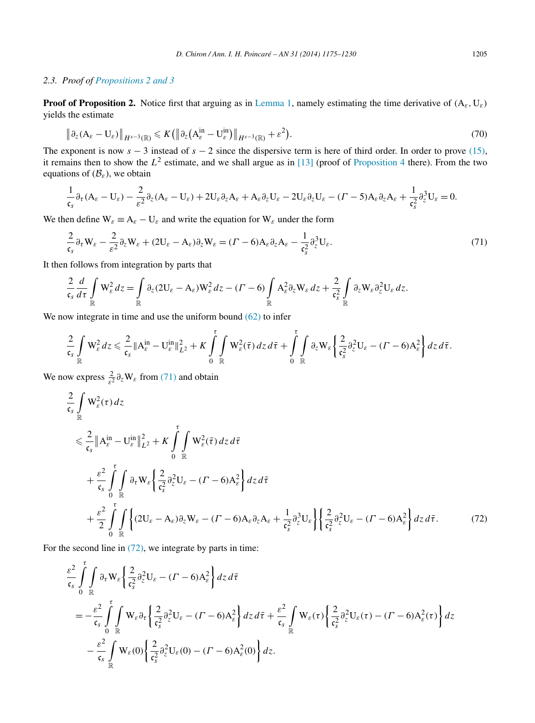# <span id="page-30-0"></span>*2.3. Proof of [Propositions 2 and 3](#page-6-0)*

**Proof of Proposition 2.** Notice first that arguing as in [Lemma 1,](#page-26-0) namely estimating the time derivative of *(*A*ε,*U*ε)* yields the estimate

$$
\left\|\partial_z(\mathbf{A}_{\varepsilon}-\mathbf{U}_{\varepsilon})\right\|_{H^{s-3}(\mathbb{R})}\leqslant K\left(\left\|\partial_z(\mathbf{A}_{\varepsilon}^{\text{in}}-\mathbf{U}_{\varepsilon}^{\text{in}})\right\|_{H^{s-3}(\mathbb{R})}+\varepsilon^2\right).
$$
\n(70)

The exponent is now  $s - 3$  instead of  $s - 2$  since the dispersive term is here of third order. In order to prove [\(15\),](#page-6-0) it remains then to show the  $L^2$  estimate, and we shall argue as in [\[13\]](#page-54-0) (proof of [Proposition 4](#page-17-0) there). From the two equations of  $(\mathcal{B}_{\varepsilon})$ , we obtain

$$
\frac{1}{\mathfrak{c}_s} \partial_{\tau} (A_{\varepsilon} - U_{\varepsilon}) - \frac{2}{\varepsilon^2} \partial_z (A_{\varepsilon} - U_{\varepsilon}) + 2U_{\varepsilon} \partial_z A_{\varepsilon} + A_{\varepsilon} \partial_z U_{\varepsilon} - 2U_{\varepsilon} \partial_z U_{\varepsilon} - (1 - 5) A_{\varepsilon} \partial_z A_{\varepsilon} + \frac{1}{\mathfrak{c}_s^2} \partial_z^3 U_{\varepsilon} = 0.
$$

We then define  $W_{\varepsilon} \equiv A_{\varepsilon} - U_{\varepsilon}$  and write the equation for  $W_{\varepsilon}$  under the form

$$
\frac{2}{\mathfrak{c}_s} \partial_\tau W_\varepsilon - \frac{2}{\varepsilon^2} \partial_z W_\varepsilon + (2U_\varepsilon - A_\varepsilon) \partial_z W_\varepsilon = (\Gamma - 6) A_\varepsilon \partial_z A_\varepsilon - \frac{1}{\mathfrak{c}_s^2} \partial_z^3 U_\varepsilon.
$$
\n(71)

It then follows from integration by parts that

$$
\frac{2}{\mathfrak{c}_s}\frac{d}{d\tau}\int\limits_{\mathbb{R}}\mathbf{W}_{\varepsilon}^2dz=\int\limits_{\mathbb{R}}\partial_z(2\mathbf{U}_{\varepsilon}-\mathbf{A}_{\varepsilon})\mathbf{W}_{\varepsilon}^2dz-(\Gamma-6)\int\limits_{\mathbb{R}}\mathbf{A}_{\varepsilon}^2\partial_z\mathbf{W}_{\varepsilon}dz+\frac{2}{\mathfrak{c}_s^2}\int\limits_{\mathbb{R}}\partial_z\mathbf{W}_{\varepsilon}\partial_z^2\mathbf{U}_{\varepsilon}dz.
$$

We now integrate in time and use the uniform bound [\(62\)](#page-26-0) to infer

$$
\frac{2}{\mathfrak{c}_s} \int\limits_{\mathbb{R}} \mathbf{W}_{\varepsilon}^2 dz \leq \frac{2}{\mathfrak{c}_s} \|A_{\varepsilon}^{\text{in}} - \mathbf{U}_{\varepsilon}^{\text{in}}\|_{L^2}^2 + K \int\limits_{0}^{\tau} \int\limits_{\mathbb{R}} \mathbf{W}_{\varepsilon}^2(\bar{\tau}) dz d\bar{\tau} + \int\limits_{0}^{\tau} \int\limits_{\mathbb{R}} \partial_z \mathbf{W}_{\varepsilon} \left\{ \frac{2}{\mathfrak{c}_s^2} \partial_z^2 \mathbf{U}_{\varepsilon} - (\Gamma - 6) A_{\varepsilon}^2 \right\} dz d\bar{\tau}.
$$

We now express  $\frac{2}{\varepsilon^2} \partial_z W_\varepsilon$  from (71) and obtain

$$
\frac{2}{\epsilon_s} \int_{\mathbb{R}} W_{\varepsilon}^2(\tau) d\tau \n\leq \frac{2}{\epsilon_s} \|A_{\varepsilon}^{\text{in}} - U_{\varepsilon}^{\text{in}}\|_{L^2}^2 + K \int_{0}^{\tau} \int_{\mathbb{R}} W_{\varepsilon}^2(\bar{\tau}) d\tau d\bar{\tau} \n+ \frac{\varepsilon^2}{\epsilon_s} \int_{0}^{\tau} \int_{\mathbb{R}} \partial_{\tau} W_{\varepsilon} \left\{ \frac{2}{\epsilon_s^2} \partial_z^2 U_{\varepsilon} - (\Gamma - 6) A_{\varepsilon}^2 \right\} d\tau d\bar{\tau} \n+ \frac{\varepsilon^2}{2} \int_{0}^{\tau} \int_{\mathbb{R}} \left\{ (2U_{\varepsilon} - A_{\varepsilon}) \partial_z W_{\varepsilon} - (\Gamma - 6) A_{\varepsilon} \partial_z A_{\varepsilon} + \frac{1}{\epsilon_s^2} \partial_z^3 U_{\varepsilon} \right\} \left\{ \frac{2}{\epsilon_s^2} \partial_z^2 U_{\varepsilon} - (\Gamma - 6) A_{\varepsilon}^2 \right\} dz d\bar{\tau}.
$$
\n(72)

For the second line in  $(72)$ , we integrate by parts in time:

$$
\frac{\varepsilon^2}{\mathfrak{c}_s} \int_0^{\tau} \int_{\mathbb{R}} \partial_{\tau} \mathbf{W}_{\varepsilon} \left\{ \frac{2}{\mathfrak{c}_s^2} \partial_z^2 \mathbf{U}_{\varepsilon} - (\mathbf{\Gamma} - 6) \mathbf{A}_{\varepsilon}^2 \right\} dz d\bar{\tau} \n= -\frac{\varepsilon^2}{\mathfrak{c}_s} \int_0^{\tau} \int_{\mathbb{R}} \mathbf{W}_{\varepsilon} \partial_{\tau} \left\{ \frac{2}{\mathfrak{c}_s^2} \partial_z^2 \mathbf{U}_{\varepsilon} - (\mathbf{\Gamma} - 6) \mathbf{A}_{\varepsilon}^2 \right\} dz d\bar{\tau} + \frac{\varepsilon^2}{\mathfrak{c}_s} \int_{\mathbb{R}} \mathbf{W}_{\varepsilon}(\tau) \left\{ \frac{2}{\mathfrak{c}_s^2} \partial_z^2 \mathbf{U}_{\varepsilon}(\tau) - (\mathbf{\Gamma} - 6) \mathbf{A}_{\varepsilon}^2(\tau) \right\} dz \n- \frac{\varepsilon^2}{\mathfrak{c}_s} \int_{\mathbb{R}} \mathbf{W}_{\varepsilon}(0) \left\{ \frac{2}{\mathfrak{c}_s^2} \partial_z^2 \mathbf{U}_{\varepsilon}(0) - (\mathbf{\Gamma} - 6) \mathbf{A}_{\varepsilon}^2(0) \right\} dz.
$$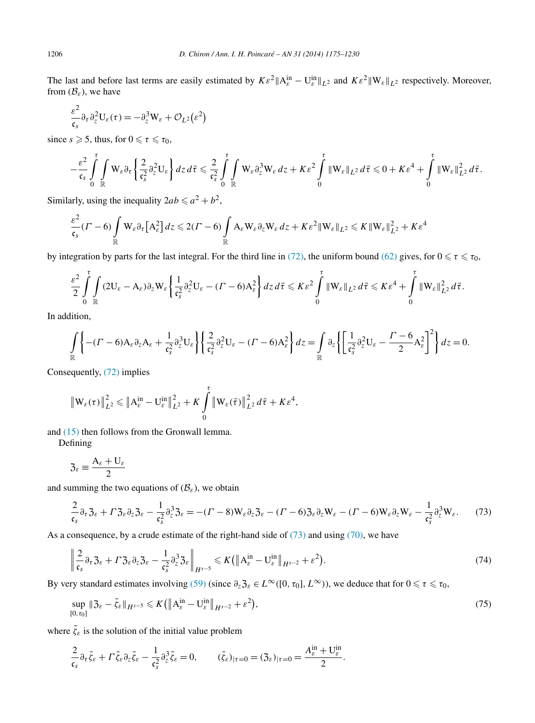The last and before last terms are easily estimated by  $K\varepsilon^2 ||A_{\varepsilon}^{\text{in}} - U_{\varepsilon}^{\text{in}}||_{L^2}$  and  $K\varepsilon^2 ||W_{\varepsilon}||_{L^2}$  respectively. Moreover, from  $(\mathcal{B}_{\varepsilon})$ , we have

$$
\frac{\varepsilon^2}{\mathfrak{c}_s} \partial_\tau \partial_z^2 U_\varepsilon(\tau) = -\partial_z^3 W_\varepsilon + \mathcal{O}_{L^2}(\varepsilon^2)
$$

since  $s \ge 5$ , thus, for  $0 \le \tau \le \tau_0$ ,

$$
-\frac{\varepsilon^2}{\mathfrak{c}_s} \int\limits_0^{\tau} \int\limits_{\mathbb{R}} W_{\varepsilon} \partial_{\tau} \left\{ \frac{2}{\mathfrak{c}_s^2} \partial_z^2 U_{\varepsilon} \right\} dz \, d\bar{\tau} \leq \frac{2}{\mathfrak{c}_s^2} \int\limits_0^{\tau} \int\limits_{\mathbb{R}} W_{\varepsilon} \partial_z^3 W_{\varepsilon} \, dz + K \varepsilon^2 \int\limits_0^{\tau} \|W_{\varepsilon}\|_{L^2}^2 \, d\bar{\tau} \leq 0 + K \varepsilon^4 + \int\limits_0^{\tau} \|W_{\varepsilon}\|_{L^2}^2 \, d\bar{\tau}.
$$

Similarly, using the inequality  $2ab \le a^2 + b^2$ ,

$$
\frac{\varepsilon^2}{\mathfrak{c}_s}(r-6)\int\limits_{\mathbb{R}}\mathbb{W}_{\varepsilon}\partial_{\tau}\big[A_{\varepsilon}^2\big]dz\leqslant 2(r-6)\int\limits_{\mathbb{R}}A_{\varepsilon}\mathbb{W}_{\varepsilon}\partial_{z}\mathbb{W}_{\varepsilon}\,dz+K\varepsilon^2\|\mathbb{W}_{\varepsilon}\|_{L^2}\leqslant K\|\mathbb{W}_{\varepsilon}\|_{L^2}^2+K\varepsilon^4
$$

by integration by parts for the last integral. For the third line in [\(72\),](#page-30-0) the uniform bound [\(62\)](#page-26-0) gives, for  $0 \le \tau \le \tau_0$ ,

$$
\frac{\varepsilon^2}{2}\int\limits_0^{\tau}\int\limits_{\mathbb{R}}(2U_{\varepsilon}-A_{\varepsilon})\partial_zW_{\varepsilon}\left\{\frac{1}{\mathfrak{c}_s^2}\partial_z^2U_{\varepsilon}-(\Gamma-6)A_{\varepsilon}^2\right\}dz\,d\bar{\tau}\leqslant K\varepsilon^2\int\limits_0^{\tau}\|W_{\varepsilon}\|_{L^2}\,d\bar{\tau}\leqslant K\varepsilon^4+\int\limits_0^{\tau}\|W_{\varepsilon}\|_{L^2}^2\,d\bar{\tau}.
$$

In addition,

$$
\int_{\mathbb{R}} \left\{ -(I'-6)A_{\varepsilon}\partial_{z}A_{\varepsilon} + \frac{1}{\mathfrak{c}_{s}^{2}}\partial_{z}^{3}U_{\varepsilon} \right\} \left\{ \frac{2}{\mathfrak{c}_{s}^{2}}\partial_{z}^{2}U_{\varepsilon} - (I'-6)A_{\varepsilon}^{2} \right\} dz = \int_{\mathbb{R}} \partial_{z} \left\{ \left[ \frac{1}{\mathfrak{c}_{s}^{2}}\partial_{z}^{2}U_{\varepsilon} - \frac{I'-6}{2}A_{\varepsilon}^{2} \right]^{2} \right\} dz = 0.
$$

Consequently, [\(72\)](#page-30-0) implies

$$
\left\|W_{\varepsilon}(\tau)\right\|_{L^{2}}^{2} \leqslant \left\|A_{\varepsilon}^{\text{in}} - U_{\varepsilon}^{\text{in}}\right\|_{L^{2}}^{2} + K \int_{0}^{\tau} \left\|W_{\varepsilon}(\bar{\tau})\right\|_{L^{2}}^{2} d\bar{\tau} + K \varepsilon^{4},
$$

and [\(15\)](#page-6-0) then follows from the Gronwall lemma.

Defining

$$
\mathfrak{Z}_{\varepsilon} \equiv \frac{\mathsf{A}_{\varepsilon} + \mathsf{U}_{\varepsilon}}{2}
$$

and summing the two equations of  $(\mathcal{B}_{\varepsilon})$ , we obtain

$$
\frac{2}{\mathfrak{c}_s} \partial_\tau \mathfrak{Z}_\varepsilon + \Gamma \mathfrak{Z}_\varepsilon \partial_z \mathfrak{Z}_\varepsilon - \frac{1}{\mathfrak{c}_s^2} \partial_z^3 \mathfrak{Z}_\varepsilon = -(T - 8) W_\varepsilon \partial_z \mathfrak{Z}_\varepsilon - (T - 6) \mathfrak{Z}_\varepsilon \partial_z W_\varepsilon - (T - 6) W_\varepsilon \partial_z W_\varepsilon - \frac{1}{\mathfrak{c}_s^2} \partial_z^3 W_\varepsilon. \tag{73}
$$

As a consequence, by a crude estimate of the right-hand side of  $(73)$  and using  $(70)$ , we have

$$
\left\| \frac{2}{\mathfrak{c}_s} \partial_\tau \mathfrak{Z}_\varepsilon + \Gamma \mathfrak{Z}_\varepsilon \partial_z \mathfrak{Z}_\varepsilon - \frac{1}{\mathfrak{c}_s^2} \partial_z^3 \mathfrak{Z}_\varepsilon \right\|_{H^{s-5}} \leqslant K \left( \left\| A_\varepsilon^{\text{in}} - U_\varepsilon^{\text{in}} \right\|_{H^{s-2}} + \varepsilon^2 \right). \tag{74}
$$

By very standard estimates involving [\(59\)](#page-24-0) (since  $\partial_z \mathfrak{Z}_\varepsilon \in L^\infty([0, \tau_0], L^\infty)$ ), we deduce that for  $0 \le \tau \le \tau_0$ ,

$$
\sup_{[0,\tau_0]} \| \mathfrak{Z}_{\varepsilon} - \tilde{\zeta}_{\varepsilon} \|_{H^{s-5}} \leqslant K \left( \| A_{\varepsilon}^{\text{in}} - \mathbf{U}_{\varepsilon}^{\text{in}} \|_{H^{s-2}} + \varepsilon^2 \right),\tag{75}
$$

where  $\tilde{\zeta}_{\varepsilon}$  is the solution of the initial value problem

$$
\frac{2}{\mathfrak{c}_s} \partial_\tau \tilde{\zeta}_\varepsilon + \Gamma \tilde{\zeta}_\varepsilon \partial_z \tilde{\zeta}_\varepsilon - \frac{1}{\mathfrak{c}_s^2} \partial_z^3 \tilde{\zeta}_\varepsilon = 0, \qquad (\tilde{\zeta}_\varepsilon)_{|\tau=0} = (3_\varepsilon)_{|\tau=0} = \frac{A_\varepsilon^{\text{in}} + U_\varepsilon^{\text{in}}}{2}.
$$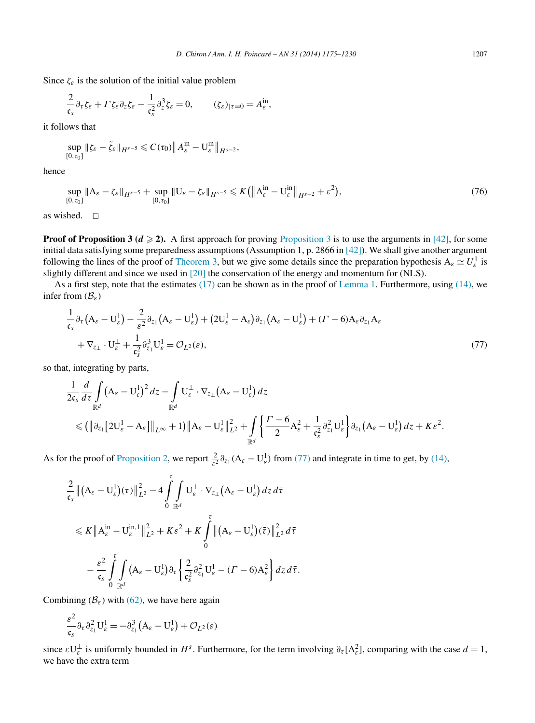<span id="page-32-0"></span>Since  $\zeta_{\varepsilon}$  is the solution of the initial value problem

$$
\frac{2}{\mathfrak{c}_s} \partial_\tau \zeta_\varepsilon + \Gamma \zeta_\varepsilon \partial_z \zeta_\varepsilon - \frac{1}{\mathfrak{c}_s^2} \partial_z^3 \zeta_\varepsilon = 0, \qquad (\zeta_\varepsilon)_{|\tau=0} = A_\varepsilon^{\text{in}},
$$

it follows that

$$
\sup_{[0,\tau_0]}\|\zeta_{\varepsilon}-\tilde{\zeta}_{\varepsilon}\|_{H^{s-5}}\leqslant C(\tau_0)\big\|A_{\varepsilon}^{\text{in}}-\mathbf{U}_{\varepsilon}^{\text{in}}\big\|_{H^{s-2}},
$$

hence

$$
\sup_{[0,\tau_0]} \|A_{\varepsilon} - \zeta_{\varepsilon}\|_{H^{s-5}} + \sup_{[0,\tau_0]} \|U_{\varepsilon} - \zeta_{\varepsilon}\|_{H^{s-5}} \leqslant K \left( \|A_{\varepsilon}^{\text{in}} - U_{\varepsilon}^{\text{in}}\|_{H^{s-2}} + \varepsilon^2 \right),\tag{76}
$$

as wished.  $\Box$ 

**Proof of [Proposition 3](#page-7-0) (** $d \ge 2$ **).** A first approach for proving Proposition 3 is to use the arguments in [\[42\],](#page-55-0) for some initial data satisfying some preparedness assumptions (Assumption 1, p. 2866 in [\[42\]\)](#page-55-0). We shall give another argument following the lines of the proof of [Theorem 3,](#page-4-0) but we give some details since the preparation hypothesis  $A_\varepsilon \simeq U_\varepsilon^1$  is slightly different and since we used in [\[20\]](#page-54-0) the conservation of the energy and momentum for (NLS).

As a first step, note that the estimates  $(17)$  can be shown as in the proof of [Lemma 1.](#page-26-0) Furthermore, using  $(14)$ , we infer from (B*ε*)

$$
\frac{1}{\mathfrak{c}_s} \partial_\tau (A_\varepsilon - U_\varepsilon^1) - \frac{2}{\varepsilon^2} \partial_{z_1} (A_\varepsilon - U_\varepsilon^1) + (2U_\varepsilon^1 - A_\varepsilon) \partial_{z_1} (A_\varepsilon - U_\varepsilon^1) + (I - 6) A_\varepsilon \partial_{z_1} A_\varepsilon \n+ \nabla_{z_\perp} \cdot U_\varepsilon^\perp + \frac{1}{\mathfrak{c}_s^2} \partial_{z_1}^3 U_\varepsilon^1 = \mathcal{O}_{L^2}(\varepsilon),
$$
\n(77)

so that, integrating by parts,

$$
\frac{1}{2\mathfrak{c}_s} \frac{d}{d\tau} \int\limits_{\mathbb{R}^d} (\mathbf{A}_{\varepsilon} - \mathbf{U}_{\varepsilon}^1)^2 dz - \int\limits_{\mathbb{R}^d} \mathbf{U}_{\varepsilon}^{\perp} \cdot \nabla_{z_{\perp}} (\mathbf{A}_{\varepsilon} - \mathbf{U}_{\varepsilon}^1) dz
$$
\n
$$
\leq (\|\partial_{z_1} [2\mathbf{U}_{\varepsilon}^1 - \mathbf{A}_{\varepsilon}]\|_{L^{\infty}} + 1) \|\mathbf{A}_{\varepsilon} - \mathbf{U}_{\varepsilon}^1\|_{L^2}^2 + \int\limits_{\mathbb{R}^d} \left\{ \frac{\Gamma - 6}{2} \mathbf{A}_{\varepsilon}^2 + \frac{1}{\mathfrak{c}_s^2} \partial_{z_1}^2 \mathbf{U}_{\varepsilon}^1 \right\} \partial_{z_1} (\mathbf{A}_{\varepsilon} - \mathbf{U}_{\varepsilon}^1) dz + K \varepsilon^2.
$$

As for the proof of [Proposition 2,](#page-6-0) we report  $\frac{2}{\varepsilon^2} \partial_{z_1} (A_\varepsilon - U_\varepsilon^1)$  from (77) and integrate in time to get, by [\(14\),](#page-6-0)

$$
\frac{2}{\mathfrak{c}_s} \left\| \left( A_{\varepsilon} - U_{\varepsilon}^1 \right) (\tau) \right\|_{L^2}^2 - 4 \int_0^{\tau} \int_{\mathbb{R}^d} U_{\varepsilon}^{\perp} \cdot \nabla_{z_\perp} \left( A_{\varepsilon} - U_{\varepsilon}^1 \right) dz d\bar{\tau} \n\leq K \left\| A_{\varepsilon}^{\text{in}} - U_{\varepsilon}^{\text{in},1} \right\|_{L^2}^2 + K \varepsilon^2 + K \int_0^{\tau} \left\| \left( A_{\varepsilon} - U_{\varepsilon}^1 \right) (\bar{\tau}) \right\|_{L^2}^2 d\bar{\tau} \n- \frac{\varepsilon^2}{\mathfrak{c}_s} \int_0^{\tau} \int_{\mathbb{R}^d} \left( A_{\varepsilon} - U_{\varepsilon}^1 \right) \partial_{\tau} \left\{ \frac{2}{\mathfrak{c}_s^2} \partial_{z_1}^2 U_{\varepsilon}^1 - (F - 6) A_{\varepsilon}^2 \right\} dz d\bar{\tau}.
$$

Combining  $(\mathcal{B}_{\varepsilon})$  with [\(62\),](#page-26-0) we have here again

$$
\frac{\varepsilon^2}{\mathfrak{c}_s} \partial_\tau \partial_{z_1}^2 U_\varepsilon^1 = -\partial_{z_1}^3 (A_\varepsilon - U_\varepsilon^1) + \mathcal{O}_{L^2}(\varepsilon)
$$

since  $\varepsilon \mathbf{U}_{\varepsilon}^{\perp}$  is uniformly bounded in  $H^s$ . Furthermore, for the term involving  $\partial_{\tau} [\mathbf{A}_{\varepsilon}^2]$ , comparing with the case  $d = 1$ , we have the extra term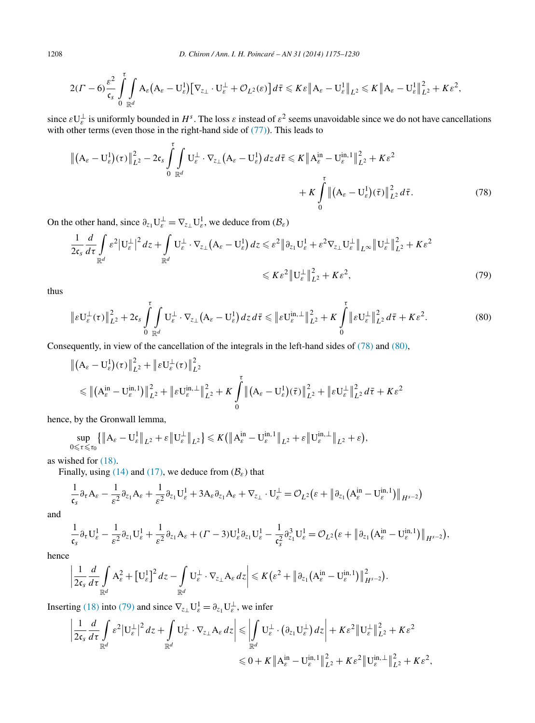$$
2(\Gamma-6)\frac{\varepsilon^2}{\mathfrak{c}_s} \int\limits_0^{\tau} \int\limits_{\mathbb{R}^d} A_{\varepsilon} (A_{\varepsilon}-U_{\varepsilon}^1) [\nabla_{z_\perp} \cdot U_{\varepsilon}^{\perp} + \mathcal{O}_{L^2}(\varepsilon)] d\bar{\tau} \leqslant K \varepsilon \|A_{\varepsilon}-U_{\varepsilon}^1\|_{L^2}^2 \leqslant K \|A_{\varepsilon}-U_{\varepsilon}^1\|_{L^2}^2 + K \varepsilon^2,
$$

since  $\varepsilon \mathbf{U}_{\varepsilon}^{\perp}$  is uniformly bounded in  $H^s$ . The loss  $\varepsilon$  instead of  $\varepsilon^2$  seems unavoidable since we do not have cancellations with other terms (even those in the right-hand side of  $(77)$ ). This leads to

$$
\left\| \left( \mathbf{A}_{\varepsilon} - \mathbf{U}_{\varepsilon}^{1} \right) (\tau) \right\|_{L^{2}}^{2} - 2 \mathfrak{c}_{s} \int_{0}^{\tau} \int_{\mathbb{R}^{d}} \mathbf{U}_{\varepsilon}^{\perp} \cdot \nabla_{z_{\perp}} \left( \mathbf{A}_{\varepsilon} - \mathbf{U}_{\varepsilon}^{1} \right) dz d\bar{\tau} \leqslant K \left\| \mathbf{A}_{\varepsilon}^{\text{in}} - \mathbf{U}_{\varepsilon}^{\text{in},1} \right\|_{L^{2}}^{2} + K \varepsilon^{2} + K \left( \int_{0}^{\tau} \left\| \left( \mathbf{A}_{\varepsilon} - \mathbf{U}_{\varepsilon}^{1} \right) (\bar{\tau}) \right\|_{L^{2}}^{2} d\bar{\tau} \right).
$$
\n(78)

On the other hand, since  $\partial_{z_1} U_{\varepsilon}^{\perp} = \nabla_{z_1} U_{\varepsilon}^1$ , we deduce from  $(\mathcal{B}_{\varepsilon})$ 

$$
\frac{1}{2\mathfrak{c}_s} \frac{d}{d\tau} \int_{\mathbb{R}^d} \varepsilon^2 |U_{\varepsilon}^{\perp}|^2 dz + \int_{\mathbb{R}^d} U_{\varepsilon}^{\perp} \cdot \nabla_{z_{\perp}} (A_{\varepsilon} - U_{\varepsilon}^1) dz \leq \varepsilon^2 \|\partial_{z_1} U_{\varepsilon}^1 + \varepsilon^2 \nabla_{z_{\perp}} U_{\varepsilon}^{\perp}\|_{L^{\infty}} \|U_{\varepsilon}^{\perp}\|_{L^2}^2 + K\varepsilon^2
$$
\n
$$
\leqslant K\varepsilon^2 \|U_{\varepsilon}^{\perp}\|_{L^2}^2 + K\varepsilon^2,
$$
\n(79)

thus

$$
\|\varepsilon \mathbf{U}_{\varepsilon}^{\perp}(\tau)\|_{L^{2}}^{2}+2\mathfrak{c}_{s}\int_{0}^{\tau} \int_{\mathbb{R}^{d}}\mathbf{U}_{\varepsilon}^{\perp}\cdot\nabla_{z_{\perp}}\big(A_{\varepsilon}-\mathbf{U}_{\varepsilon}^{1}\big)dz d\bar{\tau}\leqslant \|\varepsilon \mathbf{U}_{\varepsilon}^{\text{in},\perp}\|_{L^{2}}^{2}+K\int_{0}^{\tau}\|\varepsilon \mathbf{U}_{\varepsilon}^{\perp}\|_{L^{2}}^{2} d\bar{\tau}+K\varepsilon^{2}.
$$
\n(80)

Consequently, in view of the cancellation of the integrals in the left-hand sides of (78) and (80),

$$
\begin{aligned} & \left\| (A_{\varepsilon} - U_{\varepsilon}^{1})(\tau) \right\|^{2}_{L^{2}} + \left\| \varepsilon U_{\varepsilon}^{\perp}(\tau) \right\|^{2}_{L^{2}} \\ & \leq \left\| (A_{\varepsilon}^{\text{in}} - U_{\varepsilon}^{\text{in},1}) \right\|^{2}_{L^{2}} + \left\| \varepsilon U_{\varepsilon}^{\text{in},\perp} \right\|^{2}_{L^{2}} + K \int_{0}^{\tau} \left\| (A_{\varepsilon} - U_{\varepsilon}^{1})(\bar{\tau}) \right\|^{2}_{L^{2}} + \left\| \varepsilon U_{\varepsilon}^{\perp} \right\|^{2}_{L^{2}} d\bar{\tau} + K \varepsilon^{2} \end{aligned}
$$

hence, by the Gronwall lemma,

$$
\sup_{0\leqslant\tau\leqslant\tau_0}\{\|A_{\varepsilon}-U_{\varepsilon}^1\|_{L^2}+\varepsilon\|U_{\varepsilon}^{\perp}\|_{L^2}\}\leqslant K\big(\|A_{\varepsilon}^{\text{in}}-U_{\varepsilon}^{\text{in},1}\|_{L^2}+\varepsilon\|U_{\varepsilon}^{\text{in},\perp}\|_{L^2}+\varepsilon\big),
$$

as wished for [\(18\).](#page-7-0)

Finally, using [\(14\)](#page-6-0) and [\(17\),](#page-7-0) we deduce from  $(\mathcal{B}_{\varepsilon})$  that

$$
\frac{1}{\mathfrak{c}_s} \partial_{\tau} A_{\varepsilon} - \frac{1}{\varepsilon^2} \partial_{z_1} A_{\varepsilon} + \frac{1}{\varepsilon^2} \partial_{z_1} U_{\varepsilon}^1 + 3 A_{\varepsilon} \partial_{z_1} A_{\varepsilon} + \nabla_{z_\perp} \cdot U_{\varepsilon}^\perp = \mathcal{O}_{L^2} \big( \varepsilon + \big\| \partial_{z_1} \big( A_{\varepsilon}^{\text{in}} - U_{\varepsilon}^{\text{in},1} \big) \big\|_{H^{s-2}} \big)
$$

and

$$
\frac{1}{\mathfrak{c}_s} \partial_{\tau} U_{\varepsilon}^1 - \frac{1}{\varepsilon^2} \partial_{z_1} U_{\varepsilon}^1 + \frac{1}{\varepsilon^2} \partial_{z_1} A_{\varepsilon} + (1 - 3) U_{\varepsilon}^1 \partial_{z_1} U_{\varepsilon}^1 - \frac{1}{\mathfrak{c}_s^2} \partial_{z_1}^3 U_{\varepsilon}^1 = \mathcal{O}_{L^2} (\varepsilon + \big\| \partial_{z_1} (A_{\varepsilon}^{in} - U_{\varepsilon}^{in,1}) \big\|_{H^{s-2}}),
$$

hence

$$
\left|\frac{1}{2\mathfrak{c}_s}\frac{d}{d\tau}\int\limits_{\mathbb{R}^d}A_{\varepsilon}^2+\left[\mathbf{U}_{\varepsilon}^1\right]^2dz-\int\limits_{\mathbb{R}^d}\mathbf{U}_{\varepsilon}^{\perp}\cdot\nabla_{z_{\perp}}A_{\varepsilon}\,dz\right|\leqslant K\big(\varepsilon^2+\left\|\partial_{z_1}\big(A_{\varepsilon}^{\text{in}}-\mathbf{U}_{\varepsilon}^{\text{in},1}\big)\right\|_{H^{s-2}}^2\big).
$$

Inserting [\(18\)](#page-7-0) into (79) and since  $\nabla_{z_\perp} U_{\varepsilon}^1 = \partial_{z_1} U_{\varepsilon}^{\perp}$ , we infer

$$
\left|\frac{1}{2\mathfrak{c}_s}\frac{d}{d\tau}\int\limits_{\mathbb{R}^d}\varepsilon^2|U_{\varepsilon}^{\perp}|^2dz+\int\limits_{\mathbb{R}^d}U_{\varepsilon}^{\perp}\cdot\nabla_{z_{\perp}}A_{\varepsilon}dz\right|\leqslant \left|\int\limits_{\mathbb{R}^d}U_{\varepsilon}^{\perp}\cdot\left(\partial_{z_1}U_{\varepsilon}^{\perp}\right)dz\right|+K\varepsilon^2\|U_{\varepsilon}^{\perp}\|_{L^2}^2+K\varepsilon^2
$$
  

$$
\leqslant 0+K\|A_{\varepsilon}^{\text{in}}-U_{\varepsilon}^{\text{in},1}\|_{L^2}^2+K\varepsilon^2\|U_{\varepsilon}^{\text{in},\perp}\|_{L^2}^2+K\varepsilon^2,
$$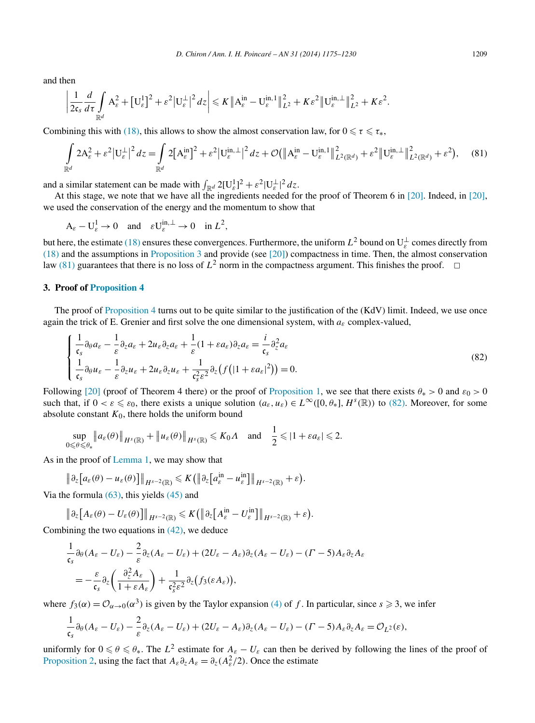and then

$$
\left|\frac{1}{2\mathfrak{c}_s}\frac{d}{d\tau}\int\limits_{\mathbb{R}^d}A_{\varepsilon}^2+\left[U_{\varepsilon}^1\right]^2+\varepsilon^2\left|U_{\varepsilon}^{\perp}\right|^2dz\right|\leqslant K\left\|A_{\varepsilon}^{\text{in}}-U_{\varepsilon}^{\text{in},1}\right\|_{L^2}^2+K\varepsilon^2\left\|U_{\varepsilon}^{\text{in},\perp}\right\|_{L^2}^2+K\varepsilon^2.
$$

Combining this with [\(18\),](#page-7-0) this allows to show the almost conservation law, for  $0 \le \tau \le \tau_*$ ,

$$
\int_{\mathbb{R}^d} 2A_{\varepsilon}^2 + \varepsilon^2 |U_{\varepsilon}^{\perp}|^2 dz = \int_{\mathbb{R}^d} 2[A_{\varepsilon}^{\text{in}}]^2 + \varepsilon^2 |U_{\varepsilon}^{\text{in},\perp}|^2 dz + \mathcal{O}(\|A_{\varepsilon}^{\text{in}} - U_{\varepsilon}^{\text{in},1}\|_{L^2(\mathbb{R}^d)}^2 + \varepsilon^2 \|U_{\varepsilon}^{\text{in},\perp}\|_{L^2(\mathbb{R}^d)}^2 + \varepsilon^2), \quad (81)
$$

and a similar statement can be made with  $\int_{\mathbb{R}^d} 2[U_{\varepsilon}^1]^2 + \varepsilon^2 |U_{\varepsilon}^{\perp}|^2 dz$ .

At this stage, we note that we have all the ingredients needed for the proof of Theorem 6 in [\[20\].](#page-54-0) Indeed, in [\[20\],](#page-54-0) we used the conservation of the energy and the momentum to show that

 $A_{\varepsilon} - U_{\varepsilon}^1 \to 0 \text{ and } \varepsilon U_{\varepsilon}^{\text{in},\perp} \to 0 \text{ in } L^2,$ 

but here, the estimate [\(18\)](#page-7-0) ensures these convergences. Furthermore, the uniform  $L^2$  bound on  $U_\varepsilon^\perp$  comes directly from [\(18\)](#page-7-0) and the assumptions in [Proposition 3](#page-7-0) and provide (see [\[20\]\)](#page-54-0) compactness in time. Then, the almost conservation law (81) guarantees that there is no loss of  $L^2$  norm in the compactness argument. This finishes the proof.  $\Box$ 

#### **3. Proof of [Proposition 4](#page-17-0)**

The proof of [Proposition 4](#page-17-0) turns out to be quite similar to the justification of the (KdV) limit. Indeed, we use once again the trick of E. Grenier and first solve the one dimensional system, with  $a_{\varepsilon}$  complex-valued,

$$
\begin{cases} \frac{1}{\mathfrak{c}_s} \partial_{\theta} a_{\varepsilon} - \frac{1}{\varepsilon} \partial_z a_{\varepsilon} + 2u_{\varepsilon} \partial_z a_{\varepsilon} + \frac{1}{\varepsilon} (1 + \varepsilon a_{\varepsilon}) \partial_z a_{\varepsilon} = \frac{i}{\mathfrak{c}_s} \partial_z^2 a_{\varepsilon} \\ \frac{1}{\mathfrak{c}_s} \partial_{\theta} u_{\varepsilon} - \frac{1}{\varepsilon} \partial_z u_{\varepsilon} + 2u_{\varepsilon} \partial_z u_{\varepsilon} + \frac{1}{\mathfrak{c}_s^2 \varepsilon^2} \partial_z (f(|1 + \varepsilon a_{\varepsilon}|^2)) = 0. \end{cases} \tag{82}
$$

Following [\[20\]](#page-54-0) (proof of Theorem 4 there) or the proof of [Proposition 1,](#page-6-0) we see that there exists  $\theta_* > 0$  and  $\varepsilon_0 > 0$ such that, if  $0 < \varepsilon \leq \varepsilon_0$ , there exists a unique solution  $(a_{\varepsilon}, u_{\varepsilon}) \in L^{\infty}([0, \theta_*], H^s(\mathbb{R}))$  to (82). Moreover, for some absolute constant  $K_0$ , there holds the uniform bound

sup  $0 \leqslant θ \leqslant θ_*$  $\left\| a_{\varepsilon}(\theta) \right\|_{H^{s}(\mathbb{R})} + \left\| u_{\varepsilon}(\theta) \right\|_{H^{s}(\mathbb{R})} \leqslant K_0 \Lambda \text{ and } \frac{1}{2} \leqslant |1 + \varepsilon a_{\varepsilon}| \leqslant 2.$ 

As in the proof of [Lemma 1,](#page-26-0) we may show that

$$
\|\partial_z[a_\varepsilon(\theta)-u_\varepsilon(\theta)]\|_{H^{s-2}(\mathbb{R})}\leqslant K(\|\partial_z[a_\varepsilon^{\rm in}-u_\varepsilon^{\rm in}]\|_{H^{s-2}(\mathbb{R})}+\varepsilon).
$$

Via the formula  $(63)$ , this yields  $(45)$  and

$$
\|\partial_z[A_{\varepsilon}(\theta)-U_{\varepsilon}(\theta)]\|_{H^{s-2}(\mathbb{R})}\leqslant K(\|\partial_z[A_{\varepsilon}^{\text{in}}-U_{\varepsilon}^{\text{in}}]\|_{H^{s-2}(\mathbb{R})}+\varepsilon).
$$

Combining the two equations in  $(42)$ , we deduce

$$
\frac{1}{\mathfrak{c}_s} \partial_{\theta} (A_{\varepsilon} - U_{\varepsilon}) - \frac{2}{\varepsilon} \partial_z (A_{\varepsilon} - U_{\varepsilon}) + (2U_{\varepsilon} - A_{\varepsilon}) \partial_z (A_{\varepsilon} - U_{\varepsilon}) - (T - 5) A_{\varepsilon} \partial_z A_{\varepsilon}
$$
\n
$$
= -\frac{\varepsilon}{\mathfrak{c}_s} \partial_z \left( \frac{\partial_z^2 A_{\varepsilon}}{1 + \varepsilon A_{\varepsilon}} \right) + \frac{1}{\mathfrak{c}_s^2 \varepsilon^2} \partial_z (f_3(\varepsilon A_{\varepsilon})),
$$

where  $f_3(\alpha) = \mathcal{O}_{\alpha \to 0}(\alpha^3)$  is given by the Taylor expansion [\(4\)](#page-2-0) of f. In particular, since  $s \ge 3$ , we infer

$$
\frac{1}{\mathfrak{c}_s} \partial_\theta (A_\varepsilon - U_\varepsilon) - \frac{2}{\varepsilon} \partial_z (A_\varepsilon - U_\varepsilon) + (2U_\varepsilon - A_\varepsilon) \partial_z (A_\varepsilon - U_\varepsilon) - (\Gamma - 5) A_\varepsilon \partial_z A_\varepsilon = \mathcal{O}_{L^2}(\varepsilon),
$$

uniformly for  $0 \le \theta \le \theta_*$ . The  $L^2$  estimate for  $A_{\varepsilon} - U_{\varepsilon}$  can then be derived by following the lines of the proof of [Proposition 2,](#page-6-0) using the fact that  $A_{\varepsilon} \partial_z A_{\varepsilon} = \partial_z (A_{\varepsilon}^2/2)$ . Once the estimate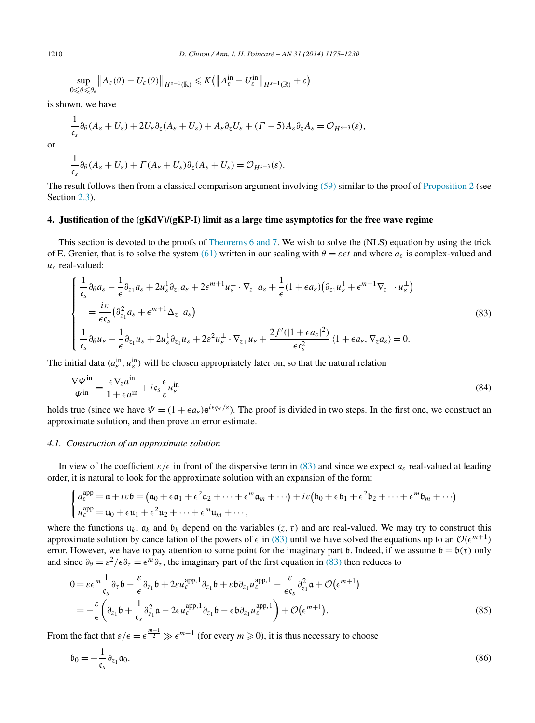$$
\sup_{0\leq \theta\leq \theta_*}\big\|A_{\varepsilon}(\theta)-U_{\varepsilon}(\theta)\big\|_{H^{s-1}(\mathbb{R})}\leqslant K\big(\big\|A_{\varepsilon}^{\text{in}}-U_{\varepsilon}^{\text{in}}\big\|_{H^{s-1}(\mathbb{R})}+\varepsilon\big)
$$

is shown, we have

$$
\frac{1}{\mathfrak{c}_s} \partial_\theta (A_\varepsilon + U_\varepsilon) + 2U_\varepsilon \partial_z (A_\varepsilon + U_\varepsilon) + A_\varepsilon \partial_z U_\varepsilon + (I - 5) A_\varepsilon \partial_z A_\varepsilon = \mathcal{O}_{H^{s-3}}(\varepsilon),
$$

$$
\frac{1}{\mathfrak{c}_s} \partial_\theta (A_\varepsilon + U_\varepsilon) + \Gamma (A_\varepsilon + U_\varepsilon) \partial_z (A_\varepsilon + U_\varepsilon) = \mathcal{O}_{H^{s-3}}(\varepsilon).
$$

The result follows then from a classical comparison argument involving [\(59\)](#page-24-0) similar to the proof of [Proposition 2](#page-6-0) (see Section [2.3\)](#page-30-0).

# **4. Justification of the (gKdV)/(gKP-I) limit as a large time asymptotics for the free wave regime**

This section is devoted to the proofs of [Theorems 6 and 7.](#page-18-0) We wish to solve the (NLS) equation by using the trick of E. Grenier, that is to solve the system [\(61\)](#page-26-0) written in our scaling with  $\theta = \varepsilon \epsilon t$  and where  $a_{\varepsilon}$  is complex-valued and *uε* real-valued:

$$
\begin{cases}\n\frac{1}{\mathfrak{c}_{s}}\partial_{\theta}a_{\varepsilon} - \frac{1}{\epsilon}\partial_{z_{1}}a_{\varepsilon} + 2u_{\varepsilon}^{1}\partial_{z_{1}}a_{\varepsilon} + 2\epsilon^{m+1}u_{\varepsilon}^{1} \cdot \nabla_{z_{\perp}}a_{\varepsilon} + \frac{1}{\epsilon}(1 + \epsilon a_{\varepsilon})\big(\partial_{z_{1}}u_{\varepsilon}^{1} + \epsilon^{m+1}\nabla_{z_{\perp}}\cdot u_{\varepsilon}^{\perp}\big) \\
= \frac{i\varepsilon}{\epsilon\mathfrak{c}_{s}}\big(\partial_{z_{1}}^{2}a_{\varepsilon} + \epsilon^{m+1}\Delta_{z_{\perp}}a_{\varepsilon}\big) \\
\frac{1}{\mathfrak{c}_{s}}\partial_{\theta}u_{\varepsilon} - \frac{1}{\epsilon}\partial_{z_{1}}u_{\varepsilon} + 2u_{\varepsilon}^{1}\partial_{z_{1}}u_{\varepsilon} + 2\varepsilon^{2}u_{\varepsilon}^{\perp} \cdot \nabla_{z_{\perp}}u_{\varepsilon} + \frac{2f'(|1 + \epsilon a_{\varepsilon}|^{2})}{\epsilon\mathfrak{c}_{s}^{2}}\langle 1 + \epsilon a_{\varepsilon}, \nabla_{z}a_{\varepsilon} \rangle = 0.\n\end{cases}
$$
\n(83)

The initial data  $(a_{\varepsilon}^{\text{in}}, u_{\varepsilon}^{\text{in}})$  will be chosen appropriately later on, so that the natural relation

$$
\frac{\nabla \Psi^{\text{in}}}{\Psi^{\text{in}}} = \frac{\epsilon \nabla_z a^{\text{in}}}{1 + \epsilon a^{\text{in}}} + i \mathfrak{c}_s \frac{\epsilon}{\varepsilon} u_\varepsilon^{\text{in}} \tag{84}
$$

holds true (since we have  $\Psi = (1 + \epsilon a_{\epsilon})e^{i\epsilon\varphi_{\epsilon}/\epsilon}$ ). The proof is divided in two steps. In the first one, we construct an approximate solution, and then prove an error estimate.

#### *4.1. Construction of an approximate solution*

In view of the coefficient  $\varepsilon/\epsilon$  in front of the dispersive term in (83) and since we expect  $a_{\varepsilon}$  real-valued at leading order, it is natural to look for the approximate solution with an expansion of the form:

$$
\begin{cases}\na_{\varepsilon}^{\text{app}} = \mathfrak{a} + i\varepsilon \mathfrak{b} = (\mathfrak{a}_0 + \epsilon \mathfrak{a}_1 + \epsilon^2 \mathfrak{a}_2 + \cdots + \epsilon^m \mathfrak{a}_m + \cdots) + i\varepsilon (\mathfrak{b}_0 + \epsilon \mathfrak{b}_1 + \epsilon^2 \mathfrak{b}_2 + \cdots + \epsilon^m \mathfrak{b}_m + \cdots) \\
u_{\varepsilon}^{\text{app}} = \mathfrak{u}_0 + \epsilon \mathfrak{u}_1 + \epsilon^2 \mathfrak{u}_2 + \cdots + \epsilon^m \mathfrak{u}_m + \cdots,\n\end{cases}
$$

where the functions  $u_k$ ,  $a_k$  and  $b_k$  depend on the variables  $(z, \tau)$  and are real-valued. We may try to construct this approximate solution by cancellation of the powers of  $\epsilon$  in (83) until we have solved the equations up to an  $\mathcal{O}(\epsilon^{m+1})$ error. However, we have to pay attention to some point for the imaginary part b. Indeed, if we assume  $b = b(\tau)$  only and since  $\partial_{\theta} = \varepsilon^2 / \varepsilon \partial_{\tau} = \varepsilon^m \partial_{\tau}$ , the imaginary part of the first equation in (83) then reduces to

$$
0 = \varepsilon \epsilon^m \frac{1}{\epsilon_s} \partial_\tau b - \frac{\varepsilon}{\epsilon} \partial_{z_1} b + 2\varepsilon u_\varepsilon^{\text{app,1}} \partial_{z_1} b + \varepsilon b \partial_{z_1} u_\varepsilon^{\text{app,1}} - \frac{\varepsilon}{\epsilon \epsilon_s} \partial_{z_1}^2 \mathfrak{a} + \mathcal{O}(\epsilon^{m+1})
$$
  
= 
$$
- \frac{\varepsilon}{\epsilon} \left( \partial_{z_1} b + \frac{1}{\epsilon_s} \partial_{z_1}^2 \mathfrak{a} - 2\varepsilon u_\varepsilon^{\text{app,1}} \partial_{z_1} b - \varepsilon b \partial_{z_1} u_\varepsilon^{\text{app,1}} \right) + \mathcal{O}(\epsilon^{m+1}).
$$
 (85)

From the fact that  $\varepsilon/\epsilon = \epsilon^{\frac{m-1}{2}} \gg \epsilon^{m+1}$  (for every  $m \ge 0$ ), it is thus necessary to choose

$$
\mathfrak{b}_0 = -\frac{1}{\mathfrak{c}_s} \partial_{z_1} \mathfrak{a}_0. \tag{86}
$$

<span id="page-35-0"></span>

or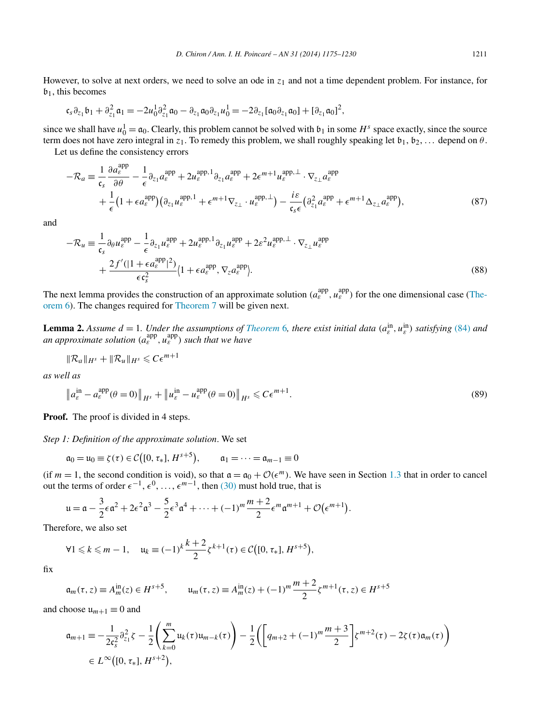<span id="page-36-0"></span>However, to solve at next orders, we need to solve an ode in *z*<sup>1</sup> and not a time dependent problem. For instance, for  $\mathfrak{b}_1$ , this becomes

$$
\mathfrak{c}_{s}\partial_{z_{1}}\mathfrak{b}_{1}+\partial_{z_{1}}^{2}\mathfrak{a}_{1}=-2u_{0}^{1}\partial_{z_{1}}^{2}\mathfrak{a}_{0}-\partial_{z_{1}}\mathfrak{a}_{0}\partial_{z_{1}}u_{0}^{1}=-2\partial_{z_{1}}[\mathfrak{a}_{0}\partial_{z_{1}}\mathfrak{a}_{0}]+[\partial_{z_{1}}\mathfrak{a}_{0}]^{2},
$$

since we shall have  $u_0^1 = \mathfrak{a}_0$ . Clearly, this problem cannot be solved with  $\mathfrak{b}_1$  in some  $H^s$  space exactly, since the source term does not have zero integral in  $z_1$ . To remedy this problem, we shall roughly speaking let  $b_1, b_2, \ldots$  depend on  $\theta$ .

Let us define the consistency errors

$$
-\mathcal{R}_a \equiv \frac{1}{\mathfrak{c}_s} \frac{\partial a_\varepsilon^{\mathrm{app}}}{\partial \theta} - \frac{1}{\epsilon} \partial_{z_1} a_\varepsilon^{\mathrm{app}} + 2 u_\varepsilon^{\mathrm{app,1}} \partial_{z_1} a_\varepsilon^{\mathrm{app}} + 2 \epsilon^{m+1} u_\varepsilon^{\mathrm{app,1}} \cdot \nabla_{z_\perp} a_\varepsilon^{\mathrm{app}} + \frac{1}{\epsilon} \left( 1 + \epsilon a_\varepsilon^{\mathrm{app}} \right) \left( \partial_{z_1} u_\varepsilon^{\mathrm{app,1}} + \epsilon^{m+1} \nabla_{z_\perp} \cdot u_\varepsilon^{\mathrm{app,1}} \right) - \frac{i\varepsilon}{\mathfrak{c}_s \epsilon} \left( \partial_{z_1}^2 a_\varepsilon^{\mathrm{app}} + \epsilon^{m+1} \Delta_{z_\perp} a_\varepsilon^{\mathrm{app}} \right),
$$
\n(87)

and

$$
-\mathcal{R}_u \equiv \frac{1}{\epsilon_s} \partial_\theta u_\varepsilon^{\text{app}} - \frac{1}{\epsilon} \partial_{z_1} u_\varepsilon^{\text{app}} + 2u_\varepsilon^{\text{app,1}} \partial_{z_1} u_\varepsilon^{\text{app}} + 2\varepsilon^2 u_\varepsilon^{\text{app,1}} \cdot \nabla_{z_\perp} u_\varepsilon^{\text{app}} + \frac{2f'(|1 + \epsilon a_\varepsilon^{\text{app}}|^2)}{\epsilon \epsilon_s^2} (1 + \epsilon a_\varepsilon^{\text{app}}, \nabla_z a_\varepsilon^{\text{app}}).
$$
\n(88)

The next lemma provides the construction of an approximate solution  $(a_{\varepsilon}^{\text{app}}, u_{\varepsilon}^{\text{app}})$  for the one dimensional case [\(The](#page-18-0)[orem 6\)](#page-18-0). The changes required for [Theorem 7](#page-19-0) will be given next.

**Lemma 2.** Assume  $d = 1$ . Under the assumptions of *[Theorem](#page-18-0)* 6, there exist initial data  $(a_{\varepsilon}^{\text{in}}, u_{\varepsilon}^{\text{in}})$  satisfying [\(84\)](#page-35-0) and *an approximate solution*  $(a_{\varepsilon}^{\text{app}}, u_{\varepsilon}^{\text{app}})$  *such that we have* 

$$
\|\mathcal{R}_a\|_{H^s}+\|\mathcal{R}_u\|_{H^s}\leqslant C\epsilon^{m+1}
$$

*as well as*

$$
\left\|a_{\varepsilon}^{\text{in}} - a_{\varepsilon}^{\text{app}}(\theta = 0)\right\|_{H^{s}} + \left\|u_{\varepsilon}^{\text{in}} - u_{\varepsilon}^{\text{app}}(\theta = 0)\right\|_{H^{s}} \leqslant C\epsilon^{m+1}.
$$
\n(89)

**Proof.** The proof is divided in 4 steps.

*Step 1: Definition of the approximate solution*. We set

$$
\mathfrak{a}_0 = \mathfrak{u}_0 \equiv \zeta(\tau) \in C([0, \tau_*], H^{s+5}), \qquad \mathfrak{a}_1 = \cdots = \mathfrak{a}_{m-1} \equiv 0
$$

(if  $m = 1$ , the second condition is void), so that  $\mathfrak{a} = \mathfrak{a}_0 + \mathcal{O}(\epsilon^m)$ . We have seen in Section [1.3](#page-8-0) that in order to cancel out the terms of order  $\epsilon^{-1}, \epsilon^0, \ldots, \epsilon^{m-1}$ , then [\(30\)](#page-13-0) must hold true, that is

$$
\mathfrak{u} = \mathfrak{a} - \frac{3}{2}\epsilon \mathfrak{a}^2 + 2\epsilon^2 \mathfrak{a}^3 - \frac{5}{2}\epsilon^3 \mathfrak{a}^4 + \cdots + (-1)^m \frac{m+2}{2}\epsilon^m \mathfrak{a}^{m+1} + \mathcal{O}(\epsilon^{m+1}).
$$

Therefore, we also set

$$
\forall 1 \leq k \leq m-1, \quad u_k \equiv (-1)^k \frac{k+2}{2} \zeta^{k+1}(\tau) \in \mathcal{C}\big([0, \tau_*], H^{s+5}\big),
$$

fix

$$
\mathfrak{a}_m(\tau, z) \equiv A_m^{\text{in}}(z) \in H^{s+5}, \qquad \mathfrak{u}_m(\tau, z) \equiv A_m^{\text{in}}(z) + (-1)^m \frac{m+2}{2} \zeta^{m+1}(\tau, z) \in H^{s+5}
$$

and choose  $u_{m+1} \equiv 0$  and

$$
\mathfrak{a}_{m+1} \equiv -\frac{1}{2\mathfrak{c}_{s}^{2}} \partial_{z_{1}}^{2} \zeta - \frac{1}{2} \left( \sum_{k=0}^{m} \mathfrak{u}_{k}(\tau) \mathfrak{u}_{m-k}(\tau) \right) - \frac{1}{2} \left( \left[ q_{m+2} + (-1)^{m} \frac{m+3}{2} \right] \zeta^{m+2}(\tau) - 2\zeta(\tau) \mathfrak{a}_{m}(\tau) \right)
$$
  

$$
\in L^{\infty}([0, \tau_{*}], H^{s+2}),
$$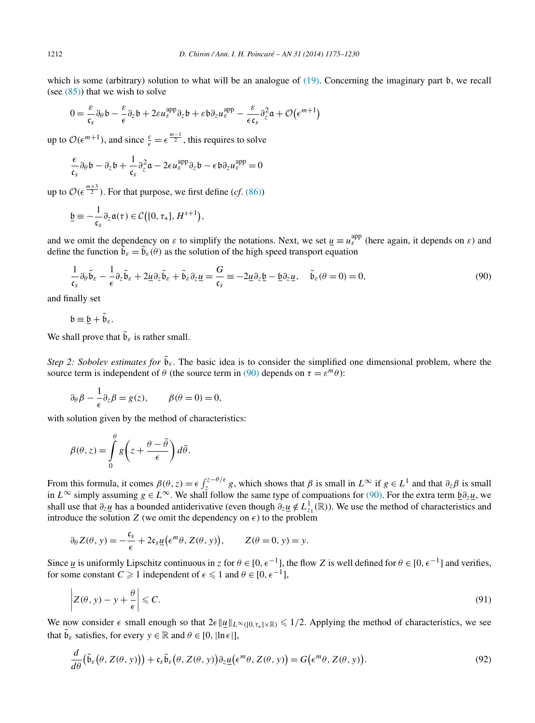<span id="page-37-0"></span>which is some (arbitrary) solution to what will be an analogue of [\(19\).](#page-9-0) Concerning the imaginary part b, we recall (see  $(85)$ ) that we wish to solve

$$
0 = \frac{\varepsilon}{\mathfrak{c}_s} \partial_\theta \mathfrak{b} - \frac{\varepsilon}{\epsilon} \partial_z \mathfrak{b} + 2\varepsilon u_\varepsilon^{\mathrm{app}} \partial_z \mathfrak{b} + \varepsilon \mathfrak{b} \partial_z u_\varepsilon^{\mathrm{app}} - \frac{\varepsilon}{\epsilon \mathfrak{c}_s} \partial_z^2 \mathfrak{a} + \mathcal{O}(\epsilon^{m+1})
$$

up to  $\mathcal{O}(\epsilon^{m+1})$ , and since  $\frac{\varepsilon}{\epsilon} = \epsilon^{\frac{m-1}{2}}$ , this requires to solve

$$
\frac{\epsilon}{\epsilon_s} \partial_\theta \mathfrak{b} - \partial_z \mathfrak{b} + \frac{1}{\epsilon_s} \partial_z^2 \mathfrak{a} - 2\epsilon u_\varepsilon^{\text{app}} \partial_z \mathfrak{b} - \epsilon \mathfrak{b} \partial_z u_\varepsilon^{\text{app}} = 0
$$

up to  $\mathcal{O}(\epsilon^{\frac{m+3}{2}})$ . For that purpose, we first define (*cf.* [\(86\)\)](#page-35-0)

$$
\underline{\mathfrak{b}} \equiv -\frac{1}{\mathfrak{c}_s} \partial_z \mathfrak{a}(\tau) \in \mathcal{C}\big([0, \tau_*], H^{s+1}\big),
$$

and we omit the dependency on  $\varepsilon$  to simplify the notations. Next, we set  $\underline{u} \equiv u_{\varepsilon}^{\text{app}}$  (here again, it depends on  $\varepsilon$ ) and define the function  $\tilde{b}_{\varepsilon} = \tilde{b}_{\varepsilon}(\theta)$  as the solution of the high speed transport equation

$$
\frac{1}{\mathfrak{c}_s} \partial_{\theta} \tilde{\mathfrak{b}}_s - \frac{1}{\epsilon} \partial_z \tilde{\mathfrak{b}}_s + 2\underline{u} \partial_z \tilde{\mathfrak{b}}_s + \tilde{\mathfrak{b}}_s \partial_z \underline{u} = \frac{G}{\mathfrak{c}_s} \equiv -2\underline{u} \partial_z \underline{\mathfrak{b}} - \underline{\mathfrak{b}} \partial_z \underline{u}, \quad \tilde{\mathfrak{b}}_s (\theta = 0) = 0,
$$
\n
$$
(90)
$$

and finally set

$$
\mathfrak{b}\equiv \underline{\mathfrak{b}}+\tilde{\mathfrak{b}}_{\varepsilon}.
$$

We shall prove that  $\tilde{\mathfrak{b}}_{\varepsilon}$  is rather small.

*Step 2: Sobolev estimates for*  $\tilde{b}_{\varepsilon}$ . The basic idea is to consider the simplified one dimensional problem, where the source term is independent of  $\theta$  (the source term in (90) depends on  $\tau = \varepsilon^m \theta$ ):

$$
\partial_{\theta} \beta - \frac{1}{\epsilon} \partial_{z} \beta = g(z), \qquad \beta(\theta = 0) = 0,
$$

with solution given by the method of characteristics:

$$
\beta(\theta, z) = \int_{0}^{\theta} g\left(z + \frac{\theta - \bar{\theta}}{\epsilon}\right) d\bar{\theta}.
$$

From this formula, it comes  $\beta(\theta, z) = \epsilon \int_{z}^{z-\theta/\epsilon} g$ , which shows that  $\beta$  is small in  $L^{\infty}$  if  $g \in L^{1}$  and that  $\partial_{z}\beta$  is small in  $L^{\infty}$  simply assuming  $g \in L^{\infty}$ . We shall follow the same type of compuations for (90). For the extra term  $\underline{b} \partial_z \underline{u}$ , we shall use that *∂zu* has a bounded antiderivative (even though *∂zu* ∈*/ L*<sup>1</sup> *<sup>z</sup>*<sup>1</sup> *(*R*)*). We use the method of characteristics and introduce the solution *Z* (we omit the dependency on  $\epsilon$ ) to the problem

$$
\partial_{\theta} Z(\theta, y) = -\frac{\mathfrak{c}_s}{\epsilon} + 2\mathfrak{c}_s \underline{u}(\epsilon^m \theta, Z(\theta, y)), \qquad Z(\theta = 0, y) = y.
$$

Since  $\underline{u}$  is uniformly Lipschitz continuous in *z* for  $\theta \in [0, \epsilon^{-1}]$ , the flow *Z* is well defined for  $\theta \in [0, \epsilon^{-1}]$  and verifies, for some constant  $C \ge 1$  independent of  $\epsilon \le 1$  and  $\theta \in [0, \epsilon^{-1}]$ ,

$$
\left| Z(\theta, y) - y + \frac{\theta}{\epsilon} \right| \leqslant C. \tag{91}
$$

We now consider  $\epsilon$  small enough so that  $2\epsilon ||\underline{u}||_{L^{\infty}([0,\tau_{*}]\times\mathbb{R})} \leq 1/2$ . Applying the method of characteristics, we see that  $\tilde{\mathfrak{b}}_{\varepsilon}$  satisfies, for every  $y \in \mathbb{R}$  and  $\theta \in [0, |\ln \epsilon|]$ ,

$$
\frac{d}{d\theta}(\tilde{\mathfrak{b}}_{\varepsilon}(\theta, Z(\theta, y))) + \mathfrak{c}_{s}\tilde{\mathfrak{b}}_{\varepsilon}(\theta, Z(\theta, y))\partial_{z}\underline{u}(\epsilon^{m}\theta, Z(\theta, y)) = G(\epsilon^{m}\theta, Z(\theta, y)).
$$
\n(92)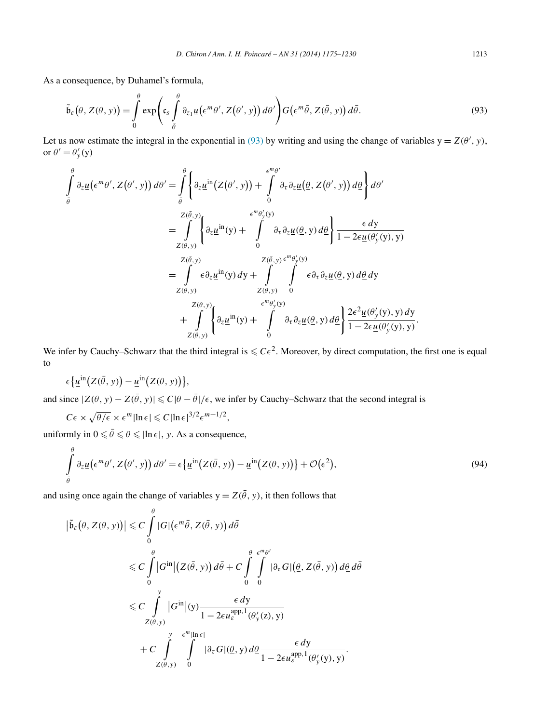<span id="page-38-0"></span>As a consequence, by Duhamel's formula,

$$
\tilde{\mathfrak{b}}_{\varepsilon}(\theta, Z(\theta, y)) = \int_{0}^{\theta} \exp\left(c_{s} \int_{\bar{\theta}}^{\theta} \partial_{z_{1}} \underline{u}(\epsilon^{m} \theta', Z(\theta', y)) d\theta'\right) G(\epsilon^{m} \bar{\theta}, Z(\bar{\theta}, y)) d\bar{\theta}.
$$
\n(93)

Let us now estimate the integral in the exponential in (93) by writing and using the change of variables  $y = Z(\theta', y)$ , or  $\theta' = \theta'_y(y)$ 

$$
\int_{\tilde{\theta}}^{\theta} \partial_z \underline{u} (\epsilon^m \theta', Z(\theta', y)) d\theta' = \int_{\tilde{\theta}}^{\theta} \left\{ \partial_z \underline{u}^{in} (Z(\theta', y)) + \int_{0}^{\epsilon^m \theta'} \partial_z \partial_z \underline{u} (\underline{\theta}, Z(\theta', y)) d\underline{\theta} \right\} d\theta'
$$
\n
$$
= \int_{Z(\tilde{\theta}, y)}^{Z(\tilde{\theta}, y)} \left\{ \partial_z \underline{u}^{in} (y) + \int_{0}^{\epsilon^m \theta'_y(y)} \partial_z \partial_z \underline{u} (\underline{\theta}, y) d\underline{\theta} \right\} \frac{\epsilon \, dy}{1 - 2\epsilon \underline{u} (\theta'_y(y), y)}
$$
\n
$$
= \int_{Z(\tilde{\theta}, y)}^{\epsilon^m \theta'_y(y)} \epsilon \partial_z \underline{u}^{in} (y) dy + \int_{Z(\theta, y)}^{Z(\tilde{\theta}, y)} \int_{0}^{\epsilon^m \theta'_y(y)} \epsilon \partial_z \partial_z \underline{u} (\underline{\theta}, y) d\underline{\theta} dy
$$
\n
$$
= \int_{Z(\theta, y)}^{Z(\tilde{\theta}, y)} \left\{ \partial_z \underline{u}^{in} (y) + \int_{0}^{\epsilon^m \theta'_y(y)} \partial_z \partial_z \underline{u} (\underline{\theta}, y) d\underline{\theta} \right\} \frac{2\epsilon^2 \underline{u} (\theta'_y(y), y) dy}{1 - 2\epsilon \underline{u} (\theta'_y(y), y)}.
$$

We infer by Cauchy–Schwarz that the third integral is  $\leq C\epsilon^2$ . Moreover, by direct computation, the first one is equal to

$$
\epsilon \left\{ \underline{u}^{\text{in}} \big( Z(\bar{\theta}, y) \big) - \underline{u}^{\text{in}} \big( Z(\theta, y) \big) \right\},\
$$

and since  $|Z(\theta, y) - Z(\bar{\theta}, y)| \leq C|\theta - \bar{\theta}|/\epsilon$ , we infer by Cauchy–Schwarz that the second integral is

$$
C\epsilon \times \sqrt{\theta/\epsilon} \times \epsilon^m |\ln \epsilon| \leqslant C |\ln \epsilon|^{3/2} \epsilon^{m+1/2},
$$

uniformly in  $0 \le \bar{\theta} \le \theta \le |\ln \epsilon|$ , *y*. As a consequence,

$$
\int_{\bar{\theta}}^{\theta} \partial_z \underline{u} \big( \epsilon^m \theta', Z(\theta', y) \big) d\theta' = \epsilon \big\{ \underline{u}^{\text{in}} \big( Z(\bar{\theta}, y) \big) - \underline{u}^{\text{in}} \big( Z(\theta, y) \big) \big\} + \mathcal{O} \big( \epsilon^2 \big),\tag{94}
$$

and using once again the change of variables  $y = Z(\bar{\theta}, y)$ , it then follows that

$$
\left| \tilde{\mathfrak{b}}_{\varepsilon}(\theta, Z(\theta, y)) \right| \leq C \int_{0}^{\theta} |G| \left( \epsilon^{m} \bar{\theta}, Z(\bar{\theta}, y) \right) d\bar{\theta}
$$
  

$$
\leq C \int_{0}^{\theta} |G^{in}| \left( Z(\bar{\theta}, y) \right) d\bar{\theta} + C \int_{0}^{\theta} \int_{0}^{\epsilon^{m} \theta'} |\partial_{\tau} G| \left( \underline{\theta}, Z(\bar{\theta}, y) \right) d\underline{\theta} d\bar{\theta}
$$
  

$$
\leq C \int_{Z(\theta, y)}^{y} |G^{in}| (y) \frac{\epsilon dy}{1 - 2\epsilon u_{\varepsilon}^{\text{app}, 1}(\theta_{y}'(z), y)}
$$
  

$$
+ C \int_{Z(\theta, y)}^{y} \int_{0}^{\epsilon^{m} |ln \epsilon|} |\partial_{\tau} G| \left( \underline{\theta}, y \right) d\underline{\theta} \frac{\epsilon dy}{1 - 2\epsilon u_{\varepsilon}^{\text{app}, 1}(\theta_{y}'(y), y)}.
$$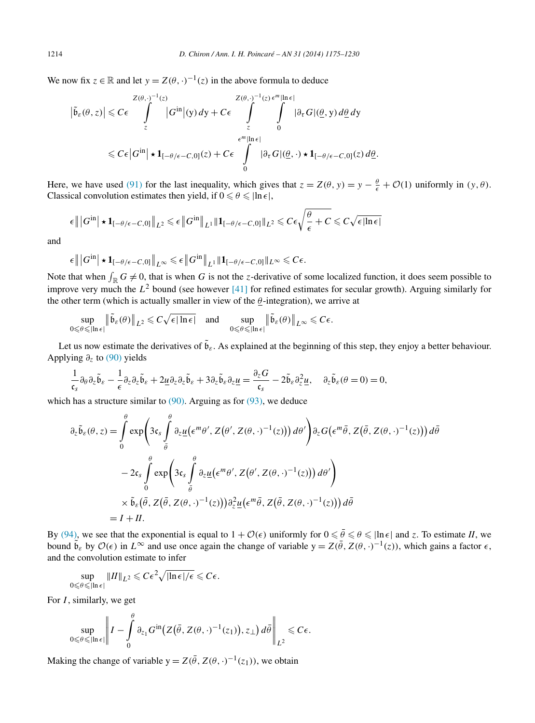We now fix  $z \in \mathbb{R}$  and let  $y = Z(\theta, \cdot)^{-1}(z)$  in the above formula to deduce

$$
\left|\tilde{b}_{\varepsilon}(\theta, z)\right| \leq C\epsilon \int_{z}^{Z(\theta, \cdot)^{-1}(z)} |G^{\text{in}}|(y) dy + C\epsilon \int_{z}^{Z(\theta, \cdot)^{-1}(z) \epsilon^{m}|\ln \epsilon|} \int_{\epsilon^{m}|\ln \epsilon|} |\partial_{\tau}G|(\underline{\theta}, y) d\underline{\theta} dy
$$
  

$$
\leq C\epsilon |G^{\text{in}}| \star \mathbf{1}_{[-\theta/\epsilon-C, 0]}(z) + C\epsilon \int_{0}^{\epsilon^{m}|\ln \epsilon|} |\partial_{\tau}G|(\underline{\theta}, \cdot) \star \mathbf{1}_{[-\theta/\epsilon-C, 0]}(z) d\underline{\theta}.
$$

Here, we have used [\(91\)](#page-37-0) for the last inequality, which gives that  $z = Z(\theta, y) = y - \frac{\theta}{\epsilon} + \mathcal{O}(1)$  uniformly in  $(y, \theta)$ . Classical convolution estimates then yield, if  $0 \le \theta \le \ln \epsilon$ ,

$$
\epsilon \| |G^{in}| \star \mathbf{1}_{[-\theta/\epsilon - C,0]} \|_{L^2} \leq \epsilon \| G^{in} \|_{L^1} \| \mathbf{1}_{[-\theta/\epsilon - C,0]} \|_{L^2} \leq C \epsilon \sqrt{\frac{\theta}{\epsilon} + C} \leq C \sqrt{\epsilon |\ln \epsilon|}
$$

and

$$
\epsilon \| |G^{in}| \star \mathbf{1}_{[-\theta/\epsilon - C,0]} \|_{L^{\infty}} \leq \epsilon \| G^{in} \|_{L^1} \| \mathbf{1}_{[-\theta/\epsilon - C,0]} \|_{L^{\infty}} \leq C\epsilon.
$$

Note that when  $\int_{\mathbb{R}} G \neq 0$ , that is when G is not the *z*-derivative of some localized function, it does seem possible to improve very much the  $L^2$  bound (see however [\[41\]](#page-55-0) for refined estimates for secular growth). Arguing similarly for the other term (which is actually smaller in view of the  $\theta$ -integration), we arrive at

$$
\sup_{0\leq \theta\leqslant |\ln \epsilon|} \left\|\tilde{\mathfrak{b}}_{\varepsilon}(\theta)\right\|_{L^2}\leqslant C\sqrt{\epsilon|\ln \epsilon|}\quad\text{and}\quad \sup_{0\leqslant \theta\leqslant |\ln \epsilon|} \left\|\tilde{\mathfrak{b}}_{\varepsilon}(\theta)\right\|_{L^\infty}\leqslant C\epsilon.
$$

Let us now estimate the derivatives of  $\tilde{b}_{\varepsilon}$ . As explained at the beginning of this step, they enjoy a better behaviour. Applying *∂z* to [\(90\)](#page-37-0) yields

$$
\frac{1}{\mathfrak{c}_s} \partial_{\theta} \partial_z \tilde{\mathfrak{b}}_s - \frac{1}{\epsilon} \partial_z \partial_z \tilde{\mathfrak{b}}_s + 2 \underline{u} \partial_z \partial_z \tilde{\mathfrak{b}}_s + 3 \partial_z \tilde{\mathfrak{b}}_s \partial_z \underline{u} = \frac{\partial_z G}{\mathfrak{c}_s} - 2 \tilde{\mathfrak{b}}_s \partial_z^2 \underline{u}, \quad \partial_z \tilde{\mathfrak{b}}_s (\theta = 0) = 0,
$$

which has a structure similar to  $(90)$ . Arguing as for  $(93)$ , we deduce

$$
\partial_z \tilde{\mathfrak{b}}_{\varepsilon}(\theta, z) = \int_0^{\theta} \exp\left(3\mathfrak{c}_s \int_{\tilde{\theta}}^{\theta} \partial_z \underline{u} \left(\epsilon^m \theta', Z(\theta', Z(\theta, \cdot)^{-1}(z))\right) d\theta'\right) \partial_z G\left(\epsilon^m \bar{\theta}, Z(\bar{\theta}, Z(\theta, \cdot)^{-1}(z))\right) d\bar{\theta}
$$

$$
-2\mathfrak{c}_s \int_0^{\theta} \exp\left(3\mathfrak{c}_s \int_{\tilde{\theta}}^{\theta} \partial_z \underline{u} \left(\epsilon^m \theta', Z(\theta', Z(\theta, \cdot)^{-1}(z))\right) d\theta'\right)
$$

$$
\times \tilde{\mathfrak{b}}_{\varepsilon}(\bar{\theta}, Z(\bar{\theta}, Z(\theta, \cdot)^{-1}(z))) \partial_z^2 \underline{u} \left(\epsilon^m \bar{\theta}, Z(\bar{\theta}, Z(\theta, \cdot)^{-1}(z))\right) d\bar{\theta}
$$

$$
= I + II.
$$

By [\(94\),](#page-38-0) we see that the exponential is equal to  $1 + \mathcal{O}(\epsilon)$  uniformly for  $0 \le \bar{\theta} \le \theta \le |\ln \epsilon|$  and *z*. To estimate *II*, we bound  $\tilde{b}_{\varepsilon}$  by  $\mathcal{O}(\epsilon)$  in  $L^{\infty}$  and use once again the change of variable  $y = Z(\theta, Z(\theta, \cdot)^{-1}(z))$ , which gains a factor  $\epsilon$ , and the convolution estimate to infer

$$
\sup_{0\leq \theta\leq |\ln \epsilon|} \|II\|_{L^2}\leqslant C\epsilon^2\sqrt{|\ln \epsilon|/\epsilon}\leqslant C\epsilon.
$$

For *I* , similarly, we get

$$
\sup_{0\leq \theta\leq |\ln \epsilon|} \left\|I - \int\limits_0^\theta \partial_{z_1} G^{\text{in}}\big(Z\big(\bar \theta, Z(\theta,\cdot)^{-1}(z_1)\big), z_\bot\big) d\bar \theta \right\|_{L^2} \leqslant C\epsilon.
$$

Making the change of variable  $y = Z(\bar{\theta}, Z(\theta, \cdot)^{-1}(z_1))$ , we obtain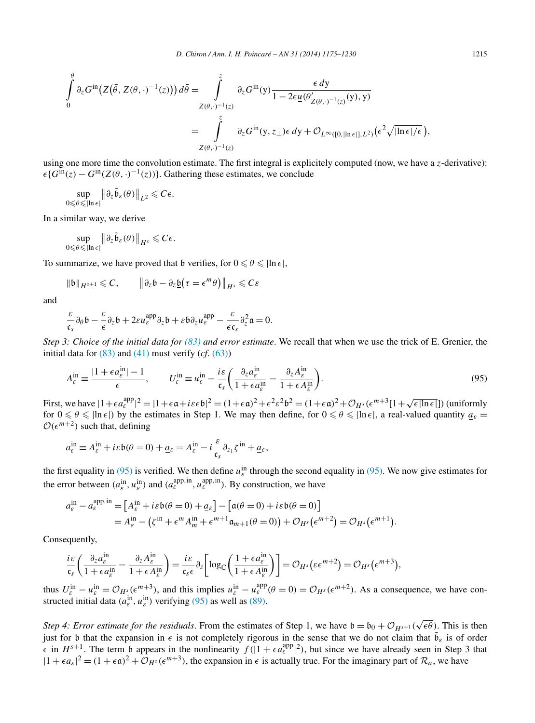$$
\int_{0}^{\theta} \partial_{z} G^{\text{in}}(Z(\bar{\theta}, Z(\theta, \cdot)^{-1}(z))) d\bar{\theta} = \int_{Z(\theta, \cdot)^{-1}(z)}^{\bar{z}} \partial_{z} G^{\text{in}}(y) \frac{\epsilon dy}{1 - 2\epsilon \underline{u}(\theta'_{Z(\theta, \cdot)^{-1}(z)}(y), y)}
$$
\n
$$
= \int_{Z(\theta, \cdot)^{-1}(z)}^{\bar{z}} \partial_{z} G^{\text{in}}(y, z_{\perp}) \epsilon dy + \mathcal{O}_{L^{\infty}([0, |\ln \epsilon|], L^{2})}(\epsilon^{2} \sqrt{|\ln \epsilon|/\epsilon}),
$$

using one more time the convolution estimate. The first integral is explicitely computed (now, we have a *z*-derivative):  ${\epsilon}$ { $G^{\text{in}}(z) - G^{\text{in}}(Z(\theta, \cdot)^{-1}(z))$ }. Gathering these estimates, we conclude

$$
\sup_{0\leqslant\theta\leqslant \left|\ln\epsilon\right|}\left\|\partial_z\widetilde{\mathfrak{b}}_\varepsilon(\theta)\right\|_{L^2}\leqslant C\epsilon.
$$

In a similar way, we derive

$$
\sup_{0\leqslant \theta \leqslant |\ln \epsilon|} \left\|\partial_z \widetilde{\mathfrak{b}}_\varepsilon(\theta)\right\|_{H^s} \leqslant C\epsilon.
$$

To summarize, we have proved that b verifies, for  $0 \le \theta \le \ln \epsilon$ ,

$$
\|\mathfrak{b}\|_{H^{s+1}} \leqslant C, \qquad \|\partial_z \mathfrak{b} - \partial_z \underline{\mathfrak{b}}\big(\tau = \epsilon^m \theta\big)\|_{H^s} \leqslant C\varepsilon
$$

and

$$
\frac{\varepsilon}{\varepsilon_s} \partial_\theta b - \frac{\varepsilon}{\varepsilon} \partial_z b + 2\varepsilon u_\varepsilon^{\mathrm{app}} \partial_z b + \varepsilon b \partial_z u_\varepsilon^{\mathrm{app}} - \frac{\varepsilon}{\varepsilon \varepsilon_s} \partial_z^2 \mathfrak{a} = 0.
$$

*Step 3: Choice of the initial data for [\(83\)](#page-35-0) and error estimate*. We recall that when we use the trick of E. Grenier, the initial data for  $(83)$  and  $(41)$  must verify  $(cf. (63))$  $(cf. (63))$ 

$$
A_{\varepsilon}^{\text{in}} \equiv \frac{|1 + \epsilon a_{\varepsilon}^{\text{in}}| - 1}{\epsilon}, \qquad U_{\varepsilon}^{\text{in}} \equiv u_{\varepsilon}^{\text{in}} - \frac{i\varepsilon}{\mathfrak{c}_{s}} \left( \frac{\partial_{z} a_{\varepsilon}^{\text{in}}}{1 + \epsilon a_{\varepsilon}^{\text{in}}} - \frac{\partial_{z} A_{\varepsilon}^{\text{in}}}{1 + \epsilon A_{\varepsilon}^{\text{in}}} \right). \tag{95}
$$

First, we have  $|1+\epsilon a_{\varepsilon}^{\text{app}}|^2 = |1+\epsilon \mathfrak{a}+i\varepsilon \epsilon \mathfrak{b}|^2 = (1+\epsilon \mathfrak{a})^2 + \epsilon^2 \varepsilon^2 \mathfrak{b}^2 = (1+\epsilon \mathfrak{a})^2 + \mathcal{O}_{H^s}(\epsilon^{m+3}[1+\sqrt{\epsilon |\ln \epsilon|})$  (uniformly for  $0 \le \theta \le |\ln \epsilon|$ ) by the estimates in Step 1. We may then define, for  $0 \le \theta \le |\ln \epsilon|$ , a real-valued quantity  $a_{\epsilon} =$  $\mathcal{O}(\epsilon^{m+2})$  such that, defining

$$
a_{\varepsilon}^{\text{in}} \equiv A_{\varepsilon}^{\text{in}} + i \varepsilon \mathfrak{b}(\theta = 0) + \underline{a}_{\varepsilon} = A_{\varepsilon}^{\text{in}} - i \frac{\varepsilon}{\mathfrak{c}_{\mathfrak{s}}} \partial_{z_1} \zeta^{\text{in}} + \underline{a}_{\varepsilon},
$$

the first equality in (95) is verified. We then define  $u_{\varepsilon}^{\text{in}}$  through the second equality in (95). We now give estimates for the error between  $(a_{\varepsilon}^{\text{in}}, u_{\varepsilon}^{\text{in}})$  and  $(a_{\varepsilon}^{\text{app,in}}, u_{\varepsilon}^{\text{app,in}})$ . By construction, we have

$$
a_{\varepsilon}^{\text{in}} - a_{\varepsilon}^{\text{app,in}} = \left[ A_{\varepsilon}^{\text{in}} + i\varepsilon \mathfrak{b}(\theta = 0) + \underline{a}_{\varepsilon} \right] - \left[ \mathfrak{a}(\theta = 0) + i\varepsilon \mathfrak{b}(\theta = 0) \right]
$$
  
= 
$$
A_{\varepsilon}^{\text{in}} - (\zeta^{\text{in}} + \epsilon^m A_m^{\text{in}} + \epsilon^{m+1} \mathfrak{a}_{m+1}(\theta = 0)) + \mathcal{O}_{H^s}(\epsilon^{m+2}) = \mathcal{O}_{H^s}(\epsilon^{m+1}).
$$

Consequently,

$$
\frac{i\varepsilon}{\mathfrak{c}_s}\bigg(\frac{\partial_z a_\varepsilon^{\text{in}}}{1+\epsilon a_\varepsilon^{\text{in}}}-\frac{\partial_z A_\varepsilon^{\text{in}}}{1+\epsilon A_\varepsilon^{\text{in}}}\bigg)=\frac{i\varepsilon}{\mathfrak{c}_s\epsilon}\partial_z\bigg[\log_{\mathbb{C}}\bigg(\frac{1+\epsilon a_\varepsilon^{\text{in}}}{1+\epsilon A_\varepsilon^{\text{in}}}\bigg)\bigg]=\mathcal{O}_{H^s}\big(\varepsilon\epsilon^{m+2}\big)=\mathcal{O}_{H^s}\big(\epsilon^{m+3}\big),
$$

thus  $U_{\varepsilon}^{\text{in}} - u_{\varepsilon}^{\text{in}} = \mathcal{O}_{H^s}(\varepsilon^{m+3})$ , and this implies  $u_{\varepsilon}^{\text{in}} - u_{\varepsilon}^{\text{app}}(\theta = 0) = \mathcal{O}_{H^s}(\varepsilon^{m+2})$ . As a consequence, we have constructed initial data  $(a_{\varepsilon}^{\text{in}}, u_{\varepsilon}^{\text{in}})$  verifying (95) as well as [\(89\).](#page-36-0)

*Step 4: Error estimate for the residuals.* From the estimates of Step 1, we have  $\mathfrak{b} = \mathfrak{b}_0 + \mathcal{O}_{H^{s+1}}(\sqrt{\epsilon \theta})$ . This is then just for b that the expansion in  $\epsilon$  is not completely rigorous in the sense that we do not claim that  $\tilde{b}_{\epsilon}$  is of order  $\epsilon$  in  $H^{s+1}$ . The term b appears in the nonlinearity  $f(|1 + \epsilon a_{\epsilon}^{\text{app}}|^2)$ , but since we have already seen in Step 3 that  $|1 + \epsilon a_{\varepsilon}|^2 = (1 + \epsilon \mathfrak{a})^2 + \mathcal{O}_{H^s}(\epsilon^{m+3})$ , the expansion in  $\epsilon$  is actually true. For the imaginary part of  $\mathcal{R}_a$ , we have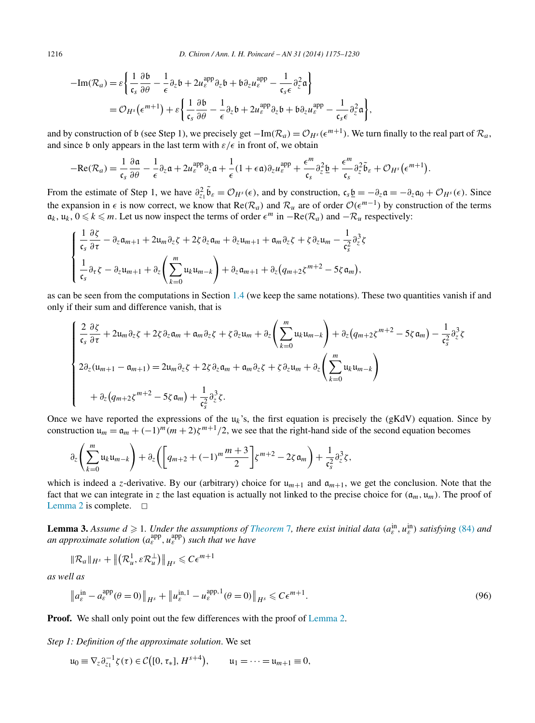$$
-Im(\mathcal{R}_a) = \varepsilon \left\{ \frac{1}{\mathfrak{c}_s} \frac{\partial \mathfrak{b}}{\partial \theta} - \frac{1}{\epsilon} \partial_z \mathfrak{b} + 2u_{\varepsilon}^{\text{app}} \partial_z \mathfrak{b} + \mathfrak{b} \partial_z u_{\varepsilon}^{\text{app}} - \frac{1}{\mathfrak{c}_s \epsilon} \partial_z^2 \mathfrak{a} \right\}
$$
  
=  $\mathcal{O}_{H^s} (\epsilon^{m+1}) + \varepsilon \left\{ \frac{1}{\mathfrak{c}_s} \frac{\partial \mathfrak{b}}{\partial \theta} - \frac{1}{\epsilon} \partial_z \mathfrak{b} + 2u_{\varepsilon}^{\text{app}} \partial_z \mathfrak{b} + \mathfrak{b} \partial_z u_{\varepsilon}^{\text{app}} - \frac{1}{\mathfrak{c}_s \epsilon} \partial_z^2 \mathfrak{a} \right\},$ 

and by construction of b (see Step 1), we precisely get  $-\text{Im}(\mathcal{R}_a) = \mathcal{O}_{H^s}(\epsilon^{m+1})$ . We turn finally to the real part of  $\mathcal{R}_a$ , and since b only appears in the last term with  $\varepsilon/\epsilon$  in front of, we obtain

$$
-\mathrm{Re}(\mathcal{R}_a) = \frac{1}{\mathfrak{c}_s} \frac{\partial \mathfrak{a}}{\partial \theta} - \frac{1}{\epsilon} \partial_z \mathfrak{a} + 2u_{\varepsilon}^{\mathrm{app}} \partial_z \mathfrak{a} + \frac{1}{\epsilon} (1 + \epsilon \mathfrak{a}) \partial_z u_{\varepsilon}^{\mathrm{app}} + \frac{\epsilon^m}{\mathfrak{c}_s} \partial_z^2 \underline{\mathfrak{b}} + \frac{\epsilon^m}{\mathfrak{c}_s} \partial_z^2 \widetilde{\mathfrak{b}}_{\varepsilon} + \mathcal{O}_{H^s} (\epsilon^{m+1}).
$$

From the estimate of Step 1, we have  $\partial_{z_1}^2 \tilde{\mathfrak{b}}_{\varepsilon} = \mathcal{O}_{H^s}(\epsilon)$ , and by construction,  $\mathfrak{c}_s \underline{\mathfrak{b}} = -\partial_z \mathfrak{a} = -\partial_z \mathfrak{a}_0 + \mathcal{O}_{H^s}(\epsilon)$ . Since the expansion in  $\epsilon$  is now correct, we know that Re( $\mathcal{R}_a$ ) and  $\mathcal{R}_u$  are of order  $\mathcal{O}(\epsilon^{m-1})$  by construction of the terms  $a_k$ ,  $u_k$ ,  $0 \le k \le m$ . Let us now inspect the terms of order  $\epsilon^m$  in  $-Re(\mathcal{R}_a)$  and  $-\mathcal{R}_u$  respectively:

$$
\begin{cases} \frac{1}{\mathfrak{c}_s} \frac{\partial \zeta}{\partial \tau} - \partial_z \mathfrak{a}_{m+1} + 2 \mathfrak{u}_m \partial_z \zeta + 2 \zeta \partial_z \mathfrak{a}_m + \partial_z \mathfrak{u}_{m+1} + \mathfrak{a}_m \partial_z \zeta + \zeta \partial_z \mathfrak{u}_m - \frac{1}{\mathfrak{c}_s^2} \partial_z^3 \zeta \\ \frac{1}{\mathfrak{c}_s} \partial_{\tau} \zeta - \partial_z \mathfrak{u}_{m+1} + \partial_z \left( \sum_{k=0}^m \mathfrak{u}_k \mathfrak{u}_{m-k} \right) + \partial_z \mathfrak{a}_{m+1} + \partial_z \left( q_{m+2} \zeta^{m+2} - 5 \zeta \mathfrak{a}_m \right), \end{cases}
$$

as can be seen from the computations in Section [1.4](#page-11-0) (we keep the same notations). These two quantities vanish if and only if their sum and difference vanish, that is

$$
\begin{cases} \frac{2}{\mathfrak{c}_{s}} \frac{\partial \zeta}{\partial \tau} + 2\mathfrak{u}_{m} \partial_{z} \zeta + 2\zeta \partial_{z} \mathfrak{a}_{m} + \mathfrak{a}_{m} \partial_{z} \zeta + \zeta \partial_{z} \mathfrak{u}_{m} + \partial_{z} \left( \sum_{k=0}^{m} \mathfrak{u}_{k} \mathfrak{u}_{m-k} \right) + \partial_{z} (q_{m+2} \zeta^{m+2} - 5\zeta \mathfrak{a}_{m}) - \frac{1}{\mathfrak{c}_{s}^{2}} \partial_{z}^{3} \zeta \\ 2\partial_{z} (\mathfrak{u}_{m+1} - \mathfrak{a}_{m+1}) = 2\mathfrak{u}_{m} \partial_{z} \zeta + 2\zeta \partial_{z} \mathfrak{a}_{m} + \mathfrak{a}_{m} \partial_{z} \zeta + \zeta \partial_{z} \mathfrak{u}_{m} + \partial_{z} \left( \sum_{k=0}^{m} \mathfrak{u}_{k} \mathfrak{u}_{m-k} \right) \\ + \partial_{z} (q_{m+2} \zeta^{m+2} - 5\zeta \mathfrak{a}_{m}) + \frac{1}{\mathfrak{c}_{s}^{2}} \partial_{z}^{3} \zeta. \end{cases}
$$

Once we have reported the expressions of the  $u_k$ 's, the first equation is precisely the (gKdV) equation. Since by construction  $u_m = a_m + (-1)^m(m+2)\zeta^{m+1}/2$ , we see that the right-hand side of the second equation becomes

$$
\partial_z \left( \sum_{k=0}^m \mathfrak{u}_k \mathfrak{u}_{m-k} \right) + \partial_z \left( \left[ q_{m+2} + (-1)^m \frac{m+3}{2} \right] \zeta^{m+2} - 2 \zeta \mathfrak{a}_m \right) + \frac{1}{\mathfrak{c}_s^2} \partial_z^3 \zeta,
$$

which is indeed a *z*-derivative. By our (arbitrary) choice for  $u_{m+1}$  and  $a_{m+1}$ , we get the conclusion. Note that the fact that we can integrate in z the last equation is actually not linked to the precise choice for  $(a_m, u_m)$ . The proof of [Lemma 2](#page-36-0) is complete.  $\square$ 

**Lemma 3.** Assume  $d \ge 1$ . Under the assumptions of *[Theorem](#page-19-0)* 7, there exist initial data  $(a_{\varepsilon}^{\text{in}}, u_{\varepsilon}^{\text{in}})$  satisfying [\(84\)](#page-35-0) and *an approximate solution (a*app *<sup>ε</sup> ,u*app *<sup>ε</sup> ) such that we have*

$$
\|\mathcal{R}_a\|_{H^s} + \left\|\left(\mathcal{R}_u^1, \varepsilon \mathcal{R}_u^\perp\right)\right\|_{H^s} \leqslant C\epsilon^{m+1}
$$

*as well as*

$$
\left\|a_{\varepsilon}^{\text{in}} - a_{\varepsilon}^{\text{app}}(\theta = 0)\right\|_{H^{s}} + \left\|u_{\varepsilon}^{\text{in},1} - u_{\varepsilon}^{\text{app},1}(\theta = 0)\right\|_{H^{s}} \leqslant C\epsilon^{m+1}.
$$
\n(96)

**Proof.** We shall only point out the few differences with the proof of [Lemma 2.](#page-36-0)

*Step 1: Definition of the approximate solution*. We set

$$
\mathfrak{u}_0 \equiv \nabla_z \partial_{z_1}^{-1} \zeta(\tau) \in \mathcal{C}\big([0, \tau_*], H^{s+4}\big), \qquad \mathfrak{u}_1 = \cdots = \mathfrak{u}_{m+1} \equiv 0,
$$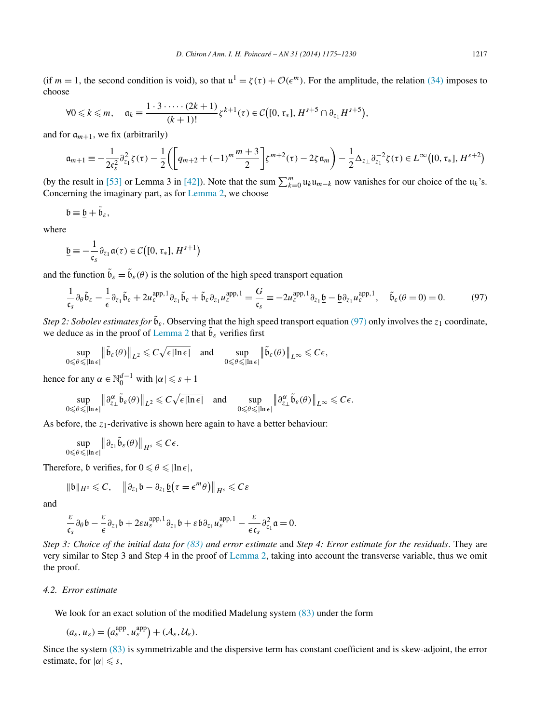<span id="page-42-0"></span>(if  $m = 1$ , the second condition is void), so that  $u^1 = \zeta(\tau) + \mathcal{O}(\epsilon^m)$ . For the amplitude, the relation [\(34\)](#page-14-0) imposes to choose

$$
\forall 0 \leq k \leq m, \quad \mathfrak{a}_k \equiv \frac{1 \cdot 3 \cdot \dots \cdot (2k+1)}{(k+1)!} \zeta^{k+1}(\tau) \in \mathcal{C}\big([0, \tau_*], H^{s+5} \cap \partial_{z_1} H^{s+5}\big),
$$

and for  $a_{m+1}$ , we fix (arbitrarily)

$$
\mathfrak{a}_{m+1} \equiv -\frac{1}{2\mathfrak{c}_{s}^{2}} \partial_{z_{1}}^{2} \zeta(\tau) - \frac{1}{2} \left( \left[ q_{m+2} + (-1)^{m} \frac{m+3}{2} \right] \zeta^{m+2}(\tau) - 2\zeta \mathfrak{a}_{m} \right) - \frac{1}{2} \Delta_{z_{\perp}} \partial_{z_{1}}^{-2} \zeta(\tau) \in L^{\infty}([0, \tau_{*}], H^{s+2})
$$

(by the result in [\[53\]](#page-55-0) or Lemma 3 in [\[42\]\)](#page-55-0). Note that the sum  $\sum_{k=0}^{m} u_k u_{m-k}$  now vanishes for our choice of the  $u_k$ 's. Concerning the imaginary part, as for [Lemma 2,](#page-36-0) we choose

$$
\mathfrak{b}\equiv \underline{\mathfrak{b}}+\tilde{\mathfrak{b}}_{\varepsilon },
$$

where

$$
\underline{\mathfrak{b}} \equiv -\frac{1}{\mathfrak{c}_s} \partial_{z_1} \mathfrak{a}(\tau) \in \mathcal{C}\big([0, \tau_*], H^{s+1}\big)
$$

and the function  $\tilde{\mathfrak{b}}_{\varepsilon} = \tilde{\mathfrak{b}}_{\varepsilon}(\theta)$  is the solution of the high speed transport equation

$$
\frac{1}{\mathfrak{c}_s} \partial_{\theta} \tilde{\mathfrak{b}}_s - \frac{1}{\epsilon} \partial_{z_1} \tilde{\mathfrak{b}}_s + 2u_{\varepsilon}^{\text{app,1}} \partial_{z_1} \tilde{\mathfrak{b}}_s + \tilde{\mathfrak{b}}_{\varepsilon} \partial_{z_1} u_{\varepsilon}^{\text{app,1}} = \frac{G}{\mathfrak{c}_s} \equiv -2u_{\varepsilon}^{\text{app,1}} \partial_{z_1} \underline{\mathfrak{b}} - \underline{\mathfrak{b}} \partial_{z_1} u_{\varepsilon}^{\text{app,1}}, \quad \tilde{\mathfrak{b}}_{\varepsilon}(\theta = 0) = 0. \tag{97}
$$

*Step 2: Sobolev estimates for*  $\tilde{\mathfrak{b}}_{\varepsilon}$ . Observing that the high speed transport equation (97) only involves the *z*<sub>1</sub> coordinate, we deduce as in the proof of [Lemma 2](#page-36-0) that  $\mathfrak{b}_{\varepsilon}$  verifies first

$$
\sup_{0\leq\theta\leq|\ln\epsilon|}\left\|\tilde{\mathfrak{b}}_{\varepsilon}(\theta)\right\|_{L^2}\leqslant C\sqrt{\epsilon|\ln\epsilon|}\quad\text{and}\quad\sup_{0\leqslant\theta\leqslant|\ln\epsilon|}\left\|\tilde{\mathfrak{b}}_{\varepsilon}(\theta)\right\|_{L^\infty}\leqslant C\epsilon,
$$

hence for any  $\alpha \in \mathbb{N}_0^{d-1}$  with  $|\alpha| \leq s + 1$ 

$$
\sup_{0\leqslant\theta\leqslant \vert\ln\epsilon\vert}\left\Vert \partial_{z_\bot}^\alpha \tilde{\mathfrak{b}}_\varepsilon(\theta)\right\Vert_{L^2}\leqslant C\sqrt{\epsilon\vert\ln\epsilon\vert}\quad\text{and}\quad\sup_{0\leqslant\theta\leqslant \vert\ln\epsilon\vert}\left\Vert \partial_{z_\bot}^\alpha \tilde{\mathfrak{b}}_\varepsilon(\theta)\right\Vert_{L^\infty}\leqslant C\epsilon.
$$

As before, the *z*<sub>1</sub>-derivative is shown here again to have a better behaviour:

$$
\sup_{0\leqslant\theta\leqslant |\ln\epsilon|}\big\|\partial_{z_1}\widetilde{\mathfrak{b}}_\varepsilon(\theta)\big\|_{H^s}\leqslant C\epsilon.
$$

Therefore, b verifies, for  $0 \le \theta \le \ln \epsilon$ ,

$$
\|\mathfrak{b}\|_{H^s}\leqslant C,\quad \left\|\partial_{z_1}\mathfrak{b}-\partial_{z_1}\underline{\mathfrak{b}}\big(\tau=\epsilon^m\theta\big)\right\|_{H^s}\leqslant C\varepsilon
$$

and

$$
\frac{\varepsilon}{\varepsilon_s} \partial_\theta \mathfrak{b} - \frac{\varepsilon}{\varepsilon} \partial_{z_1} \mathfrak{b} + 2\varepsilon u_\varepsilon^{\mathrm{app},1} \partial_{z_1} \mathfrak{b} + \varepsilon \mathfrak{b} \partial_{z_1} u_\varepsilon^{\mathrm{app},1} - \frac{\varepsilon}{\varepsilon \varepsilon_s} \partial_{z_1}^2 \mathfrak{a} = 0.
$$

*Step 3: Choice of the initial data for [\(83\)](#page-35-0) and error estimate* and *Step 4: Error estimate for the residuals*. They are very similar to Step 3 and Step 4 in the proof of [Lemma 2,](#page-36-0) taking into account the transverse variable, thus we omit the proof.

#### *4.2. Error estimate*

We look for an exact solution of the modified Madelung system  $(83)$  under the form

$$
(a_{\varepsilon}, u_{\varepsilon}) = \left(a_{\varepsilon}^{\text{app}}, u_{\varepsilon}^{\text{app}}\right) + (\mathcal{A}_{\varepsilon}, \mathcal{U}_{\varepsilon}).
$$

Since the system [\(83\)](#page-35-0) is symmetrizable and the dispersive term has constant coefficient and is skew-adjoint, the error estimate, for  $|\alpha| \leq s$ ,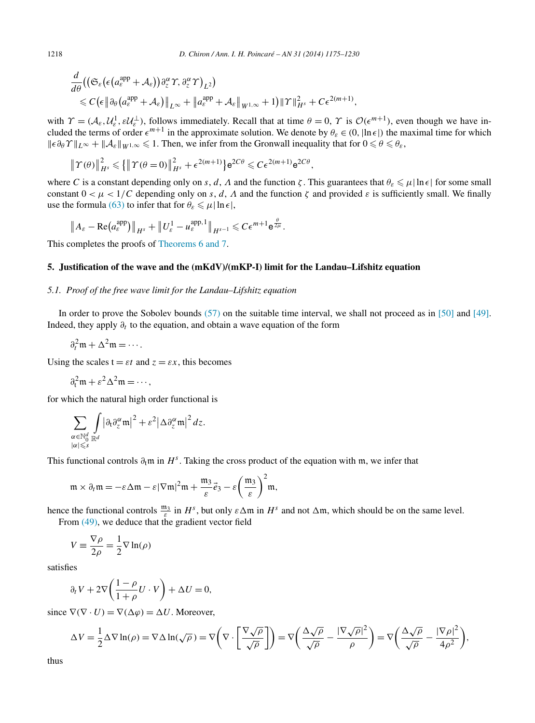$$
\frac{d}{d\theta} \left( \left( \mathfrak{S}_{\varepsilon} \left( \epsilon \left( a_{\varepsilon}^{\mathrm{app}} + A_{\varepsilon} \right) \right) \partial_{z}^{\alpha} \varUpsilon, \partial_{z}^{\alpha} \varUpsilon \right)_{L^{2}} \right) \leq C \left( \epsilon \left\| \partial_{\theta} \left( a_{\varepsilon}^{\mathrm{app}} + A_{\varepsilon} \right) \right\|_{L^{\infty}} + \left\| a_{\varepsilon}^{\mathrm{app}} + A_{\varepsilon} \right\|_{W^{1,\infty}} + 1 \right) \|\varUpsilon\|_{H^{s}}^{2} + C \epsilon^{2(m+1)},
$$

with  $\gamma = (\mathcal{A}_{\varepsilon}, \mathcal{U}_{\varepsilon}^1, \varepsilon \mathcal{U}_{\varepsilon}^{\perp})$ , follows immediately. Recall that at time  $\theta = 0$ ,  $\gamma$  is  $\mathcal{O}(\varepsilon^{m+1})$ , even though we have included the terms of order  $\epsilon^{m+1}$  in the approximate solution. We denote by  $\theta_{\varepsilon} \in (0, |\ln \epsilon|)$  the maximal time for which  $\|\epsilon \partial_\theta \Upsilon\|_{L^\infty} + \|\mathcal{A}_{\varepsilon}\|_{W^{1,\infty}} \leq 1$ . Then, we infer from the Gronwall inequality that for  $0 \leq \theta \leq \theta_{\varepsilon}$ ,

$$
\|\Upsilon(\theta)\|_{H^s}^2 \leqslant \left\{\|\Upsilon(\theta=0)\|_{H^s}^2 + \epsilon^{2(m+1)}\right\} e^{2C\theta} \leqslant C\epsilon^{2(m+1)} e^{2C\theta},
$$

where *C* is a constant depending only on *s*, *d*, *Λ* and the function *ζ*. This guarantees that  $\theta_{\varepsilon} \leq \mu |\ln \epsilon|$  for some small constant  $0 < \mu < 1/C$  depending only on *s*, *d*, *Λ* and the function *ζ* and provided *ε* is sufficiently small. We finally use the formula [\(63\)](#page-27-0) to infer that for  $\theta_{\varepsilon} \leq \mu |\ln \epsilon|$ ,

$$
\|A_{\varepsilon}-\mathrm{Re}\big(a_{\varepsilon}^{\mathrm{app}}\big)\|_{H^{s}}+\|U_{\varepsilon}^{1}-u_{\varepsilon}^{\mathrm{app},1}\|_{H^{s-1}}\leqslant C\epsilon^{m+1}e^{\frac{\theta}{2\mu}}.
$$

This completes the proofs of [Theorems 6 and 7.](#page-18-0)

#### **5. Justification of the wave and the (mKdV)/(mKP-I) limit for the Landau–Lifshitz equation**

#### *5.1. Proof of the free wave limit for the Landau–Lifshitz equation*

In order to prove the Sobolev bounds [\(57\)](#page-24-0) on the suitable time interval, we shall not proceed as in [\[50\]](#page-55-0) and [\[49\].](#page-55-0) Indeed, they apply  $\partial_t$  to the equation, and obtain a wave equation of the form

$$
\partial_t^2 \mathfrak{m} + \Delta^2 \mathfrak{m} = \cdots.
$$

Using the scales  $t = \varepsilon t$  and  $z = \varepsilon x$ , this becomes

 $\partial_t^2 \mathfrak{m} + \varepsilon^2 \Delta^2 \mathfrak{m} = \cdots$ ,

for which the natural high order functional is

$$
\sum_{\substack{\alpha \in \mathbb{N}_0^d \\ |\alpha| \leqslant s}} \int_{\mathbb{R}^d} |\partial_t \partial_z^{\alpha} \mathfrak{m}|^2 + \varepsilon^2 |\Delta \partial_z^{\alpha} \mathfrak{m}|^2 dz.
$$

This functional controls  $\partial_t \mathfrak{m}$  in  $H^s$ . Taking the cross product of the equation with  $\mathfrak{m}$ , we infer that

$$
\mathfrak{m} \times \partial_t \mathfrak{m} = -\varepsilon \Delta \mathfrak{m} - \varepsilon |\nabla \mathfrak{m}|^2 \mathfrak{m} + \frac{\mathfrak{m}_3}{\varepsilon} \vec{e}_3 - \varepsilon \bigg(\frac{\mathfrak{m}_3}{\varepsilon}\bigg)^2 \mathfrak{m},
$$

hence the functional controls  $\frac{m_3}{\varepsilon}$  in  $H^s$ , but only  $\varepsilon \Delta \mathfrak{m}$  in  $H^s$  and not  $\Delta \mathfrak{m}$ , which should be on the same level. From [\(49\),](#page-21-0) we deduce that the gradient vector field

$$
V \equiv \frac{\nabla \rho}{2\rho} = \frac{1}{2} \nabla \ln(\rho)
$$

satisfies

$$
\partial_t V + 2\nabla \left(\frac{1-\rho}{1+\rho}U \cdot V\right) + \Delta U = 0,
$$

since  $\nabla(\nabla \cdot U) = \nabla(\Delta \varphi) = \Delta U$ . Moreover,

$$
\Delta V = \frac{1}{2} \Delta \nabla \ln(\rho) = \nabla \Delta \ln(\sqrt{\rho}) = \nabla \left( \nabla \cdot \left[ \frac{\nabla \sqrt{\rho}}{\sqrt{\rho}} \right] \right) = \nabla \left( \frac{\Delta \sqrt{\rho}}{\sqrt{\rho}} - \frac{|\nabla \sqrt{\rho}|^2}{\rho} \right) = \nabla \left( \frac{\Delta \sqrt{\rho}}{\sqrt{\rho}} - \frac{|\nabla \rho|^2}{4\rho^2} \right),
$$

thus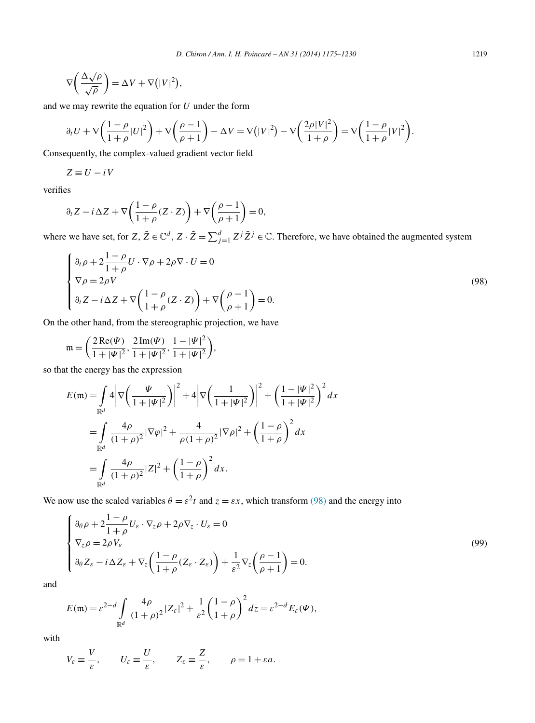<span id="page-44-0"></span>
$$
\nabla \left( \frac{\Delta \sqrt{\rho}}{\sqrt{\rho}} \right) = \Delta V + \nabla (|V|^2),
$$

and we may rewrite the equation for *U* under the form

$$
\partial_t U + \nabla \left( \frac{1-\rho}{1+\rho} |U|^2 \right) + \nabla \left( \frac{\rho-1}{\rho+1} \right) - \Delta V = \nabla \left( |V|^2 \right) - \nabla \left( \frac{2\rho |V|^2}{1+\rho} \right) = \nabla \left( \frac{1-\rho}{1+\rho} |V|^2 \right).
$$

Consequently, the complex-valued gradient vector field

$$
Z\equiv U-i\,V
$$

verifies

$$
\partial_t Z - i \Delta Z + \nabla \left( \frac{1 - \rho}{1 + \rho} (Z \cdot Z) \right) + \nabla \left( \frac{\rho - 1}{\rho + 1} \right) = 0,
$$

where we have set, for *Z*,  $\tilde{Z} \in \mathbb{C}^d$ , *Z* ·  $\tilde{Z} = \sum_{j=1}^d Z^j \tilde{Z}^j \in \mathbb{C}$ . Therefore, we have obtained the augmented system

$$
\begin{cases} \n\partial_t \rho + 2 \frac{1 - \rho}{1 + \rho} U \cdot \nabla \rho + 2 \rho \nabla \cdot U = 0 \\
\nabla \rho = 2 \rho V \\
\partial_t Z - i \Delta Z + \nabla \left( \frac{1 - \rho}{1 + \rho} (Z \cdot Z) \right) + \nabla \left( \frac{\rho - 1}{\rho + 1} \right) = 0.\n\end{cases} \tag{98}
$$

On the other hand, from the stereographic projection, we have

$$
\mathfrak{m} = \left(\frac{2\operatorname{Re}(\Psi)}{1+|\Psi|^2}, \frac{2\operatorname{Im}(\Psi)}{1+|\Psi|^2}, \frac{1-|\Psi|^2}{1+|\Psi|^2}\right),\,
$$

so that the energy has the expression

$$
E(\mathfrak{m}) = \int_{\mathbb{R}^d} 4 \left| \nabla \left( \frac{\Psi}{1 + |\Psi|^2} \right) \right|^2 + 4 \left| \nabla \left( \frac{1}{1 + |\Psi|^2} \right) \right|^2 + \left( \frac{1 - |\Psi|^2}{1 + |\Psi|^2} \right)^2 dx
$$
  
= 
$$
\int_{\mathbb{R}^d} \frac{4\rho}{(1 + \rho)^2} |\nabla \varphi|^2 + \frac{4}{\rho (1 + \rho)^2} |\nabla \rho|^2 + \left( \frac{1 - \rho}{1 + \rho} \right)^2 dx
$$
  
= 
$$
\int_{\mathbb{R}^d} \frac{4\rho}{(1 + \rho)^2} |Z|^2 + \left( \frac{1 - \rho}{1 + \rho} \right)^2 dx.
$$

We now use the scaled variables  $\theta = \varepsilon^2 t$  and  $z = \varepsilon x$ , which transform (98) and the energy into

$$
\begin{cases}\n\partial_{\theta}\rho + 2\frac{1-\rho}{1+\rho}U_{\varepsilon}\cdot\nabla_{z}\rho + 2\rho\nabla_{z}\cdot U_{\varepsilon} = 0 \\
\nabla_{z}\rho = 2\rho V_{\varepsilon} \\
\partial_{\theta}Z_{\varepsilon} - i\Delta Z_{\varepsilon} + \nabla_{z}\left(\frac{1-\rho}{1+\rho}(Z_{\varepsilon}\cdot Z_{\varepsilon})\right) + \frac{1}{\varepsilon^{2}}\nabla_{z}\left(\frac{\rho-1}{\rho+1}\right) = 0.\n\end{cases}
$$
\n(99)

and

$$
E(\mathfrak{m}) = \varepsilon^{2-d} \int\limits_{\mathbb{R}^d} \frac{4\rho}{(1+\rho)^2} |Z_{\varepsilon}|^2 + \frac{1}{\varepsilon^2} \left(\frac{1-\rho}{1+\rho}\right)^2 dz = \varepsilon^{2-d} E_{\varepsilon}(\Psi),
$$

with

$$
V_{\varepsilon} \equiv \frac{V}{\varepsilon}, \qquad U_{\varepsilon} \equiv \frac{U}{\varepsilon}, \qquad Z_{\varepsilon} \equiv \frac{Z}{\varepsilon}, \qquad \rho = 1 + \varepsilon a.
$$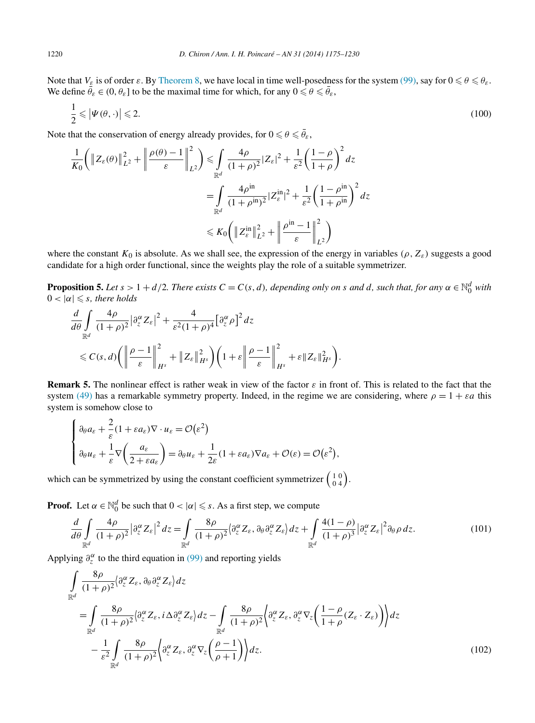<span id="page-45-0"></span>Note that  $V_{\varepsilon}$  is of order  $\varepsilon$ . By [Theorem 8,](#page-20-0) we have local in time well-posedness for the system [\(99\),](#page-44-0) say for  $0 \le \theta \le \theta_{\varepsilon}$ . We define  $\bar{\theta}_{\varepsilon} \in (0, \theta_{\varepsilon}]$  to be the maximal time for which, for any  $0 \le \theta \le \bar{\theta}_{\varepsilon}$ ,

$$
\frac{1}{2} \leqslant \left| \Psi(\theta, \cdot) \right| \leqslant 2. \tag{100}
$$

Note that the conservation of energy already provides, for  $0 \le \theta \le \bar{\theta}_{\varepsilon}$ ,

$$
\frac{1}{K_0} \left( \left\| Z_{\varepsilon}(\theta) \right\|_{L^2}^2 + \left\| \frac{\rho(\theta) - 1}{\varepsilon} \right\|_{L^2}^2 \right) \leq \int_{\mathbb{R}^d} \frac{4\rho}{(1 + \rho)^2} |Z_{\varepsilon}|^2 + \frac{1}{\varepsilon^2} \left( \frac{1 - \rho}{1 + \rho} \right)^2 dz
$$
\n
$$
= \int_{\mathbb{R}^d} \frac{4\rho^{\text{in}}}{(1 + \rho^{\text{in}})^2} |Z_{\varepsilon}^{\text{in}}|^2 + \frac{1}{\varepsilon^2} \left( \frac{1 - \rho^{\text{in}}}{1 + \rho^{\text{in}}} \right)^2 dz
$$
\n
$$
\leq K_0 \left( \left\| Z_{\varepsilon}^{\text{in}} \right\|_{L^2}^2 + \left\| \frac{\rho^{\text{in}} - 1}{\varepsilon} \right\|_{L^2}^2 \right)
$$

where the constant  $K_0$  is absolute. As we shall see, the expression of the energy in variables  $(\rho, Z_{\varepsilon})$  suggests a good candidate for a high order functional, since the weights play the role of a suitable symmetrizer.

**Proposition 5.** Let  $s > 1 + d/2$ . There exists  $C = C(s, d)$ , depending only on s and d, such that, for any  $\alpha \in \mathbb{N}_0^d$  with  $0 < |\alpha| \leqslant s$ , there holds

$$
\frac{d}{d\theta} \int_{\mathbb{R}^d} \frac{4\rho}{(1+\rho)^2} \left| \frac{\partial_{z}^{\alpha}}{\partial z} Z_{\varepsilon} \right|^2 + \frac{4}{\varepsilon^2 (1+\rho)^4} \left[ \frac{\partial_{z}^{\alpha}}{\partial z} \right]^2 dz
$$
\n
$$
\leq C(s,d) \left( \left\| \frac{\rho-1}{\varepsilon} \right\|_{H^s}^2 + \left\| Z_{\varepsilon} \right\|_{H^s}^2 \right) \left( 1 + \varepsilon \left\| \frac{\rho-1}{\varepsilon} \right\|_{H^s}^2 + \varepsilon \left\| Z_{\varepsilon} \right\|_{H^s}^2 \right).
$$

**Remark 5.** The nonlinear effect is rather weak in view of the factor  $\varepsilon$  in front of. This is related to the fact that the system [\(49\)](#page-21-0) has a remarkable symmetry property. Indeed, in the regime we are considering, where  $\rho = 1 + \varepsilon a$  this system is somehow close to

$$
\begin{cases} \n\partial_{\theta} a_{\varepsilon} + \frac{2}{\varepsilon} (1 + \varepsilon a_{\varepsilon}) \nabla \cdot u_{\varepsilon} = \mathcal{O}(\varepsilon^2) \\
\partial_{\theta} u_{\varepsilon} + \frac{1}{\varepsilon} \nabla \left( \frac{a_{\varepsilon}}{2 + \varepsilon a_{\varepsilon}} \right) = \partial_{\theta} u_{\varepsilon} + \frac{1}{2\varepsilon} (1 + \varepsilon a_{\varepsilon}) \nabla a_{\varepsilon} + \mathcal{O}(\varepsilon) = \mathcal{O}(\varepsilon^2),\n\end{cases}
$$

which can be symmetrized by using the constant coefficient symmetrizer  $\begin{pmatrix} 1 & 0 \\ 0 & 4 \end{pmatrix}$ .

**Proof.** Let  $\alpha \in \mathbb{N}_0^d$  be such that  $0 < |\alpha| \leq s$ . As a first step, we compute

$$
\frac{d}{d\theta} \int_{\mathbb{R}^d} \frac{4\rho}{(1+\rho)^2} \left| \partial_z^{\alpha} Z_{\varepsilon} \right|^2 dz = \int_{\mathbb{R}^d} \frac{8\rho}{(1+\rho)^2} \left\langle \partial_z^{\alpha} Z_{\varepsilon}, \partial_{\theta} \partial_z^{\alpha} Z_{\varepsilon} \right\rangle dz + \int_{\mathbb{R}^d} \frac{4(1-\rho)}{(1+\rho)^3} \left| \partial_z^{\alpha} Z_{\varepsilon} \right|^2 \partial_{\theta} \rho \, dz. \tag{101}
$$

Applying  $\partial_z^{\alpha}$  to the third equation in [\(99\)](#page-44-0) and reporting yields

$$
\int_{\mathbb{R}^d} \frac{8\rho}{(1+\rho)^2} \langle \partial_z^{\alpha} Z_{\varepsilon}, \partial_{\theta} \partial_z^{\alpha} Z_{\varepsilon} \rangle dz
$$
\n
$$
= \int_{\mathbb{R}^d} \frac{8\rho}{(1+\rho)^2} \langle \partial_z^{\alpha} Z_{\varepsilon}, i \Delta \partial_z^{\alpha} Z_{\varepsilon} \rangle dz - \int_{\mathbb{R}^d} \frac{8\rho}{(1+\rho)^2} \langle \partial_z^{\alpha} Z_{\varepsilon}, \partial_z^{\alpha} \nabla_z \left( \frac{1-\rho}{1+\rho} (Z_{\varepsilon} \cdot Z_{\varepsilon}) \right) \rangle dz
$$
\n
$$
- \frac{1}{\varepsilon^2} \int_{\mathbb{R}^d} \frac{8\rho}{(1+\rho)^2} \langle \partial_z^{\alpha} Z_{\varepsilon}, \partial_z^{\alpha} \nabla_z \left( \frac{\rho-1}{\rho+1} \right) \rangle dz.
$$
\n(102)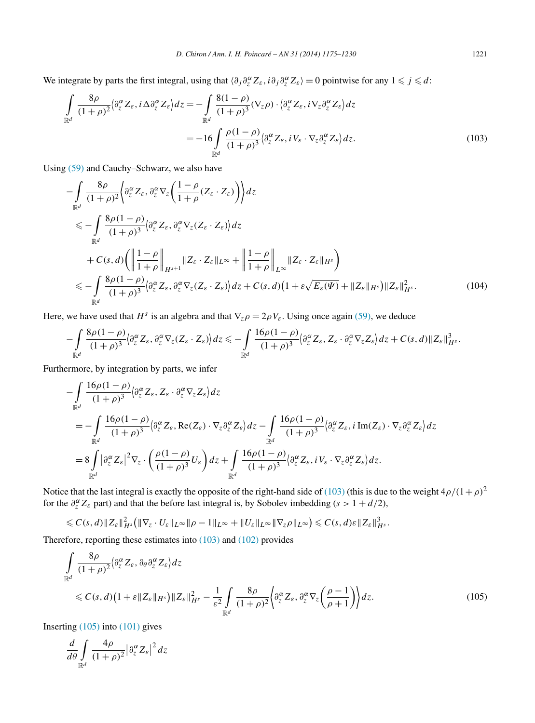<span id="page-46-0"></span>We integrate by parts the first integral, using that  $\langle \partial_j \partial_{z}^{\alpha} Z_{\varepsilon}, i \partial_j \partial_{z}^{\alpha} Z_{\varepsilon} \rangle = 0$  pointwise for any  $1 \leq j \leq d$ :

$$
\int_{\mathbb{R}^d} \frac{8\rho}{(1+\rho)^2} \langle \partial_z^{\alpha} Z_{\varepsilon}, i \Delta \partial_z^{\alpha} Z_{\varepsilon} \rangle dz = -\int_{\mathbb{R}^d} \frac{8(1-\rho)}{(1+\rho)^3} (\nabla_z \rho) \cdot \langle \partial_z^{\alpha} Z_{\varepsilon}, i \nabla_z \partial_z^{\alpha} Z_{\varepsilon} \rangle dz
$$
\n
$$
= -16 \int_{\mathbb{R}^d} \frac{\rho (1-\rho)}{(1+\rho)^3} \langle \partial_z^{\alpha} Z_{\varepsilon}, i V_{\varepsilon} \cdot \nabla_z \partial_z^{\alpha} Z_{\varepsilon} \rangle dz.
$$
\n(103)

Using [\(59\)](#page-24-0) and Cauchy–Schwarz, we also have

$$
-\int_{\mathbb{R}^d} \frac{8\rho}{(1+\rho)^2} \left\langle \partial_z^{\alpha} Z_{\varepsilon}, \partial_z^{\alpha} \nabla_z \left( \frac{1-\rho}{1+\rho} (Z_{\varepsilon} \cdot Z_{\varepsilon}) \right) \right\rangle dz
$$
  
\n
$$
\leq -\int_{\mathbb{R}^d} \frac{8\rho (1-\rho)}{(1+\rho)^3} \left\langle \partial_z^{\alpha} Z_{\varepsilon}, \partial_z^{\alpha} \nabla_z (Z_{\varepsilon} \cdot Z_{\varepsilon}) \right\rangle dz
$$
  
\n
$$
+ C(s, d) \left( \left\| \frac{1-\rho}{1+\rho} \right\|_{H^{s+1}} \|Z_{\varepsilon} \cdot Z_{\varepsilon}\|_{L^{\infty}} + \left\| \frac{1-\rho}{1+\rho} \right\|_{L^{\infty}} \|Z_{\varepsilon} \cdot Z_{\varepsilon}\|_{H^s} \right)
$$
  
\n
$$
\leq -\int_{\mathbb{R}^d} \frac{8\rho (1-\rho)}{(1+\rho)^3} \left\langle \partial_z^{\alpha} Z_{\varepsilon}, \partial_z^{\alpha} \nabla_z (Z_{\varepsilon} \cdot Z_{\varepsilon}) \right\rangle dz + C(s, d) \left( 1 + \varepsilon \sqrt{E_{\varepsilon}(\Psi)} + \|Z_{\varepsilon}\|_{H^s} \right) \|Z_{\varepsilon}\|_{H^s}^2. \tag{104}
$$

Here, we have used that  $H^s$  is an algebra and that  $\nabla_z \rho = 2\rho V_\varepsilon$ . Using once again [\(59\),](#page-24-0) we deduce

$$
-\int_{\mathbb{R}^d} \frac{8\rho(1-\rho)}{(1+\rho)^3} \big\langle \partial_z^{\alpha} Z_{\varepsilon}, \partial_z^{\alpha} \nabla_z (Z_{\varepsilon} \cdot Z_{\varepsilon}) \big\rangle dz \leq -\int_{\mathbb{R}^d} \frac{16\rho(1-\rho)}{(1+\rho)^3} \big\langle \partial_z^{\alpha} Z_{\varepsilon}, Z_{\varepsilon} \cdot \partial_z^{\alpha} \nabla_z Z_{\varepsilon} \big\rangle dz + C(s,d) \|Z_{\varepsilon}\|_{H^s}^3.
$$

Furthermore, by integration by parts, we infer

$$
-\int_{\mathbb{R}^d} \frac{16\rho(1-\rho)}{(1+\rho)^3} \langle \partial_z^{\alpha} Z_{\varepsilon}, Z_{\varepsilon} \cdot \partial_z^{\alpha} \nabla_z Z_{\varepsilon} \rangle dz
$$
  
= 
$$
-\int_{\mathbb{R}^d} \frac{16\rho(1-\rho)}{(1+\rho)^3} \langle \partial_z^{\alpha} Z_{\varepsilon}, \text{Re}(Z_{\varepsilon}) \cdot \nabla_z \partial_z^{\alpha} Z_{\varepsilon} \rangle dz - \int_{\mathbb{R}^d} \frac{16\rho(1-\rho)}{(1+\rho)^3} \langle \partial_z^{\alpha} Z_{\varepsilon}, i \text{ Im}(Z_{\varepsilon}) \cdot \nabla_z \partial_z^{\alpha} Z_{\varepsilon} \rangle dz
$$
  
= 
$$
8 \int_{\mathbb{R}^d} |\partial_z^{\alpha} Z_{\varepsilon}|^2 \nabla_z \cdot \left( \frac{\rho(1-\rho)}{(1+\rho)^3} U_{\varepsilon} \right) dz + \int_{\mathbb{R}^d} \frac{16\rho(1-\rho)}{(1+\rho)^3} \langle \partial_z^{\alpha} Z_{\varepsilon}, i V_{\varepsilon} \cdot \nabla_z \partial_z^{\alpha} Z_{\varepsilon} \rangle dz.
$$

Notice that the last integral is exactly the opposite of the right-hand side of (103) (this is due to the weight  $4\rho/(1+\rho)^2$ for the  $\partial_z^{\alpha} Z_{\varepsilon}$  part) and that the before last integral is, by Sobolev imbedding ( $s > 1 + d/2$ ),

$$
\leqslant C(s,d)\|Z_{\varepsilon}\|_{H^{s}}^{2}(\|\nabla_{z}\cdot U_{\varepsilon}\|_{L^{\infty}}\|\rho-1\|_{L^{\infty}}+\|U_{\varepsilon}\|_{L^{\infty}}\|\nabla_{z}\rho\|_{L^{\infty}})\leqslant C(s,d)\varepsilon\|Z_{\varepsilon}\|_{H^{s}}^{3}.
$$

Therefore, reporting these estimates into (103) and [\(102\)](#page-45-0) provides

$$
\int_{\mathbb{R}^d} \frac{8\rho}{(1+\rho)^2} \langle \partial_z^{\alpha} Z_{\varepsilon}, \partial_{\theta} \partial_z^{\alpha} Z_{\varepsilon} \rangle dz
$$
\n
$$
\leq C(s, d) \Big( 1 + \varepsilon \| Z_{\varepsilon} \|_{H^s} \Big) \| Z_{\varepsilon} \|_{H^s}^2 - \frac{1}{\varepsilon^2} \int_{\mathbb{R}^d} \frac{8\rho}{(1+\rho)^2} \Big( \partial_z^{\alpha} Z_{\varepsilon}, \partial_z^{\alpha} \nabla_z \Big( \frac{\rho-1}{\rho+1} \Big) \Big) dz.
$$
\n(105)

Inserting  $(105)$  into  $(101)$  gives

$$
\frac{d}{d\theta} \int\limits_{\mathbb{R}^d} \frac{4\rho}{(1+\rho)^2} \bigg| \partial_z^{\alpha} Z_{\varepsilon} \bigg|^2 \, dz
$$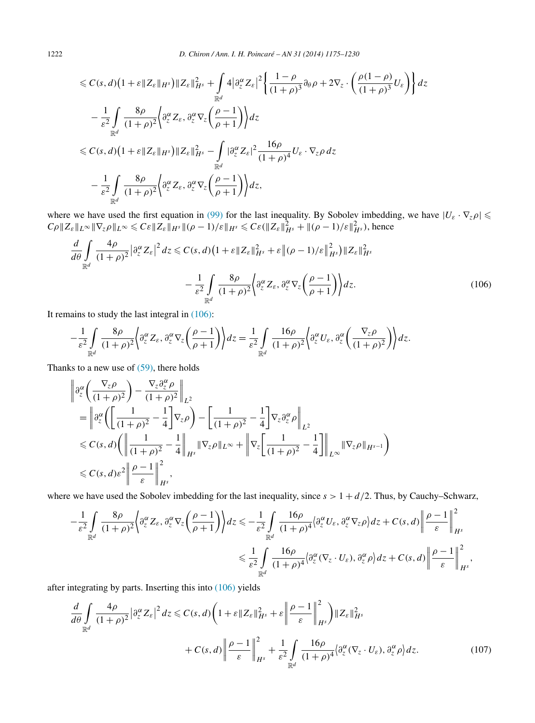<span id="page-47-0"></span>
$$
\leq C(s,d)\left(1+\varepsilon\|Z_{\varepsilon}\|_{H^{s}}\right)\|Z_{\varepsilon}\|_{H^{s}}^{2} + \int_{\mathbb{R}^{d}} 4\left|\partial_{z}^{\alpha}Z_{\varepsilon}\right|^{2}\left\{\frac{1-\rho}{(1+\rho)^{3}}\partial_{\theta}\rho + 2\nabla_{z}\cdot\left(\frac{\rho(1-\rho)}{(1+\rho)^{3}}U_{\varepsilon}\right)\right\}dz
$$
  

$$
-\frac{1}{\varepsilon^{2}}\int_{\mathbb{R}^{d}}\frac{8\rho}{(1+\rho)^{2}}\left\{\partial_{z}^{\alpha}Z_{\varepsilon},\partial_{z}^{\alpha}\nabla_{z}\left(\frac{\rho-1}{\rho+1}\right)\right\}dz
$$
  

$$
\leq C(s,d)\left(1+\varepsilon\|Z_{\varepsilon}\|_{H^{s}}\right)\|Z_{\varepsilon}\|_{H^{s}}^{2} - \int_{\mathbb{R}^{d}}\left|\partial_{z}^{\alpha}Z_{\varepsilon}\right|^{2}\frac{16\rho}{(1+\rho)^{4}}U_{\varepsilon}\cdot\nabla_{z}\rho dz
$$
  

$$
-\frac{1}{\varepsilon^{2}}\int_{\mathbb{R}^{d}}\frac{8\rho}{(1+\rho)^{2}}\left\{\partial_{z}^{\alpha}Z_{\varepsilon},\partial_{z}^{\alpha}\nabla_{z}\left(\frac{\rho-1}{\rho+1}\right)\right\}dz,
$$

where we have used the first equation in [\(99\)](#page-44-0) for the last inequality. By Sobolev imbedding, we have  $|U_{\varepsilon} \cdot \nabla_{z} \rho|$  $C\rho ||Z_{\varepsilon}||_{L^{\infty}} ||\nabla_{z}\rho||_{L^{\infty}} \leqslant C\varepsilon ||Z_{\varepsilon}||_{H^{s}} ||(\rho-1)/\varepsilon||_{H^{s}} \leqslant C\varepsilon (||Z_{\varepsilon}||_{H^{s}}^{2} + ||(\rho-1)/\varepsilon||_{H^{s}}^{2}),$  hence

$$
\frac{d}{d\theta} \int_{\mathbb{R}^d} \frac{4\rho}{(1+\rho)^2} \left| \partial_z^{\alpha} Z_{\varepsilon} \right|^2 dz \leq C(s, d) \left( 1 + \varepsilon \| Z_{\varepsilon} \|_{H^s}^2 + \varepsilon \| (\rho - 1) / \varepsilon \|_{H^s}^2 \right) \| Z_{\varepsilon} \|_{H^s}^2
$$
\n
$$
- \frac{1}{\varepsilon^2} \int_{\mathbb{R}^d} \frac{8\rho}{(1+\rho)^2} \left\{ \partial_z^{\alpha} Z_{\varepsilon}, \partial_z^{\alpha} \nabla_z \left( \frac{\rho - 1}{\rho + 1} \right) \right\} dz. \tag{106}
$$

It remains to study the last integral in  $(106)$ :

$$
-\frac{1}{\varepsilon^2} \int\limits_{\mathbb{R}^d} \frac{8\rho}{(1+\rho)^2} \left\langle \partial_z^{\alpha} Z_{\varepsilon}, \partial_z^{\alpha} \nabla_z \left( \frac{\rho-1}{\rho+1} \right) \right\rangle dz = \frac{1}{\varepsilon^2} \int\limits_{\mathbb{R}^d} \frac{16\rho}{(1+\rho)^2} \left\langle \partial_z^{\alpha} U_{\varepsilon}, \partial_z^{\alpha} \left( \frac{\nabla_z \rho}{(1+\rho)^2} \right) \right\rangle dz.
$$

Thanks to a new use of  $(59)$ , there holds

$$
\begin{split}\n&\left\|\partial_{z}^{\alpha}\left(\frac{\nabla_{z}\rho}{(1+\rho)^{2}}\right)-\frac{\nabla_{z}\partial_{z}^{\alpha}\rho}{(1+\rho)^{2}}\right\|_{L^{2}} \\
&=\left\|\partial_{z}^{\alpha}\left(\left[\frac{1}{(1+\rho)^{2}}-\frac{1}{4}\right]\nabla_{z}\rho\right)-\left[\frac{1}{(1+\rho)^{2}}-\frac{1}{4}\right]\nabla_{z}\partial_{z}^{\alpha}\rho\right\|_{L^{2}} \\
&\leq C(s,d)\left(\left\|\frac{1}{(1+\rho)^{2}}-\frac{1}{4}\right\|_{H^{s}}\|\nabla_{z}\rho\|_{L^{\infty}}+\left\|\nabla_{z}\left[\frac{1}{(1+\rho)^{2}}-\frac{1}{4}\right]\right\|_{L^{\infty}}\|\nabla_{z}\rho\|_{H^{s-1}}\right) \\
&\leq C(s,d)\varepsilon^{2}\left\|\frac{\rho-1}{\varepsilon}\right\|_{H^{s}}^{2},\n\end{split}
$$

where we have used the Sobolev imbedding for the last inequality, since  $s > 1 + d/2$ . Thus, by Cauchy–Schwarz,

$$
-\frac{1}{\varepsilon^{2}} \int_{\mathbb{R}^{d}} \frac{8\rho}{(1+\rho)^{2}} \Biggl\{ \partial_{z}^{\alpha} Z_{\varepsilon}, \partial_{z}^{\alpha} \nabla_{z} \left( \frac{\rho-1}{\rho+1} \right) \Biggr\} dz \leq -\frac{1}{\varepsilon^{2}} \int_{\mathbb{R}^{d}} \frac{16\rho}{(1+\rho)^{4}} \Biggl\{ \partial_{z}^{\alpha} U_{\varepsilon}, \partial_{z}^{\alpha} \nabla_{z} \rho \Biggr\} dz + C(s, d) \left\| \frac{\rho-1}{\varepsilon} \right\|_{H^{s}}^{2} \leq \frac{1}{\varepsilon^{2}} \int_{\mathbb{R}^{d}} \frac{16\rho}{(1+\rho)^{4}} \Biggl\{ \partial_{z}^{\alpha} (\nabla_{z} \cdot U_{\varepsilon}), \partial_{z}^{\alpha} \rho \Biggr\} dz + C(s, d) \left\| \frac{\rho-1}{\varepsilon} \right\|_{H^{s}}^{2},
$$

after integrating by parts. Inserting this into (106) yields

$$
\frac{d}{d\theta} \int_{\mathbb{R}^d} \frac{4\rho}{(1+\rho)^2} \left| \partial_z^{\alpha} Z_{\varepsilon} \right|^2 dz \leq C(s, d) \left( 1 + \varepsilon \| Z_{\varepsilon} \|_{H^s}^2 + \varepsilon \left\| \frac{\rho - 1}{\varepsilon} \right\|_{H^s}^2 \right) \| Z_{\varepsilon} \|_{H^s}^2
$$

$$
+ C(s, d) \left\| \frac{\rho - 1}{\varepsilon} \right\|_{H^s}^2 + \frac{1}{\varepsilon^2} \int_{\mathbb{R}^d} \frac{16\rho}{(1+\rho)^4} \langle \partial_z^{\alpha} (\nabla_z \cdot U_{\varepsilon}), \partial_z^{\alpha} \rho \rangle dz. \tag{107}
$$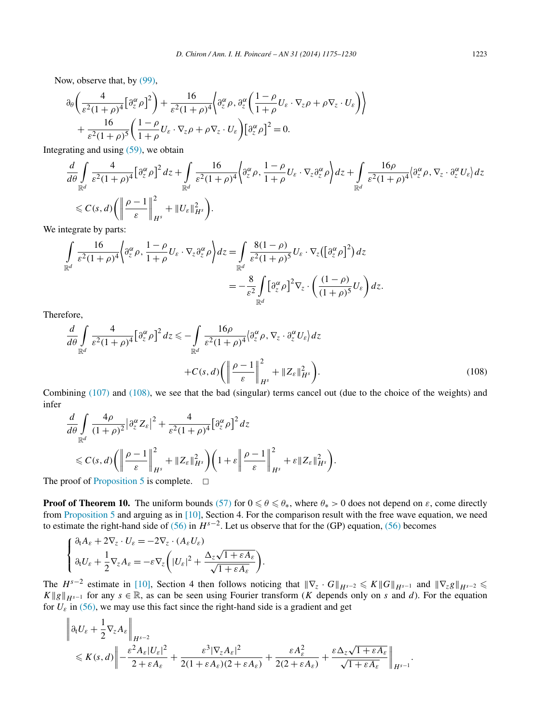Now, observe that, by [\(99\),](#page-44-0)

$$
\partial_{\theta} \left( \frac{4}{\varepsilon^{2} (1+\rho)^{4}} \left[ \partial_{z}^{\alpha} \rho \right]^{2} \right) + \frac{16}{\varepsilon^{2} (1+\rho)^{4}} \left\langle \partial_{z}^{\alpha} \rho, \partial_{z}^{\alpha} \left( \frac{1-\rho}{1+\rho} U_{\varepsilon} \cdot \nabla_{z} \rho + \rho \nabla_{z} \cdot U_{\varepsilon} \right) \right\rangle
$$
  
+ 
$$
\frac{16}{\varepsilon^{2} (1+\rho)^{5}} \left( \frac{1-\rho}{1+\rho} U_{\varepsilon} \cdot \nabla_{z} \rho + \rho \nabla_{z} \cdot U_{\varepsilon} \right) \left[ \partial_{z}^{\alpha} \rho \right]^{2} = 0.
$$

Integrating and using [\(59\),](#page-24-0) we obtain

$$
\frac{d}{d\theta} \int_{\mathbb{R}^d} \frac{4}{\varepsilon^2 (1+\rho)^4} \left[ \partial_z^{\alpha} \rho \right]^2 dz + \int_{\mathbb{R}^d} \frac{16}{\varepsilon^2 (1+\rho)^4} \left\{ \partial_z^{\alpha} \rho, \frac{1-\rho}{1+\rho} U_{\varepsilon} \cdot \nabla_z \partial_z^{\alpha} \rho \right\} dz + \int_{\mathbb{R}^d} \frac{16\rho}{\varepsilon^2 (1+\rho)^4} \left\{ \partial_z^{\alpha} \rho, \nabla_z \cdot \partial_z^{\alpha} U_{\varepsilon} \right\} dz
$$
\n
$$
\leq C(s, d) \left( \left\| \frac{\rho-1}{\varepsilon} \right\|_{H^s}^2 + \left\| U_{\varepsilon} \right\|_{H^s}^2 \right).
$$
\ntercrete by parts:

We integrate by parts:

$$
\int_{\mathbb{R}^d} \frac{16}{\varepsilon^2 (1+\rho)^4} \left\{ \frac{\partial_\varepsilon^\alpha}{\partial_z^\alpha \rho}, \frac{1-\rho}{1+\rho} U_\varepsilon \cdot \nabla_z \frac{\partial_\varepsilon^\alpha}{\partial_z^\alpha \rho} \right\} dz = \int_{\mathbb{R}^d} \frac{8(1-\rho)}{\varepsilon^2 (1+\rho)^5} U_\varepsilon \cdot \nabla_z \left( \left[ \frac{\partial_\varepsilon^\alpha}{\partial_z^\alpha \rho} \right]^2 \right) dz
$$
  
= 
$$
- \frac{8}{\varepsilon^2} \int_{\mathbb{R}^d} \left[ \frac{\partial_\varepsilon^\alpha}{\partial_z^\alpha \rho} \right]^2 \nabla_z \cdot \left( \frac{(1-\rho)}{(1+\rho)^5} U_\varepsilon \right) dz.
$$

Therefore,

$$
\frac{d}{d\theta} \int_{\mathbb{R}^d} \frac{4}{\varepsilon^2 (1+\rho)^4} \left[ \partial_z^{\alpha} \rho \right]^2 dz \leq -\int_{\mathbb{R}^d} \frac{16\rho}{\varepsilon^2 (1+\rho)^4} \langle \partial_z^{\alpha} \rho, \nabla_z \cdot \partial_z^{\alpha} U_{\varepsilon} \rangle dz \n+ C(s, d) \left( \left\| \frac{\rho-1}{\varepsilon} \right\|_{H^s}^2 + \|Z_{\varepsilon}\|_{H^s}^2 \right). \tag{108}
$$

Combining [\(107\)](#page-47-0) and (108), we see that the bad (singular) terms cancel out (due to the choice of the weights) and infer

$$
\frac{d}{d\theta} \int_{\mathbb{R}^d} \frac{4\rho}{(1+\rho)^2} \left| \frac{\partial_z^{\alpha}}{\partial_z^{\alpha}} Z_{\varepsilon} \right|^2 + \frac{4}{\varepsilon^2 (1+\rho)^4} \left[ \frac{\partial_z^{\alpha}}{\partial_z^{\alpha}} \rho \right]^2 dz
$$
\n
$$
\leq C(s, d) \left( \left\| \frac{\rho-1}{\varepsilon} \right\|_{H^s}^2 + \|Z_{\varepsilon}\|_{H^s}^2 \right) \left( 1 + \varepsilon \left\| \frac{\rho-1}{\varepsilon} \right\|_{H^s}^2 + \varepsilon \|Z_{\varepsilon}\|_{H^s}^2 \right).
$$

The proof of [Proposition 5](#page-45-0) is complete.  $\Box$ 

**Proof of Theorem 10.** The uniform bounds [\(57\)](#page-24-0) for  $0 \le \theta \le \theta_*$ , where  $\theta_* > 0$  does not depend on  $\varepsilon$ , come directly from [Proposition 5](#page-45-0) and arguing as in [\[10\],](#page-54-0) Section 4. For the comparison result with the free wave equation, we need to estimate the right-hand side of [\(56\)](#page-24-0) in  $H^{s-2}$ . Let us observe that for the (GP) equation, (56) becomes

$$
\begin{cases} \partial_t A_{\varepsilon} + 2\nabla_z \cdot U_{\varepsilon} = -2\nabla_z \cdot (A_{\varepsilon} U_{\varepsilon}) \\ \partial_t U_{\varepsilon} + \frac{1}{2}\nabla_z A_{\varepsilon} = -\varepsilon \nabla_z \left( |U_{\varepsilon}|^2 + \frac{\Delta_z \sqrt{1 + \varepsilon A_{\varepsilon}}}{\sqrt{1 + \varepsilon A_{\varepsilon}}} \right). \end{cases}
$$

The  $H^{s-2}$  estimate in [\[10\],](#page-54-0) Section 4 then follows noticing that  $\|\nabla_z \cdot G\|_{H^{s-2}} \le K \|G\|_{H^{s-1}}$  and  $\|\nabla_z g\|_{H^{s-2}} \le$  $K||g||_{H^{s-1}}$  for any  $s \in \mathbb{R}$ , as can be seen using Fourier transform (*K* depends only on *s* and *d*). For the equation for  $U_{\varepsilon}$  in [\(56\),](#page-24-0) we may use this fact since the right-hand side is a gradient and get

$$
\left\|\partial_t U_{\varepsilon} + \frac{1}{2} \nabla_{z} A_{\varepsilon} \right\|_{H^{s-2}} \leq K(s, d) \left\| - \frac{\varepsilon^2 A_{\varepsilon} |U_{\varepsilon}|^2}{2 + \varepsilon A_{\varepsilon}} + \frac{\varepsilon^3 |\nabla_{z} A_{\varepsilon}|^2}{2(1 + \varepsilon A_{\varepsilon})(2 + \varepsilon A_{\varepsilon})} + \frac{\varepsilon A_{\varepsilon}^2}{2(2 + \varepsilon A_{\varepsilon})} + \frac{\varepsilon \Delta_{z} \sqrt{1 + \varepsilon A_{\varepsilon}}}{\sqrt{1 + \varepsilon A_{\varepsilon}}} \right\|_{H^{s-1}}.
$$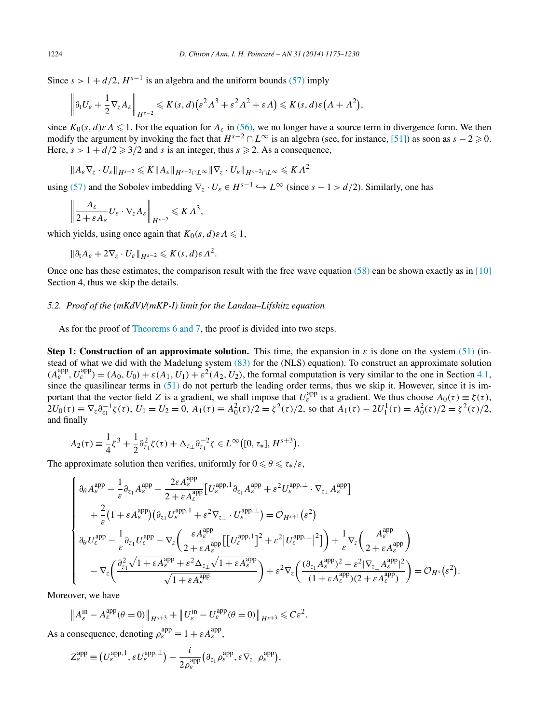Since  $s > 1 + d/2$ ,  $H^{s-1}$  is an algebra and the uniform bounds [\(57\)](#page-24-0) imply

$$
\left\|\partial_t U_{\varepsilon}+\frac{1}{2}\nabla_{z} A_{\varepsilon}\right\|_{H^{s-2}}\leqslant K(s,d)\big(\varepsilon^2\Lambda^3+\varepsilon^2\Lambda^2+\varepsilon\Lambda\big)\leqslant K(s,d)\varepsilon\big(\Lambda+\Lambda^2\big),
$$

since  $K_0(s, d) \in A \leq 1$ . For the equation for  $A_\varepsilon$  in [\(56\),](#page-24-0) we no longer have a source term in divergence form. We then modify the argument by invoking the fact that  $H^{s-2} \cap L^{\infty}$  is an algebra (see, for instance, [\[51\]\)](#page-55-0) as soon as  $s - 2 \ge 0$ . Here,  $s > 1 + d/2 \geq 3/2$  and *s* is an integer, thus  $s \geq 2$ . As a consequence,

$$
\|A_{\varepsilon} \nabla_z \cdot U_{\varepsilon}\|_{H^{s-2}} \leqslant K \|A_{\varepsilon}\|_{H^{s-2} \cap L^\infty} \|\nabla_z \cdot U_{\varepsilon}\|_{H^{s-2} \cap L^\infty} \leqslant K \Lambda^2
$$

using [\(57\)](#page-24-0) and the Sobolev imbedding  $\nabla_z \cdot U_{\varepsilon} \in H^{s-1} \hookrightarrow L^{\infty}$  (since  $s - 1 > d/2$ ). Similarly, one has

$$
\left\| \frac{A_{\varepsilon}}{2 + \varepsilon A_{\varepsilon}} U_{\varepsilon} \cdot \nabla_{z} A_{\varepsilon} \right\|_{H^{s-2}} \leqslant K \Lambda^{3},
$$

which yields, using once again that  $K_0(s, d) \in A \leq 1$ ,

$$
\|\partial_t A_{\varepsilon} + 2\nabla_z \cdot U_{\varepsilon}\|_{H^{s-2}} \leqslant K(s,d) \varepsilon \Lambda^2.
$$

Once one has these estimates, the comparison result with the free wave equation  $(58)$  can be shown exactly as in [\[10\]](#page-54-0) Section 4, thus we skip the details.

### *5.2. Proof of the (mKdV)/(mKP-I) limit for the Landau–Lifshitz equation*

As for the proof of [Theorems 6 and 7,](#page-18-0) the proof is divided into two steps.

**Step 1: Construction of an approximate solution.** This time, the expansion in  $\varepsilon$  is done on the system [\(51\)](#page-21-0) (instead of what we did with the Madelung system [\(83\)](#page-35-0) for the (NLS) equation). To construct an approximate solution  $(A_{\varepsilon}^{\text{app}}, U_{\varepsilon}^{\text{app}}) = (A_0, U_0) + \varepsilon (A_1, U_1) + \varepsilon^2 (A_2, U_2)$ , the formal computation is very similar to the one in Section [4.1,](#page-35-0) since the quasilinear terms in  $(51)$  do not perturb the leading order terms, thus we skip it. However, since it is important that the vector field *Z* is a gradient, we shall impose that  $U_{\varepsilon}^{\text{app}}$  is a gradient. We thus choose  $A_0(\tau) \equiv \zeta(\tau)$ ,  $2U_0(\tau) \equiv \nabla_z \partial_{z_1}^{-1} \zeta(\tau)$ ,  $U_1 = U_2 = 0$ ,  $A_1(\tau) \equiv A_0^2(\tau)/2 = \zeta^2(\tau)/2$ , so that  $A_1(\tau) - 2U_1^1(\tau) = A_0^2(\tau)/2 = \zeta^2(\tau)/2$ , and finally

$$
A_2(\tau) \equiv \frac{1}{4}\zeta^3 + \frac{1}{2}\partial_{z_1}^2 \zeta(\tau) + \Delta_{z_{\perp}} \partial_{z_1}^{-2} \zeta \in L^{\infty}\big([0, \tau_*], H^{s+3}\big).
$$

The approximate solution then verifies, uniformly for  $0 \le \theta \le \tau_*/\varepsilon$ ,

$$
\begin{cases}\n\partial_{\theta} A_{\varepsilon}^{\mathrm{app}} - \frac{1}{\varepsilon} \partial_{z_1} A_{\varepsilon}^{\mathrm{app}} - \frac{2\varepsilon A_{\varepsilon}^{\mathrm{app}}}{2 + \varepsilon A_{\varepsilon}^{\mathrm{app}}} \Big[ U_{\varepsilon}^{\mathrm{app,1}} \partial_{z_1} A_{\varepsilon}^{\mathrm{app}} + \varepsilon^2 U_{\varepsilon}^{\mathrm{app, \perp}} \cdot \nabla_{z_\perp} A_{\varepsilon}^{\mathrm{app}} \Big] \\
+ \frac{2}{\varepsilon} \Big( 1 + \varepsilon A_{\varepsilon}^{\mathrm{app}} \Big) \Big( \partial_{z_1} U_{\varepsilon}^{\mathrm{app,1}} + \varepsilon^2 \nabla_{z_\perp} \cdot U_{\varepsilon}^{\mathrm{app, \perp}} \Big) = \mathcal{O}_{H^{s+1}}(\varepsilon^2) \\
\partial_{\theta} U_{\varepsilon}^{\mathrm{app}} - \frac{1}{\varepsilon} \partial_{z_1} U_{\varepsilon}^{\mathrm{app}} - \nabla_{z} \Big( \frac{\varepsilon A_{\varepsilon}^{\mathrm{app}}}{2 + \varepsilon A_{\varepsilon}^{\mathrm{app}}} \Big[ \Big[ U_{\varepsilon}^{\mathrm{app,1}} \Big]^2 + \varepsilon^2 \Big] U_{\varepsilon}^{\mathrm{app, \perp}} \Big] \Big) + \frac{1}{\varepsilon} \nabla_{z} \Big( \frac{A_{\varepsilon}^{\mathrm{app}}}{2 + \varepsilon A_{\varepsilon}^{\mathrm{app}}} \Big) \\
- \nabla_{z} \Big( \frac{\partial_{z_1}^2 \sqrt{1 + \varepsilon A_{\varepsilon}^{\mathrm{app}} + \varepsilon^2 \Delta_{z_\perp} \sqrt{1 + \varepsilon A_{\varepsilon}^{\mathrm{app}}} }{\sqrt{1 + \varepsilon A_{\varepsilon}^{\mathrm{app}}} \Big) + \varepsilon^2 \nabla_{z} \Big( \frac{(\partial_{z_1} A_{\varepsilon}^{\mathrm{app}})^2 + \varepsilon^2 |\nabla_{z_\perp} A_{\varepsilon}^{\mathrm{app}} |^2}{(1 + \varepsilon A_{\varepsilon}^{\mathrm{app}})(2 + \varepsilon A_{\varepsilon}^{\mathrm{app}})} \Big) = \mathcal
$$

Moreover, we have

$$
\|A_{\varepsilon}^{\text{in}} - A_{\varepsilon}^{\text{app}}(\theta = 0)\|_{H^{s+3}} + \|U_{\varepsilon}^{\text{in}} - U_{\varepsilon}^{\text{app}}(\theta = 0)\|_{H^{s+3}} \leqslant C\varepsilon^2.
$$

As a consequence, denoting  $\rho_{\varepsilon}^{\text{app}} \equiv 1 + \varepsilon A_{\varepsilon}^{\text{app}}$ ,

$$
Z_{\varepsilon}^{\text{app}} \equiv \left(U_{\varepsilon}^{\text{app,1}}, \varepsilon U_{\varepsilon}^{\text{app,1}}\right) - \frac{i}{2\rho_{\varepsilon}^{\text{app}}} \left(\partial_{z_1}\rho_{\varepsilon}^{\text{app}}, \varepsilon \nabla_{z_\perp}\rho_{\varepsilon}^{\text{app}}\right),
$$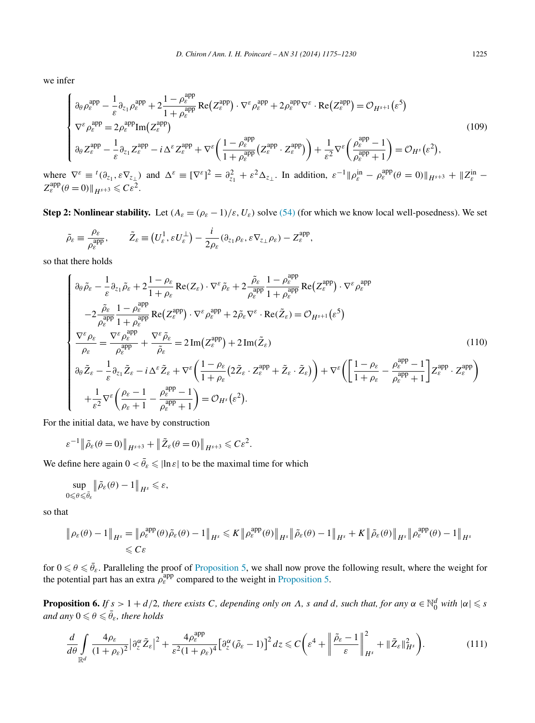<span id="page-50-0"></span>we infer

$$
\begin{cases}\n\partial_{\theta} \rho_{\varepsilon}^{\mathrm{app}} - \frac{1}{\varepsilon} \partial_{z_1} \rho_{\varepsilon}^{\mathrm{app}} + 2 \frac{1 - \rho_{\varepsilon}^{\mathrm{app}}}{1 + \rho_{\varepsilon}^{\mathrm{app}}} \operatorname{Re}(Z_{\varepsilon}^{\mathrm{app}}) \cdot \nabla^{\varepsilon} \rho_{\varepsilon}^{\mathrm{app}} + 2 \rho_{\varepsilon}^{\mathrm{app}} \nabla^{\varepsilon} \cdot \operatorname{Re}(Z_{\varepsilon}^{\mathrm{app}}) = \mathcal{O}_{H^{s+1}}(\varepsilon^{5}) \\
\nabla^{\varepsilon} \rho_{\varepsilon}^{\mathrm{app}} = 2 \rho_{\varepsilon}^{\mathrm{app}} \operatorname{Im}(Z_{\varepsilon}^{\mathrm{app}}) \\
\partial_{\theta} Z_{\varepsilon}^{\mathrm{app}} - \frac{1}{\varepsilon} \partial_{z_1} Z_{\varepsilon}^{\mathrm{app}} - i \Delta^{\varepsilon} Z_{\varepsilon}^{\mathrm{app}} + \nabla^{\varepsilon} \left( \frac{1 - \rho_{\varepsilon}^{\mathrm{app}}}{1 + \rho_{\varepsilon}^{\mathrm{app}}} (Z_{\varepsilon}^{\mathrm{app}} \cdot Z_{\varepsilon}^{\mathrm{app}}) \right) + \frac{1}{\varepsilon^{2}} \nabla^{\varepsilon} \left( \frac{\rho_{\varepsilon}^{\mathrm{app}} - 1}{\rho_{\varepsilon}^{\mathrm{app}} + 1} \right) = \mathcal{O}_{H^{s}}(\varepsilon^{2}),\n\end{cases} \tag{109}
$$

where  $\nabla^{\varepsilon} \equiv {}^{t}(\partial_{z_1}, \varepsilon \nabla_{z_\perp})$  and  $\Delta^{\varepsilon} \equiv [\nabla^{\varepsilon}]^2 = \partial_{z_1}^2 + \varepsilon^2 \Delta_{z_\perp}$ . In addition,  $\varepsilon^{-1} || \rho_{\varepsilon}^{in} - \rho_{\varepsilon}^{app}(\theta = 0) ||_{H^{s+3}} + ||Z_{\varepsilon}^{in} - \rho_{\varepsilon}^{app}||_{H^{s+3}}$  $Z_{\varepsilon}^{\text{app}}(\theta=0) \|_{H^{s+3}} \leqslant C \varepsilon^2.$ 

**Step 2: Nonlinear stability.** Let  $(A_{\varepsilon} = (\rho_{\varepsilon} - 1)/\varepsilon, U_{\varepsilon})$  solve [\(54\)](#page-22-0) (for which we know local well-posedness). We set

$$
\tilde{\rho}_{\varepsilon} \equiv \frac{\rho_{\varepsilon}}{\rho_{\varepsilon}^{\mathrm{app}}}, \qquad \tilde{Z}_{\varepsilon} \equiv \left(U_{\varepsilon}^1, \varepsilon U_{\varepsilon}^{\perp}\right) - \frac{i}{2\rho_{\varepsilon}} (\partial_{z_1} \rho_{\varepsilon}, \varepsilon \nabla_{z_{\perp}} \rho_{\varepsilon}) - Z_{\varepsilon}^{\mathrm{app}},
$$

so that there holds

$$
\begin{cases}\n\partial_{\theta}\tilde{\rho}_{\varepsilon} - \frac{1}{\varepsilon}\partial_{z_{1}}\tilde{\rho}_{\varepsilon} + 2\frac{1-\rho_{\varepsilon}}{1+\rho_{\varepsilon}}\operatorname{Re}(Z_{\varepsilon}) \cdot \nabla^{\varepsilon}\tilde{\rho}_{\varepsilon} + 2\frac{\tilde{\rho}_{\varepsilon}}{\rho_{\varepsilon}^{\text{app}}} \frac{1-\rho_{\varepsilon}^{\text{app}}}{1+\rho_{\varepsilon}^{\text{app}}}\operatorname{Re}(Z_{\varepsilon}^{\text{app}}) \cdot \nabla^{\varepsilon}\rho_{\varepsilon}^{\text{app}} \\
-2\frac{\tilde{\rho}_{\varepsilon}}{\rho_{\varepsilon}^{\text{app}}} \frac{1-\rho_{\varepsilon}^{\text{app}}}{1+\rho_{\varepsilon}^{\text{app}}}\operatorname{Re}(Z_{\varepsilon}^{\text{app}}) \cdot \nabla^{\varepsilon}\rho_{\varepsilon}^{\text{app}} + 2\tilde{\rho}_{\varepsilon}\nabla^{\varepsilon}\cdot\operatorname{Re}(\tilde{Z}_{\varepsilon}) = \mathcal{O}_{H^{s+1}}(\varepsilon^{5}) \\
\frac{\nabla^{\varepsilon}\rho_{\varepsilon}}{\rho_{\varepsilon}} = \frac{\nabla^{\varepsilon}\rho_{\varepsilon}^{\text{app}}}{\rho_{\varepsilon}^{\text{app}}} + \frac{\nabla^{\varepsilon}\tilde{\rho}_{\varepsilon}}{\tilde{\rho}_{\varepsilon}} = 2\operatorname{Im}(Z_{\varepsilon}^{\text{app}}) + 2\operatorname{Im}(\tilde{Z}_{\varepsilon}) \\
\partial_{\theta}\tilde{Z}_{\varepsilon} - \frac{1}{\varepsilon}\partial_{z_{1}}\tilde{Z}_{\varepsilon} - i\Delta^{\varepsilon}\tilde{Z}_{\varepsilon} + \nabla^{\varepsilon}\left(\frac{1-\rho_{\varepsilon}}{1+\rho_{\varepsilon}}(2\tilde{Z}_{\varepsilon}\cdot Z_{\varepsilon}^{\text{app}} + \tilde{Z}_{\varepsilon}\cdot\tilde{Z}_{\varepsilon})\right) + \nabla^{\varepsilon}\left(\frac{1-\rho_{\varepsilon}}{1+\rho_{\varepsilon}} - \frac{\rho_{\varepsilon}^{\text{app}}}{\rho_{\varepsilon}^{\text{app}} + 1}\right)
$$

For the initial data, we have by construction

$$
\varepsilon^{-1} \|\tilde{\rho}_{\varepsilon}(\theta=0)\|_{H^{s+3}} + \|\tilde{Z}_{\varepsilon}(\theta=0)\|_{H^{s+3}} \leqslant C\varepsilon^2.
$$

We define here again  $0 < \bar{\theta}_{\varepsilon} \leq |\ln \varepsilon|$  to be the maximal time for which

$$
\sup_{0\leq\theta\leq\bar{\theta}_{\varepsilon}}\|\tilde{\rho}_{\varepsilon}(\theta)-1\|_{H^{s}}\leqslant\varepsilon,
$$

so that

$$
\|\rho_{\varepsilon}(\theta)-1\|_{H^s} = \|\rho_{\varepsilon}^{\text{app}}(\theta)\tilde{\rho}_{\varepsilon}(\theta)-1\|_{H^s} \leqslant K \|\rho_{\varepsilon}^{\text{app}}(\theta)\|_{H^s} \|\tilde{\rho}_{\varepsilon}(\theta)-1\|_{H^s} + K \|\tilde{\rho}_{\varepsilon}(\theta)\|_{H^s} \|\rho_{\varepsilon}^{\text{app}}(\theta)-1\|_{H^s}
$$

for  $0 \le \theta \le \bar{\theta}_{\varepsilon}$ . Paralleling the proof of [Proposition 5,](#page-45-0) we shall now prove the following result, where the weight for the potential part has an extra  $\rho_{\varepsilon}^{\text{app}}$  compared to the weight in [Proposition 5.](#page-45-0)

**Proposition 6.** If  $s > 1 + d/2$ , there exists C, depending only on  $\Lambda$ , s and d, such that, for any  $\alpha \in \mathbb{N}_0^d$  with  $|\alpha| \leq s$  $and$   $any$   $0 \leqslant \theta \leqslant \bar{\theta}_\varepsilon$ , there holds

$$
\frac{d}{d\theta} \int_{\mathbb{R}^d} \frac{4\rho_{\varepsilon}}{(1+\rho_{\varepsilon})^2} \left| \partial_z^{\alpha} \tilde{Z}_{\varepsilon} \right|^2 + \frac{4\rho_{\varepsilon}^{\text{app}}}{\varepsilon^2 (1+\rho_{\varepsilon})^4} \left[ \partial_z^{\alpha} (\tilde{\rho}_{\varepsilon} - 1) \right]^2 dz \leq C \left( \varepsilon^4 + \left\| \frac{\tilde{\rho}_{\varepsilon} - 1}{\varepsilon} \right\|_{H^s}^2 + \|\tilde{Z}_{\varepsilon}\|_{H^s}^2 \right). \tag{111}
$$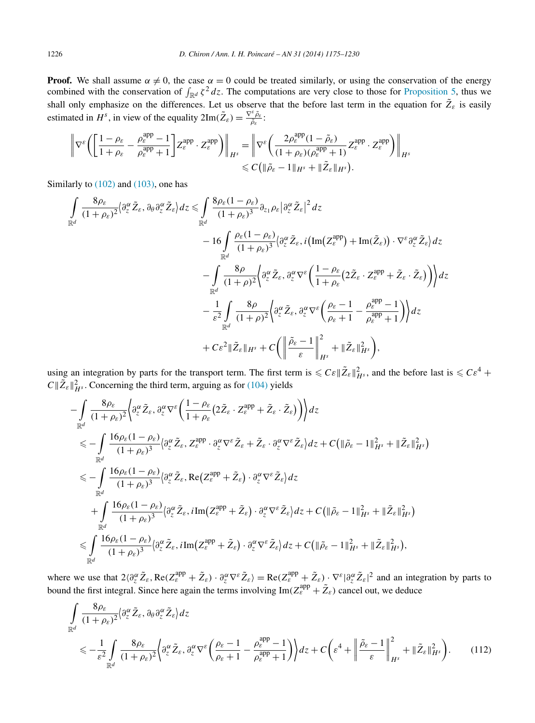<span id="page-51-0"></span>**Proof.** We shall assume  $\alpha \neq 0$ , the case  $\alpha = 0$  could be treated similarly, or using the conservation of the energy combined with the conservation of  $\int_{\mathbb{R}^d} \zeta^2 dz$ . The computations are very close to those for [Proposition 5,](#page-45-0) thus we shall only emphasize on the differences. Let us observe that the before last term in the equation for  $\tilde{Z}_{\varepsilon}$  is easily estimated in  $H^s$ , in view of the equality  $2\text{Im}(\tilde{Z}_\varepsilon) = \frac{\nabla^\varepsilon \tilde{\rho}_\varepsilon}{\tilde{\rho}_\varepsilon}$ .

$$
\begin{aligned} \left\| \nabla^{\varepsilon} \biggl( \left[ \frac{1-\rho_{\varepsilon}}{1+\rho_{\varepsilon}} - \frac{\rho_{\varepsilon}^{\mathrm{app}}-1}{\rho_{\varepsilon}^{\mathrm{app}}+1} \right] \! Z_{\varepsilon}^{\mathrm{app}} \cdot Z_{\varepsilon}^{\mathrm{app}} \biggr) \right\|_{H^{s}} & = \left\| \nabla^{\varepsilon} \biggl( \frac{2\rho_{\varepsilon}^{\mathrm{app}}(1-\tilde{\rho}_{\varepsilon})}{(1+\rho_{\varepsilon})(\rho_{\varepsilon}^{\mathrm{app}}+1)} Z_{\varepsilon}^{\mathrm{app}} \cdot Z_{\varepsilon}^{\mathrm{app}} \biggr) \right\|_{H^{s}} \\ & \leqslant C \bigl( \| \tilde{\rho}_{\varepsilon} - 1 \|_{H^{s}} + \| \tilde{Z}_{\varepsilon} \|_{H^{s}} \bigr). \end{aligned}
$$

Similarly to  $(102)$  and  $(103)$ , one has

$$
\int_{\mathbb{R}^d} \frac{8\rho_{\varepsilon}}{(1+\rho_{\varepsilon})^2} \langle \partial_z^{\alpha} \tilde{Z}_{\varepsilon}, \partial_{\theta} \partial_z^{\alpha} \tilde{Z}_{\varepsilon} \rangle dz \leq \int_{\mathbb{R}^d} \frac{8\rho_{\varepsilon}(1-\rho_{\varepsilon})}{(1+\rho_{\varepsilon})^3} \partial_{z_1} \rho_{\varepsilon} \left| \partial_z^{\alpha} \tilde{Z}_{\varepsilon} \right|^2 dz \n- 16 \int_{\mathbb{R}^d} \frac{\rho_{\varepsilon}(1-\rho_{\varepsilon})}{(1+\rho_{\varepsilon})^3} \langle \partial_z^{\alpha} \tilde{Z}_{\varepsilon}, i \left( \text{Im}(Z_{\varepsilon}^{\text{app}}) + \text{Im}(\tilde{Z}_{\varepsilon}) \right) \cdot \nabla^{\varepsilon} \partial_z^{\alpha} \tilde{Z}_{\varepsilon} \rangle dz \n- \int_{\mathbb{R}^d} \frac{8\rho}{(1+\rho)^2} \langle \partial_z^{\alpha} \tilde{Z}_{\varepsilon}, \partial_z^{\alpha} \nabla^{\varepsilon} \left( \frac{1-\rho_{\varepsilon}}{1+\rho_{\varepsilon}} (2\tilde{Z}_{\varepsilon} \cdot Z_{\varepsilon}^{\text{app}} + \tilde{Z}_{\varepsilon} \cdot \tilde{Z}_{\varepsilon}) \right) \rangle dz \n- \frac{1}{\varepsilon^2} \int_{\mathbb{R}^d} \frac{8\rho}{(1+\rho)^2} \langle \partial_z^{\alpha} \tilde{Z}_{\varepsilon}, \partial_z^{\alpha} \nabla^{\varepsilon} \left( \frac{\rho_{\varepsilon}-1}{\rho_{\varepsilon}+1} - \frac{\rho_{\varepsilon}^{\text{app}}-1}{\rho_{\varepsilon}^{\text{app}}+1} \right) \rangle dz \n+ C\varepsilon^2 \|\tilde{Z}_{\varepsilon}\|_{H^s} + C \Big( \left\| \frac{\tilde{\rho}_{\varepsilon}-1}{\varepsilon} \right\|_{H^s}^2 + \|\tilde{Z}_{\varepsilon}\|_{H^s}^2 \Big),
$$

using an integration by parts for the transport term. The first term is  $\leqslant C\varepsilon \|\tilde{Z}_{\varepsilon}\|_{H^s}^2$ , and the before last is  $\leqslant C\varepsilon^4$  +  $C \|\tilde{Z}_{\varepsilon}\|_{H^s}^2$ . Concerning the third term, arguing as for [\(104\)](#page-46-0) yields

$$
\begin{split}\n&-\int_{\mathbb{R}^{d}} \frac{8\rho_{\varepsilon}}{(1+\rho_{\varepsilon})^{2}} \Big\langle \partial_{z}^{\alpha}\tilde{Z}_{\varepsilon}, \partial_{z}^{\alpha}\nabla^{\varepsilon} \Big(\frac{1-\rho_{\varepsilon}}{1+\rho_{\varepsilon}}\Big(2\tilde{Z}_{\varepsilon}\cdot Z_{\varepsilon}^{app}+\tilde{Z}_{\varepsilon}\cdot\tilde{Z}_{\varepsilon}\Big)\Big) \Big\rangle dz \\
&\leq -\int_{\mathbb{R}^{d}} \frac{16\rho_{\varepsilon}(1-\rho_{\varepsilon})}{(1+\rho_{\varepsilon})^{3}} \Big\langle \partial_{z}^{\alpha}\tilde{Z}_{\varepsilon}, Z_{\varepsilon}^{app}\cdot \partial_{z}^{\alpha}\nabla^{\varepsilon}\tilde{Z}_{\varepsilon} + \tilde{Z}_{\varepsilon}\cdot \partial_{z}^{\alpha}\nabla^{\varepsilon}\tilde{Z}_{\varepsilon}\Big\rangle dz + C\Big(\|\tilde{\rho}_{\varepsilon}-1\|_{H^{s}}^{2}+\|\tilde{Z}_{\varepsilon}\|_{H^{s}}^{2}\Big) \\
&\leq -\int_{\mathbb{R}^{d}} \frac{16\rho_{\varepsilon}(1-\rho_{\varepsilon})}{(1+\rho_{\varepsilon})^{3}} \Big\langle \partial_{z}^{\alpha}\tilde{Z}_{\varepsilon}, \text{Re}\Big(Z_{\varepsilon}^{app}+\tilde{Z}_{\varepsilon}\Big)\cdot \partial_{z}^{\alpha}\nabla^{\varepsilon}\tilde{Z}_{\varepsilon}\Big\rangle dz \\
&+\int_{\mathbb{R}^{d}} \frac{16\rho_{\varepsilon}(1-\rho_{\varepsilon})}{(1+\rho_{\varepsilon})^{3}} \Big\langle \partial_{z}^{\alpha}\tilde{Z}_{\varepsilon}, i\text{Im}\Big(Z_{\varepsilon}^{app}+\tilde{Z}_{\varepsilon}\Big)\cdot \partial_{z}^{\alpha}\nabla^{\varepsilon}\tilde{Z}_{\varepsilon}\Big\rangle dz + C\Big(\|\tilde{\rho}_{\varepsilon}-1\|_{H^{s}}^{2}+\|\tilde{Z}_{\varepsilon}\|_{H^{s}}^{2}\Big) \\
&\leqslant \int_{\mathbb{R}^{d}} \frac{16\rho_{\varepsilon}(1-\rho_{\varepsilon})}{(1+\rho_{\varepsilon})^{3}}
$$

where we use that  $2\langle \partial_z^{\alpha} \tilde{Z}_{\varepsilon}, \text{Re}(Z_{\varepsilon}^{app} + \tilde{Z}_{\varepsilon}) \cdot \partial_z^{\alpha} \nabla^{\varepsilon} \tilde{Z}_{\varepsilon} \rangle = \text{Re}(Z_{\varepsilon}^{app} + \tilde{Z}_{\varepsilon}) \cdot \nabla^{\varepsilon} |\partial_z^{\alpha} \tilde{Z}_{\varepsilon}|^2$  and an integration by parts to bound the first integral. Since here again the terms involving  $\text{Im}(Z_{\varepsilon}^{\text{app}} + \tilde{Z}_{\varepsilon})$  cancel out, we deduce

$$
\int_{\mathbb{R}^d} \frac{8\rho_{\varepsilon}}{(1+\rho_{\varepsilon})^2} \left\langle \partial_z^{\alpha} \tilde{Z}_{\varepsilon}, \partial_{\theta} \partial_z^{\alpha} \tilde{Z}_{\varepsilon} \right\rangle dz
$$
\n
$$
\leqslant -\frac{1}{\varepsilon^2} \int_{\mathbb{R}^d} \frac{8\rho_{\varepsilon}}{(1+\rho_{\varepsilon})^2} \left\langle \partial_z^{\alpha} \tilde{Z}_{\varepsilon}, \partial_z^{\alpha} \nabla^{\varepsilon} \left( \frac{\rho_{\varepsilon}-1}{\rho_{\varepsilon}+1} - \frac{\rho_{\varepsilon}^{\text{app}}-1}{\rho_{\varepsilon}^{\text{app}}+1} \right) \right\rangle dz + C \left( \varepsilon^4 + \left\| \frac{\tilde{\rho}_{\varepsilon}-1}{\varepsilon} \right\|_{H^s}^2 + \|\tilde{Z}_{\varepsilon}\|_{H^s}^2 \right). \tag{112}
$$

−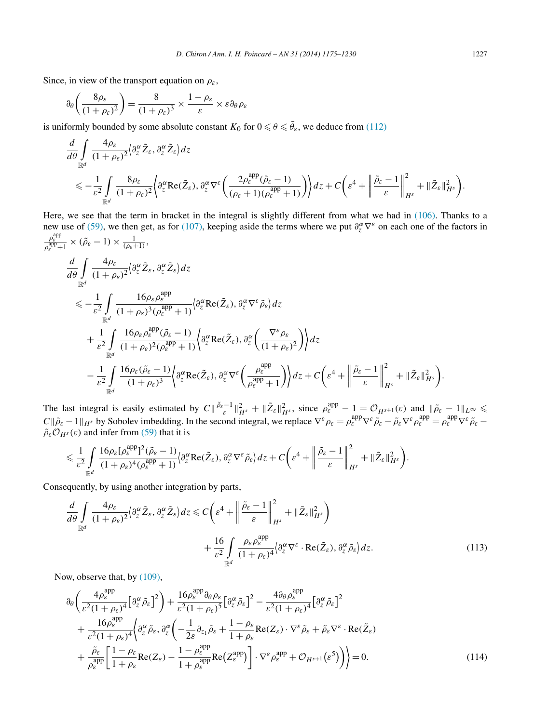<span id="page-52-0"></span>Since, in view of the transport equation on  $\rho_{\varepsilon}$ ,

$$
\partial_{\theta} \left( \frac{8\rho_{\varepsilon}}{(1+\rho_{\varepsilon})^2} \right) = \frac{8}{(1+\rho_{\varepsilon})^3} \times \frac{1-\rho_{\varepsilon}}{\varepsilon} \times \varepsilon \partial_{\theta} \rho_{\varepsilon}
$$

is uniformly bounded by some absolute constant  $K_0$  for  $0 \le \theta \le \bar{\theta}_{\varepsilon}$ , we deduce from [\(112\)](#page-51-0)

$$
\frac{d}{d\theta} \int_{\mathbb{R}^d} \frac{4\rho_{\varepsilon}}{(1+\rho_{\varepsilon})^2} \langle \partial_z^{\alpha} \tilde{Z}_{\varepsilon}, \partial_z^{\alpha} \tilde{Z}_{\varepsilon} \rangle dz \n\leq -\frac{1}{\varepsilon^2} \int_{\mathbb{R}^d} \frac{8\rho_{\varepsilon}}{(1+\rho_{\varepsilon})^2} \langle \partial_z^{\alpha} \text{Re}(\tilde{Z}_{\varepsilon}), \partial_z^{\alpha} \nabla^{\varepsilon} \left( \frac{2\rho_{\varepsilon}^{\text{app}}(\tilde{\rho}_{\varepsilon}-1)}{(\rho_{\varepsilon}+1)(\rho_{\varepsilon}^{\text{app}}+1)} \right) \rangle dz + C \left( \varepsilon^4 + \left\| \frac{\tilde{\rho}_{\varepsilon}-1}{\varepsilon} \right\|_{H^s}^2 + \|\tilde{Z}_{\varepsilon}\|_{H^s}^2 \right).
$$

Here, we see that the term in bracket in the integral is slightly different from what we had in [\(106\).](#page-47-0) Thanks to a new use of [\(59\),](#page-24-0) we then get, as for [\(107\),](#page-47-0) keeping aside the terms where we put  $\partial_z^{\alpha} \nabla^{\varepsilon}$  on each one of the factors in  $\rho_{\varepsilon}^{\text{app}}$  *γ*<sub>ε</sub><sup>2pp</sup><sub>+1</sub> × ( $\tilde{\rho}_{\varepsilon}$  – 1) ×  $\frac{1}{(\rho_{\varepsilon}+1)}$ ,

$$
\frac{d}{d\theta} \int_{\mathbb{R}^d} \frac{4\rho_{\varepsilon}}{(1+\rho_{\varepsilon})^2} \langle \partial_z^{\alpha} \tilde{Z}_{\varepsilon}, \partial_z^{\alpha} \tilde{Z}_{\varepsilon} \rangle dz
$$
\n
$$
\leq -\frac{1}{\varepsilon^2} \int_{\mathbb{R}^d} \frac{16\rho_{\varepsilon} \rho_{\varepsilon}^{\text{app}}}{(1+\rho_{\varepsilon})^3 (\rho_{\varepsilon}^{\text{app}}+1)} \langle \partial_z^{\alpha} \text{Re}(\tilde{Z}_{\varepsilon}), \partial_z^{\alpha} \nabla^{\varepsilon} \tilde{\rho}_{\varepsilon} \rangle dz
$$
\n
$$
+ \frac{1}{\varepsilon^2} \int_{\mathbb{R}^d} \frac{16\rho_{\varepsilon} \rho_{\varepsilon}^{\text{app}} (\tilde{\rho}_{\varepsilon}-1)}{(1+\rho_{\varepsilon})^2 (\rho_{\varepsilon}^{\text{app}}+1)} \langle \partial_z^{\alpha} \text{Re}(\tilde{Z}_{\varepsilon}), \partial_z^{\alpha} \left( \frac{\nabla^{\varepsilon} \rho_{\varepsilon}}{(1+\rho_{\varepsilon})^2} \right) \rangle dz
$$
\n
$$
- \frac{1}{\varepsilon^2} \int_{\mathbb{R}^d} \frac{16\rho_{\varepsilon} (\tilde{\rho}_{\varepsilon}-1)}{(1+\rho_{\varepsilon})^3} \langle \partial_z^{\alpha} \text{Re}(\tilde{Z}_{\varepsilon}), \partial_z^{\alpha} \nabla^{\varepsilon} \left( \frac{\rho_{\varepsilon}^{\text{app}}}{\rho_{\varepsilon}^{\text{app}}+1} \right) \rangle dz + C \left( \varepsilon^4 + \left\| \frac{\tilde{\rho}_{\varepsilon}-1}{\varepsilon} \right\|_{H^s}^2 + \|\tilde{Z}_{\varepsilon}\|_{H^s}^2 \right).
$$

The last integral is easily estimated by  $C \|\frac{\tilde{\rho}_{\varepsilon}-1}{\varepsilon}\|_{H^s}^2 + \|\tilde{Z}_{\varepsilon}\|_{H^s}^2$ , since  $\rho_{\varepsilon}^{\text{app}} - 1 = \mathcal{O}_{H^{s+1}}(\varepsilon)$  and  $\|\tilde{\rho}_{\varepsilon} - 1\|_{L^{\infty}} \leq$  $C\|\tilde{\rho}_{\varepsilon}-1\|_{H^s}$  by Sobolev imbedding. In the second integral, we replace  $\nabla^{\varepsilon} \rho_{\varepsilon} = \rho_{\varepsilon}^{\text{app}} \nabla^{\varepsilon} \tilde{\rho}_{\varepsilon} - \tilde{\rho}_{\varepsilon} \nabla^{\varepsilon} \rho_{\varepsilon}^{\text{app}} = \rho_{\varepsilon}^{\text{app}} \nabla^{\varepsilon} \tilde{\rho}_{\varepsilon} \tilde{\rho}_{\varepsilon} \mathcal{O}_{H^s}(\varepsilon)$  and infer from [\(59\)](#page-24-0) that it is

$$
\leq \frac{1}{\varepsilon^2} \int\limits_{\mathbb{R}^d}{\frac{16\rho_\varepsilon[\rho_\varepsilon^{\mathrm{app}}]^2(\tilde{\rho}_\varepsilon-1)}{(1+\rho_\varepsilon)^4(\rho_\varepsilon^{\mathrm{app}}+1)}\Big|\partial_z^\alpha\mathrm{Re}(\tilde{Z}_\varepsilon),\partial_z^\alpha\nabla^\varepsilon\tilde{\rho}_\varepsilon\Big|dz} + C\bigg(\varepsilon^4 + \bigg\|\frac{\tilde{\rho}_\varepsilon-1}{\varepsilon}\bigg\|_{H^s}^2 + \|\tilde{Z}_\varepsilon\|_{H^s}^2\bigg).
$$

Consequently, by using another integration by parts,

$$
\frac{d}{d\theta} \int_{\mathbb{R}^d} \frac{4\rho_{\varepsilon}}{(1+\rho_{\varepsilon})^2} \langle \partial_z^{\alpha} \tilde{Z}_{\varepsilon}, \partial_z^{\alpha} \tilde{Z}_{\varepsilon} \rangle dz \leq C \bigg( \varepsilon^4 + \bigg( \frac{\tilde{\rho}_{\varepsilon} - 1}{\varepsilon} \bigg) \bigg|_{H^s}^2 + \|\tilde{Z}_{\varepsilon}\|_{H^s}^2 \bigg) \n+ \frac{16}{\varepsilon^2} \int_{\mathbb{R}^d} \frac{\rho_{\varepsilon} \rho_{\varepsilon}^{\text{app}}}{(1+\rho_{\varepsilon})^4} \langle \partial_z^{\alpha} \nabla^{\varepsilon} \cdot \text{Re}(\tilde{Z}_{\varepsilon}), \partial_z^{\alpha} \tilde{\rho}_{\varepsilon} \rangle dz.
$$
\n(113)

Now, observe that, by [\(109\),](#page-50-0)

$$
\partial_{\theta} \left( \frac{4\rho_{\varepsilon}^{\text{app}}}{\varepsilon^{2}(1+\rho_{\varepsilon})^{4}} \left[ \partial_{z}^{\alpha} \tilde{\rho}_{\varepsilon} \right]^{2} \right) + \frac{16\rho_{\varepsilon}^{\text{app}} \partial_{\theta} \rho_{\varepsilon}}{\varepsilon^{2}(1+\rho_{\varepsilon})^{5}} \left[ \partial_{z}^{\alpha} \tilde{\rho}_{\varepsilon} \right]^{2} - \frac{4 \partial_{\theta} \rho_{\varepsilon}^{\text{app}}}{\varepsilon^{2}(1+\rho_{\varepsilon})^{4}} \left[ \partial_{z}^{\alpha} \tilde{\rho}_{\varepsilon} \right]^{2} \n+ \frac{16\rho_{\varepsilon}^{\text{app}}}{\varepsilon^{2}(1+\rho_{\varepsilon})^{4}} \left\{ \partial_{z}^{\alpha} \tilde{\rho}_{\varepsilon}, \partial_{z}^{\alpha} \left( -\frac{1}{2\varepsilon} \partial_{z_{1}} \tilde{\rho}_{\varepsilon} + \frac{1-\rho_{\varepsilon}}{1+\rho_{\varepsilon}} \text{Re}(Z_{\varepsilon}) \cdot \nabla^{\varepsilon} \tilde{\rho}_{\varepsilon} + \tilde{\rho}_{\varepsilon} \nabla^{\varepsilon} \cdot \text{Re}(\tilde{Z}_{\varepsilon}) \right. \right. \n+ \frac{\tilde{\rho}_{\varepsilon}}{\rho_{\varepsilon}^{\text{app}}} \left[ \frac{1-\rho_{\varepsilon}}{1+\rho_{\varepsilon}} \text{Re}(Z_{\varepsilon}) - \frac{1-\rho_{\varepsilon}^{\text{app}}}{1+\rho_{\varepsilon}^{\text{app}}} \text{Re}(Z_{\varepsilon}^{\text{app}}) \right] \cdot \nabla^{\varepsilon} \rho_{\varepsilon}^{\text{app}} + \mathcal{O}_{H^{s+1}}(\varepsilon^{5}) \Big) \Big) = 0. \tag{114}
$$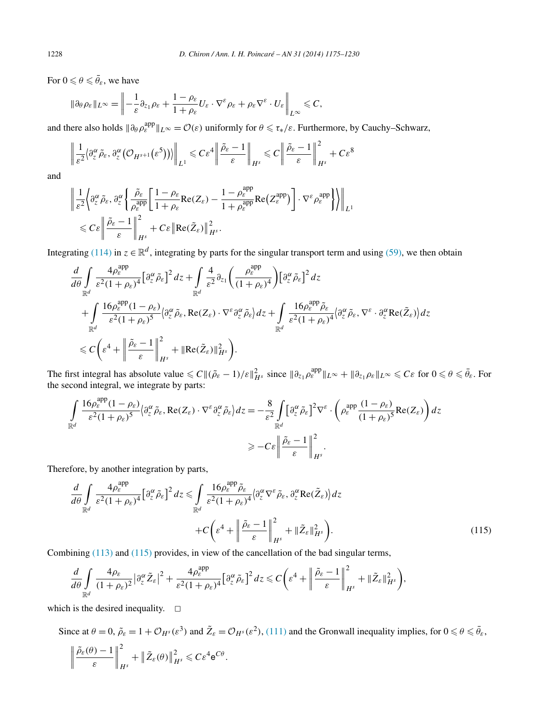For  $0 \le \theta \le \bar{\theta}_{\varepsilon}$ , we have

$$
\|\partial_{\theta}\rho_{\varepsilon}\|_{L^{\infty}}=\left\|-\frac{1}{\varepsilon}\partial_{z_1}\rho_{\varepsilon}+\frac{1-\rho_{\varepsilon}}{1+\rho_{\varepsilon}}U_{\varepsilon}\cdot\nabla^{\varepsilon}\rho_{\varepsilon}+\rho_{\varepsilon}\nabla^{\varepsilon}\cdot U_{\varepsilon}\right\|_{L^{\infty}}\leqslant C,
$$

and there also holds  $\|\partial_{\theta}\rho_{\varepsilon}^{\text{app}}\|_{L^{\infty}} = \mathcal{O}(\varepsilon)$  uniformly for  $\theta \leq \tau_*/\varepsilon$ . Furthermore, by Cauchy–Schwarz,

$$
\left\|\frac{1}{\varepsilon^2}\big\{\partial_{z}^{\alpha}\tilde{\rho}_{\varepsilon},\partial_{z}^{\alpha}(\mathcal{O}_{H^{s+1}}(\varepsilon^5))\big\}\right\|_{L^{1}}\leqslant C\varepsilon^4\left\|\frac{\tilde{\rho}_{\varepsilon}-1}{\varepsilon}\right\|_{H^{s}}\leqslant C\left\|\frac{\tilde{\rho}_{\varepsilon}-1}{\varepsilon}\right\|_{H^{s}}^{2}+C\varepsilon^8
$$

and

$$
\begin{split} & \left\| \frac{1}{\varepsilon^{2}} \Big\langle \partial_{z}^{\alpha} \tilde{\rho}_{\varepsilon}, \partial_{z}^{\alpha} \left\{ \frac{\tilde{\rho}_{\varepsilon}}{\rho_{\varepsilon}^{\mathrm{app}}} \bigg[ \frac{1 - \rho_{\varepsilon}}{1 + \rho_{\varepsilon}} \mathrm{Re}(Z_{\varepsilon}) - \frac{1 - \rho_{\varepsilon}^{\mathrm{app}}}{1 + \rho_{\varepsilon}^{\mathrm{app}}} \mathrm{Re}\big(Z_{\varepsilon}^{\mathrm{app}}\big) \right] \cdot \nabla^{\varepsilon} \rho_{\varepsilon}^{\mathrm{app}} \Big\} \Big\} \right\|_{L^{1}} \\ & \leqslant C \varepsilon \left\| \frac{\tilde{\rho}_{\varepsilon} - 1}{\varepsilon} \right\|_{H^{s}}^{2} + C \varepsilon \left\| \mathrm{Re}(\tilde{Z}_{\varepsilon}) \right\|_{H^{s}}^{2}. \end{split}
$$

Integrating [\(114\)](#page-52-0) in  $z \in \mathbb{R}^d$ , integrating by parts for the singular transport term and using [\(59\),](#page-24-0) we then obtain

$$
\frac{d}{d\theta} \int_{\mathbb{R}^d} \frac{4\rho_{\varepsilon}^{\text{app}}}{\varepsilon^2 (1+\rho_{\varepsilon})^4} \Big[ \partial_z^{\alpha} \tilde{\rho}_{\varepsilon} \Big]^2 dz + \int_{\mathbb{R}^d} \frac{4}{\varepsilon^2} \partial_{z_1} \left( \frac{\rho_{\varepsilon}^{\text{app}}}{(1+\rho_{\varepsilon})^4} \right) \Big[ \partial_z^{\alpha} \tilde{\rho}_{\varepsilon} \Big]^2 dz \n+ \int_{\mathbb{R}^d} \frac{16\rho_{\varepsilon}^{\text{app}} (1-\rho_{\varepsilon})}{\varepsilon^2 (1+\rho_{\varepsilon})^5} \Big\langle \partial_z^{\alpha} \tilde{\rho}_{\varepsilon}, \text{Re}(Z_{\varepsilon}) \cdot \nabla^{\varepsilon} \partial_z^{\alpha} \tilde{\rho}_{\varepsilon} \Big\rangle dz + \int_{\mathbb{R}^d} \frac{16\rho_{\varepsilon}^{\text{app}} \tilde{\rho}_{\varepsilon}}{\varepsilon^2 (1+\rho_{\varepsilon})^4} \Big\langle \partial_z^{\alpha} \tilde{\rho}_{\varepsilon}, \nabla^{\varepsilon} \cdot \partial_z^{\alpha} \text{Re}(\tilde{Z}_{\varepsilon}) \Big\rangle dz \n\leq C \Bigg( \varepsilon^4 + \left\| \frac{\tilde{\rho}_{\varepsilon} - 1}{\varepsilon} \right\|_{H^s}^2 + \| \text{Re}(\tilde{Z}_{\varepsilon}) \|_{H^s}^2 \Bigg).
$$

The first integral has absolute value  $\leq C ||(\tilde{\rho}_{\varepsilon} - 1)/\varepsilon||_{H^s}^2$  since  $||\partial_{z_1} \rho_{\varepsilon}^{app}||_{L^{\infty}} + ||\partial_{z_1} \rho_{\varepsilon}||_{L^{\infty}} \leq C\varepsilon$  for  $0 \leq \theta \leq \bar{\theta}_{\varepsilon}$ . For the second integral, we integrate by parts:

$$
\int_{\mathbb{R}^d} \frac{16\rho_{\varepsilon}^{\text{app}}(1-\rho_{\varepsilon})}{\varepsilon^2(1+\rho_{\varepsilon})^5} \langle \partial_z^{\alpha}\tilde{\rho}_{\varepsilon}, \text{Re}(Z_{\varepsilon}) \cdot \nabla^{\varepsilon} \partial_z^{\alpha}\tilde{\rho}_{\varepsilon} \rangle dz = -\frac{8}{\varepsilon^2} \int_{\mathbb{R}^d} \left[ \partial_z^{\alpha}\tilde{\rho}_{\varepsilon} \right]^2 \nabla^{\varepsilon} \cdot \left( \rho_{\varepsilon}^{\text{app}} \frac{(1-\rho_{\varepsilon})}{(1+\rho_{\varepsilon})^5} \text{Re}(Z_{\varepsilon}) \right) dz
$$
  

$$
\geq -C\varepsilon \left\| \frac{\tilde{\rho}_{\varepsilon} - 1}{\varepsilon} \right\|_{H^s}^2.
$$

Therefore, by another integration by parts,

$$
\frac{d}{d\theta} \int_{\mathbb{R}^d} \frac{4\rho_{\varepsilon}^{\text{app}}}{\varepsilon^2 (1+\rho_{\varepsilon})^4} \Big[ \partial_z^{\alpha} \tilde{\rho}_{\varepsilon} \Big]^2 dz \leq \int_{\mathbb{R}^d} \frac{16\rho_{\varepsilon}^{\text{app}} \tilde{\rho}_{\varepsilon}}{\varepsilon^2 (1+\rho_{\varepsilon})^4} \langle \partial_z^{\alpha} \nabla^{\varepsilon} \tilde{\rho}_{\varepsilon}, \partial_z^{\alpha} \text{Re}(\tilde{Z}_{\varepsilon}) \rangle dz + C \bigg( \varepsilon^4 + \left\| \frac{\tilde{\rho}_{\varepsilon} - 1}{\varepsilon} \right\|_{H^s}^2 + \| \tilde{Z}_{\varepsilon} \|_{H^s}^2 \bigg).
$$
 (115)

Combining [\(113\)](#page-52-0) and (115) provides, in view of the cancellation of the bad singular terms,

$$
\frac{d}{d\theta}\int\limits_{\mathbb{R}^d}\frac{4\rho_\varepsilon}{(1+\rho_\varepsilon)^2}\big|\partial_z^\alpha \tilde{Z}_\varepsilon\big|^2+\frac{4\rho_\varepsilon^{\mathrm{app}}}{\varepsilon^2(1+\rho_\varepsilon)^4}\big[\partial_z^\alpha \tilde{\rho}_\varepsilon\big]^2dz\leqslant C\bigg(\varepsilon^4+\bigg\|\frac{\tilde{\rho}_\varepsilon-1}{\varepsilon}\bigg\|_{H^s}^2+\|\tilde{Z}_\varepsilon\|_{H^s}^2\bigg),
$$

which is the desired inequality.  $\Box$ 

Since at  $\theta = 0$ ,  $\tilde{\rho}_{\varepsilon} = 1 + \mathcal{O}_{H^s}(\varepsilon^3)$  and  $\tilde{Z}_{\varepsilon} = \mathcal{O}_{H^s}(\varepsilon^2)$ , [\(111\)](#page-50-0) and the Gronwall inequality implies, for  $0 \le \theta \le \bar{\theta}_{\varepsilon}$ ,  $\begin{array}{c} \begin{array}{c} \begin{array}{c} \begin{array}{c} \end{array}\\ \end{array} \end{array} \end{array}$  $\tilde{\rho}_{\varepsilon}(\theta) - 1$ *ε*  $\begin{array}{c} \hline \end{array}$ 2 *H<sup>s</sup>*  $+$  $\left\| \tilde{Z}_{\varepsilon}(\theta) \right\|$  $\frac{2}{H^s} \leqslant C \varepsilon^4 e^{C\theta}$ .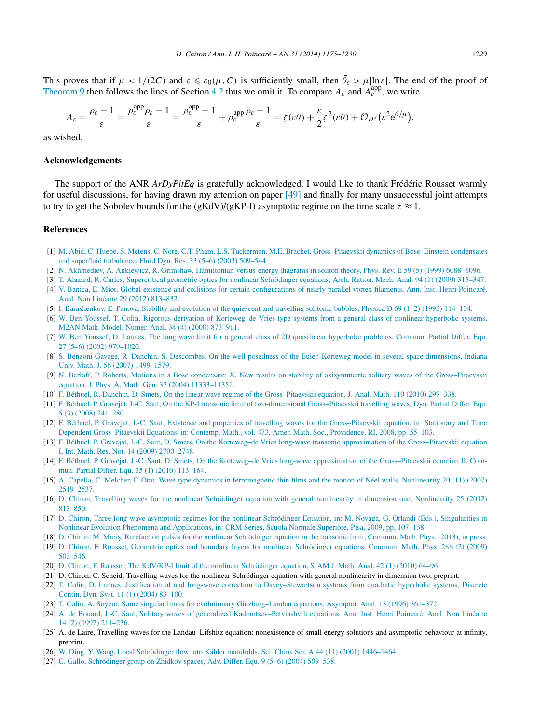<span id="page-54-0"></span>This proves that if  $\mu < 1/(2C)$  and  $\varepsilon \leq \varepsilon_0(\mu, C)$  is sufficiently small, then  $\bar{\theta}_{\varepsilon} > \mu |\ln \varepsilon|$ . The end of the proof of [Theorem 9](#page-22-0) then follows the lines of Section [4.2](#page-42-0) thus we omit it. To compare  $A_{\varepsilon}$  and  $A_{\varepsilon}^{app}$ , we write

$$
A_{\varepsilon} = \frac{\rho_{\varepsilon} - 1}{\varepsilon} = \frac{\rho_{\varepsilon}^{\mathrm{app}} \tilde{\rho}_{\varepsilon} - 1}{\varepsilon} = \frac{\rho_{\varepsilon}^{\mathrm{app}} - 1}{\varepsilon} + \rho_{\varepsilon}^{\mathrm{app}} \frac{\tilde{\rho}_{\varepsilon} - 1}{\varepsilon} = \zeta(\varepsilon \theta) + \frac{\varepsilon}{2} \zeta^2(\varepsilon \theta) + \mathcal{O}_{H^s}(\varepsilon^2 \mathbf{e}^{\theta/\mu}),
$$

as wished.

## **Acknowledgements**

The support of the ANR *ArDyPitEq* is gratefully acknowledged. I would like to thank Frédéric Rousset warmly for useful discussions, for having drawn my attention on paper [\[49\]](#page-55-0) and finally for many unsuccessful joint attempts to try to get the Sobolev bounds for the (gKdV)/(gKP-I) asymptotic regime on the time scale  $\tau \approx 1$ .

#### **References**

- [1] [M. Abid, C. Huepe, S. Metens, C. Nore, C.T. Pham, L.S. Tuckerman, M.E. Brachet, Gross–Pitaevskii dynamics of Bose–Einstein condensates](http://refhub.elsevier.com/S0294-1449(13)00110-8/bib41484D4E505442s1) [and superfluid turbulence, Fluid Dyn. Res. 33 \(5–6\) \(2003\) 509–544.](http://refhub.elsevier.com/S0294-1449(13)00110-8/bib41484D4E505442s1)
- [2] N. [Akhmediev, A. Ankiewicz, R. Grimshaw, Hamiltonian-versus-energy diagrams in soliton theory, Phys. Rev. E 59 \(5\) \(1999\) 6088–6096.](http://refhub.elsevier.com/S0294-1449(13)00110-8/bib416B416E4772s1)
- [3] [T. Alazard, R. Carles, Supercritical geometric optics for nonlinear Schrödinger equations, Arch. Ration. Mech. Anal. 94 \(1\) \(2009\) 315–347.](http://refhub.elsevier.com/S0294-1449(13)00110-8/bib41437375706572s1)
- [4] [V. Banica, E. Miot, Global existence and collisions for certain configurations of nearly parallel vortex filaments, Ann. Inst. Henri Poincaré,](http://refhub.elsevier.com/S0294-1449(13)00110-8/bib42614D69s1) [Anal. Non Linéaire 29 \(2012\) 813–832.](http://refhub.elsevier.com/S0294-1449(13)00110-8/bib42614D69s1)
- [5] I. [Barashenkov, E. Panova, Stability and evolution of the quiescent and travelling solitonic bubbles, Physica D 69 \(1–2\) \(1993\) 114–134.](http://refhub.elsevier.com/S0294-1449(13)00110-8/bib4250s1)
- [6] [W. Ben Youssef, T. Colin, Rigorous derivation of Korteweg–de Vries-type systems from a general class of nonlinear hyperbolic systems,](http://refhub.elsevier.com/S0294-1449(13)00110-8/bib427943s1) [M2AN Math. Model. Numer. Anal. 34 \(4\) \(2000\) 873–911.](http://refhub.elsevier.com/S0294-1449(13)00110-8/bib427943s1)
- [7] [W. Ben Youssef, D. Lannes, The long wave limit for a general class of 2D quasilinear hyperbolic problems, Commun. Partial Differ. Equ.](http://refhub.elsevier.com/S0294-1449(13)00110-8/bib42794Cs1) [27 \(5–6\) \(2002\) 979–1020.](http://refhub.elsevier.com/S0294-1449(13)00110-8/bib42794Cs1)
- [8] S. [Benzoni-Gavage, R. Danchin, S. Descombes, On the well-posedness of the Euler–Korteweg model in several space dimensions, Indiana](http://refhub.elsevier.com/S0294-1449(13)00110-8/bib42656E44616E446573s1) [Univ. Math. J. 56 \(2007\) 1499–1579.](http://refhub.elsevier.com/S0294-1449(13)00110-8/bib42656E44616E446573s1)
- [9] N. [Berloff, P. Roberts, Motions in a Bose condensate: X. New results on stability of axisymmetric solitary waves of the Gross–Pitaevskii](http://refhub.elsevier.com/S0294-1449(13)00110-8/bib4252s1) [equation, J. Phys. A, Math. Gen. 37 \(2004\) 11333–11351.](http://refhub.elsevier.com/S0294-1449(13)00110-8/bib4252s1)
- [10] [F. Béthuel, R. Danchin, D. Smets, On the linear wave regime of the Gross–Pitaevskii equation, J. Anal. Math. 110 \(2010\) 297–338.](http://refhub.elsevier.com/S0294-1449(13)00110-8/bib424453s1)
- [11] [F. Béthuel, P. Gravejat, J.-C. Saut, On the KP-I transonic limit of two-dimensional Gross–Pitaevskii travelling waves, Dyn. Partial Differ. Equ.](http://refhub.elsevier.com/S0294-1449(13)00110-8/bib42475331s1) [5 \(3\) \(2008\) 241–280.](http://refhub.elsevier.com/S0294-1449(13)00110-8/bib42475331s1)
- [12] [F. Béthuel, P. Gravejat, J.-C. Saut, Existence and properties of travelling waves for the Gross–Pitaevskii equation, in: Stationary and Time](http://refhub.elsevier.com/S0294-1449(13)00110-8/bib424753737572766579s1) [Dependent Gross–Pitaevskii Equations, in: Contemp. Math., vol. 473, Amer. Math. Soc., Providence, RI, 2008, pp. 55–103.](http://refhub.elsevier.com/S0294-1449(13)00110-8/bib424753737572766579s1)
- [13] [F. Béthuel, P. Gravejat, J.-C. Saut, D. Smets, On the Korteweg–de Vries long-wave transonic approximation of the Gross–Pitaevskii equation](http://refhub.elsevier.com/S0294-1449(13)00110-8/bib42475353s1) [I, Int. Math. Res. Not. 14 \(2009\) 2700–2748.](http://refhub.elsevier.com/S0294-1449(13)00110-8/bib42475353s1)
- [14] [F. Béthuel, P. Gravejat, J.-C. Saut, D. Smets, On the Korteweg–de Vries long-wave approximation of the Gross–Pitaevskii equation II, Com](http://refhub.elsevier.com/S0294-1449(13)00110-8/bib4247535332s1)[mun. Partial Differ. Equ. 35 \(1\) \(2010\) 113–164.](http://refhub.elsevier.com/S0294-1449(13)00110-8/bib4247535332s1)
- [15] A. [Capella, C. Melcher, F. Otto, Wave-type dynamics in ferromagnetic thin films and the motion of Néel walls, Nonlinearity 20 \(11\) \(2007\)](http://refhub.elsevier.com/S0294-1449(13)00110-8/bib43614D656C4F74s1) [2519–2537.](http://refhub.elsevier.com/S0294-1449(13)00110-8/bib43614D656C4F74s1)
- [16] D. [Chiron, Travelling waves for the nonlinear Schrödinger equation with general nonlinearity in dimension one, Nonlinearity 25 \(2012\)](http://refhub.elsevier.com/S0294-1449(13)00110-8/bib433164s1) [813–850.](http://refhub.elsevier.com/S0294-1449(13)00110-8/bib433164s1)
- [17] D. [Chiron, Three long-wave asymptotic regimes for the nonlinear Schrödinger Equation, in: M. Novaga, G. Orlandi \(Eds.\), Singularities in](http://refhub.elsevier.com/S0294-1449(13)00110-8/bib43737572766579s1) [Nonlinear Evolution Phenomena and Applications, in: CRM Series, Scuola Normale Superiore, Pisa, 2009, pp. 107–138.](http://refhub.elsevier.com/S0294-1449(13)00110-8/bib43737572766579s1)
- [18] D. [Chiron, M. Mari¸s, Rarefaction pulses for the nonlinear Schrödinger equation in the transonic limit, Commun. Math. Phys. \(2013\), in press.](http://refhub.elsevier.com/S0294-1449(13)00110-8/bib434Ds1)
- [19] D. [Chiron, F. Rousset, Geometric optics and boundary layers for nonlinear Schrödinger equations, Commun. Math. Phys. 288 \(2\) \(2009\)](http://refhub.elsevier.com/S0294-1449(13)00110-8/bib435231s1) [503–546.](http://refhub.elsevier.com/S0294-1449(13)00110-8/bib435231s1)
- [20] D. [Chiron, F. Rousset, The KdV/KP-I limit of the nonlinear Schrödinger equation, SIAM J. Math. Anal. 42 \(1\) \(2010\) 64–96.](http://refhub.elsevier.com/S0294-1449(13)00110-8/bib435232s1)
- [21] D. Chiron, C. Scheid, Travelling waves for the nonlinear Schrödinger equation with general nonlinearity in dimension two, preprint.
- [22] [T. Colin, D. Lannes, Justification of and long-wave correction to Davey–Stewartson systems from quadratic hyperbolic systems, Discrete](http://refhub.elsevier.com/S0294-1449(13)00110-8/bib436F4C61s1) [Contin. Dyn. Syst. 11 \(1\) \(2004\) 83–100.](http://refhub.elsevier.com/S0294-1449(13)00110-8/bib436F4C61s1)
- [23] [T. Colin, A. Soyeur, Some singular limits for evolutionary Ginzburg–Landau equations, Asymptot. Anal. 13 \(1996\) 361–372.](http://refhub.elsevier.com/S0294-1449(13)00110-8/bib436F536Fs1)
- [24] A. [de Bouard, J.-C. Saut, Solitary waves of generalized Kadomtsev–Petviashvili equations, Ann. Inst. Henri Poincaré, Anal. Non Linéaire](http://refhub.elsevier.com/S0294-1449(13)00110-8/bib644253494850s1) [14 \(2\) \(1997\) 211–236.](http://refhub.elsevier.com/S0294-1449(13)00110-8/bib644253494850s1)
- [25] A. de Laire, Travelling waves for the Landau–Lifshitz equation: nonexistence of small energy solutions and asymptotic behaviour at infinity, preprint.
- [26] [W. Ding, Y. Wang, Local Schrödinger flow into Kähler manifolds, Sci. China Ser. A 44 \(11\) \(2001\) 1446–1464.](http://refhub.elsevier.com/S0294-1449(13)00110-8/bib44696E6757616E67s1)
- [27] C. [Gallo, Schrödinger group on Zhidkov spaces, Adv. Differ. Equ. 9 \(5–6\) \(2004\) 509–538.](http://refhub.elsevier.com/S0294-1449(13)00110-8/bib476167726F7570s1)